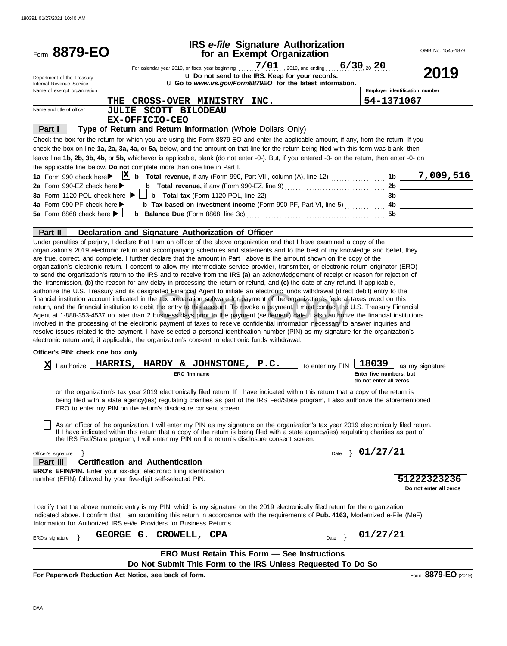| Form 8879-EO                                                                 | <b>IRS</b> e-file Signature Authorization<br>for an Exempt Organization                                                                                                                                                                                                                                                                                                                                                                                                                                                                                                                                                                                                                                                                                                                                                                                                                                                                                                                                                                                                                           |                 |                                                   | OMB No. 1545-1878                       |
|------------------------------------------------------------------------------|---------------------------------------------------------------------------------------------------------------------------------------------------------------------------------------------------------------------------------------------------------------------------------------------------------------------------------------------------------------------------------------------------------------------------------------------------------------------------------------------------------------------------------------------------------------------------------------------------------------------------------------------------------------------------------------------------------------------------------------------------------------------------------------------------------------------------------------------------------------------------------------------------------------------------------------------------------------------------------------------------------------------------------------------------------------------------------------------------|-----------------|---------------------------------------------------|-----------------------------------------|
|                                                                              |                                                                                                                                                                                                                                                                                                                                                                                                                                                                                                                                                                                                                                                                                                                                                                                                                                                                                                                                                                                                                                                                                                   |                 |                                                   |                                         |
| Department of the Treasury                                                   | u Do not send to the IRS. Keep for your records.                                                                                                                                                                                                                                                                                                                                                                                                                                                                                                                                                                                                                                                                                                                                                                                                                                                                                                                                                                                                                                                  |                 |                                                   | 2019                                    |
| Internal Revenue Service<br>Name of exempt organization                      | u Go to www.irs.gov/Form8879EO for the latest information.                                                                                                                                                                                                                                                                                                                                                                                                                                                                                                                                                                                                                                                                                                                                                                                                                                                                                                                                                                                                                                        |                 | Employer identification number                    |                                         |
| THE                                                                          | <b>CROSS-OVER MINISTRY</b><br>INC.                                                                                                                                                                                                                                                                                                                                                                                                                                                                                                                                                                                                                                                                                                                                                                                                                                                                                                                                                                                                                                                                |                 | 54-1371067                                        |                                         |
| Name and title of officer                                                    | <b>JULIE SCOTT BILODEAU</b>                                                                                                                                                                                                                                                                                                                                                                                                                                                                                                                                                                                                                                                                                                                                                                                                                                                                                                                                                                                                                                                                       |                 |                                                   |                                         |
|                                                                              | EX-OFFICIO-CEO                                                                                                                                                                                                                                                                                                                                                                                                                                                                                                                                                                                                                                                                                                                                                                                                                                                                                                                                                                                                                                                                                    |                 |                                                   |                                         |
| Part I                                                                       | Type of Return and Return Information (Whole Dollars Only)                                                                                                                                                                                                                                                                                                                                                                                                                                                                                                                                                                                                                                                                                                                                                                                                                                                                                                                                                                                                                                        |                 |                                                   |                                         |
|                                                                              | Check the box for the return for which you are using this Form 8879-EO and enter the applicable amount, if any, from the return. If you                                                                                                                                                                                                                                                                                                                                                                                                                                                                                                                                                                                                                                                                                                                                                                                                                                                                                                                                                           |                 |                                                   |                                         |
|                                                                              | check the box on line 1a, 2a, 3a, 4a, or 5a, below, and the amount on that line for the return being filed with this form was blank, then                                                                                                                                                                                                                                                                                                                                                                                                                                                                                                                                                                                                                                                                                                                                                                                                                                                                                                                                                         |                 |                                                   |                                         |
|                                                                              | leave line 1b, 2b, 3b, 4b, or 5b, whichever is applicable, blank (do not enter -0-). But, if you entered -0- on the return, then enter -0- on                                                                                                                                                                                                                                                                                                                                                                                                                                                                                                                                                                                                                                                                                                                                                                                                                                                                                                                                                     |                 |                                                   |                                         |
| the applicable line below. Do not complete more than one line in Part I.     |                                                                                                                                                                                                                                                                                                                                                                                                                                                                                                                                                                                                                                                                                                                                                                                                                                                                                                                                                                                                                                                                                                   |                 |                                                   |                                         |
|                                                                              |                                                                                                                                                                                                                                                                                                                                                                                                                                                                                                                                                                                                                                                                                                                                                                                                                                                                                                                                                                                                                                                                                                   |                 |                                                   |                                         |
| 2a Form 990-EZ check here ▶<br>3a Form 1120-POL check here ▶                 | <b>b</b> Total revenue, if any (Form 990-EZ, line 9) $\ldots$ $\ldots$ $\ldots$ $\ldots$ $\ldots$ $\ldots$                                                                                                                                                                                                                                                                                                                                                                                                                                                                                                                                                                                                                                                                                                                                                                                                                                                                                                                                                                                        |                 | 3 <sub>b</sub>                                    | 2b                                      |
| 4a Form 990-PF check here ▶                                                  | <b>b</b> Total tax (Form 1120-POL, line 22) $\ldots$ $\ldots$ $\ldots$ $\ldots$ $\ldots$ $\ldots$ $\ldots$<br><b>b</b> Tax based on investment income (Form 990-PF, Part VI, line 5)                                                                                                                                                                                                                                                                                                                                                                                                                                                                                                                                                                                                                                                                                                                                                                                                                                                                                                              |                 | 4b                                                | <u> 1989 - Johann Barbara, martxa a</u> |
|                                                                              |                                                                                                                                                                                                                                                                                                                                                                                                                                                                                                                                                                                                                                                                                                                                                                                                                                                                                                                                                                                                                                                                                                   |                 | 5b                                                |                                         |
|                                                                              |                                                                                                                                                                                                                                                                                                                                                                                                                                                                                                                                                                                                                                                                                                                                                                                                                                                                                                                                                                                                                                                                                                   |                 |                                                   |                                         |
| Part II                                                                      | Declaration and Signature Authorization of Officer                                                                                                                                                                                                                                                                                                                                                                                                                                                                                                                                                                                                                                                                                                                                                                                                                                                                                                                                                                                                                                                |                 |                                                   |                                         |
| Officer's PIN: check one box only                                            | the transmission, (b) the reason for any delay in processing the return or refund, and (c) the date of any refund. If applicable, I<br>authorize the U.S. Treasury and its designated Financial Agent to initiate an electronic funds withdrawal (direct debit) entry to the<br>financial institution account indicated in the tax preparation software for payment of the organization's federal taxes owed on this<br>return, and the financial institution to debit the entry to this account. To revoke a payment, I must contact the U.S. Treasury Financial<br>Agent at 1-888-353-4537 no later than 2 business days prior to the payment (settlement) date. I also authorize the financial institutions<br>involved in the processing of the electronic payment of taxes to receive confidential information necessary to answer inquiries and<br>resolve issues related to the payment. I have selected a personal identification number (PIN) as my signature for the organization's<br>electronic return and, if applicable, the organization's consent to electronic funds withdrawal. |                 |                                                   |                                         |
| Ιx                                                                           | authorize HARRIS, HARDY & JOHNSTONE, P.C.                                                                                                                                                                                                                                                                                                                                                                                                                                                                                                                                                                                                                                                                                                                                                                                                                                                                                                                                                                                                                                                         |                 | 18039                                             |                                         |
|                                                                              | ERO firm name                                                                                                                                                                                                                                                                                                                                                                                                                                                                                                                                                                                                                                                                                                                                                                                                                                                                                                                                                                                                                                                                                     | to enter my PIN | Enter five numbers, but<br>do not enter all zeros | as my signature                         |
|                                                                              | on the organization's tax year 2019 electronically filed return. If I have indicated within this return that a copy of the return is<br>being filed with a state agency(ies) regulating charities as part of the IRS Fed/State program, I also authorize the aforementioned<br>ERO to enter my PIN on the return's disclosure consent screen.<br>As an officer of the organization, I will enter my PIN as my signature on the organization's tax year 2019 electronically filed return.                                                                                                                                                                                                                                                                                                                                                                                                                                                                                                                                                                                                          |                 |                                                   |                                         |
|                                                                              | If I have indicated within this return that a copy of the return is being filed with a state agency(ies) regulating charities as part of<br>the IRS Fed/State program, I will enter my PIN on the return's disclosure consent screen.                                                                                                                                                                                                                                                                                                                                                                                                                                                                                                                                                                                                                                                                                                                                                                                                                                                             |                 |                                                   |                                         |
| Officer's signature                                                          |                                                                                                                                                                                                                                                                                                                                                                                                                                                                                                                                                                                                                                                                                                                                                                                                                                                                                                                                                                                                                                                                                                   | Date $\}$       | 01/27/21                                          |                                         |
| <b>Certification and Authentication</b><br>Part III                          |                                                                                                                                                                                                                                                                                                                                                                                                                                                                                                                                                                                                                                                                                                                                                                                                                                                                                                                                                                                                                                                                                                   |                 |                                                   |                                         |
| <b>ERO's EFIN/PIN.</b> Enter your six-digit electronic filing identification |                                                                                                                                                                                                                                                                                                                                                                                                                                                                                                                                                                                                                                                                                                                                                                                                                                                                                                                                                                                                                                                                                                   |                 |                                                   |                                         |
| number (EFIN) followed by your five-digit self-selected PIN.                 |                                                                                                                                                                                                                                                                                                                                                                                                                                                                                                                                                                                                                                                                                                                                                                                                                                                                                                                                                                                                                                                                                                   |                 |                                                   | 51222323236                             |
|                                                                              |                                                                                                                                                                                                                                                                                                                                                                                                                                                                                                                                                                                                                                                                                                                                                                                                                                                                                                                                                                                                                                                                                                   |                 |                                                   | Do not enter all zeros                  |
| Information for Authorized IRS e-file Providers for Business Returns.        | I certify that the above numeric entry is my PIN, which is my signature on the 2019 electronically filed return for the organization<br>indicated above. I confirm that I am submitting this return in accordance with the requirements of Pub. 4163, Modernized e-File (MeF)                                                                                                                                                                                                                                                                                                                                                                                                                                                                                                                                                                                                                                                                                                                                                                                                                     |                 |                                                   |                                         |
| ERO's signature                                                              | GEORGE G. CROWELL, CPA                                                                                                                                                                                                                                                                                                                                                                                                                                                                                                                                                                                                                                                                                                                                                                                                                                                                                                                                                                                                                                                                            | Date } 01/27/21 |                                                   |                                         |
|                                                                              | <b>ERO Must Retain This Form - See Instructions</b>                                                                                                                                                                                                                                                                                                                                                                                                                                                                                                                                                                                                                                                                                                                                                                                                                                                                                                                                                                                                                                               |                 |                                                   |                                         |
|                                                                              | Do Not Submit This Form to the IRS Unless Requested To Do So                                                                                                                                                                                                                                                                                                                                                                                                                                                                                                                                                                                                                                                                                                                                                                                                                                                                                                                                                                                                                                      |                 |                                                   |                                         |
| For Paperwork Reduction Act Notice, see back of form.                        |                                                                                                                                                                                                                                                                                                                                                                                                                                                                                                                                                                                                                                                                                                                                                                                                                                                                                                                                                                                                                                                                                                   |                 |                                                   | Form 8879-EO (2019)                     |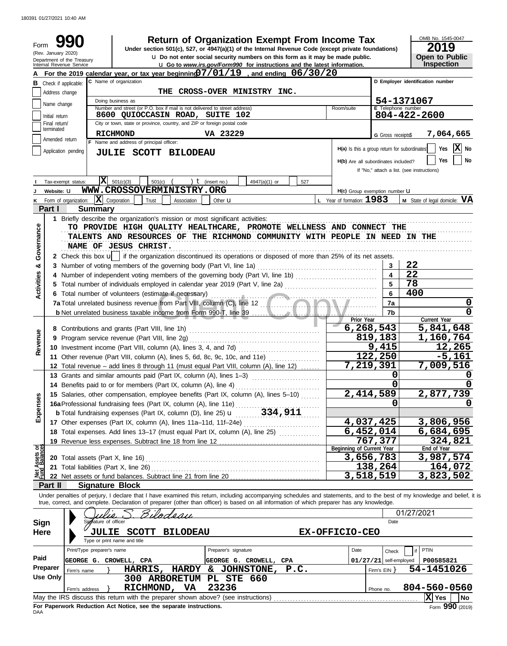180391 01/27/2021 10:40 AM

| Form         | (Rev. January 2020)                                    |                                                                                                                                                                                                                                                                                                                          | <b>Return of Organization Exempt From Income Tax</b><br>Under section 501(c), 527, or 4947(a)(1) of the Internal Revenue Code (except private foundations)<br>u Do not enter social security numbers on this form as it may be made public. |                      |                                                                                     |                          | OMB No. 1545-0047<br>2019<br>Open to Public                                         |  |
|--------------|--------------------------------------------------------|--------------------------------------------------------------------------------------------------------------------------------------------------------------------------------------------------------------------------------------------------------------------------------------------------------------------------|---------------------------------------------------------------------------------------------------------------------------------------------------------------------------------------------------------------------------------------------|----------------------|-------------------------------------------------------------------------------------|--------------------------|-------------------------------------------------------------------------------------|--|
|              | Department of the Treasury<br>Internal Revenue Service |                                                                                                                                                                                                                                                                                                                          | <b>u</b> Go to www.irs.gov/Form990 for instructions and the latest information.                                                                                                                                                             |                      |                                                                                     |                          | Inspection                                                                          |  |
|              |                                                        | For the 2019 calendar year, or tax year beginning $07/01/19$ , and ending $06/30/20$<br>C Name of organization                                                                                                                                                                                                           |                                                                                                                                                                                                                                             |                      |                                                                                     |                          | D Employer identification number                                                    |  |
|              | <b>B</b> Check if applicable:                          | THE                                                                                                                                                                                                                                                                                                                      | CROSS-OVER MINISTRY INC.                                                                                                                                                                                                                    |                      |                                                                                     |                          |                                                                                     |  |
|              | Address change                                         | Doing business as                                                                                                                                                                                                                                                                                                        |                                                                                                                                                                                                                                             |                      |                                                                                     |                          | 54-1371067                                                                          |  |
|              | Name change                                            | Number and street (or P.O. box if mail is not delivered to street address)                                                                                                                                                                                                                                               |                                                                                                                                                                                                                                             |                      | Room/suite                                                                          | E Telephone number       |                                                                                     |  |
|              | Initial return                                         | 8600 QUIOCCASIN ROAD, SUITE 102                                                                                                                                                                                                                                                                                          |                                                                                                                                                                                                                                             |                      |                                                                                     |                          | 804-422-2600                                                                        |  |
|              | Final return/<br>terminated                            | City or town, state or province, country, and ZIP or foreign postal code                                                                                                                                                                                                                                                 |                                                                                                                                                                                                                                             |                      |                                                                                     |                          |                                                                                     |  |
|              | Amended return                                         | <b>RICHMOND</b>                                                                                                                                                                                                                                                                                                          | VA 23229                                                                                                                                                                                                                                    |                      |                                                                                     | G Gross receipts\$       | 7,064,665                                                                           |  |
|              | Application pending                                    | F Name and address of principal officer:<br><b>JULIE SCOTT BILODEAU</b>                                                                                                                                                                                                                                                  |                                                                                                                                                                                                                                             |                      | H(a) Is this a group return for subordinates<br>H(b) Are all subordinates included? |                          | $ \mathbf{X} $ No<br>Yes<br>Yes<br>No<br>If "No," attach a list. (see instructions) |  |
|              | Tax-exempt status:                                     | X <br>501(c)(3)<br>501(c)<br>WWW.CROSSOVERMINISTRY.ORG                                                                                                                                                                                                                                                                   | $t$ (insert no.)                                                                                                                                                                                                                            | 4947(a)(1) or<br>527 |                                                                                     |                          |                                                                                     |  |
|              | Website: U                                             | $ \mathbf{X} $ Corporation                                                                                                                                                                                                                                                                                               |                                                                                                                                                                                                                                             |                      | H(c) Group exemption number <b>U</b><br>L Year of formation: $1983$                 |                          | M State of legal domicile: VA                                                       |  |
| Κ            | Form of organization:<br>Part I                        | Trust<br><b>Summary</b>                                                                                                                                                                                                                                                                                                  | Association<br>Other <b>u</b>                                                                                                                                                                                                               |                      |                                                                                     |                          |                                                                                     |  |
|              |                                                        | 1 Briefly describe the organization's mission or most significant activities:                                                                                                                                                                                                                                            |                                                                                                                                                                                                                                             |                      |                                                                                     |                          |                                                                                     |  |
| Governance   |                                                        | TO PROVIDE HIGH QUALITY HEALTHCARE, PROMOTE WELLNESS AND CONNECT THE<br>TALENTS AND RESOURCES OF THE RICHMOND COMMUNITY WITH PEOPLE IN NEED IN THE<br>NAME OF JESUS CHRIST.<br>2 Check this box u   if the organization discontinued its operations or disposed of more than 25% of its net assets.                      |                                                                                                                                                                                                                                             |                      |                                                                                     |                          |                                                                                     |  |
| ೲ            |                                                        | 3 Number of voting members of the governing body (Part VI, line 1a)                                                                                                                                                                                                                                                      |                                                                                                                                                                                                                                             |                      |                                                                                     | 3                        | 22                                                                                  |  |
| Activities   |                                                        |                                                                                                                                                                                                                                                                                                                          |                                                                                                                                                                                                                                             |                      |                                                                                     | $\overline{\mathbf{4}}$  | 22                                                                                  |  |
|              |                                                        | 5 Total number of individuals employed in calendar year 2019 (Part V, line 2a) [[[[[[[[[[[[[[[[[[[[[[[[[[[[[[                                                                                                                                                                                                            |                                                                                                                                                                                                                                             |                      |                                                                                     | 5                        | 78                                                                                  |  |
|              |                                                        | 6 Total number of volunteers (estimate if necessary)<br>7a Total unrelated business revenue from Part VIII, column (C), line 12                                                                                                                                                                                          |                                                                                                                                                                                                                                             |                      |                                                                                     | 6                        | 400                                                                                 |  |
|              |                                                        |                                                                                                                                                                                                                                                                                                                          |                                                                                                                                                                                                                                             |                      |                                                                                     | 7a                       | 0                                                                                   |  |
|              |                                                        |                                                                                                                                                                                                                                                                                                                          |                                                                                                                                                                                                                                             |                      |                                                                                     | 7b                       | 0                                                                                   |  |
|              |                                                        |                                                                                                                                                                                                                                                                                                                          |                                                                                                                                                                                                                                             |                      | Prior Year<br>6, 268, 543                                                           |                          | Current Year<br>5,841,648                                                           |  |
| Revenue      |                                                        |                                                                                                                                                                                                                                                                                                                          |                                                                                                                                                                                                                                             |                      |                                                                                     | 819,183                  | 1,160,764                                                                           |  |
|              |                                                        |                                                                                                                                                                                                                                                                                                                          |                                                                                                                                                                                                                                             |                      | 9,415                                                                               |                          | 12,265                                                                              |  |
|              |                                                        |                                                                                                                                                                                                                                                                                                                          |                                                                                                                                                                                                                                             |                      | 122,250                                                                             |                          | $-5,161$                                                                            |  |
|              |                                                        | 12 Total revenue - add lines 8 through 11 (must equal Part VIII, column (A), line 12)                                                                                                                                                                                                                                    |                                                                                                                                                                                                                                             |                      | 7,219,391                                                                           |                          | 7,009,516                                                                           |  |
|              |                                                        | 13 Grants and similar amounts paid (Part IX, column (A), lines 1-3)                                                                                                                                                                                                                                                      |                                                                                                                                                                                                                                             |                      |                                                                                     | 0                        | O                                                                                   |  |
|              |                                                        | 14 Benefits paid to or for members (Part IX, column (A), line 4)                                                                                                                                                                                                                                                         |                                                                                                                                                                                                                                             |                      |                                                                                     | 0                        | 0                                                                                   |  |
|              |                                                        | 15 Salaries, other compensation, employee benefits (Part IX, column (A), lines 5-10)                                                                                                                                                                                                                                     |                                                                                                                                                                                                                                             |                      | 2,414,589                                                                           |                          | 2,877,739                                                                           |  |
| Expenses     |                                                        | 16a Professional fundraising fees (Part IX, column (A), line 11e)                                                                                                                                                                                                                                                        |                                                                                                                                                                                                                                             |                      |                                                                                     | 0                        | O                                                                                   |  |
|              |                                                        | <b>b</b> Total fundraising expenses (Part IX, column (D), line 25) $\mathbf{u}$ 334, 911                                                                                                                                                                                                                                 |                                                                                                                                                                                                                                             |                      |                                                                                     |                          |                                                                                     |  |
|              |                                                        | 17 Other expenses (Part IX, column (A), lines 11a-11d, 11f-24e)                                                                                                                                                                                                                                                          |                                                                                                                                                                                                                                             |                      | 4,037,425                                                                           |                          | 3,806,956                                                                           |  |
|              |                                                        | 18 Total expenses. Add lines 13-17 (must equal Part IX, column (A), line 25) [                                                                                                                                                                                                                                           |                                                                                                                                                                                                                                             |                      | 6,452,014                                                                           |                          | 6,684,695                                                                           |  |
|              |                                                        | 19 Revenue less expenses. Subtract line 18 from line 12                                                                                                                                                                                                                                                                  |                                                                                                                                                                                                                                             |                      |                                                                                     | 767,377                  | 324,821                                                                             |  |
| Assets or    |                                                        |                                                                                                                                                                                                                                                                                                                          |                                                                                                                                                                                                                                             |                      | Beginning of Current Year                                                           |                          | End of Year                                                                         |  |
|              |                                                        |                                                                                                                                                                                                                                                                                                                          |                                                                                                                                                                                                                                             |                      | 3,656,783                                                                           |                          | 3,987,574                                                                           |  |
|              |                                                        | 21 Total liabilities (Part X, line 26)                                                                                                                                                                                                                                                                                   |                                                                                                                                                                                                                                             |                      |                                                                                     | 138,264                  | 164,072                                                                             |  |
|              |                                                        |                                                                                                                                                                                                                                                                                                                          |                                                                                                                                                                                                                                             |                      | 3,518,519                                                                           |                          | 3,823,502                                                                           |  |
|              | Part II                                                | <b>Signature Block</b>                                                                                                                                                                                                                                                                                                   |                                                                                                                                                                                                                                             |                      |                                                                                     |                          |                                                                                     |  |
|              |                                                        | Under penalties of perjury, I declare that I have examined this return, including accompanying schedules and statements, and to the best of my knowledge and belief, it is<br>true, correct, and complete. Declaration of preparer (other than officer) is based on all information of which preparer has any knowledge. |                                                                                                                                                                                                                                             |                      |                                                                                     |                          | 01/27/2021                                                                          |  |
|              |                                                        | Signature of officer                                                                                                                                                                                                                                                                                                     |                                                                                                                                                                                                                                             |                      |                                                                                     | Date                     |                                                                                     |  |
| Sign<br>Here |                                                        | EX-OFFICIO-CEO<br><b>JULIE SCOTT BILODEAU</b><br>Type or print name and title                                                                                                                                                                                                                                            |                                                                                                                                                                                                                                             |                      |                                                                                     |                          |                                                                                     |  |
|              |                                                        | Print/Type preparer's name                                                                                                                                                                                                                                                                                               | Preparer's signature                                                                                                                                                                                                                        |                      | Date                                                                                | Check                    | <b>PTIN</b>                                                                         |  |
| Paid         |                                                        | GEORGE G. CROWELL, CPA                                                                                                                                                                                                                                                                                                   | GEORGE G. CROWELL, CPA                                                                                                                                                                                                                      |                      |                                                                                     | $01/27/21$ self-employed | P00585821                                                                           |  |
|              | Preparer<br>Firm's name                                | HARRIS,                                                                                                                                                                                                                                                                                                                  | HARDY & JOHNSTONE,                                                                                                                                                                                                                          | P.C.                 |                                                                                     | Firm's $EIN$ }           | 54-1451026                                                                          |  |
|              | <b>Use Only</b><br>Firm's address                      | 300 ARBORETUM<br>RICHMOND, VA                                                                                                                                                                                                                                                                                            | PL STE 660<br>23236                                                                                                                                                                                                                         |                      |                                                                                     | Phone no.                | 804-560-0560                                                                        |  |
|              |                                                        |                                                                                                                                                                                                                                                                                                                          |                                                                                                                                                                                                                                             |                      |                                                                                     |                          | X Yes<br>No                                                                         |  |
|              |                                                        | For Paperwork Peduction Act Notice, see the senarate instructions                                                                                                                                                                                                                                                        |                                                                                                                                                                                                                                             |                      |                                                                                     |                          | $\mathbf{Q}$                                                                        |  |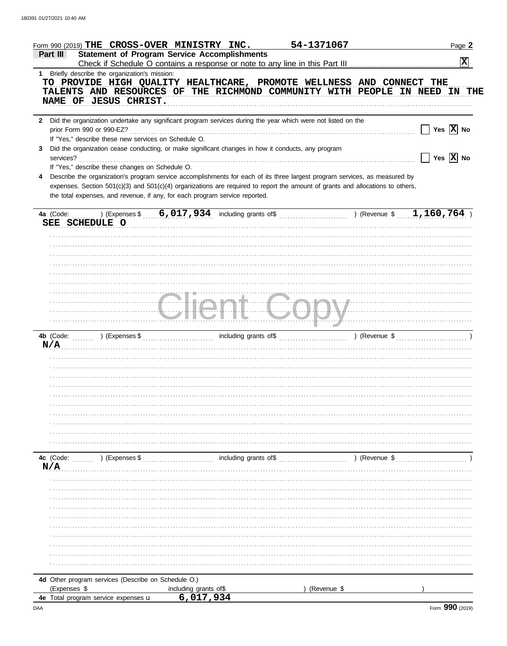|                  | Form 990 (2019) THE CROSS-OVER MINISTRY INC.                            |                                                                                                    | 54-1371067                                                                                                                                                                                                                                                   |                                                                                                                | Page 2                             |
|------------------|-------------------------------------------------------------------------|----------------------------------------------------------------------------------------------------|--------------------------------------------------------------------------------------------------------------------------------------------------------------------------------------------------------------------------------------------------------------|----------------------------------------------------------------------------------------------------------------|------------------------------------|
| Part III         |                                                                         | <b>Statement of Program Service Accomplishments</b>                                                |                                                                                                                                                                                                                                                              |                                                                                                                | $ \mathbf{x} $                     |
|                  | 1 Briefly describe the organization's mission:<br>NAME OF JESUS CHRIST. |                                                                                                    | TO PROVIDE HIGH QUALITY HEALTHCARE, PROMOTE WELLNESS AND CONNECT THE<br>TALENTS AND RESOURCES OF THE RICHMOND COMMUNITY WITH PEOPLE IN NEED IN THE                                                                                                           |                                                                                                                |                                    |
|                  | If "Yes," describe these new services on Schedule O.                    |                                                                                                    | 2 Did the organization undertake any significant program services during the year which were not listed on the                                                                                                                                               |                                                                                                                | Yes $\overline{X}$ No              |
| 3                | If "Yes," describe these changes on Schedule O.                         | Did the organization cease conducting, or make significant changes in how it conducts, any program |                                                                                                                                                                                                                                                              |                                                                                                                | $\Box$ Yes $\boxed{\textbf{X}}$ No |
| 4                |                                                                         | the total expenses, and revenue, if any, for each program service reported.                        | Describe the organization's program service accomplishments for each of its three largest program services, as measured by<br>expenses. Section 501(c)(3) and 501(c)(4) organizations are required to report the amount of grants and allocations to others, |                                                                                                                |                                    |
| SEE SCHEDULE O   |                                                                         |                                                                                                    |                                                                                                                                                                                                                                                              |                                                                                                                |                                    |
|                  |                                                                         |                                                                                                    |                                                                                                                                                                                                                                                              |                                                                                                                |                                    |
|                  |                                                                         |                                                                                                    |                                                                                                                                                                                                                                                              |                                                                                                                |                                    |
|                  |                                                                         |                                                                                                    | Client Copy                                                                                                                                                                                                                                                  | benedictor (2000), 2000, 2000, 2000, 2000, 2000, 2000, 2000, 2000, 2000, 2000, 2000, 2000, 2000, 2000, 2000, 2 |                                    |
|                  |                                                                         |                                                                                                    | N/A                                                                                                                                                                                                                                                          |                                                                                                                |                                    |
|                  |                                                                         |                                                                                                    |                                                                                                                                                                                                                                                              |                                                                                                                |                                    |
|                  |                                                                         |                                                                                                    |                                                                                                                                                                                                                                                              |                                                                                                                |                                    |
|                  |                                                                         |                                                                                                    |                                                                                                                                                                                                                                                              |                                                                                                                |                                    |
|                  |                                                                         |                                                                                                    |                                                                                                                                                                                                                                                              |                                                                                                                |                                    |
| 4c (Code:<br>N/A | $\ldots$ ) (Expenses \$                                                 |                                                                                                    |                                                                                                                                                                                                                                                              |                                                                                                                |                                    |
|                  |                                                                         |                                                                                                    |                                                                                                                                                                                                                                                              |                                                                                                                |                                    |
|                  |                                                                         |                                                                                                    |                                                                                                                                                                                                                                                              |                                                                                                                |                                    |
|                  |                                                                         |                                                                                                    |                                                                                                                                                                                                                                                              |                                                                                                                |                                    |
|                  |                                                                         |                                                                                                    |                                                                                                                                                                                                                                                              |                                                                                                                |                                    |
|                  | 4d Other program services (Describe on Schedule O.)                     |                                                                                                    |                                                                                                                                                                                                                                                              |                                                                                                                |                                    |
| (Expenses \$     | 4e Total program service expenses u                                     | including grants of\$<br>6,017,934                                                                 | (Revenue \$                                                                                                                                                                                                                                                  |                                                                                                                |                                    |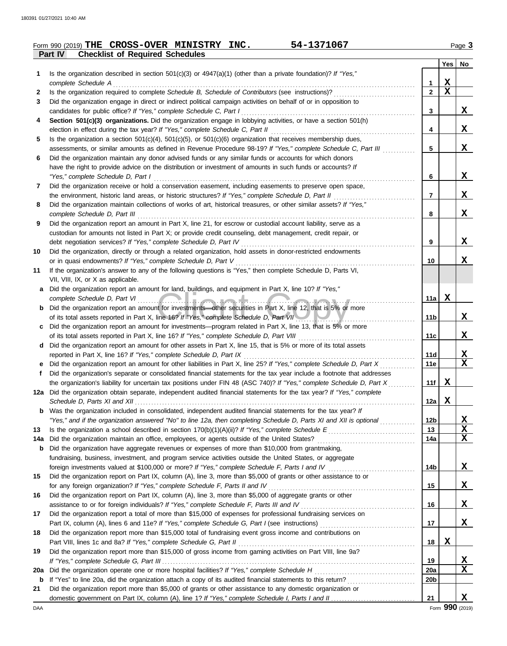|          | 54-1371067<br>Form 990 (2019) THE CROSS-OVER MINISTRY INC.                                                                                         |                   |                            | Page 3           |
|----------|----------------------------------------------------------------------------------------------------------------------------------------------------|-------------------|----------------------------|------------------|
|          | <b>Checklist of Required Schedules</b><br>Part IV                                                                                                  |                   |                            |                  |
|          |                                                                                                                                                    |                   |                            | Yes No           |
| 1.       | Is the organization described in section $501(c)(3)$ or $4947(a)(1)$ (other than a private foundation)? If "Yes,"                                  |                   |                            |                  |
|          | complete Schedule A<br>Is the organization required to complete Schedule B, Schedule of Contributors (see instructions)?                           | 1<br>$\mathbf{2}$ | $\mathbf X$<br>$\mathbf x$ |                  |
| 2<br>3   | Did the organization engage in direct or indirect political campaign activities on behalf of or in opposition to                                   |                   |                            |                  |
|          | candidates for public office? If "Yes," complete Schedule C, Part I                                                                                | 3                 |                            | X                |
| 4        | Section 501(c)(3) organizations. Did the organization engage in lobbying activities, or have a section 501(h)                                      |                   |                            |                  |
|          | election in effect during the tax year? If "Yes," complete Schedule C, Part II                                                                     | 4                 |                            | X                |
| 5        | Is the organization a section $501(c)(4)$ , $501(c)(5)$ , or $501(c)(6)$ organization that receives membership dues,                               |                   |                            |                  |
|          | assessments, or similar amounts as defined in Revenue Procedure 98-19? If "Yes," complete Schedule C, Part III                                     | 5                 |                            | X                |
| 6        | Did the organization maintain any donor advised funds or any similar funds or accounts for which donors                                            |                   |                            |                  |
|          | have the right to provide advice on the distribution or investment of amounts in such funds or accounts? If                                        |                   |                            |                  |
|          | "Yes," complete Schedule D, Part I                                                                                                                 | 6                 |                            | X                |
| 7        | Did the organization receive or hold a conservation easement, including easements to preserve open space,                                          |                   |                            |                  |
|          | the environment, historic land areas, or historic structures? If "Yes," complete Schedule D, Part II                                               | 7                 |                            | X                |
| 8        | Did the organization maintain collections of works of art, historical treasures, or other similar assets? If "Yes,"                                |                   |                            |                  |
|          | complete Schedule D, Part III                                                                                                                      | 8                 |                            | X                |
| 9        | Did the organization report an amount in Part X, line 21, for escrow or custodial account liability, serve as a                                    |                   |                            |                  |
|          | custodian for amounts not listed in Part X; or provide credit counseling, debt management, credit repair, or                                       |                   |                            |                  |
|          | debt negotiation services? If "Yes," complete Schedule D, Part IV                                                                                  | 9                 |                            | X                |
| 10       | Did the organization, directly or through a related organization, hold assets in donor-restricted endowments                                       |                   |                            |                  |
|          | or in quasi endowments? If "Yes," complete Schedule D, Part V                                                                                      | 10                |                            | X                |
| 11       | If the organization's answer to any of the following questions is "Yes," then complete Schedule D, Parts VI,<br>VII, VIII, IX, or X as applicable. |                   |                            |                  |
| a        | Did the organization report an amount for land, buildings, and equipment in Part X, line 10? If "Yes,"                                             |                   |                            |                  |
|          | complete Schedule D, Part VI                                                                                                                       | 11a               | $\mathbf X$                |                  |
|          | <b>THE CONTRACTOR</b><br>Did the organization report an amount for investments—other securities in Part X, line 12, that is 5% or more             |                   |                            |                  |
|          | of its total assets reported in Part X, line 16? If "Yes," complete Schedule D, Part VII                                                           | 11 <sub>b</sub>   |                            | X                |
| c        | Did the organization report an amount for investments—program related in Part X, line 13, that is 5% or more                                       |                   |                            |                  |
|          | of its total assets reported in Part X, line 16? If "Yes," complete Schedule D, Part VIII                                                          | 11c               |                            | X                |
| d        | Did the organization report an amount for other assets in Part X, line 15, that is 5% or more of its total assets                                  |                   |                            |                  |
|          | reported in Part X, line 16? If "Yes," complete Schedule D, Part IX                                                                                | 11d               |                            | $\mathbf x$      |
|          | Did the organization report an amount for other liabilities in Part X, line 25? If "Yes," complete Schedule D, Part X                              | 11e               |                            | X                |
| f        | Did the organization's separate or consolidated financial statements for the tax year include a footnote that addresses                            |                   |                            |                  |
|          | the organization's liability for uncertain tax positions under FIN 48 (ASC 740)? If "Yes," complete Schedule D, Part X                             | 11f               | X                          |                  |
|          | 12a Did the organization obtain separate, independent audited financial statements for the tax year? If "Yes," complete                            |                   |                            |                  |
|          |                                                                                                                                                    | 12a               | X                          |                  |
| b        | Was the organization included in consolidated, independent audited financial statements for the tax year? If                                       |                   |                            |                  |
|          | "Yes," and if the organization answered "No" to line 12a, then completing Schedule D, Parts XI and XII is optional                                 | 12b               |                            | X<br>$\mathbf X$ |
| 13       | Did the organization maintain an office, employees, or agents outside of the United States?                                                        | 13<br>14a         |                            | X                |
| 14a<br>b | Did the organization have aggregate revenues or expenses of more than \$10,000 from grantmaking,                                                   |                   |                            |                  |
|          | fundraising, business, investment, and program service activities outside the United States, or aggregate                                          |                   |                            |                  |
|          |                                                                                                                                                    | 14b               |                            | X                |
| 15       | Did the organization report on Part IX, column (A), line 3, more than \$5,000 of grants or other assistance to or                                  |                   |                            |                  |
|          | for any foreign organization? If "Yes," complete Schedule F, Parts II and IV                                                                       | 15                |                            | X                |
| 16       | Did the organization report on Part IX, column (A), line 3, more than \$5,000 of aggregate grants or other                                         |                   |                            |                  |
|          | assistance to or for foreign individuals? If "Yes," complete Schedule F, Parts III and IV                                                          | 16                |                            | X                |
| 17       | Did the organization report a total of more than \$15,000 of expenses for professional fundraising services on                                     |                   |                            |                  |
|          |                                                                                                                                                    | 17                |                            | X                |
| 18       | Did the organization report more than \$15,000 total of fundraising event gross income and contributions on                                        |                   |                            |                  |
|          | Part VIII, lines 1c and 8a? If "Yes," complete Schedule G, Part II                                                                                 | 18                | X                          |                  |
| 19       | Did the organization report more than \$15,000 of gross income from gaming activities on Part VIII, line 9a?                                       |                   |                            |                  |
|          |                                                                                                                                                    | 19                |                            | X                |
| 20a      |                                                                                                                                                    | <b>20a</b>        |                            | X                |
| b        |                                                                                                                                                    | 20b               |                            |                  |
| 21       | Did the organization report more than \$5,000 of grants or other assistance to any domestic organization or                                        |                   |                            |                  |
|          |                                                                                                                                                    | 21                |                            | X                |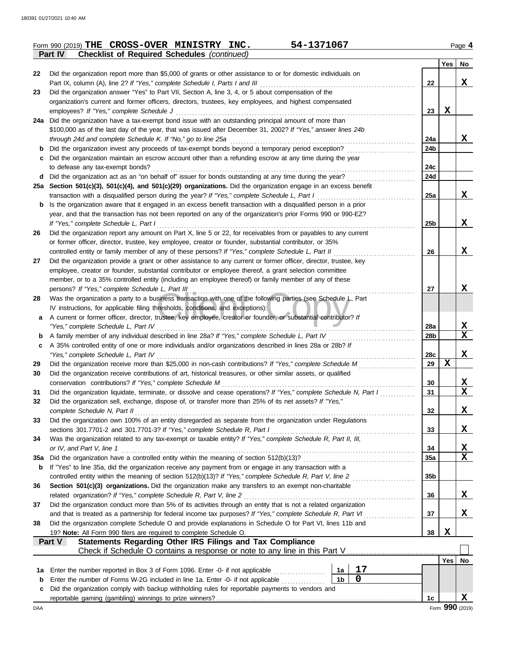|             | 54-1371067<br>Form 990 (2019) THE CROSS-OVER MINISTRY INC.                                                                                                                                  |                 |             | Page 4          |
|-------------|---------------------------------------------------------------------------------------------------------------------------------------------------------------------------------------------|-----------------|-------------|-----------------|
|             | <b>Checklist of Required Schedules (continued)</b><br><b>Part IV</b>                                                                                                                        |                 |             |                 |
|             |                                                                                                                                                                                             |                 |             | $Yes \mid No$   |
| 22          | Did the organization report more than \$5,000 of grants or other assistance to or for domestic individuals on                                                                               |                 |             |                 |
|             | Part IX, column (A), line 2? If "Yes," complete Schedule I, Parts I and III                                                                                                                 | 22              |             | $\mathbf x$     |
| 23          | Did the organization answer "Yes" to Part VII, Section A, line 3, 4, or 5 about compensation of the                                                                                         |                 |             |                 |
|             | organization's current and former officers, directors, trustees, key employees, and highest compensated                                                                                     |                 |             |                 |
|             | employees? If "Yes," complete Schedule J                                                                                                                                                    | 23              | $\mathbf x$ |                 |
|             | 24a Did the organization have a tax-exempt bond issue with an outstanding principal amount of more than                                                                                     |                 |             |                 |
|             | \$100,000 as of the last day of the year, that was issued after December 31, 2002? If "Yes," answer lines 24b<br>through 24d and complete Schedule K. If "No," go to line 25a               | 24a             |             | X               |
| b           | Did the organization invest any proceeds of tax-exempt bonds beyond a temporary period exception?                                                                                           | 24b             |             |                 |
| с           | Did the organization maintain an escrow account other than a refunding escrow at any time during the year                                                                                   |                 |             |                 |
|             | to defease any tax-exempt bonds?                                                                                                                                                            | 24c             |             |                 |
| d           | Did the organization act as an "on behalf of" issuer for bonds outstanding at any time during the year?                                                                                     | 24d             |             |                 |
|             | 25a Section 501(c)(3), 501(c)(4), and 501(c)(29) organizations. Did the organization engage in an excess benefit                                                                            |                 |             |                 |
|             | transaction with a disqualified person during the year? If "Yes," complete Schedule L, Part I                                                                                               | 25a             |             | X               |
| b           | Is the organization aware that it engaged in an excess benefit transaction with a disqualified person in a prior                                                                            |                 |             |                 |
|             | year, and that the transaction has not been reported on any of the organization's prior Forms 990 or 990-EZ?                                                                                |                 |             |                 |
|             | If "Yes," complete Schedule L, Part I                                                                                                                                                       | 25 <sub>b</sub> |             | X               |
| 26          | Did the organization report any amount on Part X, line 5 or 22, for receivables from or payables to any current                                                                             |                 |             |                 |
|             | or former officer, director, trustee, key employee, creator or founder, substantial contributor, or 35%                                                                                     |                 |             |                 |
|             | controlled entity or family member of any of these persons? If "Yes," complete Schedule L, Part II                                                                                          | 26              |             | X               |
| 27          | Did the organization provide a grant or other assistance to any current or former officer, director, trustee, key                                                                           |                 |             |                 |
|             | employee, creator or founder, substantial contributor or employee thereof, a grant selection committee                                                                                      |                 |             |                 |
|             | member, or to a 35% controlled entity (including an employee thereof) or family member of any of these                                                                                      |                 |             |                 |
|             | persons? If "Yes," complete Schedule L, Part III                                                                                                                                            | 27              |             | X               |
| 28          | Was the organization a party to a business transaction with one of the following parties (see Schedule L, Part                                                                              |                 |             |                 |
|             | IV instructions, for applicable filing thresholds, conditions, and exceptions):                                                                                                             |                 |             |                 |
| a           | A current or former officer, director, trustee, key employee, creator or founder, or substantial contributor? If                                                                            |                 |             |                 |
|             | "Yes," complete Schedule L, Part IV                                                                                                                                                         | 28a             |             | X               |
| b           | A family member of any individual described in line 28a? If "Yes," complete Schedule L, Part IV                                                                                             | 28b             |             | X               |
| c           | A 35% controlled entity of one or more individuals and/or organizations described in lines 28a or 28b? If                                                                                   |                 |             |                 |
|             | "Yes," complete Schedule L, Part IV                                                                                                                                                         | 28c             |             | X               |
| 29          | Did the organization receive more than \$25,000 in non-cash contributions? If "Yes," complete Schedule M                                                                                    | 29              | $\mathbf x$ |                 |
| 30          | Did the organization receive contributions of art, historical treasures, or other similar assets, or qualified                                                                              |                 |             |                 |
|             | conservation contributions? If "Yes," complete Schedule M                                                                                                                                   | 30              |             | X               |
| 31          | Did the organization liquidate, terminate, or dissolve and cease operations? If "Yes," complete Schedule N, Part I                                                                          | 31              |             | X               |
| 32          | Did the organization sell, exchange, dispose of, or transfer more than 25% of its net assets? If "Yes,"                                                                                     |                 |             |                 |
|             | complete Schedule N, Part II<br>Did the organization own 100% of an entity disregarded as separate from the organization under Regulations                                                  | 32              |             | X               |
| 33          |                                                                                                                                                                                             | 33              |             | X               |
| 34          | sections 301.7701-2 and 301.7701-3? If "Yes," complete Schedule R, Part I<br>Was the organization related to any tax-exempt or taxable entity? If "Yes," complete Schedule R, Part II, III, |                 |             |                 |
|             | or IV, and Part V, line 1                                                                                                                                                                   | 34              |             | X               |
| 35a         | Did the organization have a controlled entity within the meaning of section 512(b)(13)?                                                                                                     | <b>35a</b>      |             | $\mathbf x$     |
| b           | If "Yes" to line 35a, did the organization receive any payment from or engage in any transaction with a                                                                                     |                 |             |                 |
|             | controlled entity within the meaning of section 512(b)(13)? If "Yes," complete Schedule R, Part V, line 2                                                                                   | 35 <sub>b</sub> |             |                 |
| 36          | Section 501(c)(3) organizations. Did the organization make any transfers to an exempt non-charitable                                                                                        |                 |             |                 |
|             | related organization? If "Yes," complete Schedule R, Part V, line 2                                                                                                                         | 36              |             | X               |
| 37          | Did the organization conduct more than 5% of its activities through an entity that is not a related organization                                                                            |                 |             |                 |
|             | and that is treated as a partnership for federal income tax purposes? If "Yes," complete Schedule R, Part VI                                                                                | 37              |             | X               |
| 38          | Did the organization complete Schedule O and provide explanations in Schedule O for Part VI, lines 11b and                                                                                  |                 |             |                 |
|             | 19? Note: All Form 990 filers are required to complete Schedule O.                                                                                                                          | 38              | X           |                 |
|             | Statements Regarding Other IRS Filings and Tax Compliance<br>Part V                                                                                                                         |                 |             |                 |
|             |                                                                                                                                                                                             |                 |             |                 |
|             |                                                                                                                                                                                             |                 | Yes         | No              |
| 1a          | 17<br>Enter the number reported in Box 3 of Form 1096. Enter -0- if not applicable<br>1a                                                                                                    |                 |             |                 |
| $\mathbf b$ | $\mathbf 0$<br>1 <sub>b</sub><br>Enter the number of Forms W-2G included in line 1a. Enter -0- if not applicable                                                                            |                 |             |                 |
| c           | Did the organization comply with backup withholding rules for reportable payments to vendors and                                                                                            |                 |             |                 |
|             |                                                                                                                                                                                             | 1c              |             | X               |
| DAA         |                                                                                                                                                                                             |                 |             | Form 990 (2019) |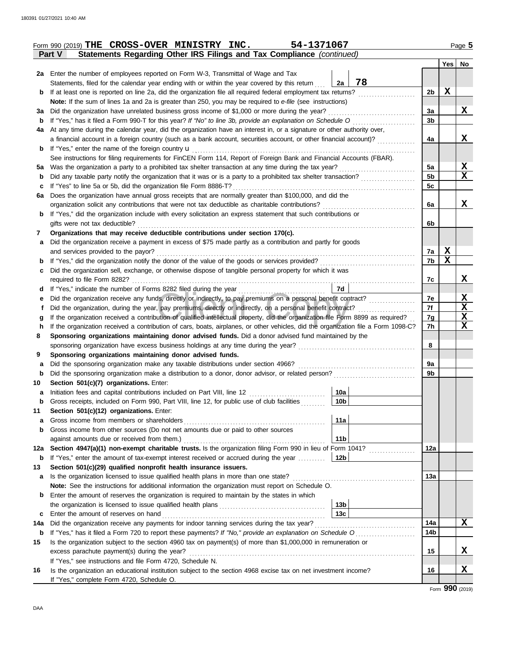|        | 54-1371067<br>Form 990 (2019) THE CROSS-OVER MINISTRY INC.                                                                                                                                                                                       |                 |                |             | Page 5           |
|--------|--------------------------------------------------------------------------------------------------------------------------------------------------------------------------------------------------------------------------------------------------|-----------------|----------------|-------------|------------------|
|        | Statements Regarding Other IRS Filings and Tax Compliance (continued)<br>Part V                                                                                                                                                                  |                 |                |             |                  |
|        |                                                                                                                                                                                                                                                  |                 |                |             | Yes No           |
|        | 2a Enter the number of employees reported on Form W-3, Transmittal of Wage and Tax                                                                                                                                                               |                 |                |             |                  |
|        | Statements, filed for the calendar year ending with or within the year covered by this return                                                                                                                                                    | 78<br>2a        |                |             |                  |
| b      | If at least one is reported on line 2a, did the organization file all required federal employment tax returns?                                                                                                                                   |                 | 2b             | $\mathbf x$ |                  |
|        | Note: If the sum of lines 1a and 2a is greater than 250, you may be required to e-file (see instructions)                                                                                                                                        |                 |                |             |                  |
| За     | Did the organization have unrelated business gross income of \$1,000 or more during the year?                                                                                                                                                    |                 | За             |             | X                |
| b      | If "Yes," has it filed a Form 990-T for this year? If "No" to line 3b, provide an explanation on Schedule O                                                                                                                                      |                 | 3 <sub>b</sub> |             |                  |
| 4a     | At any time during the calendar year, did the organization have an interest in, or a signature or other authority over,                                                                                                                          |                 |                |             |                  |
|        | a financial account in a foreign country (such as a bank account, securities account, or other financial account)?                                                                                                                               |                 | 4a             |             | x                |
| b      | If "Yes," enter the name of the foreign country <b>u</b>                                                                                                                                                                                         |                 |                |             |                  |
|        | See instructions for filing requirements for FinCEN Form 114, Report of Foreign Bank and Financial Accounts (FBAR).                                                                                                                              |                 |                |             |                  |
| 5a     | Was the organization a party to a prohibited tax shelter transaction at any time during the tax year?                                                                                                                                            |                 | 5a             |             | X                |
| b      | Did any taxable party notify the organization that it was or is a party to a prohibited tax shelter transaction?                                                                                                                                 |                 | 5 <sub>b</sub> |             | $\mathbf x$      |
| c      | If "Yes" to line 5a or 5b, did the organization file Form 8886-T?                                                                                                                                                                                |                 | 5c             |             |                  |
| 6a     | Does the organization have annual gross receipts that are normally greater than \$100,000, and did the                                                                                                                                           |                 |                |             |                  |
|        | organization solicit any contributions that were not tax deductible as charitable contributions?                                                                                                                                                 |                 | 6a             |             | X                |
| b      | If "Yes," did the organization include with every solicitation an express statement that such contributions or                                                                                                                                   |                 |                |             |                  |
|        | gifts were not tax deductible?                                                                                                                                                                                                                   |                 | 6b             |             |                  |
| 7      | Organizations that may receive deductible contributions under section 170(c).                                                                                                                                                                    |                 |                |             |                  |
| a      | Did the organization receive a payment in excess of \$75 made partly as a contribution and partly for goods                                                                                                                                      |                 |                |             |                  |
|        | and services provided to the payor?                                                                                                                                                                                                              |                 | 7a             | X           |                  |
| b      | If "Yes," did the organization notify the donor of the value of the goods or services provided?                                                                                                                                                  |                 | 7b             | $\mathbf x$ |                  |
| с      | Did the organization sell, exchange, or otherwise dispose of tangible personal property for which it was                                                                                                                                         |                 |                |             |                  |
|        | required to file Form 8282?                                                                                                                                                                                                                      |                 | 7c             |             | X                |
| d      | If "Yes," indicate the number of Forms 8282 filed during the year                                                                                                                                                                                | 7d              |                |             |                  |
| е      | Did the organization receive any funds, directly or indirectly, to pay premiums on a personal benefit contract?                                                                                                                                  |                 | 7e<br>7f       |             | X<br>$\mathbf X$ |
|        | Did the organization, during the year, pay premiums, directly or indirectly, on a personal benefit contract?<br>If the organization received a contribution of qualified intellectual property, did the organization file Form 8899 as required? |                 |                |             | X                |
| g<br>h | If the organization received a contribution of cars, boats, airplanes, or other vehicles, did the organization file a Form 1098-C?                                                                                                               |                 | 7g<br>7h       |             | $\mathbf x$      |
| 8      | Sponsoring organizations maintaining donor advised funds. Did a donor advised fund maintained by the                                                                                                                                             |                 |                |             |                  |
|        |                                                                                                                                                                                                                                                  |                 | 8              |             |                  |
| 9      | Sponsoring organizations maintaining donor advised funds.                                                                                                                                                                                        |                 |                |             |                  |
| a      | Did the sponsoring organization make any taxable distributions under section 4966?                                                                                                                                                               |                 | 9а             |             |                  |
| b      | Did the sponsoring organization make a distribution to a donor, donor advisor, or related person?                                                                                                                                                |                 | 9b             |             |                  |
| 10     | Section 501(c)(7) organizations. Enter:                                                                                                                                                                                                          |                 |                |             |                  |
|        |                                                                                                                                                                                                                                                  | 10a             |                |             |                  |
| b      | Gross receipts, included on Form 990, Part VIII, line 12, for public use of club facilities                                                                                                                                                      | 10b             |                |             |                  |
| 11     | Section 501(c)(12) organizations. Enter:                                                                                                                                                                                                         |                 |                |             |                  |
| a      | Gross income from members or shareholders                                                                                                                                                                                                        | 11a             |                |             |                  |
| b      | Gross income from other sources (Do not net amounts due or paid to other sources                                                                                                                                                                 |                 |                |             |                  |
|        | against amounts due or received from them.)                                                                                                                                                                                                      | 11 <sub>b</sub> |                |             |                  |
| 12a    | Section 4947(a)(1) non-exempt charitable trusts. Is the organization filing Form 990 in lieu of Form 1041?                                                                                                                                       |                 | 12a            |             |                  |
| b      | If "Yes," enter the amount of tax-exempt interest received or accrued during the year                                                                                                                                                            | 12b             |                |             |                  |
| 13     | Section 501(c)(29) qualified nonprofit health insurance issuers.                                                                                                                                                                                 |                 |                |             |                  |
| а      | Is the organization licensed to issue qualified health plans in more than one state?                                                                                                                                                             |                 | 13а            |             |                  |
|        | Note: See the instructions for additional information the organization must report on Schedule O.                                                                                                                                                |                 |                |             |                  |
| b      | Enter the amount of reserves the organization is required to maintain by the states in which                                                                                                                                                     |                 |                |             |                  |
|        |                                                                                                                                                                                                                                                  | 13 <sub>b</sub> |                |             |                  |
| c      | Enter the amount of reserves on hand                                                                                                                                                                                                             | 13 <sub>c</sub> |                |             |                  |
| 14a    | Did the organization receive any payments for indoor tanning services during the tax year?                                                                                                                                                       |                 | 14a            |             | X                |
| b      | If "Yes," has it filed a Form 720 to report these payments? If "No," provide an explanation on Schedule O                                                                                                                                        |                 | 14b            |             |                  |
| 15     | Is the organization subject to the section 4960 tax on payment(s) of more than \$1,000,000 in remuneration or                                                                                                                                    |                 |                |             |                  |
|        | excess parachute payment(s) during the year?                                                                                                                                                                                                     |                 | 15             |             | X                |
|        | If "Yes," see instructions and file Form 4720, Schedule N.                                                                                                                                                                                       |                 | 16             |             | X                |
| 16     | Is the organization an educational institution subject to the section 4968 excise tax on net investment income?<br>If "Yes," complete Form 4720, Schedule O.                                                                                     |                 |                |             |                  |
|        |                                                                                                                                                                                                                                                  |                 |                |             |                  |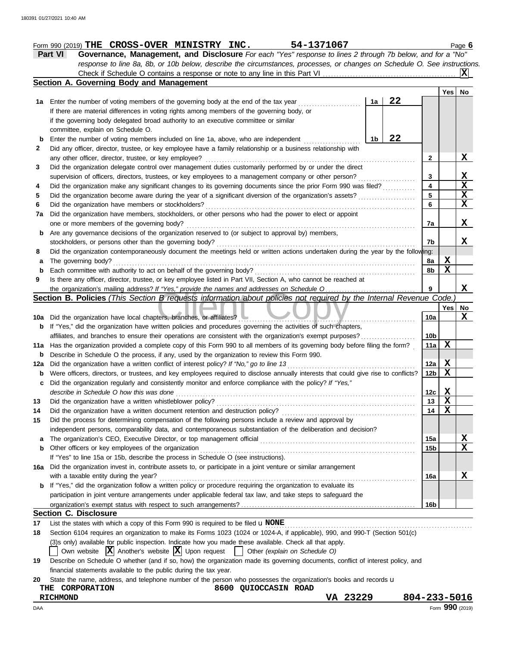|  | Form 990 (2019) THE $CROSS-OVER$ MINISTRY | INC. | 54-1371067 | ' <sup>Jane h</sup><br>∽aqe |
|--|-------------------------------------------|------|------------|-----------------------------|
|  |                                           |      |            |                             |

| Part VI | <b>Governance, Management, and Disclosure</b> For each "Yes" response to lines 2 through 7b below, and for a "No"         |
|---------|---------------------------------------------------------------------------------------------------------------------------|
|         | response to line 8a, 8b, or 10b below, describe the circumstances, processes, or changes on Schedule O. See instructions. |
|         |                                                                                                                           |

|             | Section A. Governing Body and Management                                                                                            |    |    |                 |          |                         |
|-------------|-------------------------------------------------------------------------------------------------------------------------------------|----|----|-----------------|----------|-------------------------|
|             |                                                                                                                                     |    |    |                 | Yes      | No                      |
| 1а          | Enter the number of voting members of the governing body at the end of the tax year                                                 | 1a | 22 |                 |          |                         |
|             | If there are material differences in voting rights among members of the governing body, or                                          |    |    |                 |          |                         |
|             | if the governing body delegated broad authority to an executive committee or similar                                                |    |    |                 |          |                         |
|             | committee, explain on Schedule O.                                                                                                   |    |    |                 |          |                         |
| b           | Enter the number of voting members included on line 1a, above, who are independent                                                  | 1b | 22 |                 |          |                         |
| 2           | Did any officer, director, trustee, or key employee have a family relationship or a business relationship with                      |    |    |                 |          |                         |
|             | any other officer, director, trustee, or key employee?                                                                              |    |    | 2               |          | X                       |
| 3           | Did the organization delegate control over management duties customarily performed by or under the direct                           |    |    |                 |          |                         |
|             | supervision of officers, directors, trustees, or key employees to a management company or other person?                             |    |    | 3               |          | X                       |
| 4           | Did the organization make any significant changes to its governing documents since the prior Form 990 was filed?                    |    |    | 4               |          | $\overline{\mathbf{x}}$ |
| 5           | Did the organization become aware during the year of a significant diversion of the organization's assets?                          |    |    | 5               |          | $\mathbf X$             |
| 6           | Did the organization have members or stockholders?                                                                                  |    |    | 6               |          | $\mathbf x$             |
| 7а          | Did the organization have members, stockholders, or other persons who had the power to elect or appoint                             |    |    |                 |          |                         |
|             | one or more members of the governing body?                                                                                          |    |    | 7a              |          | X,                      |
| b           | Are any governance decisions of the organization reserved to (or subject to approval by) members,                                   |    |    |                 |          |                         |
|             | stockholders, or persons other than the governing body?                                                                             |    |    | 7b              |          | X.                      |
| 8           | Did the organization contemporaneously document the meetings held or written actions undertaken during the year by the following:   |    |    |                 |          |                         |
| а           | The governing body?                                                                                                                 |    |    | 8a              | Х        |                         |
| $\mathbf b$ | Each committee with authority to act on behalf of the governing body?                                                               |    |    | 8b              | X        |                         |
| 9           | Is there any officer, director, trustee, or key employee listed in Part VII, Section A, who cannot be reached at                    |    |    |                 |          |                         |
|             |                                                                                                                                     |    |    | 9               |          | X                       |
|             | <b>Section B. Policies</b> (This Section B requests information about policies not required by the Internal Revenue Code.           |    |    |                 |          |                         |
|             |                                                                                                                                     |    |    |                 | Yes l    | No                      |
| 10a         | Did the organization have local chapters, branches, or affiliates?                                                                  |    |    | 10a             |          | X                       |
| b           | If "Yes," did the organization have written policies and procedures governing the activities of such chapters,                      |    |    |                 |          |                         |
|             | affiliates, and branches to ensure their operations are consistent with the organization's exempt purposes?                         |    |    | 10 <sub>b</sub> |          |                         |
| 11a         | Has the organization provided a complete copy of this Form 990 to all members of its governing body before filing the form?         |    |    | 11a             | X        |                         |
| b           | Describe in Schedule O the process, if any, used by the organization to review this Form 990.                                       |    |    |                 |          |                         |
| 12a         | Did the organization have a written conflict of interest policy? If "No," go to line 13                                             |    |    | 12a             | <u>х</u> |                         |
| b           | Were officers, directors, or trustees, and key employees required to disclose annually interests that could give rise to conflicts? |    |    | 12 <sub>b</sub> | X        |                         |
| c           | Did the organization regularly and consistently monitor and enforce compliance with the policy? If "Yes,"                           |    |    |                 |          |                         |
|             | describe in Schedule O how this was done                                                                                            |    |    | 12c             | X        |                         |
| 13          | Did the organization have a written whistleblower policy?                                                                           |    |    | 13              | X        |                         |
| 14          | Did the organization have a written document retention and destruction policy?                                                      |    |    | 14              | X        |                         |
| 15          | Did the process for determining compensation of the following persons include a review and approval by                              |    |    |                 |          |                         |
|             | independent persons, comparability data, and contemporaneous substantiation of the deliberation and decision?                       |    |    |                 |          |                         |
| а           |                                                                                                                                     |    |    | 15a             |          | <u>x</u>                |
| b           | Other officers or key employees of the organization                                                                                 |    |    | 15b             |          | $\overline{\mathbf{x}}$ |
|             | If "Yes" to line 15a or 15b, describe the process in Schedule O (see instructions).                                                 |    |    |                 |          |                         |
| 16а         | Did the organization invest in, contribute assets to, or participate in a joint venture or similar arrangement                      |    |    |                 |          |                         |
|             | with a taxable entity during the year?                                                                                              |    |    | 16a             |          | X                       |
| b           | If "Yes," did the organization follow a written policy or procedure requiring the organization to evaluate its                      |    |    |                 |          |                         |
|             | participation in joint venture arrangements under applicable federal tax law, and take steps to safeguard the                       |    |    |                 |          |                         |
|             |                                                                                                                                     |    |    | 16 <sub>b</sub> |          |                         |
|             | <b>Section C. Disclosure</b>                                                                                                        |    |    |                 |          |                         |
| 17          | List the states with which a copy of this Form 990 is required to be filed $\mathbf u$ NONE                                         |    |    |                 |          |                         |
| 18          | Section 6104 requires an organization to make its Forms 1023 (1024 or 1024-A, if applicable), 990, and 990-T (Section 501(c)        |    |    |                 |          |                         |
|             | (3)s only) available for public inspection. Indicate how you made these available. Check all that apply.                            |    |    |                 |          |                         |

|  |  | Own website $\boxed{\mathbf{X}}$ Another's website $\boxed{\mathbf{X}}$ Upon request $\boxed{\phantom{0}}$ Other (explain on Schedule O) |  |  |  |
|--|--|------------------------------------------------------------------------------------------------------------------------------------------|--|--|--|
|--|--|------------------------------------------------------------------------------------------------------------------------------------------|--|--|--|

**19** Describe on Schedule O whether (and if so, how) the organization made its governing documents, conflict of interest policy, and financial statements available to the public during the tax year.

|  | 20 State the name, address, and telephone number of the person who possesses the organization's books and records u |  |  |  |  |  |  |  |  |  |  |  |  |
|--|---------------------------------------------------------------------------------------------------------------------|--|--|--|--|--|--|--|--|--|--|--|--|
|--|---------------------------------------------------------------------------------------------------------------------|--|--|--|--|--|--|--|--|--|--|--|--|

#### **THE CORPORATION 8600 QUIOCCASIN ROAD**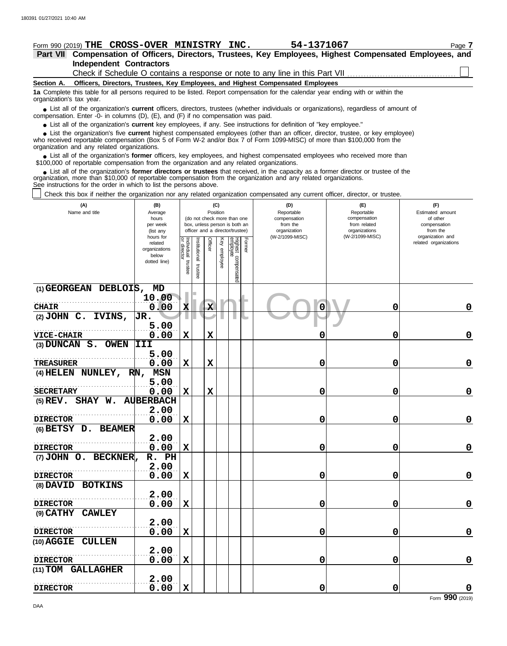#### **Form 990 (2019) THE CROSS-OVER MINISTRY INC.** 54-1371067 Page 7 **Part VII Compensation of Officers, Directors, Trustees, Key Employees, Highest Compensated Employees, and Independent Contractors** Check if Schedule O contains a response or note to any line in this Part VII. **Officers, Directors, Trustees, Key Employees, and Highest Compensated Employees Section A. 1a** Complete this table for all persons required to be listed. Report compensation for the calendar year ending with or within the organization's tax year. ■ List all of the organization's **current** officers, directors, trustees (whether individuals or organizations), regardless of amount of the organization Enter -0- in columns (D), (E), and (E) if no compensation was paid compensation. Enter -0- in columns (D), (E), and (F) if no compensation was paid. ● List all of the organization's **current** key employees, if any. See instructions for definition of "key employee." ■ List the organization's five **current** highest compensated employees (other than an officer, director, trustee, or key employee)<br>
a received reportable compensation (Box 5 of Form W-2 and/or Box 7 of Form 1099-MISC) of who received reportable compensation (Box 5 of Form W-2 and/or Box 7 of Form 1099-MISC) of more than \$100,000 from the organization and any related organizations. ■ List all of the organization's **former** officers, key employees, and highest compensated employees who received more than<br>00,000 of reportable compensation from the organization and any related organizations \$100,000 of reportable compensation from the organization and any related organizations. ■ List all of the organization's **former directors or trustees** that received, in the capacity as a former director or trustee of the<br>enization, more than \$10,000 of reportable compensation from the organization and any r organization, more than \$10,000 of reportable compensation from the organization and any related organizations. See instructions for the order in which to list the persons above. Check this box if neither the organization nor any related organization compensated any current officer, director, or trustee. **(A) (B) (C) (D) (E) (F)** Name and title **Name and title Contract Contract Average** Position Average Reportable Reportable Estimated amount compensation (do not check more than one hours compensation of other box, unless person is both an per week from the state of the from related and the compensation officer and a director/trustee) organization organizations from the (list any organization and (W-2/1099-MISC) (W-2/1099-MISC) hours for or director Key employee Former Individual trustee Institutional trustee related ndividual éy related organizations Istitutional **Africe** ighest compensated<br>mployee organizations enployee below dotted line) trustee trustee **(1) GEORGEAN DEBLOIS, MD Copy 10.00** . . . . . . . . . . . . . . . . . . . . . . . . . . . . . . . . . . . . . . . . . . . . . . . . . . . . . **CHAIR 0.00 X X 0 0 0 (2) JOHN C. IVINS, JR. 5.00** . . . . . . . . . . . . . . . . . . . . . . . . . . . . . . . . . . . . . . . . . . . . . . . . . . . . . **VICE-CHAIR 0.00 X X 0 0 0 (3) DUNCAN S. OWEN III 5.00** . . . . . . . . . . . . . . . . . . . . . . . . . . . . . . . . . . . . . . . . . . . . . . . . . . . . . **TREASURER 0.00 X X 0 0 0 (4) HELEN NUNLEY, RN, MSN 5.00** . . . . . . . . . . . . . . . . . . . . . . . . . . . . . . . . . . . . . . . . . . . . . . . . . . . . . **0.00 X X 0 0 0 SECRETARY (5) REV. SHAY W. AUBERBACH 2.00** . . . . . . . . . . . . . . . . . . . . . . . . . . . . . . . . . . . . . . . . . . . . . . . . . . . . . **DIRECTOR 0.00 X 0 0 0 (6) D. BEAMER 2.00** . . . . . . . . . . . . . . . . . . . . . . . . . . . . . . . . . . . . . . . . . . . . . . . . . . . . . **DIRECTOR 0.00 X 0 0 0 JOHN O. BECKNER, R. PH (7) 2.00** . . . . . . . . . . . . . . . . . . . . . . . . . . . . . . . . . . . . . . . . . . . . . . . . . . . . . **DIRECTOR 0.00 X 0 0 0 (8) BOTKINS 2.00** . . . . . . . . . . . . . . . . . . . . . . . . . . . . . . . . . . . . . . . . . . . . . . . . . . . . .

**0.00 X 0 0 0**

**0.00 X 0 0 0**

**0.00 X 0 0 0**

**(9)**

**DIRECTOR**

**(10)**

**DIRECTOR**

**DIRECTOR**

**DIRECTOR**

**(11) TOM GALLAGHER**

. . . . . . . . . . . . . . . . . . . . . . . . . . . . . . . . . . . . . . . . . . . . . . . . . . . . .

**2.00**

**2.00**

**2.00**

**CAWLEY** 

**AGGIE CULLEN**

. . . . . . . . . . . . . . . . . . . . . . . . . . . . . . . . . . . . . . . . . . . . . . . . . . . . .

. . . . . . . . . . . . . . . . . . . . . . . . . . . . . . . . . . . . . . . . . . . . . . . . . . . . .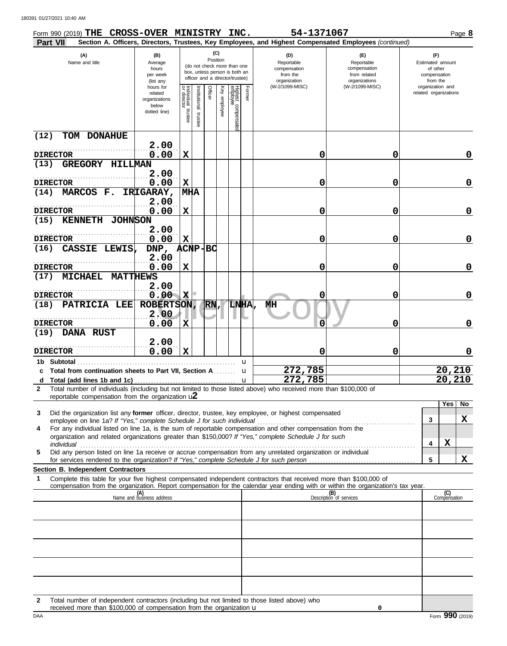180391 01/27/2021 10:40 AM

| Form 990 (2019) THE CROSS-OVER MINISTRY INC.<br>Part VII                                                                                                                                                                  |                                                                |                                      |                          |                |                 |                                                                                                 |        | 54-1371067                                                    | Section A. Officers, Directors, Trustees, Key Employees, and Highest Compensated Employees (continued) |                                                                 | Page 8           |
|---------------------------------------------------------------------------------------------------------------------------------------------------------------------------------------------------------------------------|----------------------------------------------------------------|--------------------------------------|--------------------------|----------------|-----------------|-------------------------------------------------------------------------------------------------|--------|---------------------------------------------------------------|--------------------------------------------------------------------------------------------------------|-----------------------------------------------------------------|------------------|
| (A)<br>Name and title                                                                                                                                                                                                     | (B)<br>Average<br>hours<br>per week<br>(list any               |                                      |                          |                | (C)<br>Position | (do not check more than one<br>box, unless person is both an<br>officer and a director/trustee) |        | (D)<br>Reportable<br>compensation<br>from the<br>organization | (E)<br>Reportable<br>compensation<br>from related<br>organizations                                     | (F)<br>Estimated amount<br>of other<br>compensation<br>from the |                  |
|                                                                                                                                                                                                                           | hours for<br>related<br>organizations<br>below<br>dotted line) | Individual<br>or director<br>trustee | Institutional<br>trustee | Officer        | Key employee    | Highest compensatec<br>employee                                                                 | Former | (W-2/1099-MISC)                                               | (W-2/1099-MISC)                                                                                        | organization and<br>related organizations                       |                  |
| (12)<br>TOM DONAHUE                                                                                                                                                                                                       |                                                                |                                      |                          |                |                 |                                                                                                 |        |                                                               |                                                                                                        |                                                                 |                  |
| <b>DIRECTOR</b>                                                                                                                                                                                                           | 2.00<br>0.00                                                   | X                                    |                          |                |                 |                                                                                                 |        | 0                                                             | 0                                                                                                      |                                                                 | 0                |
| <b>GREGORY</b><br><b>HILLMAN</b><br>(13)                                                                                                                                                                                  |                                                                |                                      |                          |                |                 |                                                                                                 |        |                                                               |                                                                                                        |                                                                 |                  |
| <b>DIRECTOR</b>                                                                                                                                                                                                           | 2.00<br>0.00                                                   | $\mathbf X$                          |                          |                |                 |                                                                                                 |        | 0                                                             | 0                                                                                                      |                                                                 | 0                |
| MARCOS F.<br>(14)                                                                                                                                                                                                         | IRIGARAY,                                                      | MHA                                  |                          |                |                 |                                                                                                 |        |                                                               |                                                                                                        |                                                                 |                  |
|                                                                                                                                                                                                                           | 2.00                                                           |                                      |                          |                |                 |                                                                                                 |        |                                                               |                                                                                                        |                                                                 |                  |
| <b>DIRECTOR</b><br>(15)<br><b>KENNETH</b><br><b>JOHNSON</b>                                                                                                                                                               | 0.00                                                           | X                                    |                          |                |                 |                                                                                                 |        | 0                                                             | 0                                                                                                      |                                                                 | 0                |
|                                                                                                                                                                                                                           | 2.00                                                           |                                      |                          |                |                 |                                                                                                 |        |                                                               |                                                                                                        |                                                                 |                  |
| <b>DIRECTOR</b><br>CASSIE LEWIS,<br>(16)                                                                                                                                                                                  | 0.00<br>DNP,                                                   | X                                    |                          | <b>ACNP-BO</b> |                 |                                                                                                 |        | 0                                                             | 0                                                                                                      |                                                                 | 0                |
|                                                                                                                                                                                                                           | 2.00                                                           |                                      |                          |                |                 |                                                                                                 |        |                                                               |                                                                                                        |                                                                 |                  |
| <b>DIRECTOR</b>                                                                                                                                                                                                           | 0.00                                                           | X                                    |                          |                |                 |                                                                                                 |        | 0                                                             | 0                                                                                                      |                                                                 | 0                |
| <b>MICHAEL</b><br>(17)                                                                                                                                                                                                    | <b>MATTHEWS</b><br>2.00                                        |                                      |                          |                |                 |                                                                                                 |        |                                                               |                                                                                                        |                                                                 |                  |
| <b>DIRECTOR</b>                                                                                                                                                                                                           | 0.00                                                           | X                                    |                          |                |                 |                                                                                                 |        | 0                                                             | 0                                                                                                      |                                                                 | 0                |
| (18)<br>PATRICIA LEE<br><b>DIRECTOR</b>                                                                                                                                                                                   | <b>ROBERTSON</b><br>2.00<br>0.00                               | X                                    |                          | RN             |                 | LNHA,                                                                                           |        | МH<br>0                                                       | 0                                                                                                      |                                                                 | 0                |
| (19)<br>DANA RUST                                                                                                                                                                                                         |                                                                |                                      |                          |                |                 |                                                                                                 |        |                                                               |                                                                                                        |                                                                 |                  |
| <b>DIRECTOR</b>                                                                                                                                                                                                           | 2.00<br>0.00                                                   | X                                    |                          |                |                 |                                                                                                 |        | 0                                                             | 0                                                                                                      |                                                                 | 0                |
| 1b Subtotal                                                                                                                                                                                                               |                                                                |                                      |                          |                |                 |                                                                                                 | u      |                                                               |                                                                                                        |                                                                 |                  |
| c Total from continuation sheets to Part VII, Section A<br>d                                                                                                                                                              |                                                                |                                      |                          |                |                 |                                                                                                 | u<br>u | 272,785<br>272,785                                            |                                                                                                        |                                                                 | 20,210<br>20,210 |
| Total number of individuals (including but not limited to those listed above) who received more than \$100,000 of<br>$\mathbf{2}$                                                                                         |                                                                |                                      |                          |                |                 |                                                                                                 |        |                                                               |                                                                                                        |                                                                 |                  |
| reportable compensation from the organization $u2$                                                                                                                                                                        |                                                                |                                      |                          |                |                 |                                                                                                 |        |                                                               |                                                                                                        | Yes                                                             | No               |
| Did the organization list any former officer, director, trustee, key employee, or highest compensated<br>3                                                                                                                |                                                                |                                      |                          |                |                 |                                                                                                 |        |                                                               |                                                                                                        | 3                                                               | X                |
| For any individual listed on line 1a, is the sum of reportable compensation and other compensation from the<br>4<br>organization and related organizations greater than \$150,000? If "Yes," complete Schedule J for such |                                                                |                                      |                          |                |                 |                                                                                                 |        |                                                               |                                                                                                        | X                                                               |                  |
| individual<br>Did any person listed on line 1a receive or accrue compensation from any unrelated organization or individual<br>5                                                                                          |                                                                |                                      |                          |                |                 |                                                                                                 |        |                                                               |                                                                                                        | 4                                                               |                  |
|                                                                                                                                                                                                                           |                                                                |                                      |                          |                |                 |                                                                                                 |        |                                                               |                                                                                                        | 5                                                               | X                |
| Section B. Independent Contractors<br>Complete this table for your five highest compensated independent contractors that received more than \$100,000 of<br>1                                                             |                                                                |                                      |                          |                |                 |                                                                                                 |        |                                                               |                                                                                                        |                                                                 |                  |
| compensation from the organization. Report compensation for the calendar year ending with or within the organization's tax year.                                                                                          |                                                                |                                      |                          |                |                 |                                                                                                 |        |                                                               | (B)                                                                                                    |                                                                 |                  |
|                                                                                                                                                                                                                           | (A)<br>Name and business address                               |                                      |                          |                |                 |                                                                                                 |        |                                                               | Description of services                                                                                | (C)<br>Compensation                                             |                  |
|                                                                                                                                                                                                                           |                                                                |                                      |                          |                |                 |                                                                                                 |        |                                                               |                                                                                                        |                                                                 |                  |
|                                                                                                                                                                                                                           |                                                                |                                      |                          |                |                 |                                                                                                 |        |                                                               |                                                                                                        |                                                                 |                  |
|                                                                                                                                                                                                                           |                                                                |                                      |                          |                |                 |                                                                                                 |        |                                                               |                                                                                                        |                                                                 |                  |
|                                                                                                                                                                                                                           |                                                                |                                      |                          |                |                 |                                                                                                 |        |                                                               |                                                                                                        |                                                                 |                  |
|                                                                                                                                                                                                                           |                                                                |                                      |                          |                |                 |                                                                                                 |        |                                                               |                                                                                                        |                                                                 |                  |
|                                                                                                                                                                                                                           |                                                                |                                      |                          |                |                 |                                                                                                 |        |                                                               |                                                                                                        |                                                                 |                  |
|                                                                                                                                                                                                                           |                                                                |                                      |                          |                |                 |                                                                                                 |        |                                                               |                                                                                                        |                                                                 |                  |

| Total number of independent contractors (including but not limited to those listed above) who |  |
|-----------------------------------------------------------------------------------------------|--|
| received more than \$100,000 of compensation from the organization $\mathbf u$                |  |

**0**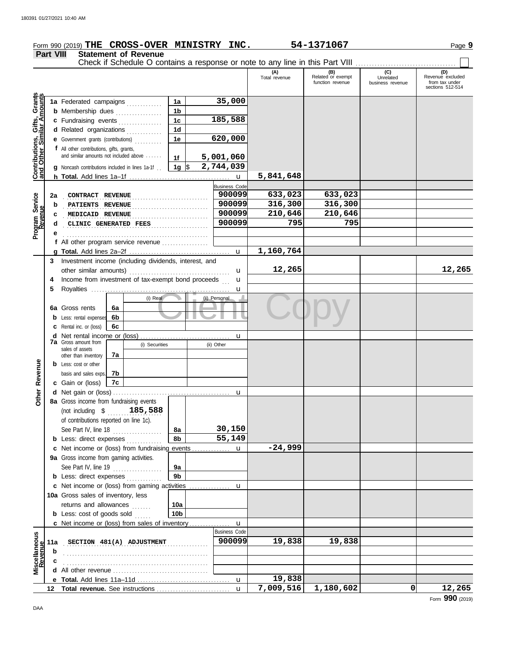|    | <b>Part VIII</b><br><b>Statement of Revenue</b>                                     |                |                      |                      |                                              |                  |                                           |
|----|-------------------------------------------------------------------------------------|----------------|----------------------|----------------------|----------------------------------------------|------------------|-------------------------------------------|
|    | Check if Schedule O contains a response or note to any line in this Part VIII       |                |                      |                      |                                              |                  |                                           |
|    |                                                                                     |                |                      | (A)<br>Total revenue | (B)<br>Related or exempt<br>function revenue | (C)<br>Unrelated | (D)<br>Revenue excluded<br>from tax under |
|    |                                                                                     |                |                      |                      |                                              | business revenue | sections 512-514                          |
|    | 1a Federated campaigns                                                              | 1a             | 35,000               |                      |                                              |                  |                                           |
|    | <b>b</b> Membership dues                                                            | 1 <sub>b</sub> |                      |                      |                                              |                  |                                           |
|    | c Fundraising events                                                                | 1 <sub>c</sub> | 185,588              |                      |                                              |                  |                                           |
|    | d Related organizations                                                             | 1 <sub>d</sub> |                      |                      |                                              |                  |                                           |
|    | e Government grants (contributions)                                                 | 1e             | 620,000              |                      |                                              |                  |                                           |
|    | f All other contributions, gifts, grants,                                           |                |                      |                      |                                              |                  |                                           |
|    | and similar amounts not included above                                              | 1f             | 5,001,060            |                      |                                              |                  |                                           |
|    | <b>g</b> Noncash contributions included in lines 1a-1f $\Box$ <b>1g</b> $\sqrt{\$}$ |                | 2,744,039            |                      |                                              |                  |                                           |
|    |                                                                                     |                |                      | 5,841,648            |                                              |                  |                                           |
|    |                                                                                     |                | <b>Business Code</b> |                      |                                              |                  |                                           |
| 2a | CONTRACT REVENUE                                                                    |                | 900099               | 633,023              | 633,023                                      |                  |                                           |
| b  | PATIENTS REVENUE                                                                    |                | 900099               | 316,300              | 316,300                                      |                  |                                           |
| с  | MEDICAID REVENUE                                                                    |                | 900099               | 210,646              | 210,646                                      |                  |                                           |
| d  | CLINIC GENERATED FEES                                                               |                | 900099               | 795                  | 795                                          |                  |                                           |
|    |                                                                                     |                |                      |                      |                                              |                  |                                           |
|    | f All other program service revenue                                                 |                |                      |                      |                                              |                  |                                           |
|    |                                                                                     |                |                      | 1,160,764            |                                              |                  |                                           |
| 3  | Investment income (including dividends, interest, and                               |                |                      |                      |                                              |                  |                                           |
|    |                                                                                     |                | u                    | 12,265               |                                              |                  | 12,265                                    |
| 4  | Income from investment of tax-exempt bond proceeds                                  |                | u                    |                      |                                              |                  |                                           |
| 5  |                                                                                     |                | u                    |                      |                                              |                  |                                           |
|    | (i) Real                                                                            |                | (ii) Personal        |                      |                                              |                  |                                           |
|    | 6a Gross rents<br>6a                                                                |                |                      |                      |                                              |                  |                                           |
|    | <b>b</b> Less: rental expenses<br>6b                                                |                |                      |                      |                                              |                  |                                           |
|    | <b>c</b> Rental inc. or (loss)<br>6с                                                |                |                      |                      |                                              |                  |                                           |
|    |                                                                                     |                | u                    |                      |                                              |                  |                                           |
|    | <b>7a</b> Gross amount from<br>(i) Securities<br>sales of assets                    |                | (ii) Other           |                      |                                              |                  |                                           |
|    | 7a<br>other than inventory                                                          |                |                      |                      |                                              |                  |                                           |
|    | <b>b</b> Less: cost or other                                                        |                |                      |                      |                                              |                  |                                           |
|    | basis and sales exps. 7b                                                            |                |                      |                      |                                              |                  |                                           |
|    | <b>c</b> Gain or (loss)   $7c$                                                      |                |                      |                      |                                              |                  |                                           |
|    |                                                                                     |                | u                    |                      |                                              |                  |                                           |
|    | 8a Gross income from fundraising events                                             |                |                      |                      |                                              |                  |                                           |
|    | (not including \$185,588)                                                           |                |                      |                      |                                              |                  |                                           |
|    | of contributions reported on line 1c).                                              |                |                      |                      |                                              |                  |                                           |
|    | See Part IV, line 18 $\ldots$                                                       | 8a             | 30,150               |                      |                                              |                  |                                           |
|    | <b>b</b> Less: direct expenses                                                      | 8b             | 55,149               |                      |                                              |                  |                                           |
|    |                                                                                     |                |                      | $-24,999$            |                                              |                  |                                           |
|    | 9a Gross income from gaming activities.                                             |                |                      |                      |                                              |                  |                                           |
|    | See Part IV, line $19$                                                              | 9а             |                      |                      |                                              |                  |                                           |
|    | <b>b</b> Less: direct expenses                                                      | 9 <sub>b</sub> |                      |                      |                                              |                  |                                           |

u

u

u

**19,838**

**7,009,516 1,180,602 0 12,265**

Business Code

. . . . . . . . . . . . . . . . . . . . . . . . . . . . . . . . . . . . . . . . . . . . . . . . . . . . . **SECTION 481(A) ADJUSTMENT 900099 19,838 19,838**

**Miscellaneous**

**Miscellaneous** 

**11a b c**

**10a 10b**

Net income or (loss) from sales of inventory . . . . . . . . . . . . . . . **c**

**d** All other revenue . . . . . . . . . . . . . . . . . . . . . . . . . . . . . . . . . . . **e Total.** Add lines 11a–11d . . . . . . . . . . . . . . . . . . . . . . . . . . . . . . . . . . **Total revenue.** See instructions . . . . . . . . . . . . . . . . . . . . . . . . . . . **12**

. . . . . . . . . . . . . . . . . . . . . . . . . . . . . . . . . . . . . . . . . . . . . . . . . . . . .

10a Gross sales of inventory, less returns and allowances ....... **b** Less:  $\cosh$  of goods  $\sinh$ 

. . . . . . . . . . . . . . . . . . . . . . . . . . . . . . . . . . . . . . . . . . . . . . . . . . . . .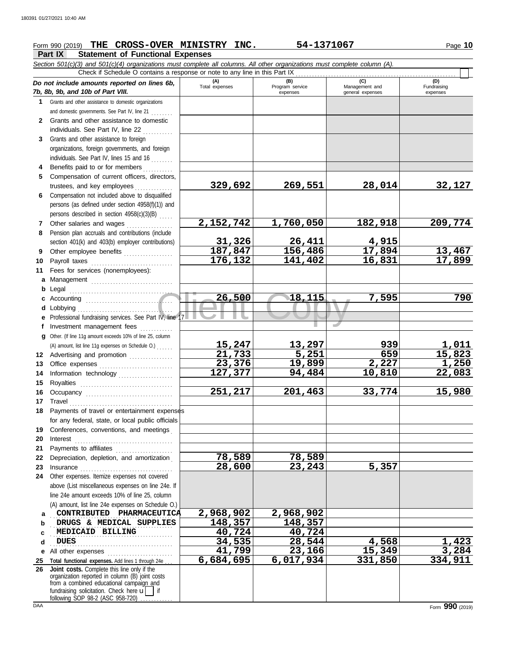### **Form 990 (2019) THE CROSS-OVER MINISTRY INC.** 54-1371067 Page 10

**Part IX Statement of Functional Expenses**

|              | Section 501(c)(3) and 501(c)(4) organizations must complete all columns. All other organizations must complete column (A). |                       |                                    |                                           |                                |
|--------------|----------------------------------------------------------------------------------------------------------------------------|-----------------------|------------------------------------|-------------------------------------------|--------------------------------|
|              | Check if Schedule O contains a response or note to any line in this Part IX                                                |                       |                                    |                                           |                                |
|              | Do not include amounts reported on lines 6b,<br>7b, 8b, 9b, and 10b of Part VIII.                                          | (A)<br>Total expenses | (B)<br>Program service<br>expenses | (C)<br>Management and<br>general expenses | (D)<br>Fundraising<br>expenses |
| 1            | Grants and other assistance to domestic organizations                                                                      |                       |                                    |                                           |                                |
|              | and domestic governments. See Part IV, line 21                                                                             |                       |                                    |                                           |                                |
| $\mathbf{2}$ | Grants and other assistance to domestic                                                                                    |                       |                                    |                                           |                                |
|              | individuals. See Part IV, line 22                                                                                          |                       |                                    |                                           |                                |
| 3            | Grants and other assistance to foreign                                                                                     |                       |                                    |                                           |                                |
|              | organizations, foreign governments, and foreign                                                                            |                       |                                    |                                           |                                |
|              | individuals. See Part IV, lines 15 and 16                                                                                  |                       |                                    |                                           |                                |
| 4            | Benefits paid to or for members                                                                                            |                       |                                    |                                           |                                |
| 5            | Compensation of current officers, directors,                                                                               |                       |                                    |                                           |                                |
|              | trustees, and key employees                                                                                                | 329,692               | 269,551                            | 28,014                                    | 32,127                         |
| 6            | Compensation not included above to disqualified                                                                            |                       |                                    |                                           |                                |
|              | persons (as defined under section 4958(f)(1)) and                                                                          |                       |                                    |                                           |                                |
|              | persons described in section 4958(c)(3)(B)                                                                                 |                       |                                    |                                           |                                |
| 7            | Other salaries and wages                                                                                                   | 2,152,742             | 1,760,050                          | 182,918                                   | 209,774                        |
| 8            | Pension plan accruals and contributions (include                                                                           |                       |                                    |                                           |                                |
|              | section 401(k) and 403(b) employer contributions)                                                                          | 31,326                | 26,411                             | 4,915                                     |                                |
| 9            | Other employee benefits                                                                                                    | 187,847               | 156,486                            | 17,894                                    | 13,467                         |
| 10           | Payroll taxes                                                                                                              | 176,132               | 141,402                            | 16,831                                    | 17,899                         |
| 11           | Fees for services (nonemployees):                                                                                          |                       |                                    |                                           |                                |
| a            | Management                                                                                                                 |                       |                                    |                                           |                                |
| b            | Legal                                                                                                                      |                       |                                    |                                           |                                |
|              |                                                                                                                            | 26,500                | 18,115                             | 7,595                                     | 790                            |
| d            | Lobbying                                                                                                                   |                       |                                    |                                           |                                |
| е            | Professional fundraising services. See Part IV, line 17                                                                    |                       |                                    |                                           |                                |
| f            | Investment management fees                                                                                                 |                       |                                    |                                           |                                |
| q            | Other. (If line 11g amount exceeds 10% of line 25, column                                                                  |                       |                                    |                                           |                                |
|              | (A) amount, list line 11g expenses on Schedule O.)                                                                         | <u>15,247</u>         | <u>13,297</u>                      | 939                                       | <u>1,011</u><br>15,823         |
|              | 12 Advertising and promotion                                                                                               | 21,733                | $\overline{5,251}$                 | 659                                       |                                |
| 13           |                                                                                                                            | 23,376                | 19,899                             | 2,227                                     | 1,250                          |
| 14           | Information technology                                                                                                     | 127,377               | 94,484                             | 10,810                                    | 22,083                         |
| 15           |                                                                                                                            |                       |                                    |                                           |                                |
| 16           |                                                                                                                            | 251,217               | 201,463                            | 33,774                                    | 15,980                         |
| 17           | Travel                                                                                                                     |                       |                                    |                                           |                                |
| 18           | Payments of travel or entertainment expense                                                                                |                       |                                    |                                           |                                |
|              | for any federal, state, or local public officials                                                                          |                       |                                    |                                           |                                |
| 19           | Conferences, conventions, and meetings                                                                                     |                       |                                    |                                           |                                |
| 20           | Interest                                                                                                                   |                       |                                    |                                           |                                |
| 21           | Payments to affiliates [11] production of the symmetry and production of Payments and Payments and P                       |                       |                                    |                                           |                                |
| 22           | Depreciation, depletion, and amortization                                                                                  | 78,589                | 78,589                             |                                           |                                |
| 23           | Insurance <i>Material Material Alexandrey</i>                                                                              | 28,600                | 23,243                             | 5,357                                     |                                |
| 24           | Other expenses. Itemize expenses not covered                                                                               |                       |                                    |                                           |                                |
|              | above (List miscellaneous expenses on line 24e. If                                                                         |                       |                                    |                                           |                                |
|              | line 24e amount exceeds 10% of line 25, column                                                                             |                       |                                    |                                           |                                |
|              | (A) amount, list line 24e expenses on Schedule O.)                                                                         |                       |                                    |                                           |                                |
| a            | CONTRIBUTED PHARMACEUTICA                                                                                                  | 2,968,902             | 2,968,902                          |                                           |                                |
| b            | DRUGS & MEDICAL SUPPLIES<br>MEDICAID BILLING                                                                               | 148,357<br>40,724     | 148,357<br>40,724                  |                                           |                                |
| c            | <b>DUES</b>                                                                                                                | 34,535                | 28,544                             | 4,568                                     |                                |
| d            |                                                                                                                            | 41,799                | 23,166                             | 15,349                                    | <u>1,423</u>                   |
| е<br>25      | All other expenses<br>Total functional expenses. Add lines 1 through 24e                                                   | 6,684,695             | 6,017,934                          | 331,850                                   | $\frac{3,284}{334,911}$        |
| 26           | Joint costs. Complete this line only if the                                                                                |                       |                                    |                                           |                                |
|              | organization reported in column (B) joint costs                                                                            |                       |                                    |                                           |                                |
|              | from a combined educational campaign and                                                                                   |                       |                                    |                                           |                                |
|              | fundraising solicitation. Check here $\mathbf{u}$   if<br>following SOP 98-2 (ASC 958-720)                                 |                       |                                    |                                           |                                |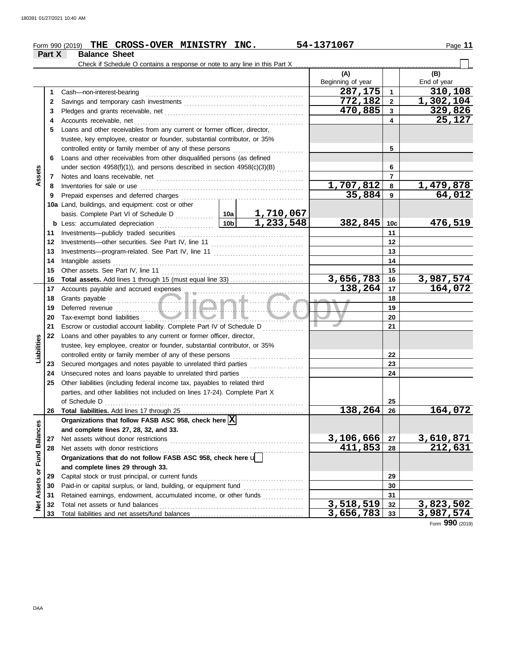#### **Form 990 (2019) THE CROSS-OVER MINISTRY INC.** 54-1371067 Page 11 **Part X Balance Sheet** Check if Schedule O contains a response or note to any line in this Part X **(A) (B)** Beginning of year | | End of year **287,175 310,108** Cash—non-interest-bearing . . . . . . . . . . . . . . . . . . . . . . . . . . . . . . . . . . . . . . . . . . . . . . . . . . . . . . . . . . **1 1 1,302,104**<br>**470,885** 3<br>**1,302,826 2 2** Savings and temporary cash investments . . . . . . . . . . . . . . . . . . . . . . . . . . . . . . . . . . . . . . . . . . . . **470,885 329,826 3 3** Pledges and grants receivable, net **chanocologies** contains and state of the state of the state of the state of the state of the state of the state of the state of the state of the state of the state of the state of th **25,127 4 4** Accounts receivable, net . . . . . . . . . . . . . . . . . . . . . . . . . . . . . . . . . . . . . . . . . . . . . . . . . . . . . . . . . . . . . . **5** Loans and other receivables from any current or former officer, director, trustee, key employee, creator or founder, substantial contributor, or 35% controlled entity or family member of any of these persons **5 6** Loans and other receivables from other disqualified persons (as defined **6** under section 4958(f)(1)), and persons described in section 4958(c)(3)(B) .......... **Assets 7 7** Notes and loans receivable, net . . . . . . . . . . . . . . . . . . . . . . . . . . . . . . . . . . . . . . . . . . . . . . . . . . . . . . Inventories for sale or use . . . . . . . . . . . . . . . . . . . . . . . . . . . . . . . . . . . . . . . . . . . . . . . . . . . . . . . . . . . . **1,707,812 1,479,878 8 8 35,884 64,012 9 9** Prepaid expenses and deferred charges . . . . . . . . . . . . . . . . . . . . . . . . . . . . . . . . . . . . . . . . . . . . . **10a** Land, buildings, and equipment: cost or other basis. Complete Part VI of Schedule D .............. **10a 1,710,067 10b 1,233,548 382,845 476,519 10c b** Less: accumulated depreciation ..................... **11** Investments—publicly traded securities . . . . . . . . . . . . . . . . . . . . . . . . . . . . . . . . . . . . . . . . . . . . . . **11 12 12** Investments—other securities. See Part IV, line 11 . . . . . . . . . . . . . . . . . . . . . . . . . . . . . . . . . . Investments—program-related. See Part IV, line 11 . . . . . . . . . . . . . . . . . . . . . . . . . . . . . . . . . **13 13 14 14** Intangible assets . . . . . . . . . . . . . . . . . . . . . . . . . . . . . . . . . . . . . . . . . . . . . . . . . . . . . . . . . . . . . . . . . . . . . . Other assets. See Part IV, line 11 . . . . . . . . . . . . . . . . . . . . . . . . . . . . . . . . . . . . . . . . . . . . . . . . . . . . **15 15 3,656,783 3,987,574 16** Total assets. Add lines 1 through 15 (must equal line 33) .... **16 138,264 17** Accounts payable and accrued expenses **17** Client Copy Escrow or custodial account liability. Complete Part IV of Schedule D . . . . . . . . . . . . . . . Grants payable . . . . . . . . . . . . . . . . . . . . . . . . . . . . . . . . . . . . . . . . . . . . . . . . . . . . . . . . . . . . . . . . . . . . . . . . **18 18** Deferred revenue . . . . . . . . . . . . . . . . . . . . . . . . . . . . . . . . . . . . . . . . . . . . . . . . . . . . . . . . . . . . . . . . . . . . . **19 19** Tax-exempt bond liabilities **20 20 21 21 22** Loans and other payables to any current or former officer, director, **Liabilities** trustee, key employee, creator or founder, substantial contributor, or 35% controlled entity or family member of any of these persons . . . . . . . . . . . . . . . . . . . . . . . . . . **22** Secured mortgages and notes payable to unrelated third parties . . . . . . . . . . . . . . . . . . . . **23 23** Unsecured notes and loans payable to unrelated third parties . . . . . . . . . . . . . . . . . . . . . . . **24 24 25** Other liabilities (including federal income tax, payables to related third parties, and other liabilities not included on lines 17-24). Complete Part X of Schedule D . . . . . . . . . . . . . . . . . . . . . . . . . . . . . . . . . . . . . . . . . . . . . . . . . . . . . . . . . . . . . . . . . . . . . . . . . **25 138,264 164,072 26 26** Total liabilities. Add lines 17 through 25 ............. Organizations that follow FASB ASC 958, check here  $\boxed{\text{X}}$ Net Assets or Fund Balances **Net Assets or Fund Balances and complete lines 27, 28, 32, and 33.** Net assets without donor restrictions **3,106,666 3,610,871 27 27** Net assets with donor restrictions . . . . . . . . . . . . . . . . . . . . . . . . . . . . . . . . . . . . . . . . . . . . . . . . . . . . . **411,853 212,631 28 28 Organizations that do not follow FASB ASC 958, check here** u **and complete lines 29 through 33.** Capital stock or trust principal, or current funds . . . . . . . . . . . . . . . . . . . . . . . . . . . . . . . . . . . . . . **29 29 30 30** Paid-in or capital surplus, or land, building, or equipment fund Retained earnings, endowment, accumulated income, or other funds . . . . . . . . . . . . . . . . . . **31 31** Total net assets or fund balances . . . . . . . . . . . . . . . . . . . . . . . . . . . . . . . . . . . . . . . . . . . . . . . . . . . . . **3,518,519 3,823,502 32 32 3,656,783 3,987,574 33** Total liabilities and net assets/fund balances . . . . . . . . . . . . . . . . . . . . . . . . . . . . . . . . . . . . . . . . . **33**

Form **990** (2019)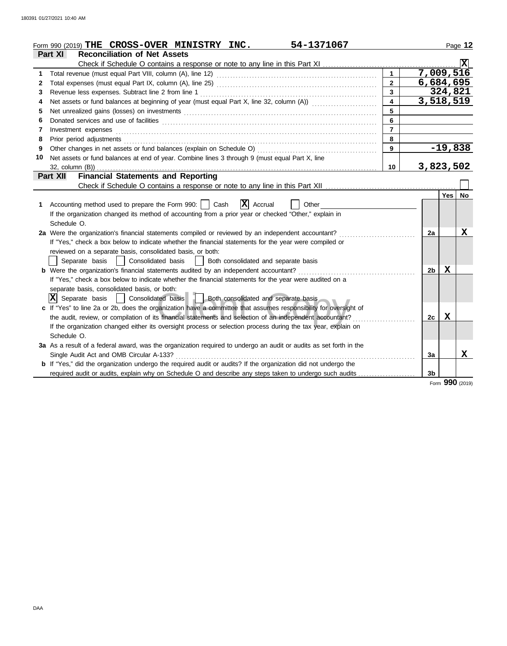| <b>Reconciliation of Net Assets</b><br>Part XI<br>Check if Schedule O contains a response or note to any line in this Part XI<br>7,009,516<br>$\mathbf 1$<br>1<br>6,684,695<br>$\overline{2}$<br>$\mathbf{2}$<br>324,821<br>$\mathbf{3}$<br>Revenue less expenses. Subtract line 2 from line 1<br>3<br>3,518,519<br>Net assets or fund balances at beginning of year (must equal Part X, line 32, column (A))<br>$\overline{\mathbf{4}}$<br>4<br>5<br>Net unrealized gains (losses) on investments<br>5<br>6<br>6<br>$\overline{7}$<br>Investment expenses<br>7<br>8<br>Prior period adjustments<br>8<br>$-19,838$<br>Other changes in net assets or fund balances (explain on Schedule O)<br>$\mathbf{Q}$<br>9<br>10<br>Net assets or fund balances at end of year. Combine lines 3 through 9 (must equal Part X, line<br>3,823,502<br>10<br>$32$ , column $(B)$ )<br><b>Financial Statements and Reporting</b><br>Part XII<br>Yes  <br>No<br>$ \mathbf{X} $ Accrual<br>Accounting method used to prepare the Form 990:     Cash<br>Other<br>1.<br>If the organization changed its method of accounting from a prior year or checked "Other," explain in<br>Schedule O.<br>x<br>2a Were the organization's financial statements compiled or reviewed by an independent accountant?<br>2a<br>If "Yes," check a box below to indicate whether the financial statements for the year were compiled or<br>reviewed on a separate basis, consolidated basis, or both:<br>  Consolidated basis<br>Both consolidated and separate basis<br>Separate basis<br>$\Box$<br><b>b</b> Were the organization's financial statements audited by an independent accountant?<br>X<br>2b<br>If "Yes," check a box below to indicate whether the financial statements for the year were audited on a<br>separate basis, consolidated basis, or both:<br>$ \mathbf{X} $ Separate basis $ \cdot $ Consolidated basis $ \cdot $ Both consolidated and separate basis<br>c If "Yes" to line 2a or 2b, does the organization have a committee that assumes responsibility for oversight of<br>X<br>the audit, review, or compilation of its financial statements and selection of an independent accountant?<br>2c<br>If the organization changed either its oversight process or selection process during the tax year, explain on<br>Schedule O.<br>3a As a result of a federal award, was the organization required to undergo an audit or audits as set forth in the<br>x<br>Single Audit Act and OMB Circular A-133?<br>3a<br>b If "Yes," did the organization undergo the required audit or audits? If the organization did not undergo the<br>3 <sub>b</sub><br>required audit or audits, explain why on Schedule O and describe any steps taken to undergo such audits<br>nnn. | 54-1371067<br>Form 990 (2019) THE CROSS-OVER MINISTRY INC. |  | Page 12 |
|-----------------------------------------------------------------------------------------------------------------------------------------------------------------------------------------------------------------------------------------------------------------------------------------------------------------------------------------------------------------------------------------------------------------------------------------------------------------------------------------------------------------------------------------------------------------------------------------------------------------------------------------------------------------------------------------------------------------------------------------------------------------------------------------------------------------------------------------------------------------------------------------------------------------------------------------------------------------------------------------------------------------------------------------------------------------------------------------------------------------------------------------------------------------------------------------------------------------------------------------------------------------------------------------------------------------------------------------------------------------------------------------------------------------------------------------------------------------------------------------------------------------------------------------------------------------------------------------------------------------------------------------------------------------------------------------------------------------------------------------------------------------------------------------------------------------------------------------------------------------------------------------------------------------------------------------------------------------------------------------------------------------------------------------------------------------------------------------------------------------------------------------------------------------------------------------------------------------------------------------------------------------------------------------------------------------------------------------------------------------------------------------------------------------------------------------------------------------------------------------------------------------------------------------------------------------------------------------------------------------------------------------------------------------------------------------------------------------------------------------------------------------|------------------------------------------------------------|--|---------|
|                                                                                                                                                                                                                                                                                                                                                                                                                                                                                                                                                                                                                                                                                                                                                                                                                                                                                                                                                                                                                                                                                                                                                                                                                                                                                                                                                                                                                                                                                                                                                                                                                                                                                                                                                                                                                                                                                                                                                                                                                                                                                                                                                                                                                                                                                                                                                                                                                                                                                                                                                                                                                                                                                                                                                                 |                                                            |  |         |
|                                                                                                                                                                                                                                                                                                                                                                                                                                                                                                                                                                                                                                                                                                                                                                                                                                                                                                                                                                                                                                                                                                                                                                                                                                                                                                                                                                                                                                                                                                                                                                                                                                                                                                                                                                                                                                                                                                                                                                                                                                                                                                                                                                                                                                                                                                                                                                                                                                                                                                                                                                                                                                                                                                                                                                 |                                                            |  |         |
|                                                                                                                                                                                                                                                                                                                                                                                                                                                                                                                                                                                                                                                                                                                                                                                                                                                                                                                                                                                                                                                                                                                                                                                                                                                                                                                                                                                                                                                                                                                                                                                                                                                                                                                                                                                                                                                                                                                                                                                                                                                                                                                                                                                                                                                                                                                                                                                                                                                                                                                                                                                                                                                                                                                                                                 |                                                            |  |         |
|                                                                                                                                                                                                                                                                                                                                                                                                                                                                                                                                                                                                                                                                                                                                                                                                                                                                                                                                                                                                                                                                                                                                                                                                                                                                                                                                                                                                                                                                                                                                                                                                                                                                                                                                                                                                                                                                                                                                                                                                                                                                                                                                                                                                                                                                                                                                                                                                                                                                                                                                                                                                                                                                                                                                                                 |                                                            |  |         |
|                                                                                                                                                                                                                                                                                                                                                                                                                                                                                                                                                                                                                                                                                                                                                                                                                                                                                                                                                                                                                                                                                                                                                                                                                                                                                                                                                                                                                                                                                                                                                                                                                                                                                                                                                                                                                                                                                                                                                                                                                                                                                                                                                                                                                                                                                                                                                                                                                                                                                                                                                                                                                                                                                                                                                                 |                                                            |  |         |
|                                                                                                                                                                                                                                                                                                                                                                                                                                                                                                                                                                                                                                                                                                                                                                                                                                                                                                                                                                                                                                                                                                                                                                                                                                                                                                                                                                                                                                                                                                                                                                                                                                                                                                                                                                                                                                                                                                                                                                                                                                                                                                                                                                                                                                                                                                                                                                                                                                                                                                                                                                                                                                                                                                                                                                 |                                                            |  |         |
|                                                                                                                                                                                                                                                                                                                                                                                                                                                                                                                                                                                                                                                                                                                                                                                                                                                                                                                                                                                                                                                                                                                                                                                                                                                                                                                                                                                                                                                                                                                                                                                                                                                                                                                                                                                                                                                                                                                                                                                                                                                                                                                                                                                                                                                                                                                                                                                                                                                                                                                                                                                                                                                                                                                                                                 |                                                            |  |         |
|                                                                                                                                                                                                                                                                                                                                                                                                                                                                                                                                                                                                                                                                                                                                                                                                                                                                                                                                                                                                                                                                                                                                                                                                                                                                                                                                                                                                                                                                                                                                                                                                                                                                                                                                                                                                                                                                                                                                                                                                                                                                                                                                                                                                                                                                                                                                                                                                                                                                                                                                                                                                                                                                                                                                                                 |                                                            |  |         |
|                                                                                                                                                                                                                                                                                                                                                                                                                                                                                                                                                                                                                                                                                                                                                                                                                                                                                                                                                                                                                                                                                                                                                                                                                                                                                                                                                                                                                                                                                                                                                                                                                                                                                                                                                                                                                                                                                                                                                                                                                                                                                                                                                                                                                                                                                                                                                                                                                                                                                                                                                                                                                                                                                                                                                                 |                                                            |  |         |
|                                                                                                                                                                                                                                                                                                                                                                                                                                                                                                                                                                                                                                                                                                                                                                                                                                                                                                                                                                                                                                                                                                                                                                                                                                                                                                                                                                                                                                                                                                                                                                                                                                                                                                                                                                                                                                                                                                                                                                                                                                                                                                                                                                                                                                                                                                                                                                                                                                                                                                                                                                                                                                                                                                                                                                 |                                                            |  |         |
|                                                                                                                                                                                                                                                                                                                                                                                                                                                                                                                                                                                                                                                                                                                                                                                                                                                                                                                                                                                                                                                                                                                                                                                                                                                                                                                                                                                                                                                                                                                                                                                                                                                                                                                                                                                                                                                                                                                                                                                                                                                                                                                                                                                                                                                                                                                                                                                                                                                                                                                                                                                                                                                                                                                                                                 |                                                            |  |         |
|                                                                                                                                                                                                                                                                                                                                                                                                                                                                                                                                                                                                                                                                                                                                                                                                                                                                                                                                                                                                                                                                                                                                                                                                                                                                                                                                                                                                                                                                                                                                                                                                                                                                                                                                                                                                                                                                                                                                                                                                                                                                                                                                                                                                                                                                                                                                                                                                                                                                                                                                                                                                                                                                                                                                                                 |                                                            |  |         |
|                                                                                                                                                                                                                                                                                                                                                                                                                                                                                                                                                                                                                                                                                                                                                                                                                                                                                                                                                                                                                                                                                                                                                                                                                                                                                                                                                                                                                                                                                                                                                                                                                                                                                                                                                                                                                                                                                                                                                                                                                                                                                                                                                                                                                                                                                                                                                                                                                                                                                                                                                                                                                                                                                                                                                                 |                                                            |  |         |
|                                                                                                                                                                                                                                                                                                                                                                                                                                                                                                                                                                                                                                                                                                                                                                                                                                                                                                                                                                                                                                                                                                                                                                                                                                                                                                                                                                                                                                                                                                                                                                                                                                                                                                                                                                                                                                                                                                                                                                                                                                                                                                                                                                                                                                                                                                                                                                                                                                                                                                                                                                                                                                                                                                                                                                 |                                                            |  |         |
|                                                                                                                                                                                                                                                                                                                                                                                                                                                                                                                                                                                                                                                                                                                                                                                                                                                                                                                                                                                                                                                                                                                                                                                                                                                                                                                                                                                                                                                                                                                                                                                                                                                                                                                                                                                                                                                                                                                                                                                                                                                                                                                                                                                                                                                                                                                                                                                                                                                                                                                                                                                                                                                                                                                                                                 |                                                            |  |         |
|                                                                                                                                                                                                                                                                                                                                                                                                                                                                                                                                                                                                                                                                                                                                                                                                                                                                                                                                                                                                                                                                                                                                                                                                                                                                                                                                                                                                                                                                                                                                                                                                                                                                                                                                                                                                                                                                                                                                                                                                                                                                                                                                                                                                                                                                                                                                                                                                                                                                                                                                                                                                                                                                                                                                                                 |                                                            |  |         |
|                                                                                                                                                                                                                                                                                                                                                                                                                                                                                                                                                                                                                                                                                                                                                                                                                                                                                                                                                                                                                                                                                                                                                                                                                                                                                                                                                                                                                                                                                                                                                                                                                                                                                                                                                                                                                                                                                                                                                                                                                                                                                                                                                                                                                                                                                                                                                                                                                                                                                                                                                                                                                                                                                                                                                                 |                                                            |  |         |
|                                                                                                                                                                                                                                                                                                                                                                                                                                                                                                                                                                                                                                                                                                                                                                                                                                                                                                                                                                                                                                                                                                                                                                                                                                                                                                                                                                                                                                                                                                                                                                                                                                                                                                                                                                                                                                                                                                                                                                                                                                                                                                                                                                                                                                                                                                                                                                                                                                                                                                                                                                                                                                                                                                                                                                 |                                                            |  |         |
|                                                                                                                                                                                                                                                                                                                                                                                                                                                                                                                                                                                                                                                                                                                                                                                                                                                                                                                                                                                                                                                                                                                                                                                                                                                                                                                                                                                                                                                                                                                                                                                                                                                                                                                                                                                                                                                                                                                                                                                                                                                                                                                                                                                                                                                                                                                                                                                                                                                                                                                                                                                                                                                                                                                                                                 |                                                            |  |         |
|                                                                                                                                                                                                                                                                                                                                                                                                                                                                                                                                                                                                                                                                                                                                                                                                                                                                                                                                                                                                                                                                                                                                                                                                                                                                                                                                                                                                                                                                                                                                                                                                                                                                                                                                                                                                                                                                                                                                                                                                                                                                                                                                                                                                                                                                                                                                                                                                                                                                                                                                                                                                                                                                                                                                                                 |                                                            |  |         |
|                                                                                                                                                                                                                                                                                                                                                                                                                                                                                                                                                                                                                                                                                                                                                                                                                                                                                                                                                                                                                                                                                                                                                                                                                                                                                                                                                                                                                                                                                                                                                                                                                                                                                                                                                                                                                                                                                                                                                                                                                                                                                                                                                                                                                                                                                                                                                                                                                                                                                                                                                                                                                                                                                                                                                                 |                                                            |  |         |
|                                                                                                                                                                                                                                                                                                                                                                                                                                                                                                                                                                                                                                                                                                                                                                                                                                                                                                                                                                                                                                                                                                                                                                                                                                                                                                                                                                                                                                                                                                                                                                                                                                                                                                                                                                                                                                                                                                                                                                                                                                                                                                                                                                                                                                                                                                                                                                                                                                                                                                                                                                                                                                                                                                                                                                 |                                                            |  |         |
|                                                                                                                                                                                                                                                                                                                                                                                                                                                                                                                                                                                                                                                                                                                                                                                                                                                                                                                                                                                                                                                                                                                                                                                                                                                                                                                                                                                                                                                                                                                                                                                                                                                                                                                                                                                                                                                                                                                                                                                                                                                                                                                                                                                                                                                                                                                                                                                                                                                                                                                                                                                                                                                                                                                                                                 |                                                            |  |         |
|                                                                                                                                                                                                                                                                                                                                                                                                                                                                                                                                                                                                                                                                                                                                                                                                                                                                                                                                                                                                                                                                                                                                                                                                                                                                                                                                                                                                                                                                                                                                                                                                                                                                                                                                                                                                                                                                                                                                                                                                                                                                                                                                                                                                                                                                                                                                                                                                                                                                                                                                                                                                                                                                                                                                                                 |                                                            |  |         |
|                                                                                                                                                                                                                                                                                                                                                                                                                                                                                                                                                                                                                                                                                                                                                                                                                                                                                                                                                                                                                                                                                                                                                                                                                                                                                                                                                                                                                                                                                                                                                                                                                                                                                                                                                                                                                                                                                                                                                                                                                                                                                                                                                                                                                                                                                                                                                                                                                                                                                                                                                                                                                                                                                                                                                                 |                                                            |  |         |
|                                                                                                                                                                                                                                                                                                                                                                                                                                                                                                                                                                                                                                                                                                                                                                                                                                                                                                                                                                                                                                                                                                                                                                                                                                                                                                                                                                                                                                                                                                                                                                                                                                                                                                                                                                                                                                                                                                                                                                                                                                                                                                                                                                                                                                                                                                                                                                                                                                                                                                                                                                                                                                                                                                                                                                 |                                                            |  |         |
|                                                                                                                                                                                                                                                                                                                                                                                                                                                                                                                                                                                                                                                                                                                                                                                                                                                                                                                                                                                                                                                                                                                                                                                                                                                                                                                                                                                                                                                                                                                                                                                                                                                                                                                                                                                                                                                                                                                                                                                                                                                                                                                                                                                                                                                                                                                                                                                                                                                                                                                                                                                                                                                                                                                                                                 |                                                            |  |         |
|                                                                                                                                                                                                                                                                                                                                                                                                                                                                                                                                                                                                                                                                                                                                                                                                                                                                                                                                                                                                                                                                                                                                                                                                                                                                                                                                                                                                                                                                                                                                                                                                                                                                                                                                                                                                                                                                                                                                                                                                                                                                                                                                                                                                                                                                                                                                                                                                                                                                                                                                                                                                                                                                                                                                                                 |                                                            |  |         |
|                                                                                                                                                                                                                                                                                                                                                                                                                                                                                                                                                                                                                                                                                                                                                                                                                                                                                                                                                                                                                                                                                                                                                                                                                                                                                                                                                                                                                                                                                                                                                                                                                                                                                                                                                                                                                                                                                                                                                                                                                                                                                                                                                                                                                                                                                                                                                                                                                                                                                                                                                                                                                                                                                                                                                                 |                                                            |  |         |
|                                                                                                                                                                                                                                                                                                                                                                                                                                                                                                                                                                                                                                                                                                                                                                                                                                                                                                                                                                                                                                                                                                                                                                                                                                                                                                                                                                                                                                                                                                                                                                                                                                                                                                                                                                                                                                                                                                                                                                                                                                                                                                                                                                                                                                                                                                                                                                                                                                                                                                                                                                                                                                                                                                                                                                 |                                                            |  |         |
|                                                                                                                                                                                                                                                                                                                                                                                                                                                                                                                                                                                                                                                                                                                                                                                                                                                                                                                                                                                                                                                                                                                                                                                                                                                                                                                                                                                                                                                                                                                                                                                                                                                                                                                                                                                                                                                                                                                                                                                                                                                                                                                                                                                                                                                                                                                                                                                                                                                                                                                                                                                                                                                                                                                                                                 |                                                            |  |         |
|                                                                                                                                                                                                                                                                                                                                                                                                                                                                                                                                                                                                                                                                                                                                                                                                                                                                                                                                                                                                                                                                                                                                                                                                                                                                                                                                                                                                                                                                                                                                                                                                                                                                                                                                                                                                                                                                                                                                                                                                                                                                                                                                                                                                                                                                                                                                                                                                                                                                                                                                                                                                                                                                                                                                                                 |                                                            |  |         |
|                                                                                                                                                                                                                                                                                                                                                                                                                                                                                                                                                                                                                                                                                                                                                                                                                                                                                                                                                                                                                                                                                                                                                                                                                                                                                                                                                                                                                                                                                                                                                                                                                                                                                                                                                                                                                                                                                                                                                                                                                                                                                                                                                                                                                                                                                                                                                                                                                                                                                                                                                                                                                                                                                                                                                                 |                                                            |  |         |
|                                                                                                                                                                                                                                                                                                                                                                                                                                                                                                                                                                                                                                                                                                                                                                                                                                                                                                                                                                                                                                                                                                                                                                                                                                                                                                                                                                                                                                                                                                                                                                                                                                                                                                                                                                                                                                                                                                                                                                                                                                                                                                                                                                                                                                                                                                                                                                                                                                                                                                                                                                                                                                                                                                                                                                 |                                                            |  |         |
|                                                                                                                                                                                                                                                                                                                                                                                                                                                                                                                                                                                                                                                                                                                                                                                                                                                                                                                                                                                                                                                                                                                                                                                                                                                                                                                                                                                                                                                                                                                                                                                                                                                                                                                                                                                                                                                                                                                                                                                                                                                                                                                                                                                                                                                                                                                                                                                                                                                                                                                                                                                                                                                                                                                                                                 |                                                            |  |         |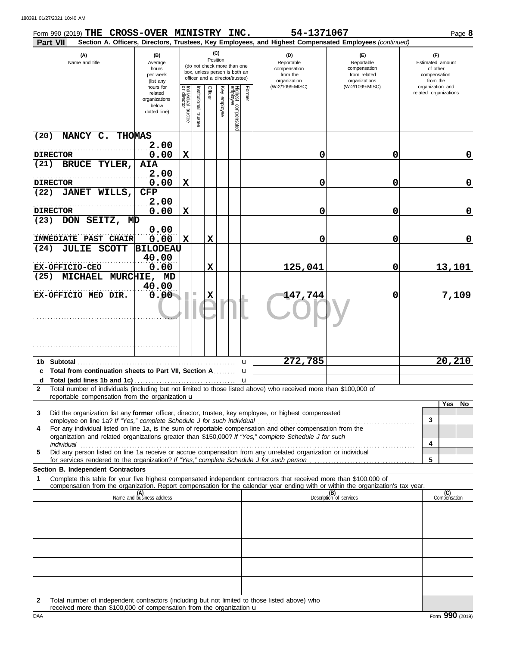180391 01/27/2021 10:40 AM

| Form 990 (2019) THE CROSS-OVER MINISTRY INC.<br>Part VII                                                                                                             |                                                                |                                   |                                                                                                                    |             |              |                                 |                                                               | 54-1371067                                                         | Section A. Officers, Directors, Trustees, Key Employees, and Highest Compensated Employees (continued) | Page 8                                    |
|----------------------------------------------------------------------------------------------------------------------------------------------------------------------|----------------------------------------------------------------|-----------------------------------|--------------------------------------------------------------------------------------------------------------------|-------------|--------------|---------------------------------|---------------------------------------------------------------|--------------------------------------------------------------------|--------------------------------------------------------------------------------------------------------|-------------------------------------------|
| (A)<br>Name and title                                                                                                                                                | (B)<br>Average<br>hours<br>per week<br>(list any               |                                   | (C)<br>Position<br>(do not check more than one<br>box, unless person is both an<br>officer and a director/trustee) |             |              |                                 | (D)<br>Reportable<br>compensation<br>from the<br>organization | (E)<br>Reportable<br>compensation<br>from related<br>organizations | (F)<br>Estimated amount<br>of other<br>compensation<br>from the                                        |                                           |
|                                                                                                                                                                      | hours for<br>related<br>organizations<br>below<br>dotted line) | Individual trustee<br>or director | Institutional<br>trustee                                                                                           | Officer     | Key employee | Highest compensatec<br>employee | Former                                                        | (W-2/1099-MISC)                                                    | (W-2/1099-MISC)                                                                                        | organization and<br>related organizations |
| NANCY C. THOMAS<br>(20)                                                                                                                                              |                                                                |                                   |                                                                                                                    |             |              |                                 |                                                               |                                                                    |                                                                                                        |                                           |
| <b>DIRECTOR</b>                                                                                                                                                      | 2.00<br>0.00                                                   | $\mathbf X$                       |                                                                                                                    |             |              |                                 |                                                               | 0                                                                  | 0                                                                                                      | 0                                         |
| (21)<br>BRUCE TYLER,                                                                                                                                                 | <b>AIA</b>                                                     |                                   |                                                                                                                    |             |              |                                 |                                                               |                                                                    |                                                                                                        |                                           |
| <b>DIRECTOR</b>                                                                                                                                                      | 2.00<br>0.00                                                   | $\mathbf X$                       |                                                                                                                    |             |              |                                 |                                                               | 0                                                                  | 0                                                                                                      | 0                                         |
| (22)<br>JANET WILLS,                                                                                                                                                 | <b>CFP</b>                                                     |                                   |                                                                                                                    |             |              |                                 |                                                               |                                                                    |                                                                                                        |                                           |
|                                                                                                                                                                      | 2.00                                                           |                                   |                                                                                                                    |             |              |                                 |                                                               |                                                                    |                                                                                                        |                                           |
| <b>DIRECTOR</b><br>DON SEITZ, MD<br>(23)                                                                                                                             | 0.00                                                           | $\mathbf X$                       |                                                                                                                    |             |              |                                 |                                                               | 0                                                                  | 0                                                                                                      | 0                                         |
|                                                                                                                                                                      | 0.00                                                           |                                   |                                                                                                                    |             |              |                                 |                                                               |                                                                    |                                                                                                        |                                           |
| <b>IMMEDIATE PAST CHAIR</b><br><b>SCOTT</b><br>(24)<br><b>JULIE</b>                                                                                                  | 0.00<br><b>BILODEAU</b>                                        | $\mathbf X$                       |                                                                                                                    | $\mathbf x$ |              |                                 |                                                               | 0                                                                  | 0                                                                                                      | 0                                         |
|                                                                                                                                                                      | 40.00                                                          |                                   |                                                                                                                    |             |              |                                 |                                                               |                                                                    |                                                                                                        |                                           |
| EX-OFFICIO-CEO                                                                                                                                                       | 0.00                                                           |                                   |                                                                                                                    | X           |              |                                 |                                                               | 125,041                                                            | 0                                                                                                      | 13,101                                    |
| MICHAEL MURCHIE,<br>(25)                                                                                                                                             | MD<br>40.00                                                    |                                   |                                                                                                                    |             |              |                                 |                                                               |                                                                    |                                                                                                        |                                           |
| EX-OFFICIO MED DIR.                                                                                                                                                  | 0.00                                                           |                                   |                                                                                                                    | $\mathbf x$ |              |                                 |                                                               | 147,744                                                            | 0                                                                                                      | 7,109                                     |
|                                                                                                                                                                      |                                                                |                                   |                                                                                                                    |             |              |                                 |                                                               |                                                                    |                                                                                                        |                                           |
|                                                                                                                                                                      |                                                                |                                   |                                                                                                                    |             |              |                                 |                                                               |                                                                    |                                                                                                        |                                           |
| 1b Subtotal                                                                                                                                                          |                                                                |                                   |                                                                                                                    |             |              |                                 | u                                                             | 272,785                                                            |                                                                                                        | 20,210                                    |
| c Total from continuation sheets to Part VII, Section A                                                                                                              |                                                                |                                   |                                                                                                                    |             |              |                                 | u                                                             |                                                                    |                                                                                                        |                                           |
| Total number of individuals (including but not limited to those listed above) who received more than \$100,000 of<br>$\mathbf{2}$                                    |                                                                |                                   |                                                                                                                    |             |              |                                 | u                                                             |                                                                    |                                                                                                        |                                           |
| reportable compensation from the organization u                                                                                                                      |                                                                |                                   |                                                                                                                    |             |              |                                 |                                                               |                                                                    |                                                                                                        | Yes l<br>No.                              |
| Did the organization list any former officer, director, trustee, key employee, or highest compensated<br>3                                                           |                                                                |                                   |                                                                                                                    |             |              |                                 |                                                               |                                                                    |                                                                                                        |                                           |
| For any individual listed on line 1a, is the sum of reportable compensation and other compensation from the<br>4                                                     |                                                                |                                   |                                                                                                                    |             |              |                                 |                                                               |                                                                    |                                                                                                        | 3                                         |
| organization and related organizations greater than \$150,000? If "Yes," complete Schedule J for such                                                                |                                                                |                                   |                                                                                                                    |             |              |                                 |                                                               |                                                                    |                                                                                                        | 4                                         |
| Did any person listed on line 1a receive or accrue compensation from any unrelated organization or individual<br>5                                                   |                                                                |                                   |                                                                                                                    |             |              |                                 |                                                               |                                                                    |                                                                                                        |                                           |
|                                                                                                                                                                      |                                                                |                                   |                                                                                                                    |             |              |                                 |                                                               |                                                                    |                                                                                                        | 5                                         |
| <b>Section B. Independent Contractors</b><br>Complete this table for your five highest compensated independent contractors that received more than \$100,000 of<br>1 |                                                                |                                   |                                                                                                                    |             |              |                                 |                                                               |                                                                    |                                                                                                        |                                           |
| compensation from the organization. Report compensation for the calendar year ending with or within the organization's tax year.                                     | (A)<br>Name and business address                               |                                   |                                                                                                                    |             |              |                                 |                                                               |                                                                    | (B)<br>Description of services                                                                         | (C)<br>Compensation                       |
|                                                                                                                                                                      |                                                                |                                   |                                                                                                                    |             |              |                                 |                                                               |                                                                    |                                                                                                        |                                           |
|                                                                                                                                                                      |                                                                |                                   |                                                                                                                    |             |              |                                 |                                                               |                                                                    |                                                                                                        |                                           |
|                                                                                                                                                                      |                                                                |                                   |                                                                                                                    |             |              |                                 |                                                               |                                                                    |                                                                                                        |                                           |
|                                                                                                                                                                      |                                                                |                                   |                                                                                                                    |             |              |                                 |                                                               |                                                                    |                                                                                                        |                                           |
|                                                                                                                                                                      |                                                                |                                   |                                                                                                                    |             |              |                                 |                                                               |                                                                    |                                                                                                        |                                           |
|                                                                                                                                                                      |                                                                |                                   |                                                                                                                    |             |              |                                 |                                                               |                                                                    |                                                                                                        |                                           |
|                                                                                                                                                                      |                                                                |                                   |                                                                                                                    |             |              |                                 |                                                               |                                                                    |                                                                                                        |                                           |
| Total number of independent contractors (including but not limited to those listed above) who<br>2                                                                   |                                                                |                                   |                                                                                                                    |             |              |                                 |                                                               |                                                                    |                                                                                                        |                                           |

DAA Form 990 (2019) **Form 990** (2019) received more than \$100,000 of compensation from the organization u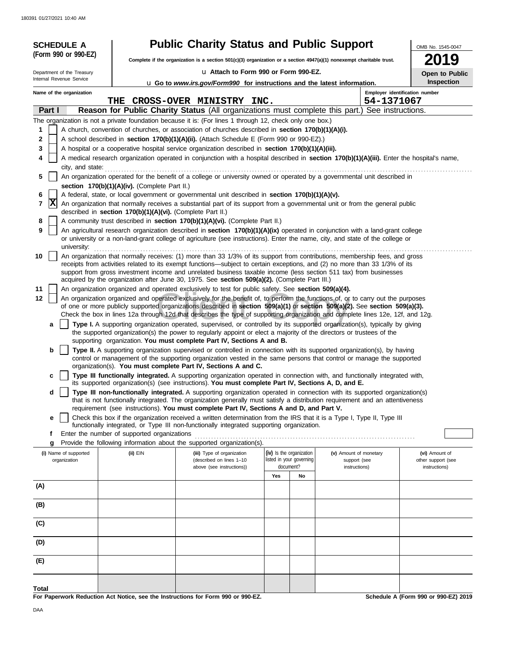| <b>SCHEDULE A</b>                                                                                                                                                                                                                                                                                                                                                                                                                                                                                                                                                                                                                                                                                                                                                                                                                                                                                                                                                                                                                                                                                                                                                                                                                                                                                                                                                                                                                                                                                                                                                                                                                                                                                                                                                                                                                                                                                                                                                                                                                                                                                                         |                                                                                                             | <b>Public Charity Status and Public Support</b>                                                                                                                                                                                                                                                                                                                                                                                                                                                                                                                                                                                                                                                                                                                                                                                                                                                                                  |                                                      |    |                                        | OMB No. 1545-0047                    |  |  |  |  |  |  |
|---------------------------------------------------------------------------------------------------------------------------------------------------------------------------------------------------------------------------------------------------------------------------------------------------------------------------------------------------------------------------------------------------------------------------------------------------------------------------------------------------------------------------------------------------------------------------------------------------------------------------------------------------------------------------------------------------------------------------------------------------------------------------------------------------------------------------------------------------------------------------------------------------------------------------------------------------------------------------------------------------------------------------------------------------------------------------------------------------------------------------------------------------------------------------------------------------------------------------------------------------------------------------------------------------------------------------------------------------------------------------------------------------------------------------------------------------------------------------------------------------------------------------------------------------------------------------------------------------------------------------------------------------------------------------------------------------------------------------------------------------------------------------------------------------------------------------------------------------------------------------------------------------------------------------------------------------------------------------------------------------------------------------------------------------------------------------------------------------------------------------|-------------------------------------------------------------------------------------------------------------|----------------------------------------------------------------------------------------------------------------------------------------------------------------------------------------------------------------------------------------------------------------------------------------------------------------------------------------------------------------------------------------------------------------------------------------------------------------------------------------------------------------------------------------------------------------------------------------------------------------------------------------------------------------------------------------------------------------------------------------------------------------------------------------------------------------------------------------------------------------------------------------------------------------------------------|------------------------------------------------------|----|----------------------------------------|--------------------------------------|--|--|--|--|--|--|
| (Form 990 or 990-EZ)                                                                                                                                                                                                                                                                                                                                                                                                                                                                                                                                                                                                                                                                                                                                                                                                                                                                                                                                                                                                                                                                                                                                                                                                                                                                                                                                                                                                                                                                                                                                                                                                                                                                                                                                                                                                                                                                                                                                                                                                                                                                                                      |                                                                                                             | 2019<br>Complete if the organization is a section 501(c)(3) organization or a section 4947(a)(1) nonexempt charitable trust.                                                                                                                                                                                                                                                                                                                                                                                                                                                                                                                                                                                                                                                                                                                                                                                                     |                                                      |    |                                        |                                      |  |  |  |  |  |  |
| Department of the Treasury                                                                                                                                                                                                                                                                                                                                                                                                                                                                                                                                                                                                                                                                                                                                                                                                                                                                                                                                                                                                                                                                                                                                                                                                                                                                                                                                                                                                                                                                                                                                                                                                                                                                                                                                                                                                                                                                                                                                                                                                                                                                                                |                                                                                                             | La Attach to Form 990 or Form 990-EZ.                                                                                                                                                                                                                                                                                                                                                                                                                                                                                                                                                                                                                                                                                                                                                                                                                                                                                            |                                                      |    |                                        |                                      |  |  |  |  |  |  |
| Internal Revenue Service                                                                                                                                                                                                                                                                                                                                                                                                                                                                                                                                                                                                                                                                                                                                                                                                                                                                                                                                                                                                                                                                                                                                                                                                                                                                                                                                                                                                                                                                                                                                                                                                                                                                                                                                                                                                                                                                                                                                                                                                                                                                                                  |                                                                                                             | u Go to www.irs.gov/Form990 for instructions and the latest information.                                                                                                                                                                                                                                                                                                                                                                                                                                                                                                                                                                                                                                                                                                                                                                                                                                                         |                                                      |    |                                        | Open to Public<br><b>Inspection</b>  |  |  |  |  |  |  |
| Name of the organization                                                                                                                                                                                                                                                                                                                                                                                                                                                                                                                                                                                                                                                                                                                                                                                                                                                                                                                                                                                                                                                                                                                                                                                                                                                                                                                                                                                                                                                                                                                                                                                                                                                                                                                                                                                                                                                                                                                                                                                                                                                                                                  |                                                                                                             |                                                                                                                                                                                                                                                                                                                                                                                                                                                                                                                                                                                                                                                                                                                                                                                                                                                                                                                                  |                                                      |    |                                        | Employer identification number       |  |  |  |  |  |  |
|                                                                                                                                                                                                                                                                                                                                                                                                                                                                                                                                                                                                                                                                                                                                                                                                                                                                                                                                                                                                                                                                                                                                                                                                                                                                                                                                                                                                                                                                                                                                                                                                                                                                                                                                                                                                                                                                                                                                                                                                                                                                                                                           | THE                                                                                                         | CROSS-OVER MINISTRY INC.                                                                                                                                                                                                                                                                                                                                                                                                                                                                                                                                                                                                                                                                                                                                                                                                                                                                                                         |                                                      |    | 54-1371067                             |                                      |  |  |  |  |  |  |
| Part I                                                                                                                                                                                                                                                                                                                                                                                                                                                                                                                                                                                                                                                                                                                                                                                                                                                                                                                                                                                                                                                                                                                                                                                                                                                                                                                                                                                                                                                                                                                                                                                                                                                                                                                                                                                                                                                                                                                                                                                                                                                                                                                    |                                                                                                             | Reason for Public Charity Status (All organizations must complete this part.) See instructions.                                                                                                                                                                                                                                                                                                                                                                                                                                                                                                                                                                                                                                                                                                                                                                                                                                  |                                                      |    |                                        |                                      |  |  |  |  |  |  |
| 1<br>2<br>3<br>4<br>city, and state:<br>5<br>6<br> X<br>7                                                                                                                                                                                                                                                                                                                                                                                                                                                                                                                                                                                                                                                                                                                                                                                                                                                                                                                                                                                                                                                                                                                                                                                                                                                                                                                                                                                                                                                                                                                                                                                                                                                                                                                                                                                                                                                                                                                                                                                                                                                                 | section 170(b)(1)(A)(iv). (Complete Part II.)<br>described in section 170(b)(1)(A)(vi). (Complete Part II.) | The organization is not a private foundation because it is: (For lines 1 through 12, check only one box.)<br>A church, convention of churches, or association of churches described in section 170(b)(1)(A)(i).<br>A school described in section 170(b)(1)(A)(ii). (Attach Schedule E (Form 990 or 990-EZ).)<br>A hospital or a cooperative hospital service organization described in section 170(b)(1)(A)(iii).<br>A medical research organization operated in conjunction with a hospital described in section 170(b)(1)(A)(iii). Enter the hospital's name,<br>An organization operated for the benefit of a college or university owned or operated by a governmental unit described in<br>A federal, state, or local government or governmental unit described in section 170(b)(1)(A)(v).<br>An organization that normally receives a substantial part of its support from a governmental unit or from the general public |                                                      |    |                                        |                                      |  |  |  |  |  |  |
| 8<br>9<br>university:                                                                                                                                                                                                                                                                                                                                                                                                                                                                                                                                                                                                                                                                                                                                                                                                                                                                                                                                                                                                                                                                                                                                                                                                                                                                                                                                                                                                                                                                                                                                                                                                                                                                                                                                                                                                                                                                                                                                                                                                                                                                                                     |                                                                                                             | A community trust described in section 170(b)(1)(A)(vi). (Complete Part II.)<br>An agricultural research organization described in section 170(b)(1)(A)(ix) operated in conjunction with a land-grant college<br>or university or a non-land-grant college of agriculture (see instructions). Enter the name, city, and state of the college or                                                                                                                                                                                                                                                                                                                                                                                                                                                                                                                                                                                  |                                                      |    |                                        |                                      |  |  |  |  |  |  |
| 10                                                                                                                                                                                                                                                                                                                                                                                                                                                                                                                                                                                                                                                                                                                                                                                                                                                                                                                                                                                                                                                                                                                                                                                                                                                                                                                                                                                                                                                                                                                                                                                                                                                                                                                                                                                                                                                                                                                                                                                                                                                                                                                        |                                                                                                             | An organization that normally receives: (1) more than 33 1/3% of its support from contributions, membership fees, and gross<br>receipts from activities related to its exempt functions—subject to certain exceptions, and (2) no more than 33 1/3% of its<br>support from gross investment income and unrelated business taxable income (less section 511 tax) from businesses                                                                                                                                                                                                                                                                                                                                                                                                                                                                                                                                                  |                                                      |    |                                        |                                      |  |  |  |  |  |  |
| acquired by the organization after June 30, 1975. See section 509(a)(2). (Complete Part III.)<br>11<br>An organization organized and operated exclusively to test for public safety. See section 509(a)(4).<br>An organization organized and operated exclusively for the benefit of, to perform the functions of, or to carry out the purposes<br>12<br>of one or more publicly supported organizations described in section 509(a)(1) or section 509(a)(2). See section 509(a)(3).<br>Check the box in lines 12a through 12d that describes the type of supporting organization and complete lines 12e, 12f, and 12g.<br>Type I. A supporting organization operated, supervised, or controlled by its supported organization(s), typically by giving<br>a<br>the supported organization(s) the power to regularly appoint or elect a majority of the directors or trustees of the<br>supporting organization. You must complete Part IV, Sections A and B.<br>Type II. A supporting organization supervised or controlled in connection with its supported organization(s), by having<br>b<br>control or management of the supporting organization vested in the same persons that control or manage the supported<br>organization(s). You must complete Part IV, Sections A and C.<br>Type III functionally integrated. A supporting organization operated in connection with, and functionally integrated with,<br>c<br>its supported organization(s) (see instructions). You must complete Part IV, Sections A, D, and E.<br>Type III non-functionally integrated. A supporting organization operated in connection with its supported organization(s)<br>d<br>that is not functionally integrated. The organization generally must satisfy a distribution requirement and an attentiveness<br>requirement (see instructions). You must complete Part IV, Sections A and D, and Part V.<br>Check this box if the organization received a written determination from the IRS that it is a Type I, Type II, Type III<br>е<br>functionally integrated, or Type III non-functionally integrated supporting organization. |                                                                                                             |                                                                                                                                                                                                                                                                                                                                                                                                                                                                                                                                                                                                                                                                                                                                                                                                                                                                                                                                  |                                                      |    |                                        |                                      |  |  |  |  |  |  |
| g                                                                                                                                                                                                                                                                                                                                                                                                                                                                                                                                                                                                                                                                                                                                                                                                                                                                                                                                                                                                                                                                                                                                                                                                                                                                                                                                                                                                                                                                                                                                                                                                                                                                                                                                                                                                                                                                                                                                                                                                                                                                                                                         |                                                                                                             | Provide the following information about the supported organization(s).                                                                                                                                                                                                                                                                                                                                                                                                                                                                                                                                                                                                                                                                                                                                                                                                                                                           |                                                      |    |                                        |                                      |  |  |  |  |  |  |
| (i) Name of supported<br>organization                                                                                                                                                                                                                                                                                                                                                                                                                                                                                                                                                                                                                                                                                                                                                                                                                                                                                                                                                                                                                                                                                                                                                                                                                                                                                                                                                                                                                                                                                                                                                                                                                                                                                                                                                                                                                                                                                                                                                                                                                                                                                     | (ii) EIN                                                                                                    | (iii) Type of organization<br>(described on lines 1-10                                                                                                                                                                                                                                                                                                                                                                                                                                                                                                                                                                                                                                                                                                                                                                                                                                                                           | (iv) Is the organization<br>listed in your governing |    | (v) Amount of monetary<br>support (see | (vi) Amount of<br>other support (see |  |  |  |  |  |  |
|                                                                                                                                                                                                                                                                                                                                                                                                                                                                                                                                                                                                                                                                                                                                                                                                                                                                                                                                                                                                                                                                                                                                                                                                                                                                                                                                                                                                                                                                                                                                                                                                                                                                                                                                                                                                                                                                                                                                                                                                                                                                                                                           |                                                                                                             | above (see instructions))                                                                                                                                                                                                                                                                                                                                                                                                                                                                                                                                                                                                                                                                                                                                                                                                                                                                                                        | document?                                            |    | instructions)                          | instructions)                        |  |  |  |  |  |  |
| (A)                                                                                                                                                                                                                                                                                                                                                                                                                                                                                                                                                                                                                                                                                                                                                                                                                                                                                                                                                                                                                                                                                                                                                                                                                                                                                                                                                                                                                                                                                                                                                                                                                                                                                                                                                                                                                                                                                                                                                                                                                                                                                                                       |                                                                                                             |                                                                                                                                                                                                                                                                                                                                                                                                                                                                                                                                                                                                                                                                                                                                                                                                                                                                                                                                  | Yes                                                  | No |                                        |                                      |  |  |  |  |  |  |
| (B)                                                                                                                                                                                                                                                                                                                                                                                                                                                                                                                                                                                                                                                                                                                                                                                                                                                                                                                                                                                                                                                                                                                                                                                                                                                                                                                                                                                                                                                                                                                                                                                                                                                                                                                                                                                                                                                                                                                                                                                                                                                                                                                       |                                                                                                             |                                                                                                                                                                                                                                                                                                                                                                                                                                                                                                                                                                                                                                                                                                                                                                                                                                                                                                                                  |                                                      |    |                                        |                                      |  |  |  |  |  |  |
| (C)                                                                                                                                                                                                                                                                                                                                                                                                                                                                                                                                                                                                                                                                                                                                                                                                                                                                                                                                                                                                                                                                                                                                                                                                                                                                                                                                                                                                                                                                                                                                                                                                                                                                                                                                                                                                                                                                                                                                                                                                                                                                                                                       |                                                                                                             |                                                                                                                                                                                                                                                                                                                                                                                                                                                                                                                                                                                                                                                                                                                                                                                                                                                                                                                                  |                                                      |    |                                        |                                      |  |  |  |  |  |  |
| (D)                                                                                                                                                                                                                                                                                                                                                                                                                                                                                                                                                                                                                                                                                                                                                                                                                                                                                                                                                                                                                                                                                                                                                                                                                                                                                                                                                                                                                                                                                                                                                                                                                                                                                                                                                                                                                                                                                                                                                                                                                                                                                                                       |                                                                                                             |                                                                                                                                                                                                                                                                                                                                                                                                                                                                                                                                                                                                                                                                                                                                                                                                                                                                                                                                  |                                                      |    |                                        |                                      |  |  |  |  |  |  |
| (E)                                                                                                                                                                                                                                                                                                                                                                                                                                                                                                                                                                                                                                                                                                                                                                                                                                                                                                                                                                                                                                                                                                                                                                                                                                                                                                                                                                                                                                                                                                                                                                                                                                                                                                                                                                                                                                                                                                                                                                                                                                                                                                                       |                                                                                                             |                                                                                                                                                                                                                                                                                                                                                                                                                                                                                                                                                                                                                                                                                                                                                                                                                                                                                                                                  |                                                      |    |                                        |                                      |  |  |  |  |  |  |
| Total                                                                                                                                                                                                                                                                                                                                                                                                                                                                                                                                                                                                                                                                                                                                                                                                                                                                                                                                                                                                                                                                                                                                                                                                                                                                                                                                                                                                                                                                                                                                                                                                                                                                                                                                                                                                                                                                                                                                                                                                                                                                                                                     |                                                                                                             | For Paperwork Reduction Act Notice, see the Instructions for Form 990 or 990-EZ.                                                                                                                                                                                                                                                                                                                                                                                                                                                                                                                                                                                                                                                                                                                                                                                                                                                 |                                                      |    |                                        | Schedule A (Form 990 or 990-EZ) 2019 |  |  |  |  |  |  |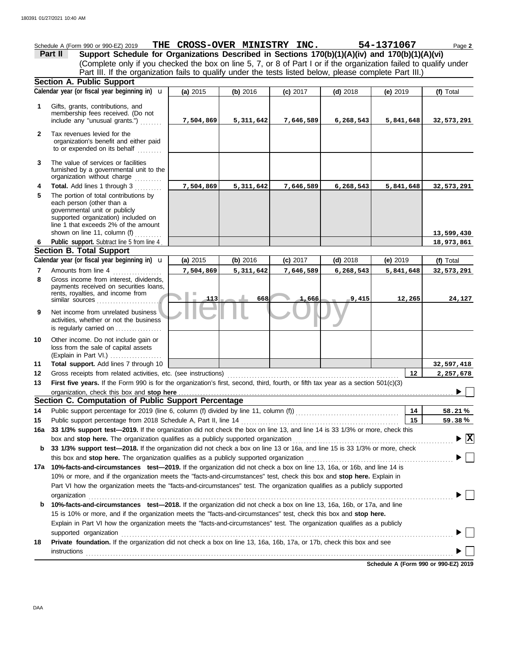|              | Schedule A (Form 990 or 990-EZ) 2019<br>Support Schedule for Organizations Described in Sections 170(b)(1)(A)(iv) and 170(b)(1)(A)(vi)<br>Part II<br>(Complete only if you checked the box on line 5, 7, or 8 of Part I or if the organization failed to qualify under<br>Part III. If the organization fails to qualify under the tests listed below, please complete Part III.) | THE CROSS-OVER MINISTRY INC. |           |            |            | 54-1371067 | Page 2                                 |
|--------------|-----------------------------------------------------------------------------------------------------------------------------------------------------------------------------------------------------------------------------------------------------------------------------------------------------------------------------------------------------------------------------------|------------------------------|-----------|------------|------------|------------|----------------------------------------|
|              | Section A. Public Support                                                                                                                                                                                                                                                                                                                                                         |                              |           |            |            |            |                                        |
|              | Calendar year (or fiscal year beginning in) <b>u</b>                                                                                                                                                                                                                                                                                                                              | (a) 2015                     | (b) 2016  | $(c)$ 2017 | $(d)$ 2018 | (e) $2019$ | (f) Total                              |
| $\mathbf 1$  | Gifts, grants, contributions, and<br>membership fees received. (Do not<br>include any "unusual grants.")                                                                                                                                                                                                                                                                          | 7,504,869                    | 5,311,642 | 7,646,589  | 6,268,543  | 5,841,648  | 32,573,291                             |
| $\mathbf{2}$ | Tax revenues levied for the<br>organization's benefit and either paid<br>to or expended on its behalf                                                                                                                                                                                                                                                                             |                              |           |            |            |            |                                        |
| 3            | The value of services or facilities<br>furnished by a governmental unit to the<br>organization without charge                                                                                                                                                                                                                                                                     |                              |           |            |            |            |                                        |
| 4            | Total. Add lines 1 through 3                                                                                                                                                                                                                                                                                                                                                      | 7,504,869                    | 5,311,642 | 7,646,589  | 6,268,543  | 5,841,648  | 32,573,291                             |
| 5            | The portion of total contributions by<br>each person (other than a<br>governmental unit or publicly<br>supported organization) included on<br>line 1 that exceeds 2% of the amount<br>shown on line 11, column (f) $\ldots$                                                                                                                                                       |                              |           |            |            |            | 13,599,430                             |
| 6            | Public support. Subtract line 5 from line 4                                                                                                                                                                                                                                                                                                                                       |                              |           |            |            |            | 18,973,861                             |
|              | <b>Section B. Total Support</b>                                                                                                                                                                                                                                                                                                                                                   |                              |           |            |            |            |                                        |
|              | Calendar year (or fiscal year beginning in) <b>u</b>                                                                                                                                                                                                                                                                                                                              | (a) 2015                     | (b) 2016  | $(c)$ 2017 | $(d)$ 2018 | (e) $2019$ | (f) Total                              |
| 7            | Amounts from line 4                                                                                                                                                                                                                                                                                                                                                               | 7,504,869                    | 5,311,642 | 7,646,589  | 6,268,543  | 5,841,648  | 32,573,291                             |
| 8<br>9       | Gross income from interest, dividends,<br>payments received on securities loans,<br>rents, royalties, and income from<br>Net income from unrelated business                                                                                                                                                                                                                       | 113                          | 668       | 1,666      | 9,415      | 12,265     | 24,127                                 |
|              | activities, whether or not the business<br>is regularly carried on                                                                                                                                                                                                                                                                                                                |                              |           |            |            |            |                                        |
| 10           | Other income. Do not include gain or<br>loss from the sale of capital assets<br>(Explain in Part VI.)                                                                                                                                                                                                                                                                             |                              |           |            |            |            |                                        |
| 11           | Total support. Add lines 7 through 10                                                                                                                                                                                                                                                                                                                                             |                              |           |            |            |            | 32,597,418                             |
| 12           | Gross receipts from related activities, etc. (see instructions)                                                                                                                                                                                                                                                                                                                   |                              |           |            |            | $12 \,$    | 2,257,678                              |
| 13           | First five years. If the Form 990 is for the organization's first, second, third, fourth, or fifth tax year as a section 501(c)(3)                                                                                                                                                                                                                                                |                              |           |            |            |            |                                        |
|              | organization, check this box and stop here                                                                                                                                                                                                                                                                                                                                        |                              |           |            |            |            | $\overline{a}$ $\overline{a}$<br>▸     |
|              | Section C. Computation of Public Support Percentage                                                                                                                                                                                                                                                                                                                               |                              |           |            |            |            |                                        |
| 14           |                                                                                                                                                                                                                                                                                                                                                                                   |                              |           |            |            | 14         | 58.21%                                 |
| 15           |                                                                                                                                                                                                                                                                                                                                                                                   |                              |           |            |            | 15         | 59.38%                                 |
| 16a          | 33 1/3% support test-2019. If the organization did not check the box on line 13, and line 14 is 33 1/3% or more, check this                                                                                                                                                                                                                                                       |                              |           |            |            |            |                                        |
|              |                                                                                                                                                                                                                                                                                                                                                                                   |                              |           |            |            |            | $\blacktriangleright \boxed{\text{X}}$ |
| b            | 33 1/3% support test-2018. If the organization did not check a box on line 13 or 16a, and line 15 is 33 1/3% or more, check                                                                                                                                                                                                                                                       |                              |           |            |            |            |                                        |
|              |                                                                                                                                                                                                                                                                                                                                                                                   |                              |           |            |            |            |                                        |
|              | 17a 10%-facts-and-circumstances test-2019. If the organization did not check a box on line 13, 16a, or 16b, and line 14 is                                                                                                                                                                                                                                                        |                              |           |            |            |            |                                        |
|              | 10% or more, and if the organization meets the "facts-and-circumstances" test, check this box and stop here. Explain in                                                                                                                                                                                                                                                           |                              |           |            |            |            |                                        |
|              | Part VI how the organization meets the "facts-and-circumstances" test. The organization qualifies as a publicly supported<br>organization                                                                                                                                                                                                                                         |                              |           |            |            |            |                                        |
| b            | 10%-facts-and-circumstances test-2018. If the organization did not check a box on line 13, 16a, 16b, or 17a, and line                                                                                                                                                                                                                                                             |                              |           |            |            |            |                                        |
|              | 15 is 10% or more, and if the organization meets the "facts-and-circumstances" test, check this box and stop here.                                                                                                                                                                                                                                                                |                              |           |            |            |            |                                        |
|              | Explain in Part VI how the organization meets the "facts-and-circumstances" test. The organization qualifies as a publicly                                                                                                                                                                                                                                                        |                              |           |            |            |            |                                        |
|              | supported organization with the contract of the contract of the contract of the contract or the contract or the contract or the contract of the contract of the contract of the contract of the contract of the contract of th                                                                                                                                                    |                              |           |            |            |            |                                        |
| 18           | Private foundation. If the organization did not check a box on line 13, 16a, 16b, 17a, or 17b, check this box and see                                                                                                                                                                                                                                                             |                              |           |            |            |            |                                        |
|              |                                                                                                                                                                                                                                                                                                                                                                                   |                              |           |            |            |            |                                        |
|              |                                                                                                                                                                                                                                                                                                                                                                                   |                              |           |            |            |            |                                        |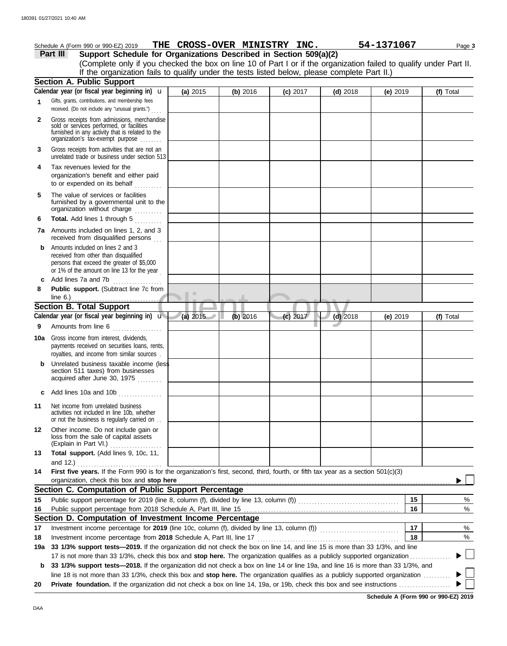|              | Schedule A (Form 990 or 990-EZ) 2019                                                                                                                                              | THE CROSS-OVER MINISTRY INC. |            |            |            | 54-1371067 | Page 3    |
|--------------|-----------------------------------------------------------------------------------------------------------------------------------------------------------------------------------|------------------------------|------------|------------|------------|------------|-----------|
|              | Support Schedule for Organizations Described in Section 509(a)(2)<br>Part III                                                                                                     |                              |            |            |            |            |           |
|              | (Complete only if you checked the box on line 10 of Part I or if the organization failed to qualify under Part II.                                                                |                              |            |            |            |            |           |
|              | If the organization fails to qualify under the tests listed below, please complete Part II.)                                                                                      |                              |            |            |            |            |           |
|              | <b>Section A. Public Support</b>                                                                                                                                                  |                              |            |            |            |            |           |
|              | Calendar year (or fiscal year beginning in) $\mathbf u$                                                                                                                           | (a) 2015                     | (b) 2016   | $(c)$ 2017 | $(d)$ 2018 | (e) $2019$ | (f) Total |
| 1            | Gifts, grants, contributions, and membership fees<br>received. (Do not include any "unusual grants.")                                                                             |                              |            |            |            |            |           |
| $\mathbf{2}$ | Gross receipts from admissions, merchandise<br>sold or services performed, or facilities<br>furnished in any activity that is related to the<br>organization's tax-exempt purpose |                              |            |            |            |            |           |
| 3            | Gross receipts from activities that are not an<br>unrelated trade or business under section 513                                                                                   |                              |            |            |            |            |           |
| 4            | Tax revenues levied for the<br>organization's benefit and either paid<br>to or expended on its behalf                                                                             |                              |            |            |            |            |           |
| 5            | The value of services or facilities<br>furnished by a governmental unit to the<br>organization without charge                                                                     |                              |            |            |            |            |           |
| 6            | Total. Add lines 1 through 5                                                                                                                                                      |                              |            |            |            |            |           |
|              | 7a Amounts included on lines 1, 2, and 3<br>received from disqualified persons                                                                                                    |                              |            |            |            |            |           |
| b            | Amounts included on lines 2 and 3<br>received from other than disqualified<br>persons that exceed the greater of \$5,000<br>or 1% of the amount on line 13 for the year           |                              |            |            |            |            |           |
| c            | Add lines 7a and 7b<br>.                                                                                                                                                          |                              |            |            |            |            |           |
| 8            | Public support. (Subtract line 7c from                                                                                                                                            | ш                            |            |            |            |            |           |
|              | <b>Section B. Total Support</b>                                                                                                                                                   |                              |            |            |            |            |           |
|              | Calendar year (or fiscal year beginning in) $\mathbf u$                                                                                                                           | (a) 2015                     | $(b)$ 2016 | (c) 2017   | $(d)$ 2018 | (e) $2019$ | (f) Total |
| 9            | Amounts from line 6                                                                                                                                                               |                              |            |            |            |            |           |
| 10a          | Gross income from interest, dividends,<br>payments received on securities loans, rents,<br>royalties, and income from similar sources.                                            |                              |            |            |            |            |           |
|              | Unrelated business taxable income (less<br>section 511 taxes) from businesses<br>acquired after June 30, 1975                                                                     |                              |            |            |            |            |           |
|              | c Add lines 10a and 10b<br>.                                                                                                                                                      |                              |            |            |            |            |           |
| 11           | Net income from unrelated business<br>activities not included in line 10b, whether<br>or not the business is regularly carried on                                                 |                              |            |            |            |            |           |
| 12           | Other income. Do not include gain or<br>loss from the sale of capital assets<br>(Explain in Part VI.)                                                                             |                              |            |            |            |            |           |
| 13           | Total support. (Add lines 9, 10c, 11,<br>and 12.)                                                                                                                                 |                              |            |            |            |            |           |
| 14           | First five years. If the Form 990 is for the organization's first, second, third, fourth, or fifth tax year as a section 501(c)(3)<br>organization, check this box and stop here  |                              |            |            |            |            |           |
|              | Section C. Computation of Public Support Percentage                                                                                                                               |                              |            |            |            |            |           |
| 15           |                                                                                                                                                                                   |                              |            |            |            | 15         | %         |
| 16           |                                                                                                                                                                                   |                              |            |            |            | 16         | %         |
|              | Section D. Computation of Investment Income Percentage                                                                                                                            |                              |            |            |            |            |           |
| 17           |                                                                                                                                                                                   |                              |            |            |            | 17         | %         |
| 18           | Investment income percentage from 2018 Schedule A, Part III, line 17                                                                                                              |                              |            |            |            | 18         | %         |
| 19a          | 33 1/3% support tests—2019. If the organization did not check the box on line 14, and line 15 is more than 33 1/3%, and line                                                      |                              |            |            |            |            |           |
|              | 17 is not more than 33 1/3%, check this box and stop here. The organization qualifies as a publicly supported organization.                                                       |                              |            |            |            |            |           |
| b            | 33 1/3% support tests—2018. If the organization did not check a box on line 14 or line 19a, and line 16 is more than 33 1/3%, and                                                 |                              |            |            |            |            |           |
|              | line 18 is not more than 33 1/3%, check this box and stop here. The organization qualifies as a publicly supported organization                                                   |                              |            |            |            |            |           |
| 20           |                                                                                                                                                                                   |                              |            |            |            |            |           |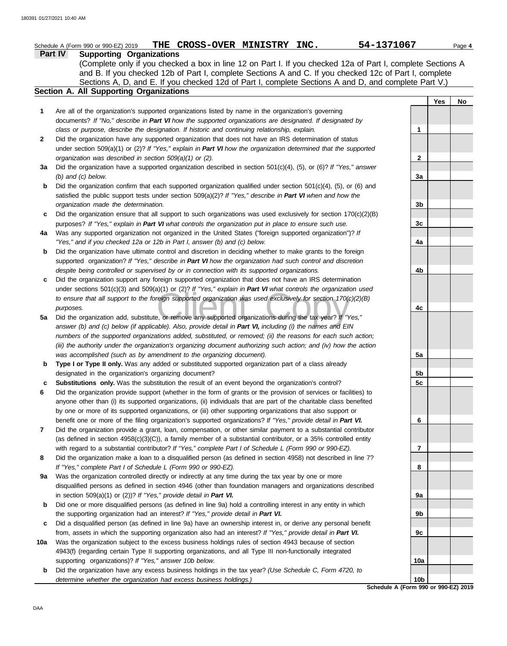| 54-1371067<br>THE CROSS-OVER MINISTRY INC.<br>Part IV<br><b>Supporting Organizations</b><br>(Complete only if you checked a box in line 12 on Part I. If you checked 12a of Part I, complete Sections A<br>and B. If you checked 12b of Part I, complete Sections A and C. If you checked 12c of Part I, complete<br>Sections A, D, and E. If you checked 12d of Part I, complete Sections A and D, and complete Part V.)<br>Section A. All Supporting Organizations<br>Are all of the organization's supported organizations listed by name in the organization's governing<br>1<br>documents? If "No," describe in Part VI how the supported organizations are designated. If designated by<br>class or purpose, describe the designation. If historic and continuing relationship, explain.<br>Did the organization have any supported organization that does not have an IRS determination of status<br>2<br>under section 509(a)(1) or (2)? If "Yes," explain in Part VI how the organization determined that the supported<br>organization was described in section 509(a)(1) or (2).<br>Did the organization have a supported organization described in section 501(c)(4), (5), or (6)? If "Yes," answer<br>За<br>$(b)$ and $(c)$ below. | 1<br>$\mathbf{2}$ | <b>Yes</b> | Page 4<br>No |
|-------------------------------------------------------------------------------------------------------------------------------------------------------------------------------------------------------------------------------------------------------------------------------------------------------------------------------------------------------------------------------------------------------------------------------------------------------------------------------------------------------------------------------------------------------------------------------------------------------------------------------------------------------------------------------------------------------------------------------------------------------------------------------------------------------------------------------------------------------------------------------------------------------------------------------------------------------------------------------------------------------------------------------------------------------------------------------------------------------------------------------------------------------------------------------------------------------------------------------------------------|-------------------|------------|--------------|
|                                                                                                                                                                                                                                                                                                                                                                                                                                                                                                                                                                                                                                                                                                                                                                                                                                                                                                                                                                                                                                                                                                                                                                                                                                                 |                   |            |              |
|                                                                                                                                                                                                                                                                                                                                                                                                                                                                                                                                                                                                                                                                                                                                                                                                                                                                                                                                                                                                                                                                                                                                                                                                                                                 |                   |            |              |
|                                                                                                                                                                                                                                                                                                                                                                                                                                                                                                                                                                                                                                                                                                                                                                                                                                                                                                                                                                                                                                                                                                                                                                                                                                                 |                   |            |              |
|                                                                                                                                                                                                                                                                                                                                                                                                                                                                                                                                                                                                                                                                                                                                                                                                                                                                                                                                                                                                                                                                                                                                                                                                                                                 |                   |            |              |
|                                                                                                                                                                                                                                                                                                                                                                                                                                                                                                                                                                                                                                                                                                                                                                                                                                                                                                                                                                                                                                                                                                                                                                                                                                                 |                   |            |              |
|                                                                                                                                                                                                                                                                                                                                                                                                                                                                                                                                                                                                                                                                                                                                                                                                                                                                                                                                                                                                                                                                                                                                                                                                                                                 |                   |            |              |
|                                                                                                                                                                                                                                                                                                                                                                                                                                                                                                                                                                                                                                                                                                                                                                                                                                                                                                                                                                                                                                                                                                                                                                                                                                                 |                   |            |              |
|                                                                                                                                                                                                                                                                                                                                                                                                                                                                                                                                                                                                                                                                                                                                                                                                                                                                                                                                                                                                                                                                                                                                                                                                                                                 |                   |            |              |
|                                                                                                                                                                                                                                                                                                                                                                                                                                                                                                                                                                                                                                                                                                                                                                                                                                                                                                                                                                                                                                                                                                                                                                                                                                                 |                   |            |              |
|                                                                                                                                                                                                                                                                                                                                                                                                                                                                                                                                                                                                                                                                                                                                                                                                                                                                                                                                                                                                                                                                                                                                                                                                                                                 |                   |            |              |
|                                                                                                                                                                                                                                                                                                                                                                                                                                                                                                                                                                                                                                                                                                                                                                                                                                                                                                                                                                                                                                                                                                                                                                                                                                                 |                   |            |              |
|                                                                                                                                                                                                                                                                                                                                                                                                                                                                                                                                                                                                                                                                                                                                                                                                                                                                                                                                                                                                                                                                                                                                                                                                                                                 |                   |            |              |
|                                                                                                                                                                                                                                                                                                                                                                                                                                                                                                                                                                                                                                                                                                                                                                                                                                                                                                                                                                                                                                                                                                                                                                                                                                                 |                   |            |              |
|                                                                                                                                                                                                                                                                                                                                                                                                                                                                                                                                                                                                                                                                                                                                                                                                                                                                                                                                                                                                                                                                                                                                                                                                                                                 | 3a                |            |              |
| Did the organization confirm that each supported organization qualified under section $501(c)(4)$ , (5), or (6) and<br>b                                                                                                                                                                                                                                                                                                                                                                                                                                                                                                                                                                                                                                                                                                                                                                                                                                                                                                                                                                                                                                                                                                                        |                   |            |              |
| satisfied the public support tests under section 509(a)(2)? If "Yes," describe in Part VI when and how the                                                                                                                                                                                                                                                                                                                                                                                                                                                                                                                                                                                                                                                                                                                                                                                                                                                                                                                                                                                                                                                                                                                                      |                   |            |              |
| organization made the determination.                                                                                                                                                                                                                                                                                                                                                                                                                                                                                                                                                                                                                                                                                                                                                                                                                                                                                                                                                                                                                                                                                                                                                                                                            | 3b                |            |              |
| Did the organization ensure that all support to such organizations was used exclusively for section $170(c)(2)(B)$<br>c                                                                                                                                                                                                                                                                                                                                                                                                                                                                                                                                                                                                                                                                                                                                                                                                                                                                                                                                                                                                                                                                                                                         |                   |            |              |
| purposes? If "Yes," explain in Part VI what controls the organization put in place to ensure such use.                                                                                                                                                                                                                                                                                                                                                                                                                                                                                                                                                                                                                                                                                                                                                                                                                                                                                                                                                                                                                                                                                                                                          | 3c                |            |              |
| Was any supported organization not organized in the United States ("foreign supported organization")? If<br>4a                                                                                                                                                                                                                                                                                                                                                                                                                                                                                                                                                                                                                                                                                                                                                                                                                                                                                                                                                                                                                                                                                                                                  |                   |            |              |
| "Yes," and if you checked 12a or 12b in Part I, answer (b) and (c) below.                                                                                                                                                                                                                                                                                                                                                                                                                                                                                                                                                                                                                                                                                                                                                                                                                                                                                                                                                                                                                                                                                                                                                                       | 4a                |            |              |
| Did the organization have ultimate control and discretion in deciding whether to make grants to the foreign<br>b                                                                                                                                                                                                                                                                                                                                                                                                                                                                                                                                                                                                                                                                                                                                                                                                                                                                                                                                                                                                                                                                                                                                |                   |            |              |
| supported organization? If "Yes," describe in Part VI how the organization had such control and discretion                                                                                                                                                                                                                                                                                                                                                                                                                                                                                                                                                                                                                                                                                                                                                                                                                                                                                                                                                                                                                                                                                                                                      |                   |            |              |
| despite being controlled or supervised by or in connection with its supported organizations.                                                                                                                                                                                                                                                                                                                                                                                                                                                                                                                                                                                                                                                                                                                                                                                                                                                                                                                                                                                                                                                                                                                                                    | 4b                |            |              |
| Did the organization support any foreign supported organization that does not have an IRS determination<br>c                                                                                                                                                                                                                                                                                                                                                                                                                                                                                                                                                                                                                                                                                                                                                                                                                                                                                                                                                                                                                                                                                                                                    |                   |            |              |
| under sections $501(c)(3)$ and $509(a)(1)$ or (2)? If "Yes," explain in Part VI what controls the organization used                                                                                                                                                                                                                                                                                                                                                                                                                                                                                                                                                                                                                                                                                                                                                                                                                                                                                                                                                                                                                                                                                                                             |                   |            |              |
| to ensure that all support to the foreign supported organization was used exclusively for section 170(c)(2)(B)                                                                                                                                                                                                                                                                                                                                                                                                                                                                                                                                                                                                                                                                                                                                                                                                                                                                                                                                                                                                                                                                                                                                  |                   |            |              |
| purposes.                                                                                                                                                                                                                                                                                                                                                                                                                                                                                                                                                                                                                                                                                                                                                                                                                                                                                                                                                                                                                                                                                                                                                                                                                                       | 4c                |            |              |
| Did the organization add, substitute, or remove any supported organizations during the tax year? If "Yes,"<br>5a                                                                                                                                                                                                                                                                                                                                                                                                                                                                                                                                                                                                                                                                                                                                                                                                                                                                                                                                                                                                                                                                                                                                |                   |            |              |
| answer (b) and (c) below (if applicable). Also, provide detail in Part VI, including (i) the names and EIN                                                                                                                                                                                                                                                                                                                                                                                                                                                                                                                                                                                                                                                                                                                                                                                                                                                                                                                                                                                                                                                                                                                                      |                   |            |              |
| numbers of the supported organizations added, substituted, or removed; (ii) the reasons for each such action;                                                                                                                                                                                                                                                                                                                                                                                                                                                                                                                                                                                                                                                                                                                                                                                                                                                                                                                                                                                                                                                                                                                                   |                   |            |              |
| (iii) the authority under the organization's organizing document authorizing such action; and (iv) how the action                                                                                                                                                                                                                                                                                                                                                                                                                                                                                                                                                                                                                                                                                                                                                                                                                                                                                                                                                                                                                                                                                                                               |                   |            |              |
| was accomplished (such as by amendment to the organizing document).                                                                                                                                                                                                                                                                                                                                                                                                                                                                                                                                                                                                                                                                                                                                                                                                                                                                                                                                                                                                                                                                                                                                                                             | 5a                |            |              |
| Type I or Type II only. Was any added or substituted supported organization part of a class already<br>b                                                                                                                                                                                                                                                                                                                                                                                                                                                                                                                                                                                                                                                                                                                                                                                                                                                                                                                                                                                                                                                                                                                                        |                   |            |              |
| designated in the organization's organizing document?                                                                                                                                                                                                                                                                                                                                                                                                                                                                                                                                                                                                                                                                                                                                                                                                                                                                                                                                                                                                                                                                                                                                                                                           | 5b                |            |              |
| Substitutions only. Was the substitution the result of an event beyond the organization's control?<br>c                                                                                                                                                                                                                                                                                                                                                                                                                                                                                                                                                                                                                                                                                                                                                                                                                                                                                                                                                                                                                                                                                                                                         | 5c                |            |              |
| 6<br>Did the organization provide support (whether in the form of grants or the provision of services or facilities) to                                                                                                                                                                                                                                                                                                                                                                                                                                                                                                                                                                                                                                                                                                                                                                                                                                                                                                                                                                                                                                                                                                                         |                   |            |              |
| anyone other than (i) its supported organizations, (ii) individuals that are part of the charitable class benefited                                                                                                                                                                                                                                                                                                                                                                                                                                                                                                                                                                                                                                                                                                                                                                                                                                                                                                                                                                                                                                                                                                                             |                   |            |              |
| by one or more of its supported organizations, or (iii) other supporting organizations that also support or                                                                                                                                                                                                                                                                                                                                                                                                                                                                                                                                                                                                                                                                                                                                                                                                                                                                                                                                                                                                                                                                                                                                     |                   |            |              |
| benefit one or more of the filing organization's supported organizations? If "Yes," provide detail in Part VI.                                                                                                                                                                                                                                                                                                                                                                                                                                                                                                                                                                                                                                                                                                                                                                                                                                                                                                                                                                                                                                                                                                                                  | 6                 |            |              |
| 7<br>Did the organization provide a grant, loan, compensation, or other similar payment to a substantial contributor                                                                                                                                                                                                                                                                                                                                                                                                                                                                                                                                                                                                                                                                                                                                                                                                                                                                                                                                                                                                                                                                                                                            |                   |            |              |
| (as defined in section 4958(c)(3)(C)), a family member of a substantial contributor, or a 35% controlled entity                                                                                                                                                                                                                                                                                                                                                                                                                                                                                                                                                                                                                                                                                                                                                                                                                                                                                                                                                                                                                                                                                                                                 |                   |            |              |
| with regard to a substantial contributor? If "Yes," complete Part I of Schedule L (Form 990 or 990-EZ).                                                                                                                                                                                                                                                                                                                                                                                                                                                                                                                                                                                                                                                                                                                                                                                                                                                                                                                                                                                                                                                                                                                                         | 7                 |            |              |
| Did the organization make a loan to a disqualified person (as defined in section 4958) not described in line 7?<br>8                                                                                                                                                                                                                                                                                                                                                                                                                                                                                                                                                                                                                                                                                                                                                                                                                                                                                                                                                                                                                                                                                                                            |                   |            |              |
| If "Yes," complete Part I of Schedule L (Form 990 or 990-EZ).                                                                                                                                                                                                                                                                                                                                                                                                                                                                                                                                                                                                                                                                                                                                                                                                                                                                                                                                                                                                                                                                                                                                                                                   | 8                 |            |              |
| Was the organization controlled directly or indirectly at any time during the tax year by one or more<br>9а                                                                                                                                                                                                                                                                                                                                                                                                                                                                                                                                                                                                                                                                                                                                                                                                                                                                                                                                                                                                                                                                                                                                     |                   |            |              |
| disqualified persons as defined in section 4946 (other than foundation managers and organizations described                                                                                                                                                                                                                                                                                                                                                                                                                                                                                                                                                                                                                                                                                                                                                                                                                                                                                                                                                                                                                                                                                                                                     |                   |            |              |
| in section 509(a)(1) or (2))? If "Yes," provide detail in Part VI.                                                                                                                                                                                                                                                                                                                                                                                                                                                                                                                                                                                                                                                                                                                                                                                                                                                                                                                                                                                                                                                                                                                                                                              | 9а                |            |              |
| Did one or more disqualified persons (as defined in line 9a) hold a controlling interest in any entity in which<br>b                                                                                                                                                                                                                                                                                                                                                                                                                                                                                                                                                                                                                                                                                                                                                                                                                                                                                                                                                                                                                                                                                                                            |                   |            |              |
| the supporting organization had an interest? If "Yes," provide detail in Part VI.                                                                                                                                                                                                                                                                                                                                                                                                                                                                                                                                                                                                                                                                                                                                                                                                                                                                                                                                                                                                                                                                                                                                                               | 9b                |            |              |
| Did a disqualified person (as defined in line 9a) have an ownership interest in, or derive any personal benefit<br>c                                                                                                                                                                                                                                                                                                                                                                                                                                                                                                                                                                                                                                                                                                                                                                                                                                                                                                                                                                                                                                                                                                                            |                   |            |              |
| from, assets in which the supporting organization also had an interest? If "Yes," provide detail in Part VI.                                                                                                                                                                                                                                                                                                                                                                                                                                                                                                                                                                                                                                                                                                                                                                                                                                                                                                                                                                                                                                                                                                                                    | 9c                |            |              |
| Was the organization subject to the excess business holdings rules of section 4943 because of section<br>10a<br>4943(f) (regarding certain Type II supporting organizations, and all Type III non-functionally integrated                                                                                                                                                                                                                                                                                                                                                                                                                                                                                                                                                                                                                                                                                                                                                                                                                                                                                                                                                                                                                       |                   |            |              |
| supporting organizations)? If "Yes," answer 10b below.                                                                                                                                                                                                                                                                                                                                                                                                                                                                                                                                                                                                                                                                                                                                                                                                                                                                                                                                                                                                                                                                                                                                                                                          | 10a               |            |              |
| Did the organization have any excess business holdings in the tax year? (Use Schedule C, Form 4720, to<br>b                                                                                                                                                                                                                                                                                                                                                                                                                                                                                                                                                                                                                                                                                                                                                                                                                                                                                                                                                                                                                                                                                                                                     |                   |            |              |
| determine whether the organization had excess business holdings.)                                                                                                                                                                                                                                                                                                                                                                                                                                                                                                                                                                                                                                                                                                                                                                                                                                                                                                                                                                                                                                                                                                                                                                               | 10 <sub>b</sub>   |            |              |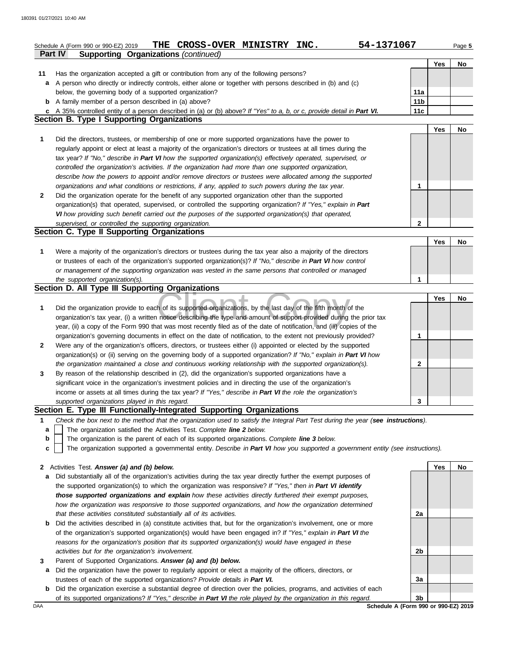|    | 54-1371067<br>THE CROSS-OVER MINISTRY<br>INC.<br>Schedule A (Form 990 or 990-EZ) 2019<br><b>Supporting Organizations (continued)</b><br>Part IV |                 |     | Page 5 |
|----|-------------------------------------------------------------------------------------------------------------------------------------------------|-----------------|-----|--------|
|    |                                                                                                                                                 |                 | Yes | No     |
| 11 | Has the organization accepted a gift or contribution from any of the following persons?                                                         |                 |     |        |
| a  | A person who directly or indirectly controls, either alone or together with persons described in (b) and (c)                                    |                 |     |        |
|    | below, the governing body of a supported organization?                                                                                          | 11a             |     |        |
|    | <b>b</b> A family member of a person described in (a) above?                                                                                    | 11 <sub>b</sub> |     |        |
|    | c A 35% controlled entity of a person described in (a) or (b) above? If "Yes" to a, b, or c, provide detail in Part VI.                         | 11c             |     |        |
|    | <b>Section B. Type I Supporting Organizations</b>                                                                                               |                 |     |        |
|    |                                                                                                                                                 |                 | Yes | No     |
| 1  | Did the directors, trustees, or membership of one or more supported organizations have the power to                                             |                 |     |        |
|    | regularly appoint or elect at least a majority of the organization's directors or trustees at all times during the                              |                 |     |        |
|    | tax year? If "No," describe in Part VI how the supported organization(s) effectively operated, supervised, or                                   |                 |     |        |
|    | controlled the organization's activities. If the organization had more than one supported organization,                                         |                 |     |        |
|    | describe how the powers to appoint and/or remove directors or trustees were allocated among the supported                                       |                 |     |        |
|    | organizations and what conditions or restrictions, if any, applied to such powers during the tax year.                                          | 1               |     |        |
| 2  | Did the organization operate for the benefit of any supported organization other than the supported                                             |                 |     |        |
|    | organization(s) that operated, supervised, or controlled the supporting organization? If "Yes," explain in Part                                 |                 |     |        |
|    | VI how providing such benefit carried out the purposes of the supported organization(s) that operated,                                          |                 |     |        |
|    | supervised, or controlled the supporting organization.                                                                                          | 2               |     |        |
|    | Section C. Type II Supporting Organizations                                                                                                     |                 |     |        |
|    |                                                                                                                                                 |                 | Yes | No     |
| 1  | Were a majority of the organization's directors or trustees during the tax year also a majority of the directors                                |                 |     |        |
|    | or trustees of each of the organization's supported organization(s)? If "No," describe in Part VI how control                                   |                 |     |        |
|    | or management of the supporting organization was vested in the same persons that controlled or managed                                          |                 |     |        |
|    | the supported organization(s).                                                                                                                  | 1               |     |        |
|    | Section D. All Type III Supporting Organizations                                                                                                |                 |     |        |
|    |                                                                                                                                                 |                 | Yes | No     |
| 1  | Did the organization provide to each of its supported organizations, by the last day of the fifth month of the                                  |                 |     |        |
|    | organization's tax year, (i) a written notice describing the type and amount of support provided during the prior tax                           |                 |     |        |
|    | year, (ii) a copy of the Form 990 that was most recently filed as of the date of notification, and (iii) copies of the                          |                 |     |        |
|    | organization's governing documents in effect on the date of notification, to the extent not previously provided?                                | 1               |     |        |
| 2  | Were any of the organization's officers, directors, or trustees either (i) appointed or elected by the supported                                |                 |     |        |
|    | organization(s) or (ii) serving on the governing body of a supported organization? If "No," explain in Part VI how                              |                 |     |        |
|    | the organization maintained a close and continuous working relationship with the supported organization(s).                                     | 2               |     |        |
| 3  | By reason of the relationship described in (2), did the organization's supported organizations have a                                           |                 |     |        |
|    | significant voice in the organization's investment policies and in directing the use of the organization's                                      |                 |     |        |
|    | income or assets at all times during the tax year? If "Yes," describe in Part VI the role the organization's                                    |                 |     |        |
|    | supported organizations played in this regard.                                                                                                  | 3               |     |        |
|    | Section E. Type III Functionally-Integrated Supporting Organizations                                                                            |                 |     |        |
| 1  | Check the box next to the method that the organization used to satisfy the Integral Part Test during the year (see instructions).               |                 |     |        |
| a  | The organization satisfied the Activities Test. Complete line 2 below.                                                                          |                 |     |        |
| b  | The organization is the parent of each of its supported organizations. Complete line 3 below.                                                   |                 |     |        |
| с  | The organization supported a governmental entity. Describe in Part VI how you supported a government entity (see instructions).                 |                 |     |        |
|    |                                                                                                                                                 |                 |     |        |
|    | 2 Activities Test. Answer (a) and (b) below.                                                                                                    |                 | Yes | No     |
| а  | Did substantially all of the organization's activities during the tax year directly further the exempt purposes of                              |                 |     |        |
|    | the supported organization(s) to which the organization was responsive? If "Yes," then in Part VI identify                                      |                 |     |        |
|    | those supported organizations and explain how these activities directly furthered their exempt purposes,                                        |                 |     |        |
|    | how the organization was responsive to those supported organizations, and how the organization determined                                       |                 |     |        |
|    | that these activities constituted substantially all of its activities.                                                                          | 2a              |     |        |
| b  | Did the activities described in (a) constitute activities that, but for the organization's involvement, one or more                             |                 |     |        |
|    | of the organization's supported organization(s) would have been engaged in? If "Yes," explain in Part VI the                                    |                 |     |        |
|    | reasons for the organization's position that its supported organization(s) would have engaged in these                                          |                 |     |        |
|    | activities but for the organization's involvement.                                                                                              | 2b              |     |        |

- **3** Parent of Supported Organizations. *Answer (a) and (b) below.*
	- **a** Did the organization have the power to regularly appoint or elect a majority of the officers, directors, or trustees of each of the supported organizations? *Provide details in Part VI.*
- **b** Did the organization exercise a substantial degree of direction over the policies, programs, and activities of each of its supported organizations? *If "Yes," describe in Part VI the role played by the organization in this regard.* **3b**

**3a**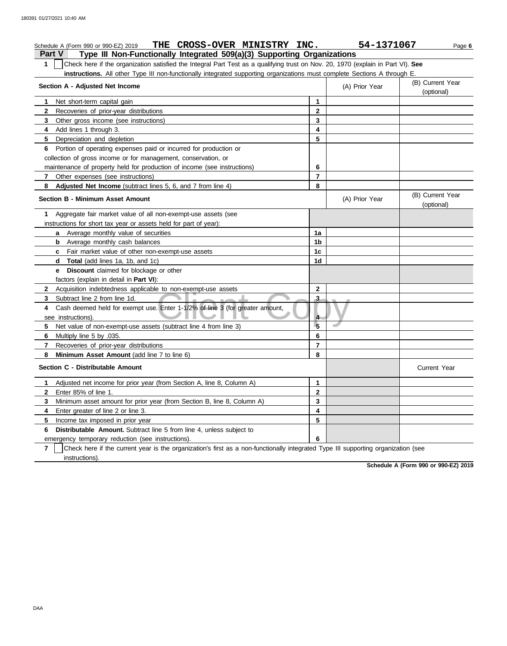| THE CROSS-OVER MINISTRY INC.<br>Schedule A (Form 990 or 990-EZ) 2019                                                                                |                | 54-1371067     | Page 6                         |
|-----------------------------------------------------------------------------------------------------------------------------------------------------|----------------|----------------|--------------------------------|
| Type III Non-Functionally Integrated 509(a)(3) Supporting Organizations<br><b>Part V</b>                                                            |                |                |                                |
| Check here if the organization satisfied the Integral Part Test as a qualifying trust on Nov. 20, 1970 (explain in Part VI). See<br>1               |                |                |                                |
| instructions. All other Type III non-functionally integrated supporting organizations must complete Sections A through E.                           |                |                |                                |
| Section A - Adjusted Net Income                                                                                                                     |                | (A) Prior Year | (B) Current Year<br>(optional) |
| Net short-term capital gain<br>1                                                                                                                    | 1.             |                |                                |
| Recoveries of prior-year distributions<br>$\mathbf{2}$                                                                                              | $\mathbf{2}$   |                |                                |
| Other gross income (see instructions)<br>3                                                                                                          | 3              |                |                                |
| Add lines 1 through 3.<br>4                                                                                                                         | 4              |                |                                |
| 5<br>Depreciation and depletion                                                                                                                     | 5              |                |                                |
| Portion of operating expenses paid or incurred for production or<br>6                                                                               |                |                |                                |
| collection of gross income or for management, conservation, or                                                                                      |                |                |                                |
| maintenance of property held for production of income (see instructions)                                                                            | 6              |                |                                |
| Other expenses (see instructions)<br>$\mathbf{7}$                                                                                                   | $\overline{7}$ |                |                                |
| Adjusted Net Income (subtract lines 5, 6, and 7 from line 4)<br>8                                                                                   | 8              |                |                                |
| <b>Section B - Minimum Asset Amount</b>                                                                                                             |                | (A) Prior Year | (B) Current Year<br>(optional) |
| Aggregate fair market value of all non-exempt-use assets (see<br>1                                                                                  |                |                |                                |
| instructions for short tax year or assets held for part of year):                                                                                   |                |                |                                |
| a Average monthly value of securities                                                                                                               | 1a             |                |                                |
| <b>b</b> Average monthly cash balances                                                                                                              | 1b             |                |                                |
| c Fair market value of other non-exempt-use assets                                                                                                  | 1c             |                |                                |
| <b>Total</b> (add lines 1a, 1b, and 1c)<br>d                                                                                                        | 1d             |                |                                |
| <b>Discount</b> claimed for blockage or other<br>e.                                                                                                 |                |                |                                |
| factors (explain in detail in <b>Part VI)</b> :                                                                                                     |                |                |                                |
| 2 Acquisition indebtedness applicable to non-exempt-use assets                                                                                      | 2              |                |                                |
| Subtract line 2 from line 1d.<br>3                                                                                                                  | $\overline{3}$ |                |                                |
| Cash deemed held for exempt use. Enter 1-1/2% of line 3 (for greater amount,<br>4<br>see instructions)                                              |                |                |                                |
| Net value of non-exempt-use assets (subtract line 4 from line 3)<br>5                                                                               | $\overline{5}$ |                |                                |
| Multiply line 5 by .035.<br>6                                                                                                                       | 6              |                |                                |
| $\mathbf{7}$<br>Recoveries of prior-year distributions                                                                                              | $\overline{7}$ |                |                                |
| 8<br>Minimum Asset Amount (add line 7 to line 6)                                                                                                    | 8              |                |                                |
| Section C - Distributable Amount                                                                                                                    |                |                | <b>Current Year</b>            |
| Adjusted net income for prior year (from Section A, line 8, Column A)<br>1.                                                                         | 1              |                |                                |
| Enter 85% of line 1.<br>$\mathbf{2}$                                                                                                                | 2              |                |                                |
| 3<br>Minimum asset amount for prior year (from Section B, line 8, Column A)                                                                         | 3              |                |                                |
| Enter greater of line 2 or line 3.<br>4                                                                                                             | 4              |                |                                |
| 5<br>Income tax imposed in prior year                                                                                                               | 5              |                |                                |
| Distributable Amount. Subtract line 5 from line 4, unless subject to<br>6                                                                           |                |                |                                |
| emergency temporary reduction (see instructions).                                                                                                   | 6              |                |                                |
| $\overline{7}$<br>Check here if the current year is the organization's first as a non-functionally integrated Type III supporting organization (see |                |                |                                |
| instructions).                                                                                                                                      |                |                |                                |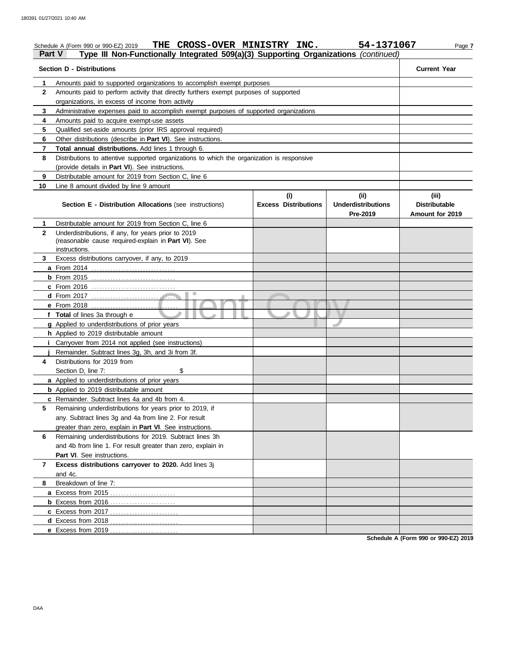| Part V       | THE CROSS-OVER MINISTRY INC.<br>Schedule A (Form 990 or 990-EZ) 2019<br>Type III Non-Functionally Integrated 509(a)(3) Supporting Organizations (continued) |                             | 54-1371067                            | Page 7                                  |
|--------------|-------------------------------------------------------------------------------------------------------------------------------------------------------------|-----------------------------|---------------------------------------|-----------------------------------------|
|              | <b>Section D - Distributions</b>                                                                                                                            |                             |                                       | <b>Current Year</b>                     |
| 1            | Amounts paid to supported organizations to accomplish exempt purposes                                                                                       |                             |                                       |                                         |
| 2            | Amounts paid to perform activity that directly furthers exempt purposes of supported<br>organizations, in excess of income from activity                    |                             |                                       |                                         |
| 3            | Administrative expenses paid to accomplish exempt purposes of supported organizations                                                                       |                             |                                       |                                         |
| 4            | Amounts paid to acquire exempt-use assets                                                                                                                   |                             |                                       |                                         |
| 5            | Qualified set-aside amounts (prior IRS approval required)                                                                                                   |                             |                                       |                                         |
| 6            | Other distributions (describe in Part VI). See instructions.                                                                                                |                             |                                       |                                         |
| 7            | Total annual distributions. Add lines 1 through 6.                                                                                                          |                             |                                       |                                         |
| 8            | Distributions to attentive supported organizations to which the organization is responsive                                                                  |                             |                                       |                                         |
|              | (provide details in Part VI). See instructions.                                                                                                             |                             |                                       |                                         |
| 9            | Distributable amount for 2019 from Section C, line 6                                                                                                        |                             |                                       |                                         |
| 10           | Line 8 amount divided by line 9 amount                                                                                                                      |                             |                                       |                                         |
|              |                                                                                                                                                             | (i)                         | (ii)                                  | (iii)                                   |
|              | Section E - Distribution Allocations (see instructions)                                                                                                     | <b>Excess Distributions</b> | <b>Underdistributions</b><br>Pre-2019 | <b>Distributable</b><br>Amount for 2019 |
| 1            | Distributable amount for 2019 from Section C, line 6                                                                                                        |                             |                                       |                                         |
| $\mathbf{2}$ | Underdistributions, if any, for years prior to 2019<br>(reasonable cause required-explain in Part VI). See<br>instructions.                                 |                             |                                       |                                         |
| 3            | Excess distributions carryover, if any, to 2019                                                                                                             |                             |                                       |                                         |
|              |                                                                                                                                                             |                             |                                       |                                         |
|              |                                                                                                                                                             |                             |                                       |                                         |
|              | <b>c</b> From 2016                                                                                                                                          |                             |                                       |                                         |
|              | ×                                                                                                                                                           |                             |                                       |                                         |
|              |                                                                                                                                                             |                             |                                       |                                         |
|              | f Total of lines 3a through e                                                                                                                               |                             |                                       |                                         |
|              | g Applied to underdistributions of prior years                                                                                                              |                             |                                       |                                         |
|              | h Applied to 2019 distributable amount                                                                                                                      |                             |                                       |                                         |
|              | i Carryover from 2014 not applied (see instructions)                                                                                                        |                             |                                       |                                         |
|              | Remainder. Subtract lines 3g, 3h, and 3i from 3f.                                                                                                           |                             |                                       |                                         |
| 4            | Distributions for 2019 from                                                                                                                                 |                             |                                       |                                         |
|              | Section D, line 7:<br>\$                                                                                                                                    |                             |                                       |                                         |
|              | a Applied to underdistributions of prior years                                                                                                              |                             |                                       |                                         |
|              | <b>b</b> Applied to 2019 distributable amount                                                                                                               |                             |                                       |                                         |
|              | c Remainder. Subtract lines 4a and 4b from 4.                                                                                                               |                             |                                       |                                         |
| 5            | Remaining underdistributions for years prior to 2019, if                                                                                                    |                             |                                       |                                         |
|              | any. Subtract lines 3g and 4a from line 2. For result                                                                                                       |                             |                                       |                                         |
|              | greater than zero, explain in Part VI. See instructions.                                                                                                    |                             |                                       |                                         |
| 6            | Remaining underdistributions for 2019. Subtract lines 3h                                                                                                    |                             |                                       |                                         |
|              | and 4b from line 1. For result greater than zero, explain in                                                                                                |                             |                                       |                                         |
|              | Part VI. See instructions.                                                                                                                                  |                             |                                       |                                         |
| 7            | Excess distributions carryover to 2020. Add lines 3j<br>and 4c.                                                                                             |                             |                                       |                                         |
| 8            | Breakdown of line 7:                                                                                                                                        |                             |                                       |                                         |
|              | a Excess from 2015.                                                                                                                                         |                             |                                       |                                         |
|              | <b>b</b> Excess from 2016                                                                                                                                   |                             |                                       |                                         |
|              | c Excess from 2017                                                                                                                                          |                             |                                       |                                         |
|              | d Excess from 2018                                                                                                                                          |                             |                                       |                                         |
|              | e Excess from 2019                                                                                                                                          |                             |                                       |                                         |
|              |                                                                                                                                                             |                             |                                       |                                         |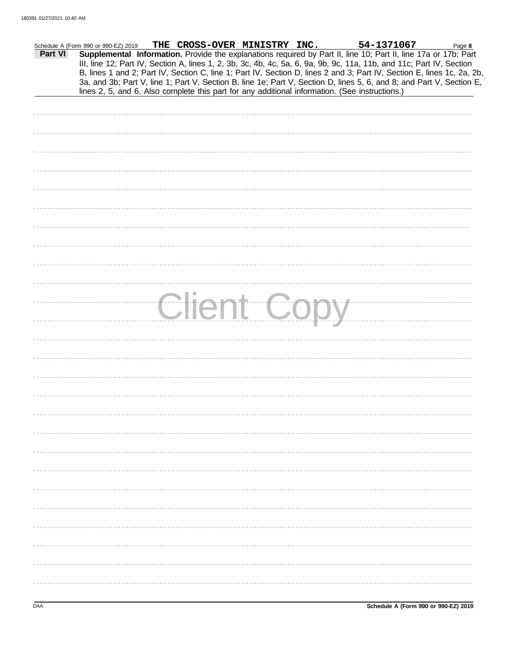|         | Schedule A (Form 990 or 990-EZ) 2019                                                           | THE CROSS-OVER MINISTRY INC. |             | 54-1371067                                                                                                                                                                                                                                                                                                                                                        | Page 8 |
|---------|------------------------------------------------------------------------------------------------|------------------------------|-------------|-------------------------------------------------------------------------------------------------------------------------------------------------------------------------------------------------------------------------------------------------------------------------------------------------------------------------------------------------------------------|--------|
| Part VI |                                                                                                |                              |             | Supplemental Information. Provide the explanations required by Part II, line 10; Part II, line 17a or 17b; Part<br>III, line 12; Part IV, Section A, lines 1, 2, 3b, 3c, 4b, 4c, 5a, 6, 9a, 9b, 9c, 11a, 11b, and 11c; Part IV, Section<br>B, lines 1 and 2; Part IV, Section C, line 1; Part IV, Section D, lines 2 and 3; Part IV, Section E, lines 1c, 2a, 2b, |        |
|         | lines 2, 5, and 6. Also complete this part for any additional information. (See instructions.) |                              |             | 3a, and 3b; Part V, line 1; Part V, Section B, line 1e; Part V, Section D, lines 5, 6, and 8; and Part V, Section E,                                                                                                                                                                                                                                              |        |
|         |                                                                                                |                              |             |                                                                                                                                                                                                                                                                                                                                                                   |        |
|         |                                                                                                |                              |             |                                                                                                                                                                                                                                                                                                                                                                   |        |
|         |                                                                                                |                              |             |                                                                                                                                                                                                                                                                                                                                                                   |        |
|         |                                                                                                |                              |             |                                                                                                                                                                                                                                                                                                                                                                   |        |
|         |                                                                                                |                              |             |                                                                                                                                                                                                                                                                                                                                                                   |        |
|         |                                                                                                |                              |             |                                                                                                                                                                                                                                                                                                                                                                   |        |
|         |                                                                                                |                              |             |                                                                                                                                                                                                                                                                                                                                                                   |        |
|         |                                                                                                |                              |             |                                                                                                                                                                                                                                                                                                                                                                   |        |
|         |                                                                                                |                              |             |                                                                                                                                                                                                                                                                                                                                                                   |        |
|         |                                                                                                |                              |             |                                                                                                                                                                                                                                                                                                                                                                   |        |
|         |                                                                                                |                              |             |                                                                                                                                                                                                                                                                                                                                                                   |        |
|         |                                                                                                |                              |             |                                                                                                                                                                                                                                                                                                                                                                   |        |
|         |                                                                                                |                              | Client Copy |                                                                                                                                                                                                                                                                                                                                                                   |        |
|         |                                                                                                |                              |             |                                                                                                                                                                                                                                                                                                                                                                   |        |
|         |                                                                                                |                              |             |                                                                                                                                                                                                                                                                                                                                                                   |        |
|         |                                                                                                |                              |             |                                                                                                                                                                                                                                                                                                                                                                   |        |
|         |                                                                                                |                              |             |                                                                                                                                                                                                                                                                                                                                                                   |        |
|         |                                                                                                |                              |             |                                                                                                                                                                                                                                                                                                                                                                   |        |
|         |                                                                                                |                              |             |                                                                                                                                                                                                                                                                                                                                                                   |        |
|         |                                                                                                |                              |             |                                                                                                                                                                                                                                                                                                                                                                   |        |
|         |                                                                                                |                              |             |                                                                                                                                                                                                                                                                                                                                                                   |        |
|         |                                                                                                |                              |             |                                                                                                                                                                                                                                                                                                                                                                   |        |
|         |                                                                                                |                              |             |                                                                                                                                                                                                                                                                                                                                                                   |        |
|         |                                                                                                |                              |             |                                                                                                                                                                                                                                                                                                                                                                   |        |
|         |                                                                                                |                              |             |                                                                                                                                                                                                                                                                                                                                                                   |        |
|         |                                                                                                |                              |             |                                                                                                                                                                                                                                                                                                                                                                   |        |
|         |                                                                                                |                              |             |                                                                                                                                                                                                                                                                                                                                                                   |        |
|         |                                                                                                |                              |             |                                                                                                                                                                                                                                                                                                                                                                   |        |
|         |                                                                                                |                              |             |                                                                                                                                                                                                                                                                                                                                                                   |        |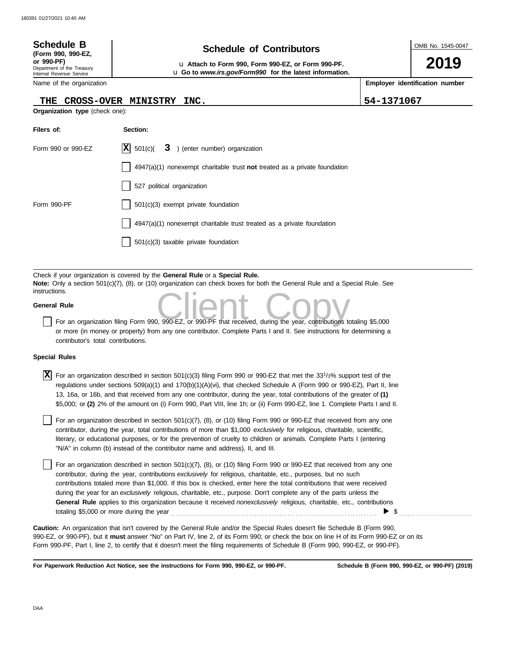| <b>Schedule B</b><br>(Form 990, 990-EZ,<br>or 990-PF)<br>Department of the Treasury<br>Internal Revenue Service<br>Name of the organization<br>THE<br>Organization type (check one): | <b>Schedule of Contributors</b><br>u Attach to Form 990, Form 990-EZ, or Form 990-PF.<br>u Go to www.irs.gov/Form990 for the latest information.<br><b>CROSS-OVER MINISTRY</b><br>INC.                                                                                                                                                                                                                                                                       | OMB No. 1545-0047<br>2019<br>Employer identification number<br>54-1371067 |
|--------------------------------------------------------------------------------------------------------------------------------------------------------------------------------------|--------------------------------------------------------------------------------------------------------------------------------------------------------------------------------------------------------------------------------------------------------------------------------------------------------------------------------------------------------------------------------------------------------------------------------------------------------------|---------------------------------------------------------------------------|
| Filers of:                                                                                                                                                                           | Section:                                                                                                                                                                                                                                                                                                                                                                                                                                                     |                                                                           |
| Form 990 or 990-EZ<br>Form 990-PF                                                                                                                                                    | $ \mathbf{X} $ 501(c)(<br>3 ) (enter number) organization<br>$4947(a)(1)$ nonexempt charitable trust not treated as a private foundation<br>527 political organization<br>501(c)(3) exempt private foundation<br>4947(a)(1) nonexempt charitable trust treated as a private foundation<br>501(c)(3) taxable private foundation                                                                                                                               |                                                                           |
| instructions.<br><b>General Rule</b><br>contributor's total contributions.                                                                                                           | Check if your organization is covered by the General Rule or a Special Rule.<br>Note: Only a section 501(c)(7), (8), or (10) organization can check boxes for both the General Rule and a Special Rule. See<br>For an organization filing Form 990, 990-EZ, or 990-PF that received, during the year, contributions totaling \$5,000<br>or more (in money or property) from any one contributor. Complete Parts I and II. See instructions for determining a |                                                                           |

#### **Special Rules**

| $\overline{X}$ For an organization described in section 501(c)(3) filing Form 990 or 990-EZ that met the 331/3% support test of the |
|-------------------------------------------------------------------------------------------------------------------------------------|
| regulations under sections 509(a)(1) and 170(b)(1)(A)(vi), that checked Schedule A (Form 990 or 990-EZ), Part II, line              |
| 13, 16a, or 16b, and that received from any one contributor, during the year, total contributions of the greater of (1)             |
| \$5,000; or (2) 2% of the amount on (i) Form 990, Part VIII, line 1h; or (ii) Form 990-EZ, line 1. Complete Parts I and II.         |

literary, or educational purposes, or for the prevention of cruelty to children or animals. Complete Parts I (entering For an organization described in section  $501(c)(7)$ ,  $(8)$ , or  $(10)$  filing Form 990 or 990-EZ that received from any one contributor, during the year, total contributions of more than \$1,000 *exclusively* for religious, charitable, scientific, "N/A" in column (b) instead of the contributor name and address), II, and III.

For an organization described in section 501(c)(7), (8), or (10) filing Form 990 or 990-EZ that received from any one contributor, during the year, contributions *exclusively* for religious, charitable, etc., purposes, but no such contributions totaled more than \$1,000. If this box is checked, enter here the total contributions that were received during the year for an *exclusively* religious, charitable, etc., purpose. Don't complete any of the parts unless the **General Rule** applies to this organization because it received *nonexclusively* religious, charitable, etc., contributions totaling \$5,000 or more during the year . . . . . . . . . . . . . . . . . . . . . . . . . . . . . . . . . . . . . . . . . . . . . . . . . . . . . . . . . . . . . . . . . . . . . . . . . . . . \$ . . . . . . . . . . . . . . . . . . . . . . . . . . .

990-EZ, or 990-PF), but it **must** answer "No" on Part IV, line 2, of its Form 990; or check the box on line H of its Form 990-EZ or on its Form 990-PF, Part I, line 2, to certify that it doesn't meet the filing requirements of Schedule B (Form 990, 990-EZ, or 990-PF). **Caution:** An organization that isn't covered by the General Rule and/or the Special Rules doesn't file Schedule B (Form 990,

**For Paperwork Reduction Act Notice, see the instructions for Form 990, 990-EZ, or 990-PF.**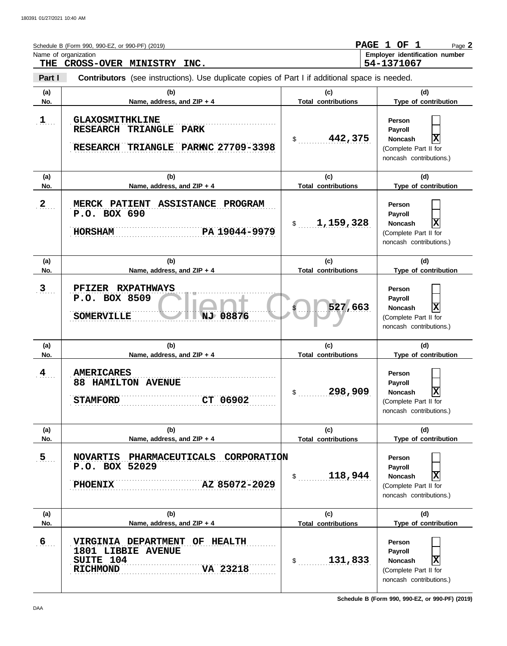|                       | Schedule B (Form 990, 990-EZ, or 990-PF) (2019)                                                                                             |                                                        | PAGE 1 OF 1<br>Page 2                                                                                                                      |
|-----------------------|---------------------------------------------------------------------------------------------------------------------------------------------|--------------------------------------------------------|--------------------------------------------------------------------------------------------------------------------------------------------|
|                       | Name of organization<br>THE CROSS-OVER MINISTRY INC.                                                                                        |                                                        | Employer identification number<br>54-1371067                                                                                               |
| Part I                | <b>Contributors</b> (see instructions). Use duplicate copies of Part I if additional space is needed.                                       |                                                        |                                                                                                                                            |
| (a)<br>No.            | (b)<br>Name, address, and ZIP + 4                                                                                                           | (c)<br><b>Total contributions</b>                      | (d)<br>Type of contribution                                                                                                                |
| $1$                   | GLAXOSMITHKLINE<br>RESEARCH TRIANGLE PARK<br>RESEARCH TRIANGLE PARKNC 27709-3398                                                            | 442,375<br>$\$\$                                       | Person<br>Payroll<br>X<br><b>Noncash</b><br>(Complete Part II for<br>noncash contributions.)                                               |
| (a)<br>No.            | (b)<br>Name, address, and ZIP + 4                                                                                                           | (c)<br><b>Total contributions</b>                      | (d)<br>Type of contribution                                                                                                                |
| $\mathbf{2}$          | MERCK PATIENT ASSISTANCE PROGRAM<br>P.O. BOX 690<br>PA 19044-9979<br><b>HORSHAM</b>                                                         | 1,159,328<br>$\frac{1}{2}$                             | Person<br>Payroll<br>X<br><b>Noncash</b><br>(Complete Part II for<br>noncash contributions.)                                               |
| (a)<br>No.            | (b)<br>Name, address, and ZIP + 4                                                                                                           | (c)<br><b>Total contributions</b>                      | (d)<br>Type of contribution                                                                                                                |
| $\overline{3}$        | PFIZER RXPATHWAYS<br>P.O. BOX 8509<br><b>SOMERVILLE</b><br>NJ 08876                                                                         | 527,663                                                | Person<br>Payroll<br>X<br><b>Noncash</b><br>(Complete Part II for<br>noncash contributions.)                                               |
| (a)<br>No.            | (b)<br>Name, address, and ZIP + 4                                                                                                           | (c)<br><b>Total contributions</b>                      | (d)<br>Type of contribution                                                                                                                |
| 4                     | <b>AMERICARES</b><br><b>88 HAMILTON AVENUE</b><br>CT 06902<br><b>STAMFORD</b>                                                               | \$<br>298,909                                          | Person<br>Payroll<br>Noncash<br>$\mathbf{x}$<br>(Complete Part II for<br>noncash contributions.)                                           |
| (a)                   | (b)                                                                                                                                         | (c)                                                    | (d)                                                                                                                                        |
| No.<br>$\overline{5}$ | Name, address, and ZIP + 4<br><b>NOVARTIS</b><br>CORPORATION<br><b>PHARMACEUTICALS</b><br>P.O. BOX 52029<br>AZ 85072-2029<br><b>PHOENIX</b> | <b>Total contributions</b><br>118,944<br>$\mathsf{\$}$ | Type of contribution<br>Person<br>Payroll<br>$\overline{\mathbf{x}}$<br><b>Noncash</b><br>(Complete Part II for<br>noncash contributions.) |
| (a)<br>No.            | (b)<br>Name, address, and ZIP + 4                                                                                                           | (c)<br><b>Total contributions</b>                      | (d)<br>Type of contribution                                                                                                                |
| 6 <sub>1</sub>        | VIRGINIA DEPARTMENT OF HEALTH<br>1801 LIBBIE AVENUE<br>SUITE 104<br>VA 23218<br><b>RICHMOND</b>                                             | 131,833<br>\$                                          | Person<br>Payroll<br>X<br><b>Noncash</b><br>(Complete Part II for<br>noncash contributions.)                                               |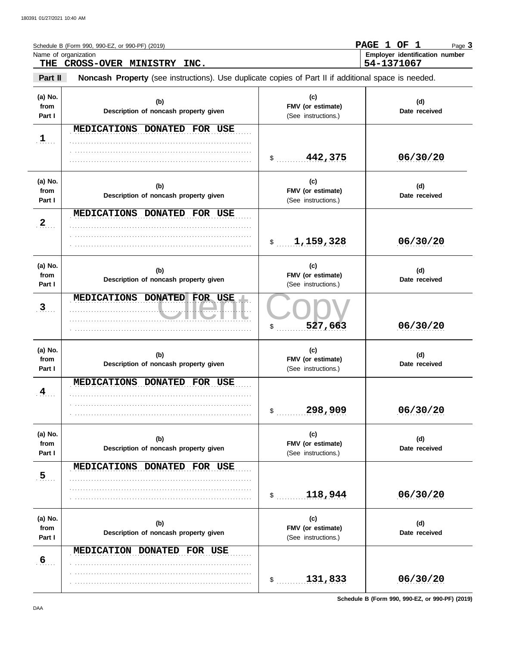|                           | Schedule B (Form 990, 990-EZ, or 990-PF) (2019)                                                     |                                                 | PAGE 1 OF 1<br>Page $3$                      |
|---------------------------|-----------------------------------------------------------------------------------------------------|-------------------------------------------------|----------------------------------------------|
| Name of organization      | THE CROSS-OVER MINISTRY INC.                                                                        |                                                 | Employer identification number<br>54-1371067 |
| Part II                   | Noncash Property (see instructions). Use duplicate copies of Part II if additional space is needed. |                                                 |                                              |
| (a) No.<br>from<br>Part I | (b)<br>Description of noncash property given                                                        | (c)<br>FMV (or estimate)<br>(See instructions.) | (d)<br>Date received                         |
| $1$                       | MEDICATIONS DONATED FOR USE                                                                         | \$ 442,375                                      | 06/30/20                                     |
| (a) No.<br>from<br>Part I | (b)<br>Description of noncash property given                                                        | (c)<br>FMV (or estimate)<br>(See instructions.) | (d)<br>Date received                         |
| 2                         | MEDICATIONS DONATED FOR USE                                                                         | 1,159,328<br>$\frac{1}{2}$                      | 06/30/20                                     |
| (a) No.<br>from<br>Part I | (b)<br>Description of noncash property given                                                        | (c)<br>FMV (or estimate)<br>(See instructions.) | (d)<br>Date received                         |
| 3                         | MEDICATIONS DONATED FOR USE                                                                         | 527,663<br>\$                                   | 06/30/20                                     |
| (a) No.<br>from<br>Part I | (b)<br>Description of noncash property given                                                        | (c)<br>FMV (or estimate)<br>(See instructions.) | (d)<br>Date received                         |
| Э.,                       | MEDICATIONS DONATED FOR USE                                                                         | 298,909<br>\$                                   | 06/30/20                                     |
| (a) No.<br>from<br>Part I | (b)<br>Description of noncash property given                                                        | (c)<br>FMV (or estimate)<br>(See instructions.) | (d)<br>Date received                         |
| 5 <sub>1</sub>            | MEDICATIONS DONATED FOR USE                                                                         | 118,944<br>\$                                   | 06/30/20                                     |
| (a) No.<br>from<br>Part I | (b)<br>Description of noncash property given                                                        | (c)<br>FMV (or estimate)<br>(See instructions.) | (d)<br>Date received                         |
| $\overline{6}$            | MEDICATION DONATED FOR USE                                                                          |                                                 |                                              |
|                           |                                                                                                     | 131,833<br>\$                                   | 06/30/20                                     |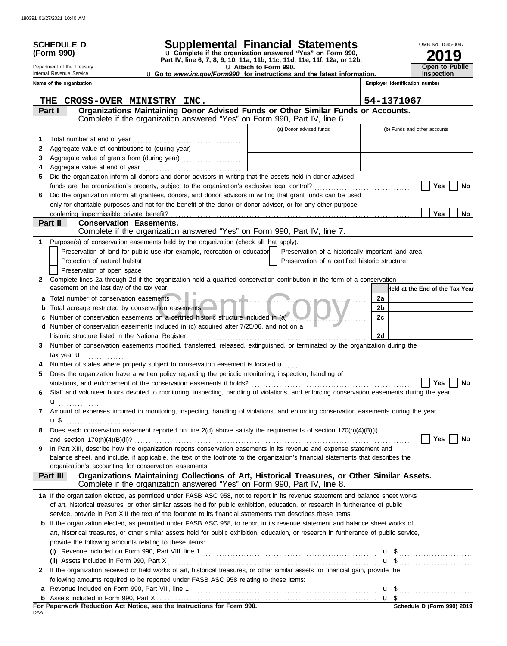|        | <b>SCHEDULE D</b><br>(Form 990)<br>Department of the Treasury |                                                                                                                                                                                                                                                          | Supplemental Financial Statements<br>u Complete if the organization answered "Yes" on Form 990,<br>Part IV, line 6, 7, 8, 9, 10, 11a, 11b, 11c, 11d, 11e, 11f, 12a, or 12b. | OMB No. 1545-0047<br><b>Open to Public</b> |
|--------|---------------------------------------------------------------|----------------------------------------------------------------------------------------------------------------------------------------------------------------------------------------------------------------------------------------------------------|-----------------------------------------------------------------------------------------------------------------------------------------------------------------------------|--------------------------------------------|
|        | Internal Revenue Service                                      |                                                                                                                                                                                                                                                          | u Attach to Form 990.<br><b>u</b> Go to <i>www.irs.gov/Form990</i> for instructions and the latest information.                                                             | <b>Inspection</b>                          |
|        | Name of the organization                                      |                                                                                                                                                                                                                                                          |                                                                                                                                                                             | Employer identification number             |
|        |                                                               |                                                                                                                                                                                                                                                          |                                                                                                                                                                             |                                            |
|        | THE                                                           | CROSS-OVER MINISTRY INC.                                                                                                                                                                                                                                 |                                                                                                                                                                             | 54-1371067                                 |
|        | Part I                                                        | Organizations Maintaining Donor Advised Funds or Other Similar Funds or Accounts.<br>Complete if the organization answered "Yes" on Form 990, Part IV, line 6.                                                                                           |                                                                                                                                                                             |                                            |
|        |                                                               |                                                                                                                                                                                                                                                          | (a) Donor advised funds                                                                                                                                                     | (b) Funds and other accounts               |
|        |                                                               |                                                                                                                                                                                                                                                          |                                                                                                                                                                             |                                            |
| 1<br>2 |                                                               |                                                                                                                                                                                                                                                          |                                                                                                                                                                             |                                            |
| 3      |                                                               |                                                                                                                                                                                                                                                          | the control of the control of the control of the control of the control of                                                                                                  |                                            |
| 4      |                                                               |                                                                                                                                                                                                                                                          |                                                                                                                                                                             |                                            |
| 5      |                                                               | Did the organization inform all donors and donor advisors in writing that the assets held in donor advised                                                                                                                                               |                                                                                                                                                                             |                                            |
|        |                                                               |                                                                                                                                                                                                                                                          |                                                                                                                                                                             | Yes<br>No                                  |
| 6      |                                                               | Did the organization inform all grantees, donors, and donor advisors in writing that grant funds can be used                                                                                                                                             |                                                                                                                                                                             |                                            |
|        |                                                               | only for charitable purposes and not for the benefit of the donor or donor advisor, or for any other purpose                                                                                                                                             |                                                                                                                                                                             |                                            |
|        | conferring impermissible private benefit?                     |                                                                                                                                                                                                                                                          |                                                                                                                                                                             | <b>Yes</b><br>No                           |
|        | Part II                                                       | <b>Conservation Easements.</b>                                                                                                                                                                                                                           |                                                                                                                                                                             |                                            |
|        |                                                               | Complete if the organization answered "Yes" on Form 990, Part IV, line 7.                                                                                                                                                                                |                                                                                                                                                                             |                                            |
|        |                                                               | Purpose(s) of conservation easements held by the organization (check all that apply).                                                                                                                                                                    |                                                                                                                                                                             |                                            |
|        |                                                               | Preservation of land for public use (for example, recreation or education                                                                                                                                                                                | Preservation of a historically important land area                                                                                                                          |                                            |
|        | Protection of natural habitat                                 |                                                                                                                                                                                                                                                          | Preservation of a certified historic structure                                                                                                                              |                                            |
|        | Preservation of open space                                    |                                                                                                                                                                                                                                                          |                                                                                                                                                                             |                                            |
| 2      | easement on the last day of the tax year.                     | Complete lines 2a through 2d if the organization held a qualified conservation contribution in the form of a conservation                                                                                                                                |                                                                                                                                                                             |                                            |
|        |                                                               |                                                                                                                                                                                                                                                          |                                                                                                                                                                             | Held at the End of the Tax Year            |
| a      |                                                               | Total acreage restricted by conservation easements <b>Allen Manual</b> Reserved as                                                                                                                                                                       |                                                                                                                                                                             | 2a<br>2b                                   |
|        |                                                               | Number of conservation easements on a certified historic structure included in (a)                                                                                                                                                                       |                                                                                                                                                                             | 2c                                         |
|        |                                                               | d Number of conservation easements included in (c) acquired after 7/25/06, and not on a                                                                                                                                                                  |                                                                                                                                                                             |                                            |
|        |                                                               | historic structure listed in the National Register                                                                                                                                                                                                       |                                                                                                                                                                             | 2d                                         |
| 3      |                                                               | Number of conservation easements modified, transferred, released, extinguished, or terminated by the organization during the                                                                                                                             |                                                                                                                                                                             |                                            |
|        | tax year <b>u</b>                                             |                                                                                                                                                                                                                                                          |                                                                                                                                                                             |                                            |
|        |                                                               | Number of states where property subject to conservation easement is located u                                                                                                                                                                            |                                                                                                                                                                             |                                            |
| 5      |                                                               | Does the organization have a written policy regarding the periodic monitoring, inspection, handling of                                                                                                                                                   |                                                                                                                                                                             |                                            |
|        |                                                               |                                                                                                                                                                                                                                                          |                                                                                                                                                                             |                                            |
|        |                                                               | Staff and volunteer hours devoted to monitoring, inspecting, handling of violations, and enforcing conservation easements during the year                                                                                                                |                                                                                                                                                                             |                                            |
|        | u <sub></sub> .                                               |                                                                                                                                                                                                                                                          |                                                                                                                                                                             |                                            |
| 7      |                                                               | Amount of expenses incurred in monitoring, inspecting, handling of violations, and enforcing conservation easements during the year                                                                                                                      |                                                                                                                                                                             |                                            |
|        |                                                               |                                                                                                                                                                                                                                                          |                                                                                                                                                                             |                                            |
| 8      |                                                               | Does each conservation easement reported on line 2(d) above satisfy the requirements of section 170(h)(4)(B)(i)                                                                                                                                          |                                                                                                                                                                             |                                            |
|        |                                                               |                                                                                                                                                                                                                                                          |                                                                                                                                                                             | Yes<br>No                                  |
| 9      |                                                               | In Part XIII, describe how the organization reports conservation easements in its revenue and expense statement and<br>balance sheet, and include, if applicable, the text of the footnote to the organization's financial statements that describes the |                                                                                                                                                                             |                                            |
|        |                                                               | organization's accounting for conservation easements.                                                                                                                                                                                                    |                                                                                                                                                                             |                                            |
|        | Part III                                                      | Organizations Maintaining Collections of Art, Historical Treasures, or Other Similar Assets.                                                                                                                                                             |                                                                                                                                                                             |                                            |
|        |                                                               | Complete if the organization answered "Yes" on Form 990, Part IV, line 8.                                                                                                                                                                                |                                                                                                                                                                             |                                            |
|        |                                                               | 1a If the organization elected, as permitted under FASB ASC 958, not to report in its revenue statement and balance sheet works                                                                                                                          |                                                                                                                                                                             |                                            |
|        |                                                               | of art, historical treasures, or other similar assets held for public exhibition, education, or research in furtherance of public                                                                                                                        |                                                                                                                                                                             |                                            |
|        |                                                               | service, provide in Part XIII the text of the footnote to its financial statements that describes these items.                                                                                                                                           |                                                                                                                                                                             |                                            |
| b      |                                                               | If the organization elected, as permitted under FASB ASC 958, to report in its revenue statement and balance sheet works of                                                                                                                              |                                                                                                                                                                             |                                            |
|        |                                                               | art, historical treasures, or other similar assets held for public exhibition, education, or research in furtherance of public service,                                                                                                                  |                                                                                                                                                                             |                                            |
|        |                                                               | provide the following amounts relating to these items:                                                                                                                                                                                                   |                                                                                                                                                                             |                                            |
|        |                                                               |                                                                                                                                                                                                                                                          |                                                                                                                                                                             |                                            |
|        | (ii) Assets included in Form 990, Part X                      |                                                                                                                                                                                                                                                          |                                                                                                                                                                             |                                            |
| 2      |                                                               | If the organization received or held works of art, historical treasures, or other similar assets for financial gain, provide the                                                                                                                         |                                                                                                                                                                             |                                            |
|        |                                                               | following amounts required to be reported under FASB ASC 958 relating to these items:                                                                                                                                                                    |                                                                                                                                                                             |                                            |
| a      |                                                               | Revenue included on Form 990, Part VIII, line 1                                                                                                                                                                                                          |                                                                                                                                                                             |                                            |
|        |                                                               |                                                                                                                                                                                                                                                          |                                                                                                                                                                             |                                            |

**For Paperwork Reduction Act Notice, see the Instructions for Form 990.**<br><sub>DAA</sub>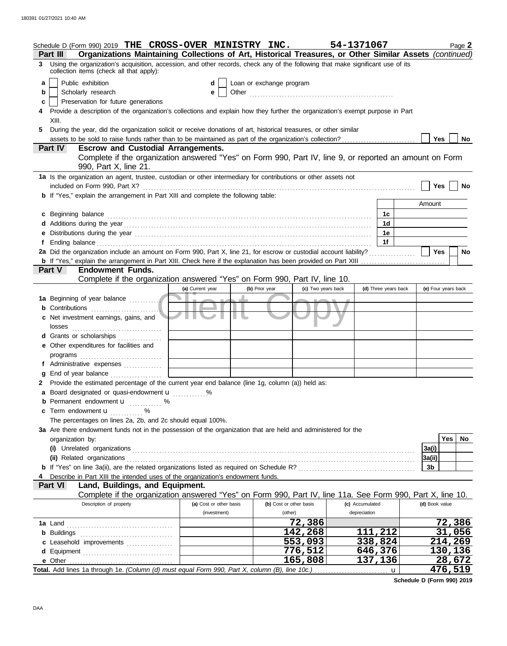|    | Schedule D (Form 990) 2019 THE CROSS-OVER MINISTRY INC.                                                                                                                                                                        |                         |                          |                         |                    | 54-1371067           | Page 2              |
|----|--------------------------------------------------------------------------------------------------------------------------------------------------------------------------------------------------------------------------------|-------------------------|--------------------------|-------------------------|--------------------|----------------------|---------------------|
|    | Organizations Maintaining Collections of Art, Historical Treasures, or Other Similar Assets (continued)<br>Part III                                                                                                            |                         |                          |                         |                    |                      |                     |
|    | 3 Using the organization's acquisition, accession, and other records, check any of the following that make significant use of its<br>collection items (check all that apply):                                                  |                         |                          |                         |                    |                      |                     |
| a  | Public exhibition                                                                                                                                                                                                              | d                       | Loan or exchange program |                         |                    |                      |                     |
| b  | Scholarly research                                                                                                                                                                                                             | e                       |                          |                         |                    |                      |                     |
| C  | Preservation for future generations                                                                                                                                                                                            |                         |                          |                         |                    |                      |                     |
|    | Provide a description of the organization's collections and explain how they further the organization's exempt purpose in Part                                                                                                 |                         |                          |                         |                    |                      |                     |
|    | XIII.                                                                                                                                                                                                                          |                         |                          |                         |                    |                      |                     |
| 5. | During the year, did the organization solicit or receive donations of art, historical treasures, or other similar                                                                                                              |                         |                          |                         |                    |                      |                     |
|    | assets to be sold to raise funds rather than to be maintained as part of the organization's collection?                                                                                                                        |                         |                          |                         |                    |                      | Yes<br>No           |
|    | Part IV<br><b>Escrow and Custodial Arrangements.</b>                                                                                                                                                                           |                         |                          |                         |                    |                      |                     |
|    | Complete if the organization answered "Yes" on Form 990, Part IV, line 9, or reported an amount on Form                                                                                                                        |                         |                          |                         |                    |                      |                     |
|    | 990, Part X, line 21.                                                                                                                                                                                                          |                         |                          |                         |                    |                      |                     |
|    | 1a Is the organization an agent, trustee, custodian or other intermediary for contributions or other assets not                                                                                                                |                         |                          |                         |                    |                      |                     |
|    |                                                                                                                                                                                                                                |                         |                          |                         |                    |                      | Yes<br>No           |
|    | b If "Yes," explain the arrangement in Part XIII and complete the following table:                                                                                                                                             |                         |                          |                         |                    |                      |                     |
|    |                                                                                                                                                                                                                                |                         |                          |                         |                    |                      | Amount              |
|    | c Beginning balance expressions and contact the contract of the contract of the contract of the contract of the contract of the contract of the contract of the contract of the contract of the contract of the contract of th |                         |                          |                         |                    | 1с                   |                     |
|    |                                                                                                                                                                                                                                |                         |                          |                         |                    | 1d                   |                     |
|    | e Distributions during the year manufactured contains and the year manufactured with the set of the set of the set of the set of the set of the set of the set of the set of the set of the set of the set of the set of the s |                         |                          |                         |                    | 1е                   |                     |
| f  |                                                                                                                                                                                                                                |                         |                          |                         |                    | 1f                   |                     |
|    | 2a Did the organization include an amount on Form 990, Part X, line 21, for escrow or custodial account liability?                                                                                                             |                         |                          |                         |                    |                      | Yes<br><b>No</b>    |
|    |                                                                                                                                                                                                                                |                         |                          |                         |                    |                      |                     |
|    | <b>Endowment Funds.</b><br><b>Part V</b><br>Complete if the organization answered "Yes" on Form 990, Part IV, line 10.                                                                                                         |                         |                          |                         |                    |                      |                     |
|    |                                                                                                                                                                                                                                |                         |                          |                         |                    | (d) Three years back | (e) Four years back |
|    |                                                                                                                                                                                                                                | (a) Current year        | (b) Prior year           |                         | (c) Two years back |                      |                     |
|    | 1a Beginning of year balance                                                                                                                                                                                                   |                         |                          |                         |                    |                      |                     |
|    | <b>b</b> Contributions <b>contributions</b>                                                                                                                                                                                    |                         |                          |                         |                    |                      |                     |
|    | c Net investment earnings, gains, and                                                                                                                                                                                          |                         |                          |                         |                    |                      |                     |
|    |                                                                                                                                                                                                                                |                         |                          |                         |                    |                      |                     |
|    | d Grants or scholarships                                                                                                                                                                                                       |                         |                          |                         |                    |                      |                     |
|    | e Other expenditures for facilities and                                                                                                                                                                                        |                         |                          |                         |                    |                      |                     |
|    |                                                                                                                                                                                                                                |                         |                          |                         |                    |                      |                     |
|    | f Administrative expenses                                                                                                                                                                                                      |                         |                          |                         |                    |                      |                     |
|    | <b>g</b> End of year balance $\ldots$                                                                                                                                                                                          |                         |                          |                         |                    |                      |                     |
|    | 2 Provide the estimated percentage of the current year end balance (line 1g, column (a)) held as:                                                                                                                              |                         |                          |                         |                    |                      |                     |
|    | a Board designated or quasi-endowment <b>u</b>                                                                                                                                                                                 |                         |                          |                         |                    |                      |                     |
|    | <b>b</b> Permanent endowment <b>u</b> %                                                                                                                                                                                        |                         |                          |                         |                    |                      |                     |
|    | c Term endowment <b>u</b> %                                                                                                                                                                                                    |                         |                          |                         |                    |                      |                     |
|    | The percentages on lines 2a, 2b, and 2c should equal 100%.<br>3a Are there endowment funds not in the possession of the organization that are held and administered for the                                                    |                         |                          |                         |                    |                      |                     |
|    |                                                                                                                                                                                                                                |                         |                          |                         |                    |                      | <b>Yes</b><br>No    |
|    | organization by:                                                                                                                                                                                                               |                         |                          |                         |                    |                      | 3a(i)               |
|    |                                                                                                                                                                                                                                |                         |                          |                         |                    |                      | 3a(ii)              |
|    | <b>b</b> If "Yes" on line 3a(ii), are the related organizations listed as required on Schedule R? [[[[[[[[[[[[[[[[[[[[[[[[]]]]]]]]]]]                                                                                          |                         |                          |                         |                    |                      | 3b                  |
|    | Describe in Part XIII the intended uses of the organization's endowment funds.                                                                                                                                                 |                         |                          |                         |                    |                      |                     |
|    | Part VI<br>Land, Buildings, and Equipment.                                                                                                                                                                                     |                         |                          |                         |                    |                      |                     |
|    | Complete if the organization answered "Yes" on Form 990, Part IV, line 11a. See Form 990, Part X, line 10.                                                                                                                     |                         |                          |                         |                    |                      |                     |
|    | Description of property                                                                                                                                                                                                        | (a) Cost or other basis |                          | (b) Cost or other basis |                    | (c) Accumulated      | (d) Book value      |
|    |                                                                                                                                                                                                                                | (investment)            |                          | (other)                 |                    | depreciation         |                     |
|    |                                                                                                                                                                                                                                |                         |                          |                         | 72,386             |                      | 72,386              |
|    |                                                                                                                                                                                                                                |                         |                          |                         | 142,268            | 111,212              | 31,056              |
|    | c Leasehold improvements                                                                                                                                                                                                       |                         |                          |                         | 553,093            | 338,824              | 214,269             |
|    | d Equipment                                                                                                                                                                                                                    |                         |                          |                         | 776,512            | 646,376              | 130,136             |
|    | e Other                                                                                                                                                                                                                        |                         |                          |                         | 165,808            | 137,136              | 28,672              |
|    | Total. Add lines 1a through 1e. (Column (d) must equal Form 990, Part X, column (B), line 10c.)                                                                                                                                |                         |                          |                         |                    | u                    | 476,519             |

**Schedule D (Form 990) 2019**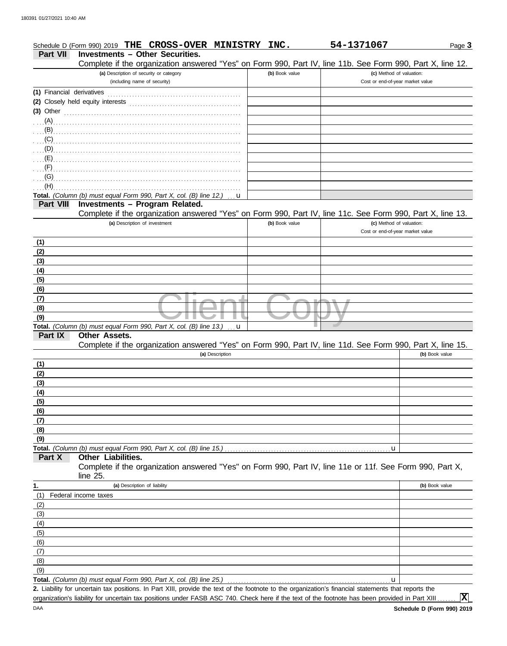|                           | CROSS-OVER MINISTRY<br>Schedule D (Form 990) 2019 $THE$                                                                                                                                                                           | INC.           | 54-1371067                       | Page 3         |
|---------------------------|-----------------------------------------------------------------------------------------------------------------------------------------------------------------------------------------------------------------------------------|----------------|----------------------------------|----------------|
| <b>Part VII</b>           | <b>Investments - Other Securities.</b><br>Complete if the organization answered "Yes" on Form 990, Part IV, line 11b. See Form 990, Part X, line 12.                                                                              |                |                                  |                |
|                           | (a) Description of security or category                                                                                                                                                                                           | (b) Book value | (c) Method of valuation:         |                |
|                           | (including name of security)                                                                                                                                                                                                      |                | Cost or end-of-year market value |                |
| (1) Financial derivatives |                                                                                                                                                                                                                                   |                |                                  |                |
|                           |                                                                                                                                                                                                                                   |                |                                  |                |
| $(3)$ Other               |                                                                                                                                                                                                                                   |                |                                  |                |
|                           |                                                                                                                                                                                                                                   |                |                                  |                |
|                           | $\mathbf{B}$ . The contract of the contract of the contract of the contract of the contract of the contract of the contract of the contract of the contract of the contract of the contract of the contract of the contract of th |                |                                  |                |
| (C)                       |                                                                                                                                                                                                                                   |                |                                  |                |
| (D)                       |                                                                                                                                                                                                                                   |                |                                  |                |
| (E)                       |                                                                                                                                                                                                                                   |                |                                  |                |
| (F)<br>(G)                |                                                                                                                                                                                                                                   |                |                                  |                |
| (H)                       |                                                                                                                                                                                                                                   |                |                                  |                |
|                           | Total. (Column (b) must equal Form 990, Part X, col. (B) line 12.)<br><b>u</b>                                                                                                                                                    |                |                                  |                |
| <b>Part VIII</b>          | Investments - Program Related.                                                                                                                                                                                                    |                |                                  |                |
|                           | Complete if the organization answered "Yes" on Form 990, Part IV, line 11c. See Form 990, Part X, line 13.                                                                                                                        |                |                                  |                |
|                           | (a) Description of investment                                                                                                                                                                                                     | (b) Book value | (c) Method of valuation:         |                |
|                           |                                                                                                                                                                                                                                   |                | Cost or end-of-year market value |                |
| (1)                       |                                                                                                                                                                                                                                   |                |                                  |                |
| (2)                       |                                                                                                                                                                                                                                   |                |                                  |                |
| (3)                       |                                                                                                                                                                                                                                   |                |                                  |                |
| (4)                       |                                                                                                                                                                                                                                   |                |                                  |                |
| (5)                       |                                                                                                                                                                                                                                   |                |                                  |                |
| (6)                       |                                                                                                                                                                                                                                   |                |                                  |                |
| (7)                       |                                                                                                                                                                                                                                   |                |                                  |                |
| (8)<br>(9)                |                                                                                                                                                                                                                                   |                |                                  |                |
|                           | Total. (Column (b) must equal Form 990, Part X, col. (B) line 13.)<br>u                                                                                                                                                           |                |                                  |                |
| Part IX                   | <b>Other Assets.</b>                                                                                                                                                                                                              |                |                                  |                |
|                           | Complete if the organization answered "Yes" on Form 990, Part IV, line 11d. See Form 990, Part X, line 15.                                                                                                                        |                |                                  |                |
|                           | (a) Description                                                                                                                                                                                                                   |                |                                  | (b) Book value |
| (1)                       |                                                                                                                                                                                                                                   |                |                                  |                |
| (2)                       |                                                                                                                                                                                                                                   |                |                                  |                |
| (3)                       |                                                                                                                                                                                                                                   |                |                                  |                |
| (4)                       |                                                                                                                                                                                                                                   |                |                                  |                |
| (5)                       |                                                                                                                                                                                                                                   |                |                                  |                |
| (6)                       |                                                                                                                                                                                                                                   |                |                                  |                |
| (7)                       |                                                                                                                                                                                                                                   |                |                                  |                |
| (8)                       |                                                                                                                                                                                                                                   |                |                                  |                |
| (9)                       |                                                                                                                                                                                                                                   |                |                                  |                |
| Part X                    | Other Liabilities.                                                                                                                                                                                                                |                | u                                |                |
|                           | Complete if the organization answered "Yes" on Form 990, Part IV, line 11e or 11f. See Form 990, Part X,                                                                                                                          |                |                                  |                |
|                           | line 25.                                                                                                                                                                                                                          |                |                                  |                |
| 1.                        | (a) Description of liability                                                                                                                                                                                                      |                |                                  | (b) Book value |
| (1)                       | Federal income taxes                                                                                                                                                                                                              |                |                                  |                |
| (2)                       |                                                                                                                                                                                                                                   |                |                                  |                |
| (3)                       |                                                                                                                                                                                                                                   |                |                                  |                |
| (4)                       |                                                                                                                                                                                                                                   |                |                                  |                |
| (5)                       |                                                                                                                                                                                                                                   |                |                                  |                |
| (6)                       |                                                                                                                                                                                                                                   |                |                                  |                |
| (7)                       |                                                                                                                                                                                                                                   |                |                                  |                |
| (8)                       |                                                                                                                                                                                                                                   |                |                                  |                |

Total. *(Column (b) must equal Form 990, Part X, col. (B) line 25.)* 

Liability for uncertain tax positions. In Part XIII, provide the text of the footnote to the organization's financial statements that reports the **2.**

**X**

u

(9)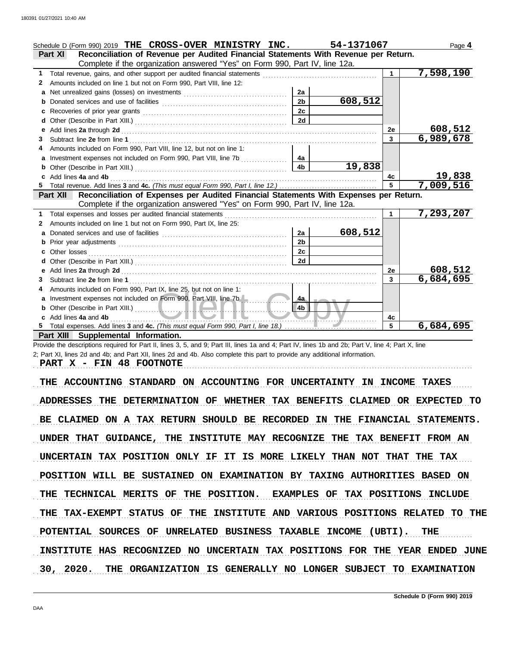| Schedule D (Form 990) 2019 THE CROSS-OVER MINISTRY INC.                                                                                                                                                                             |                | 54-1371067 |                       | Page 4              |
|-------------------------------------------------------------------------------------------------------------------------------------------------------------------------------------------------------------------------------------|----------------|------------|-----------------------|---------------------|
| Reconciliation of Revenue per Audited Financial Statements With Revenue per Return.<br><b>Part XI</b>                                                                                                                               |                |            |                       |                     |
| Complete if the organization answered "Yes" on Form 990, Part IV, line 12a.                                                                                                                                                         |                |            |                       |                     |
| Total revenue, gains, and other support per audited financial statements [11] [11] Total revenue controlled to the support per audited financial statements [11] [12] [12] Total revenue of the statements [12] [12] Total rev<br>1 |                |            | $\mathbf{1}$          | 7,598,190           |
| Amounts included on line 1 but not on Form 990, Part VIII, line 12:<br>$\mathbf{2}$                                                                                                                                                 |                |            |                       |                     |
|                                                                                                                                                                                                                                     | 2a             |            |                       |                     |
|                                                                                                                                                                                                                                     | 2 <sub>b</sub> | 608,512    |                       |                     |
|                                                                                                                                                                                                                                     | 2c             |            |                       |                     |
|                                                                                                                                                                                                                                     | 2d             |            |                       |                     |
|                                                                                                                                                                                                                                     |                |            | 2е                    | 608,512             |
| 3                                                                                                                                                                                                                                   |                |            | $\mathbf{3}$          | 6,989,678           |
| Amounts included on Form 990, Part VIII, line 12, but not on line 1:<br>4                                                                                                                                                           |                |            |                       |                     |
|                                                                                                                                                                                                                                     | 4a             |            |                       |                     |
|                                                                                                                                                                                                                                     | 4 <sub>b</sub> | 19,838     |                       |                     |
| c Add lines 4a and 4b (a) and the contract of the contract of the contract of the contract of the contract of the contract of the contract of the contract of the contract of the contract of the contract of the contract of       |                |            | 4c<br>$5\overline{5}$ | 19,838<br>7,009,516 |
| Reconciliation of Expenses per Audited Financial Statements With Expenses per Return.                                                                                                                                               |                |            |                       |                     |
| <b>Part XII</b><br>Complete if the organization answered "Yes" on Form 990, Part IV, line 12a.                                                                                                                                      |                |            |                       |                     |
| Total expenses and losses per audited financial statements                                                                                                                                                                          |                |            | $\mathbf{1}$          | 7, 293, 207         |
| 1<br>Amounts included on line 1 but not on Form 990, Part IX, line 25:<br>2                                                                                                                                                         |                |            |                       |                     |
|                                                                                                                                                                                                                                     | 2a             | 608,512    |                       |                     |
|                                                                                                                                                                                                                                     | 2 <sub>b</sub> |            |                       |                     |
|                                                                                                                                                                                                                                     | 2c             |            |                       |                     |
|                                                                                                                                                                                                                                     | 2d             |            |                       |                     |
|                                                                                                                                                                                                                                     |                |            | 2е                    | 608,512             |
| 3                                                                                                                                                                                                                                   |                |            | 3                     | 6,684,695           |
| Amounts included on Form 990, Part IX, line 25, but not on line 1:<br>4                                                                                                                                                             |                |            |                       |                     |
| a Investment expenses not included on Form 990, Part VIII, line 7b                                                                                                                                                                  | 4a             |            |                       |                     |
| b Other (Describe in Part XIII.) <b>All and Server Containers Descriptions</b>                                                                                                                                                      | 4 <sub>b</sub> |            |                       |                     |
| c Add lines 4a and 4b                                                                                                                                                                                                               |                |            | 4с                    |                     |
| $\sim$                                                                                                                                                                                                                              |                |            | 5                     | 6,684,695           |
| Part XIII Supplemental Information.                                                                                                                                                                                                 |                |            |                       |                     |
| Provide the descriptions required for Part II, lines 3, 5, and 9; Part III, lines 1a and 4; Part IV, lines 1b and 2b; Part V, line 4; Part X, line                                                                                  |                |            |                       |                     |
| 2; Part XI, lines 2d and 4b; and Part XII, lines 2d and 4b. Also complete this part to provide any additional information.                                                                                                          |                |            |                       |                     |
| PART X - FIN 48 FOOTNOTE                                                                                                                                                                                                            |                |            |                       |                     |
|                                                                                                                                                                                                                                     |                |            |                       |                     |
| THE ACCOUNTING STANDARD ON ACCOUNTING FOR UNCERTAINTY IN INCOME                                                                                                                                                                     |                |            |                       | <b>TAXES</b>        |
|                                                                                                                                                                                                                                     |                |            |                       |                     |
| ADDRESSES THE DETERMINATION OF WHETHER TAX BENEFITS CLAIMED OR EXPECTED TO                                                                                                                                                          |                |            |                       |                     |
|                                                                                                                                                                                                                                     |                |            |                       |                     |
| BE CLAIMED ON A TAX RETURN SHOULD BE RECORDED IN THE FINANCIAL STATEMENTS.                                                                                                                                                          |                |            |                       |                     |
|                                                                                                                                                                                                                                     |                |            |                       |                     |
| UNDER THAT GUIDANCE, THE INSTITUTE MAY RECOGNIZE THE TAX BENEFIT FROM AN                                                                                                                                                            |                |            |                       |                     |
|                                                                                                                                                                                                                                     |                |            |                       |                     |
| UNCERTAIN TAX POSITION ONLY IF IT IS MORE LIKELY THAN NOT THAT THE TAX                                                                                                                                                              |                |            |                       |                     |
|                                                                                                                                                                                                                                     |                |            |                       |                     |
| POSITION WILL BE SUSTAINED ON EXAMINATION BY TAXING AUTHORITIES BASED ON                                                                                                                                                            |                |            |                       |                     |
|                                                                                                                                                                                                                                     |                |            |                       |                     |
| THE TECHNICAL MERITS OF THE POSITION. EXAMPLES OF TAX POSITIONS INCLUDE                                                                                                                                                             |                |            |                       |                     |
|                                                                                                                                                                                                                                     |                |            |                       |                     |
| THE TAX-EXEMPT STATUS OF THE INSTITUTE AND VARIOUS POSITIONS RELATED TO THE                                                                                                                                                         |                |            |                       |                     |
| POTENTIAL SOURCES OF UNRELATED BUSINESS TAXABLE INCOME (UBTI). THE                                                                                                                                                                  |                |            |                       |                     |

INSTITUTE HAS RECOGNIZED NO UNCERTAIN TAX POSITIONS FOR THE YEAR ENDED JUNE 30, 2020. THE ORGANIZATION IS GENERALLY NO LONGER SUBJECT TO EXAMINATION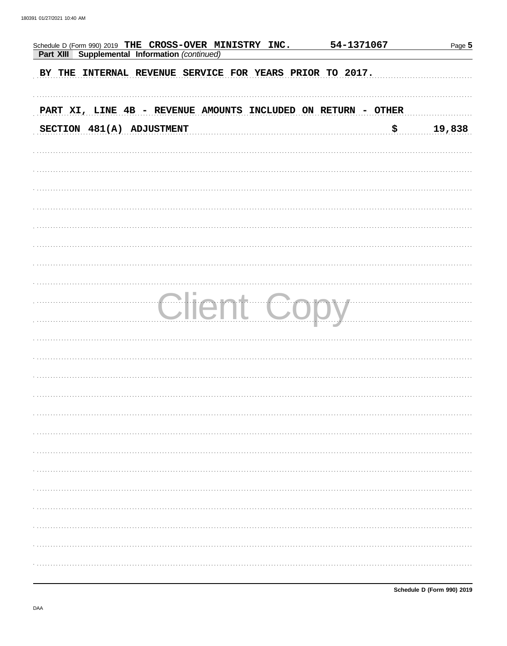| Schedule D (Form 990) 2019 THE CROSS-OVER MINISTRY INC.<br>Part XIII Supplemental Information (continued) | 54-1371067     | Page 5 |
|-----------------------------------------------------------------------------------------------------------|----------------|--------|
| BY THE INTERNAL REVENUE SERVICE FOR YEARS PRIOR TO 2017.                                                  |                |        |
| PART XI, LINE 4B - REVENUE AMOUNTS INCLUDED ON RETURN                                                     | <b>- OTHER</b> |        |
| SECTION 481(A) ADJUSTMENT                                                                                 | \$             | 19,838 |
|                                                                                                           |                |        |
|                                                                                                           |                |        |
|                                                                                                           |                |        |
|                                                                                                           |                |        |
|                                                                                                           |                |        |
|                                                                                                           |                |        |
|                                                                                                           |                |        |
|                                                                                                           |                |        |
|                                                                                                           |                |        |
|                                                                                                           |                |        |
|                                                                                                           |                |        |
|                                                                                                           |                |        |
|                                                                                                           |                |        |
|                                                                                                           |                |        |
|                                                                                                           |                |        |
|                                                                                                           |                |        |
|                                                                                                           |                |        |
|                                                                                                           |                |        |
|                                                                                                           |                |        |
|                                                                                                           |                |        |
|                                                                                                           |                |        |
|                                                                                                           |                |        |
|                                                                                                           |                |        |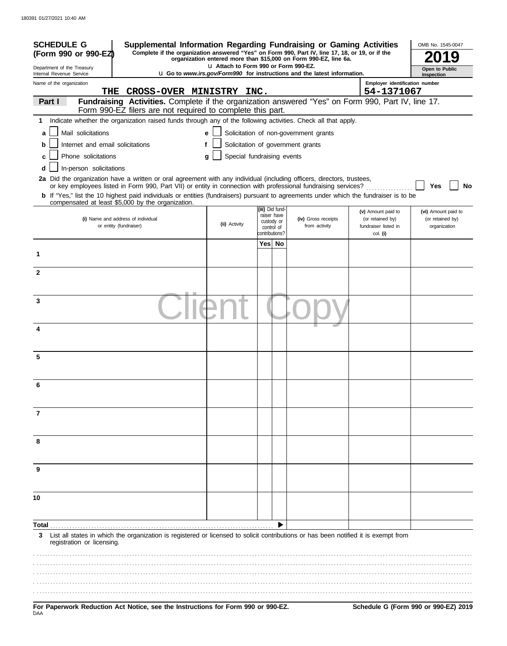| <b>SCHEDULE G</b><br>Supplemental Information Regarding Fundraising or Gaming Activities<br>(Form 990 or 990-EZ)                                                                                                                         |                                       |                              | complete if the organization answered "Yes" on Form 990, Part IV, line 17, 18, or 19, or if the organization entered more than \$15,000 on Form 990-EZ, line 6a. |                                              | OMB No. 1545-0047                       |
|------------------------------------------------------------------------------------------------------------------------------------------------------------------------------------------------------------------------------------------|---------------------------------------|------------------------------|------------------------------------------------------------------------------------------------------------------------------------------------------------------|----------------------------------------------|-----------------------------------------|
|                                                                                                                                                                                                                                          | La Attach to Form 990 or Form 990-EZ. |                              |                                                                                                                                                                  |                                              | 9                                       |
| Department of the Treasury<br>Internal Revenue Service                                                                                                                                                                                   |                                       |                              | <b>u</b> Go to www.irs.gov/Form990 for instructions and the latest information.                                                                                  |                                              | Open to Public<br>Inspection            |
| Name of the organization<br>THE                                                                                                                                                                                                          |                                       |                              |                                                                                                                                                                  | Employer identification number<br>54-1371067 |                                         |
| CROSS-OVER MINISTRY INC.<br>Fundraising Activities. Complete if the organization answered "Yes" on Form 990, Part IV, line 17.<br>Part I                                                                                                 |                                       |                              |                                                                                                                                                                  |                                              |                                         |
| Form 990-EZ filers are not required to complete this part.                                                                                                                                                                               |                                       |                              |                                                                                                                                                                  |                                              |                                         |
| Indicate whether the organization raised funds through any of the following activities. Check all that apply.<br>1.                                                                                                                      |                                       |                              |                                                                                                                                                                  |                                              |                                         |
| Mail solicitations<br>a                                                                                                                                                                                                                  | e                                     |                              | Solicitation of non-government grants                                                                                                                            |                                              |                                         |
| Internet and email solicitations<br>b                                                                                                                                                                                                    |                                       |                              | Solicitation of government grants                                                                                                                                |                                              |                                         |
| Phone solicitations<br>c                                                                                                                                                                                                                 | Special fundraising events<br>a       |                              |                                                                                                                                                                  |                                              |                                         |
| In-person solicitations<br>d                                                                                                                                                                                                             |                                       |                              |                                                                                                                                                                  |                                              |                                         |
| 2a Did the organization have a written or oral agreement with any individual (including officers, directors, trustees,<br>or key employees listed in Form 990, Part VII) or entity in connection with professional fundraising services? |                                       |                              |                                                                                                                                                                  |                                              | Yes<br>No                               |
| b If "Yes," list the 10 highest paid individuals or entities (fundraisers) pursuant to agreements under which the fundraiser is to be                                                                                                    |                                       |                              |                                                                                                                                                                  |                                              |                                         |
| compensated at least \$5,000 by the organization.                                                                                                                                                                                        |                                       | (iii) Did fund-              |                                                                                                                                                                  |                                              |                                         |
| (i) Name and address of individual                                                                                                                                                                                                       |                                       | raiser have<br>custody or    | (iv) Gross receipts                                                                                                                                              | (v) Amount paid to<br>(or retained by)       | (vi) Amount paid to<br>(or retained by) |
| or entity (fundraiser)                                                                                                                                                                                                                   | (ii) Activity                         | control of<br>contributions? | from activity                                                                                                                                                    | fundraiser listed in<br>col. (i)             | organization                            |
|                                                                                                                                                                                                                                          |                                       | Yes No                       |                                                                                                                                                                  |                                              |                                         |
| 1                                                                                                                                                                                                                                        |                                       |                              |                                                                                                                                                                  |                                              |                                         |
|                                                                                                                                                                                                                                          |                                       |                              |                                                                                                                                                                  |                                              |                                         |
| $\mathbf{2}$                                                                                                                                                                                                                             |                                       |                              |                                                                                                                                                                  |                                              |                                         |
|                                                                                                                                                                                                                                          |                                       |                              |                                                                                                                                                                  |                                              |                                         |
| 3                                                                                                                                                                                                                                        |                                       |                              |                                                                                                                                                                  |                                              |                                         |
| 4                                                                                                                                                                                                                                        |                                       |                              |                                                                                                                                                                  |                                              |                                         |
| 5                                                                                                                                                                                                                                        |                                       |                              |                                                                                                                                                                  |                                              |                                         |
|                                                                                                                                                                                                                                          |                                       |                              |                                                                                                                                                                  |                                              |                                         |
| 6                                                                                                                                                                                                                                        |                                       |                              |                                                                                                                                                                  |                                              |                                         |
|                                                                                                                                                                                                                                          |                                       |                              |                                                                                                                                                                  |                                              |                                         |
| 7                                                                                                                                                                                                                                        |                                       |                              |                                                                                                                                                                  |                                              |                                         |
| 8                                                                                                                                                                                                                                        |                                       |                              |                                                                                                                                                                  |                                              |                                         |
|                                                                                                                                                                                                                                          |                                       |                              |                                                                                                                                                                  |                                              |                                         |
|                                                                                                                                                                                                                                          |                                       |                              |                                                                                                                                                                  |                                              |                                         |
| 9                                                                                                                                                                                                                                        |                                       |                              |                                                                                                                                                                  |                                              |                                         |
|                                                                                                                                                                                                                                          |                                       |                              |                                                                                                                                                                  |                                              |                                         |
| 10                                                                                                                                                                                                                                       |                                       |                              |                                                                                                                                                                  |                                              |                                         |
|                                                                                                                                                                                                                                          |                                       |                              |                                                                                                                                                                  |                                              |                                         |
| Total                                                                                                                                                                                                                                    |                                       |                              |                                                                                                                                                                  |                                              |                                         |
| List all states in which the organization is registered or licensed to solicit contributions or has been notified it is exempt from<br>3<br>registration or licensing.                                                                   |                                       |                              |                                                                                                                                                                  |                                              |                                         |
|                                                                                                                                                                                                                                          |                                       |                              |                                                                                                                                                                  |                                              |                                         |
|                                                                                                                                                                                                                                          |                                       |                              |                                                                                                                                                                  |                                              |                                         |
|                                                                                                                                                                                                                                          |                                       |                              |                                                                                                                                                                  |                                              |                                         |
|                                                                                                                                                                                                                                          |                                       |                              |                                                                                                                                                                  |                                              |                                         |
| For Paperwork Reduction Act Notice, see the Instructions for Form 000 or 000-F7                                                                                                                                                          |                                       |                              |                                                                                                                                                                  |                                              | Schodule G (Form 990 or 990-F7) 2010    |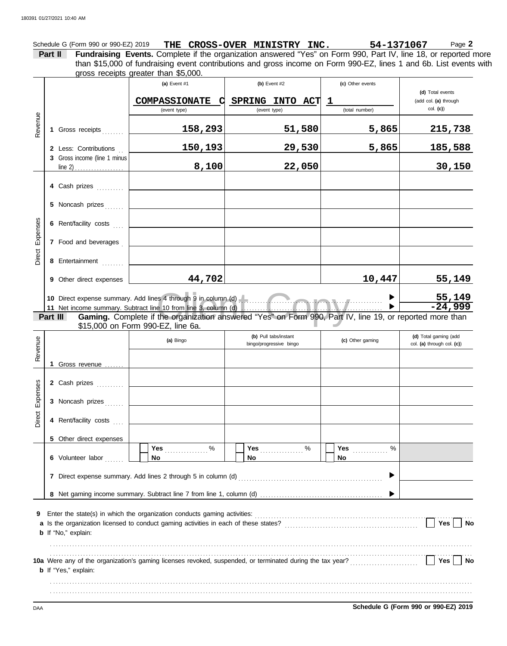|                                                                                                                    | Schedule G (Form 990 or 990-EZ) 2019 |                                      | THE CROSS-OVER MINISTRY INC.                                                                                           |                |  | 54-1371067       |  | Page 2 |
|--------------------------------------------------------------------------------------------------------------------|--------------------------------------|--------------------------------------|------------------------------------------------------------------------------------------------------------------------|----------------|--|------------------|--|--------|
| Part II                                                                                                            |                                      |                                      | <b>Fundraising Events.</b> Complete if the organization answered "Yes" on Form 990, Part IV, line 18, or reported more |                |  |                  |  |        |
| than \$15,000 of fundraising event contributions and gross income on Form 990-EZ, lines 1 and 6b. List events with |                                      |                                      |                                                                                                                        |                |  |                  |  |        |
|                                                                                                                    |                                      | gross receipts greater than \$5,000. |                                                                                                                        |                |  |                  |  |        |
|                                                                                                                    |                                      | (a) Event $#1$                       |                                                                                                                        | (b) Event $#2$ |  | (c) Other events |  |        |

|                             |  |                                           | (a) Event $#1$                                                                                           | (b) Event $#2$                                   | (c) Other events    |                                                     |  |  |
|-----------------------------|--|-------------------------------------------|----------------------------------------------------------------------------------------------------------|--------------------------------------------------|---------------------|-----------------------------------------------------|--|--|
|                             |  |                                           | <b>COMPASSIONATE</b><br>O                                                                                | SPRING INTO ACT                                  | $\mathbf 1$         | (d) Total events<br>(add col. (a) through           |  |  |
|                             |  |                                           | (event type)                                                                                             | (event type)                                     | (total number)      | col. (c)                                            |  |  |
| Revenue                     |  | 1 Gross receipts                          | 158,293                                                                                                  | 51,580                                           | 5,865               | 215,738                                             |  |  |
|                             |  | 2 Less: Contributions                     | 150,193                                                                                                  | 29,530                                           | 5,865               | 185,588                                             |  |  |
|                             |  | 3 Gross income (line 1 minus<br>$line 2)$ | 8,100                                                                                                    | 22,050                                           |                     | 30,150                                              |  |  |
|                             |  | 4 Cash prizes                             |                                                                                                          |                                                  |                     |                                                     |  |  |
|                             |  | 5 Noncash prizes                          |                                                                                                          |                                                  |                     |                                                     |  |  |
| Expenses                    |  | 6 Rent/facility costs                     |                                                                                                          |                                                  |                     |                                                     |  |  |
|                             |  | 7 Food and beverages                      |                                                                                                          |                                                  |                     |                                                     |  |  |
| Direct                      |  | 8 Entertainment                           |                                                                                                          |                                                  |                     |                                                     |  |  |
|                             |  | 9 Other direct expenses                   | 44,702                                                                                                   |                                                  | 10,447              | 55,149                                              |  |  |
|                             |  |                                           | 10 Direct expense summary. Add lines 4 through 9 in column (d)                                           |                                                  |                     | $\frac{55,149}{-24,999}$                            |  |  |
|                             |  | Part III                                  | Gaming. Complete if the organization answered "Yes" on Form 990, Part IV, line 19, or reported more than |                                                  |                     |                                                     |  |  |
|                             |  |                                           | \$15,000 on Form 990-EZ, line 6a.                                                                        |                                                  |                     |                                                     |  |  |
|                             |  |                                           | (a) Bingo                                                                                                | (b) Pull tabs/instant<br>bingo/progressive bingo | (c) Other gaming    | (d) Total gaming (add<br>col. (a) through col. (c)) |  |  |
| Revenue                     |  | 1 Gross revenue                           |                                                                                                          |                                                  |                     |                                                     |  |  |
|                             |  | 2 Cash prizes                             |                                                                                                          |                                                  |                     |                                                     |  |  |
| Expenses                    |  | 3 Noncash prizes                          |                                                                                                          |                                                  |                     |                                                     |  |  |
| Direct                      |  | 4 Rent/facility costs                     |                                                                                                          |                                                  |                     |                                                     |  |  |
|                             |  | 5 Other direct expenses                   |                                                                                                          |                                                  |                     |                                                     |  |  |
|                             |  | 6 Volunteer labor                         | Yes 9%<br>No.                                                                                            | Yes $%$<br>No.                                   | Yes<br>%<br>.<br>No |                                                     |  |  |
|                             |  |                                           | 7 Direct expense summary. Add lines 2 through 5 in column (d)                                            |                                                  |                     |                                                     |  |  |
|                             |  |                                           |                                                                                                          |                                                  |                     |                                                     |  |  |
|                             |  |                                           |                                                                                                          |                                                  |                     |                                                     |  |  |
| 9                           |  | b If "No," explain:                       |                                                                                                          |                                                  |                     | Yes<br>No                                           |  |  |
|                             |  |                                           |                                                                                                          |                                                  |                     |                                                     |  |  |
| <b>b</b> If "Yes," explain: |  |                                           |                                                                                                          |                                                  |                     |                                                     |  |  |
|                             |  |                                           |                                                                                                          |                                                  |                     |                                                     |  |  |
|                             |  |                                           |                                                                                                          |                                                  |                     |                                                     |  |  |
| DAA                         |  |                                           |                                                                                                          |                                                  |                     | Schedule G (Form 990 or 990-EZ) 2019                |  |  |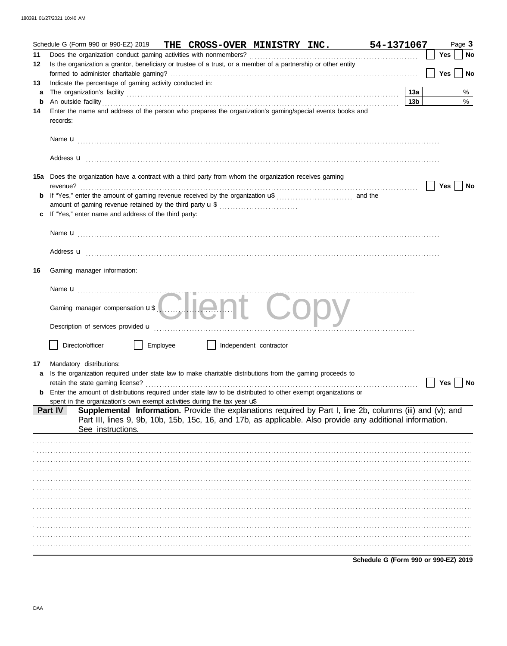|    |          | Schedule G (Form 990 or 990-EZ) 2019                                                                           |          | THE CROSS-OVER MINISTRY INC. |                        |  | 54-1371067                                                                                                                                                                                                                          |                 |            | Page 3 |
|----|----------|----------------------------------------------------------------------------------------------------------------|----------|------------------------------|------------------------|--|-------------------------------------------------------------------------------------------------------------------------------------------------------------------------------------------------------------------------------------|-----------------|------------|--------|
| 11 |          |                                                                                                                |          |                              |                        |  |                                                                                                                                                                                                                                     |                 | Yes        | No     |
| 12 |          | Is the organization a grantor, beneficiary or trustee of a trust, or a member of a partnership or other entity |          |                              |                        |  |                                                                                                                                                                                                                                     |                 |            |        |
|    |          |                                                                                                                |          |                              |                        |  |                                                                                                                                                                                                                                     |                 | Yes        | No     |
| 13 |          | Indicate the percentage of gaming activity conducted in:                                                       |          |                              |                        |  |                                                                                                                                                                                                                                     |                 |            |        |
| a  |          |                                                                                                                |          |                              |                        |  |                                                                                                                                                                                                                                     | 13a             |            | %      |
| b  |          | Enter the name and address of the person who prepares the organization's gaming/special events books and       |          |                              |                        |  |                                                                                                                                                                                                                                     | 13 <sub>b</sub> |            | %      |
| 14 | records: |                                                                                                                |          |                              |                        |  |                                                                                                                                                                                                                                     |                 |            |        |
|    |          |                                                                                                                |          |                              |                        |  |                                                                                                                                                                                                                                     |                 |            |        |
|    |          |                                                                                                                |          |                              |                        |  |                                                                                                                                                                                                                                     |                 |            |        |
|    |          | 15a Does the organization have a contract with a third party from whom the organization receives gaming        |          |                              |                        |  |                                                                                                                                                                                                                                     |                 | <b>Yes</b> | No     |
| b  |          |                                                                                                                |          |                              |                        |  |                                                                                                                                                                                                                                     |                 |            |        |
|    |          | amount of gaming revenue retained by the third party $\mathbf{u}\$                                             |          |                              |                        |  |                                                                                                                                                                                                                                     |                 |            |        |
| c  |          | If "Yes," enter name and address of the third party:                                                           |          |                              |                        |  |                                                                                                                                                                                                                                     |                 |            |        |
|    |          |                                                                                                                |          |                              |                        |  |                                                                                                                                                                                                                                     |                 |            |        |
|    |          |                                                                                                                |          |                              |                        |  | Name <b>u</b> entre and the contract of the contract of the contract of the contract of the contract of the contract of the contract of the contract of the contract of the contract of the contract of the contract of the contrac |                 |            |        |
|    |          |                                                                                                                |          |                              |                        |  |                                                                                                                                                                                                                                     |                 |            |        |
|    |          |                                                                                                                |          |                              |                        |  |                                                                                                                                                                                                                                     |                 |            |        |
| 16 |          | Gaming manager information:                                                                                    |          |                              |                        |  |                                                                                                                                                                                                                                     |                 |            |        |
|    |          |                                                                                                                |          |                              |                        |  |                                                                                                                                                                                                                                     |                 |            |        |
|    |          | Name u<br>Gaming manager compensation us                                                                       |          |                              |                        |  |                                                                                                                                                                                                                                     |                 |            |        |
|    |          |                                                                                                                |          |                              |                        |  |                                                                                                                                                                                                                                     |                 |            |        |
|    |          |                                                                                                                |          |                              |                        |  |                                                                                                                                                                                                                                     |                 |            |        |
|    |          | Director/officer                                                                                               | Employee |                              | Independent contractor |  |                                                                                                                                                                                                                                     |                 |            |        |
|    |          |                                                                                                                |          |                              |                        |  |                                                                                                                                                                                                                                     |                 |            |        |
| 17 |          | Mandatory distributions:                                                                                       |          |                              |                        |  |                                                                                                                                                                                                                                     |                 |            |        |
| a  |          | Is the organization required under state law to make charitable distributions from the gaming proceeds to      |          |                              |                        |  |                                                                                                                                                                                                                                     |                 |            |        |
|    |          | Enter the amount of distributions required under state law to be distributed to other exempt organizations or  |          |                              |                        |  |                                                                                                                                                                                                                                     |                 | Yes        | No     |
|    |          | spent in the organization's own exempt activities during the tax year us                                       |          |                              |                        |  |                                                                                                                                                                                                                                     |                 |            |        |
|    | Part IV  | See instructions.                                                                                              |          |                              |                        |  | Supplemental Information. Provide the explanations required by Part I, line 2b, columns (iii) and (v); and<br>Part III, lines 9, 9b, 10b, 15b, 15c, 16, and 17b, as applicable. Also provide any additional information.            |                 |            |        |
|    |          |                                                                                                                |          |                              |                        |  |                                                                                                                                                                                                                                     |                 |            |        |
|    |          |                                                                                                                |          |                              |                        |  |                                                                                                                                                                                                                                     |                 |            |        |
|    |          |                                                                                                                |          |                              |                        |  |                                                                                                                                                                                                                                     |                 |            |        |
|    |          |                                                                                                                |          |                              |                        |  |                                                                                                                                                                                                                                     |                 |            |        |
|    |          |                                                                                                                |          |                              |                        |  |                                                                                                                                                                                                                                     |                 |            |        |
|    |          |                                                                                                                |          |                              |                        |  |                                                                                                                                                                                                                                     |                 |            |        |
|    |          |                                                                                                                |          |                              |                        |  |                                                                                                                                                                                                                                     |                 |            |        |
|    |          |                                                                                                                |          |                              |                        |  |                                                                                                                                                                                                                                     |                 |            |        |
|    |          |                                                                                                                |          |                              |                        |  |                                                                                                                                                                                                                                     |                 |            |        |
|    |          |                                                                                                                |          |                              |                        |  |                                                                                                                                                                                                                                     |                 |            |        |
|    |          |                                                                                                                |          |                              |                        |  |                                                                                                                                                                                                                                     |                 |            |        |
|    |          |                                                                                                                |          |                              |                        |  |                                                                                                                                                                                                                                     |                 |            |        |
|    |          |                                                                                                                |          |                              |                        |  | Schedule G (Form 990 or 990-EZ) 2019                                                                                                                                                                                                |                 |            |        |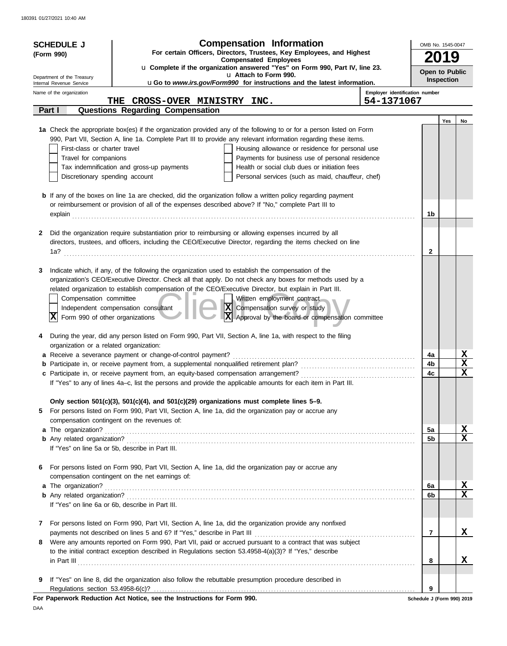|   | <b>Compensation Information</b><br><b>SCHEDULE J</b><br>For certain Officers, Directors, Trustees, Key Employees, and Highest<br>(Form 990)<br><b>Compensated Employees</b><br>u Complete if the organization answered "Yes" on Form 990, Part IV, line 23.<br>u Attach to Form 990.<br>Department of the Treasury |                                                                                                                      |                                |            |                         |  |  |
|---|--------------------------------------------------------------------------------------------------------------------------------------------------------------------------------------------------------------------------------------------------------------------------------------------------------------------|----------------------------------------------------------------------------------------------------------------------|--------------------------------|------------|-------------------------|--|--|
|   | Internal Revenue Service                                                                                                                                                                                                                                                                                           | uGo to www.irs.gov/Form990 for instructions and the latest information.                                              | Employer identification number | Inspection |                         |  |  |
|   | Name of the organization                                                                                                                                                                                                                                                                                           | THE CROSS-OVER MINISTRY INC.                                                                                         | 54-1371067                     |            |                         |  |  |
|   | Part I                                                                                                                                                                                                                                                                                                             | <b>Questions Regarding Compensation</b>                                                                              |                                |            |                         |  |  |
|   |                                                                                                                                                                                                                                                                                                                    |                                                                                                                      |                                | Yes        | No                      |  |  |
|   |                                                                                                                                                                                                                                                                                                                    | 1a Check the appropriate box(es) if the organization provided any of the following to or for a person listed on Form |                                |            |                         |  |  |
|   | First-class or charter travel                                                                                                                                                                                                                                                                                      | 990, Part VII, Section A, line 1a. Complete Part III to provide any relevant information regarding these items.      |                                |            |                         |  |  |
|   | Travel for companions                                                                                                                                                                                                                                                                                              | Housing allowance or residence for personal use<br>Payments for business use of personal residence                   |                                |            |                         |  |  |
|   |                                                                                                                                                                                                                                                                                                                    | Tax indemnification and gross-up payments<br>Health or social club dues or initiation fees                           |                                |            |                         |  |  |
|   | Discretionary spending account                                                                                                                                                                                                                                                                                     | Personal services (such as maid, chauffeur, chef)                                                                    |                                |            |                         |  |  |
|   |                                                                                                                                                                                                                                                                                                                    |                                                                                                                      |                                |            |                         |  |  |
|   |                                                                                                                                                                                                                                                                                                                    | <b>b</b> If any of the boxes on line 1a are checked, did the organization follow a written policy regarding payment  |                                |            |                         |  |  |
|   |                                                                                                                                                                                                                                                                                                                    | or reimbursement or provision of all of the expenses described above? If "No," complete Part III to                  |                                |            |                         |  |  |
|   | explain                                                                                                                                                                                                                                                                                                            |                                                                                                                      | 1b                             |            |                         |  |  |
| 2 |                                                                                                                                                                                                                                                                                                                    | Did the organization require substantiation prior to reimbursing or allowing expenses incurred by all                |                                |            |                         |  |  |
|   |                                                                                                                                                                                                                                                                                                                    | directors, trustees, and officers, including the CEO/Executive Director, regarding the items checked on line         |                                |            |                         |  |  |
|   | 1a?                                                                                                                                                                                                                                                                                                                |                                                                                                                      | $\mathbf{2}$                   |            |                         |  |  |
| 3 |                                                                                                                                                                                                                                                                                                                    | Indicate which, if any, of the following the organization used to establish the compensation of the                  |                                |            |                         |  |  |
|   |                                                                                                                                                                                                                                                                                                                    | organization's CEO/Executive Director. Check all that apply. Do not check any boxes for methods used by a            |                                |            |                         |  |  |
|   |                                                                                                                                                                                                                                                                                                                    | related organization to establish compensation of the CEO/Executive Director, but explain in Part III.               |                                |            |                         |  |  |
|   | Compensation committee                                                                                                                                                                                                                                                                                             | Written employment contract                                                                                          |                                |            |                         |  |  |
|   |                                                                                                                                                                                                                                                                                                                    | Compensation survey or study<br>Independent compensation consultant                                                  |                                |            |                         |  |  |
|   | Form 990 of other organizations                                                                                                                                                                                                                                                                                    | Approval by the board or compensation committee<br>図                                                                 |                                |            |                         |  |  |
|   |                                                                                                                                                                                                                                                                                                                    |                                                                                                                      |                                |            |                         |  |  |
| 4 | organization or a related organization:                                                                                                                                                                                                                                                                            | During the year, did any person listed on Form 990, Part VII, Section A, line 1a, with respect to the filing         |                                |            |                         |  |  |
|   |                                                                                                                                                                                                                                                                                                                    | a Receive a severance payment or change-of-control payment?                                                          | 4a                             |            | <u>x</u>                |  |  |
|   |                                                                                                                                                                                                                                                                                                                    |                                                                                                                      | 4b                             |            | $\mathbf x$             |  |  |
|   |                                                                                                                                                                                                                                                                                                                    |                                                                                                                      | 4c                             |            | X                       |  |  |
|   |                                                                                                                                                                                                                                                                                                                    | If "Yes" to any of lines 4a-c, list the persons and provide the applicable amounts for each item in Part III.        |                                |            |                         |  |  |
|   |                                                                                                                                                                                                                                                                                                                    | Only section 501(c)(3), 501(c)(4), and 501(c)(29) organizations must complete lines 5-9.                             |                                |            |                         |  |  |
| 5 |                                                                                                                                                                                                                                                                                                                    | For persons listed on Form 990, Part VII, Section A, line 1a, did the organization pay or accrue any                 |                                |            |                         |  |  |
|   |                                                                                                                                                                                                                                                                                                                    | compensation contingent on the revenues of:                                                                          |                                |            |                         |  |  |
|   | a The organization?                                                                                                                                                                                                                                                                                                |                                                                                                                      | 5a                             |            | <u>x</u>                |  |  |
|   |                                                                                                                                                                                                                                                                                                                    |                                                                                                                      | 5b                             |            | $\overline{\mathbf{x}}$ |  |  |
|   |                                                                                                                                                                                                                                                                                                                    | If "Yes" on line 5a or 5b, describe in Part III.                                                                     |                                |            |                         |  |  |
| 6 |                                                                                                                                                                                                                                                                                                                    | For persons listed on Form 990, Part VII, Section A, line 1a, did the organization pay or accrue any                 |                                |            |                         |  |  |
|   |                                                                                                                                                                                                                                                                                                                    | compensation contingent on the net earnings of:                                                                      |                                |            |                         |  |  |
|   | a The organization?                                                                                                                                                                                                                                                                                                |                                                                                                                      | 6a                             |            | <u>x</u>                |  |  |
|   |                                                                                                                                                                                                                                                                                                                    |                                                                                                                      | 6b                             |            | $\mathbf x$             |  |  |
|   |                                                                                                                                                                                                                                                                                                                    | If "Yes" on line 6a or 6b, describe in Part III.                                                                     |                                |            |                         |  |  |
| 7 |                                                                                                                                                                                                                                                                                                                    | For persons listed on Form 990, Part VII, Section A, line 1a, did the organization provide any nonfixed              |                                |            |                         |  |  |
|   |                                                                                                                                                                                                                                                                                                                    |                                                                                                                      | $\overline{7}$                 |            | X                       |  |  |
|   |                                                                                                                                                                                                                                                                                                                    | 8 Were any amounts reported on Form 990, Part VII, paid or accrued pursuant to a contract that was subject           |                                |            |                         |  |  |
|   |                                                                                                                                                                                                                                                                                                                    | to the initial contract exception described in Regulations section 53.4958-4(a)(3)? If "Yes," describe               |                                |            |                         |  |  |
|   |                                                                                                                                                                                                                                                                                                                    | $\overline{m}$ Part III                                                                                              | 8                              |            | x                       |  |  |
| 9 |                                                                                                                                                                                                                                                                                                                    | If "Yes" on line 8, did the organization also follow the rebuttable presumption procedure described in               |                                |            |                         |  |  |
|   | Regulations section 53.4958-6(c)?                                                                                                                                                                                                                                                                                  |                                                                                                                      | 9                              |            |                         |  |  |
|   |                                                                                                                                                                                                                                                                                                                    | For Paperwork Reduction Act Notice, see the Instructions for Form 990.                                               | Schedule J (Form 990) 2019     |            |                         |  |  |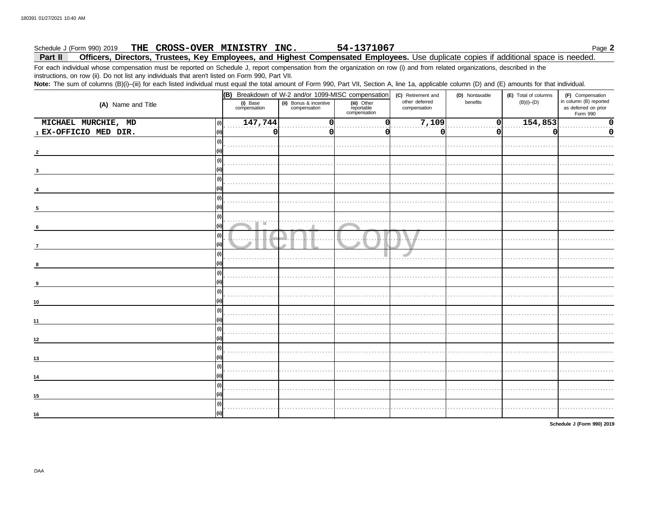#### 54-1371067 THE CROSS-OVER MINISTRY INC. Page 2 Schedule J (Form 990) 2019 Officers, Directors, Trustees, Key Employees, and Highest Compensated Employees. Use duplicate copies if additional space is needed. Part II

For each individual whose compensation must be reported on Schedule J, report compensation from the organization on row (i) and from related organizations, described in the instructions, on row (ii). Do not list any individuals that aren't listed on Form 990, Part VII.

Note: The sum of columns (B)(i)-(iii) for each listed individual must equal the total amount of Form 990, Part VII, Section A, line 1a, applicable column (D) and (E) amounts for that individual.

| in column (B) reported<br>other deferred<br>benefits<br>$(B)(i)$ - $(D)$<br>(i) Base<br>compensation<br>(ii) Bonus & incentive<br>compensation<br>(iii) Other<br>reportable<br>compensation<br>(A) Name and Title<br>as deferred on prior<br>compensation<br>Form 990<br>MICHAEL MURCHIE, MD<br>154,853<br>147,744<br>$\left[7,109\right]$<br>0<br>0<br>(i)<br>1 EX-OFFICIO MED DIR.<br>$\Omega$<br>0<br>0<br>$\Omega$<br>n<br>(iii)<br>0<br>(i)<br>(i)<br>l (i)<br>(i)<br>  (i)<br>l (ii)<br>(i)<br>m<br>(i)<br>8<br>l (i)<br>9<br>(i)<br>  (i)<br>l (ii)<br>(i)<br>(iii)<br>(i)<br>  (i)  <br>14<br>l (i)<br>15<br>(i)<br>l (ii) |    | (B) Breakdown of W-2 and/or 1099-MISC compensation |  | (C) Retirement and | (D) Nontaxable | (E) Total of columns | (F) Compensation |
|------------------------------------------------------------------------------------------------------------------------------------------------------------------------------------------------------------------------------------------------------------------------------------------------------------------------------------------------------------------------------------------------------------------------------------------------------------------------------------------------------------------------------------------------------------------------------------------------------------------------------------|----|----------------------------------------------------|--|--------------------|----------------|----------------------|------------------|
|                                                                                                                                                                                                                                                                                                                                                                                                                                                                                                                                                                                                                                    |    |                                                    |  |                    |                |                      |                  |
|                                                                                                                                                                                                                                                                                                                                                                                                                                                                                                                                                                                                                                    |    |                                                    |  |                    |                |                      |                  |
|                                                                                                                                                                                                                                                                                                                                                                                                                                                                                                                                                                                                                                    |    |                                                    |  |                    |                |                      |                  |
|                                                                                                                                                                                                                                                                                                                                                                                                                                                                                                                                                                                                                                    |    |                                                    |  |                    |                |                      |                  |
|                                                                                                                                                                                                                                                                                                                                                                                                                                                                                                                                                                                                                                    |    |                                                    |  |                    |                |                      |                  |
|                                                                                                                                                                                                                                                                                                                                                                                                                                                                                                                                                                                                                                    |    |                                                    |  |                    |                |                      |                  |
|                                                                                                                                                                                                                                                                                                                                                                                                                                                                                                                                                                                                                                    |    |                                                    |  |                    |                |                      |                  |
|                                                                                                                                                                                                                                                                                                                                                                                                                                                                                                                                                                                                                                    |    |                                                    |  |                    |                |                      |                  |
|                                                                                                                                                                                                                                                                                                                                                                                                                                                                                                                                                                                                                                    |    |                                                    |  |                    |                |                      |                  |
|                                                                                                                                                                                                                                                                                                                                                                                                                                                                                                                                                                                                                                    |    |                                                    |  |                    |                |                      |                  |
|                                                                                                                                                                                                                                                                                                                                                                                                                                                                                                                                                                                                                                    |    |                                                    |  |                    |                |                      |                  |
|                                                                                                                                                                                                                                                                                                                                                                                                                                                                                                                                                                                                                                    |    |                                                    |  |                    |                |                      |                  |
|                                                                                                                                                                                                                                                                                                                                                                                                                                                                                                                                                                                                                                    |    |                                                    |  |                    |                |                      |                  |
|                                                                                                                                                                                                                                                                                                                                                                                                                                                                                                                                                                                                                                    |    |                                                    |  |                    |                |                      |                  |
|                                                                                                                                                                                                                                                                                                                                                                                                                                                                                                                                                                                                                                    |    |                                                    |  |                    |                |                      |                  |
|                                                                                                                                                                                                                                                                                                                                                                                                                                                                                                                                                                                                                                    |    |                                                    |  |                    |                |                      |                  |
|                                                                                                                                                                                                                                                                                                                                                                                                                                                                                                                                                                                                                                    |    |                                                    |  |                    |                |                      |                  |
|                                                                                                                                                                                                                                                                                                                                                                                                                                                                                                                                                                                                                                    |    |                                                    |  |                    |                |                      |                  |
|                                                                                                                                                                                                                                                                                                                                                                                                                                                                                                                                                                                                                                    |    |                                                    |  |                    |                |                      |                  |
|                                                                                                                                                                                                                                                                                                                                                                                                                                                                                                                                                                                                                                    |    |                                                    |  |                    |                |                      |                  |
|                                                                                                                                                                                                                                                                                                                                                                                                                                                                                                                                                                                                                                    | 10 |                                                    |  |                    |                |                      |                  |
|                                                                                                                                                                                                                                                                                                                                                                                                                                                                                                                                                                                                                                    |    |                                                    |  |                    |                |                      |                  |
|                                                                                                                                                                                                                                                                                                                                                                                                                                                                                                                                                                                                                                    |    |                                                    |  |                    |                |                      |                  |
|                                                                                                                                                                                                                                                                                                                                                                                                                                                                                                                                                                                                                                    |    |                                                    |  |                    |                |                      |                  |
|                                                                                                                                                                                                                                                                                                                                                                                                                                                                                                                                                                                                                                    | 12 |                                                    |  |                    |                |                      |                  |
|                                                                                                                                                                                                                                                                                                                                                                                                                                                                                                                                                                                                                                    |    |                                                    |  |                    |                |                      |                  |
|                                                                                                                                                                                                                                                                                                                                                                                                                                                                                                                                                                                                                                    | 13 |                                                    |  |                    |                |                      |                  |
|                                                                                                                                                                                                                                                                                                                                                                                                                                                                                                                                                                                                                                    |    |                                                    |  |                    |                |                      |                  |
|                                                                                                                                                                                                                                                                                                                                                                                                                                                                                                                                                                                                                                    |    |                                                    |  |                    |                |                      |                  |
|                                                                                                                                                                                                                                                                                                                                                                                                                                                                                                                                                                                                                                    |    |                                                    |  |                    |                |                      |                  |
|                                                                                                                                                                                                                                                                                                                                                                                                                                                                                                                                                                                                                                    |    |                                                    |  |                    |                |                      |                  |
|                                                                                                                                                                                                                                                                                                                                                                                                                                                                                                                                                                                                                                    |    |                                                    |  |                    |                |                      |                  |
| $\sim$ $\sim$                                                                                                                                                                                                                                                                                                                                                                                                                                                                                                                                                                                                                      | 16 |                                                    |  |                    |                |                      |                  |

Schedule J (Form 990) 2019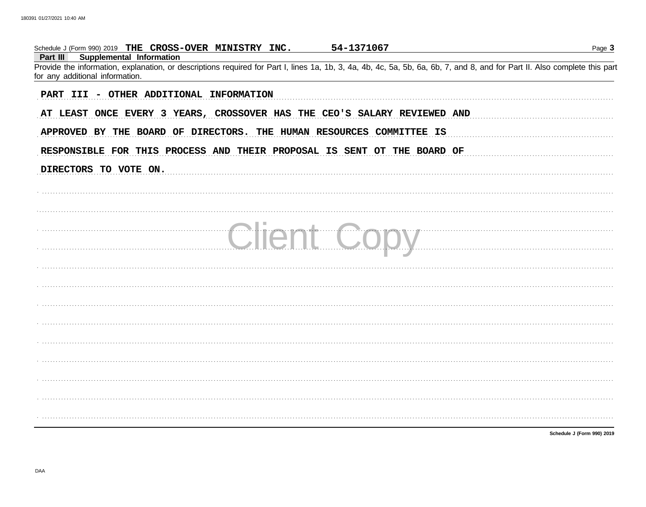| Supplemental Information<br>Part III<br>Provide the information, explanation, or descriptions required for Part I, lines 1a, 1b, 3, 4a, 4b, 4c, 5a, 5b, 6a, 6b, 7, and 8, and for Part II. Also complete this part<br>for any additional information.<br>PART III - OTHER ADDITIONAL INFORMATION<br>AT LEAST ONCE EVERY 3 YEARS, CROSSOVER HAS THE CEO'S SALARY REVIEWED AND<br>APPROVED BY THE BOARD OF DIRECTORS. THE HUMAN RESOURCES COMMITTEE IS<br>RESPONSIBLE FOR THIS PROCESS AND THEIR PROPOSAL IS SENT OT THE BOARD OF<br>DIRECTORS TO VOTE ON.<br>Client C | Schedule J (Form 990) 2019 THE CROSS-OVER MINISTRY INC. | 54-1371067 | Page 3                     |
|----------------------------------------------------------------------------------------------------------------------------------------------------------------------------------------------------------------------------------------------------------------------------------------------------------------------------------------------------------------------------------------------------------------------------------------------------------------------------------------------------------------------------------------------------------------------|---------------------------------------------------------|------------|----------------------------|
|                                                                                                                                                                                                                                                                                                                                                                                                                                                                                                                                                                      |                                                         |            |                            |
|                                                                                                                                                                                                                                                                                                                                                                                                                                                                                                                                                                      |                                                         |            |                            |
|                                                                                                                                                                                                                                                                                                                                                                                                                                                                                                                                                                      |                                                         |            |                            |
|                                                                                                                                                                                                                                                                                                                                                                                                                                                                                                                                                                      |                                                         |            |                            |
|                                                                                                                                                                                                                                                                                                                                                                                                                                                                                                                                                                      |                                                         |            |                            |
|                                                                                                                                                                                                                                                                                                                                                                                                                                                                                                                                                                      |                                                         |            |                            |
|                                                                                                                                                                                                                                                                                                                                                                                                                                                                                                                                                                      |                                                         |            |                            |
|                                                                                                                                                                                                                                                                                                                                                                                                                                                                                                                                                                      |                                                         |            |                            |
|                                                                                                                                                                                                                                                                                                                                                                                                                                                                                                                                                                      |                                                         |            |                            |
|                                                                                                                                                                                                                                                                                                                                                                                                                                                                                                                                                                      |                                                         |            |                            |
|                                                                                                                                                                                                                                                                                                                                                                                                                                                                                                                                                                      |                                                         |            |                            |
|                                                                                                                                                                                                                                                                                                                                                                                                                                                                                                                                                                      |                                                         |            |                            |
|                                                                                                                                                                                                                                                                                                                                                                                                                                                                                                                                                                      |                                                         |            |                            |
|                                                                                                                                                                                                                                                                                                                                                                                                                                                                                                                                                                      |                                                         |            |                            |
|                                                                                                                                                                                                                                                                                                                                                                                                                                                                                                                                                                      |                                                         |            |                            |
|                                                                                                                                                                                                                                                                                                                                                                                                                                                                                                                                                                      |                                                         |            |                            |
|                                                                                                                                                                                                                                                                                                                                                                                                                                                                                                                                                                      |                                                         |            |                            |
|                                                                                                                                                                                                                                                                                                                                                                                                                                                                                                                                                                      |                                                         |            |                            |
|                                                                                                                                                                                                                                                                                                                                                                                                                                                                                                                                                                      |                                                         |            |                            |
|                                                                                                                                                                                                                                                                                                                                                                                                                                                                                                                                                                      |                                                         |            | Schedule J (Form 990) 2019 |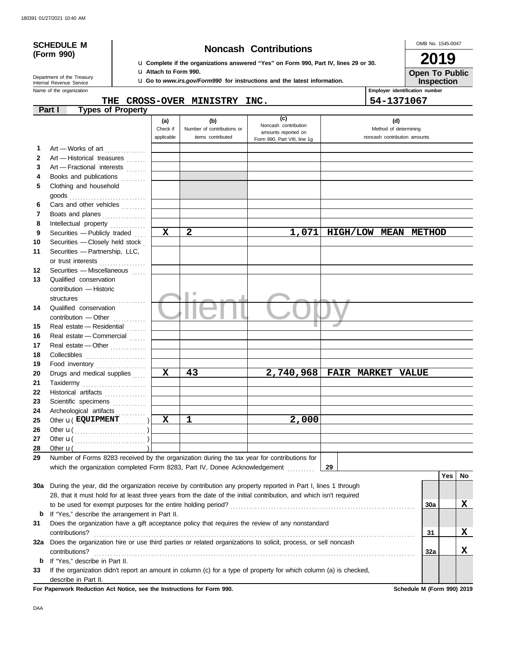## **(Form 990)**

### **SCHEDULE M**  $\left\{\n \begin{array}{ccc}\n \cdot & \cdot & \cdot \\
 \cdot & \cdot & \cdot \\
 \cdot & \cdot & \cdot\n \end{array}\n \right\}$  Noncash Contributions

u **Complete if the organizations answered "Yes" on Form 990, Part IV, lines 29 or 30.** u **Attach to Form 990.**

u **Go to** *www.irs.gov/Form990* **for instructions and the latest information.**

OMB No. 1545-0047 **2019**

**Inspection Open To Public**

Name of the organization **Employer identification number Employer identification number** Internal Revenue Service Department of the Treasury

## **THE CROSS-OVER MINISTRY INC. 54-1371067**

|       | Part I               | <b>Types of Property</b>                                                                                           |             |                            |                                             |                              |     |     |          |
|-------|----------------------|--------------------------------------------------------------------------------------------------------------------|-------------|----------------------------|---------------------------------------------|------------------------------|-----|-----|----------|
|       |                      |                                                                                                                    | (a)         | (b)                        | (c)                                         | (d)                          |     |     |          |
|       |                      |                                                                                                                    | Check if    | Number of contributions or | Noncash contribution<br>amounts reported on | Method of determining        |     |     |          |
|       |                      |                                                                                                                    | applicable  | items contributed          | Form 990, Part VIII, line 1g                | noncash contribution amounts |     |     |          |
| 1     |                      | Art - Works of art<br>.                                                                                            |             |                            |                                             |                              |     |     |          |
| 2     |                      | Art - Historical treasures                                                                                         |             |                            |                                             |                              |     |     |          |
| 3     |                      | Art - Fractional interests                                                                                         |             |                            |                                             |                              |     |     |          |
| 4     |                      | Books and publications                                                                                             |             |                            |                                             |                              |     |     |          |
| 5     |                      | Clothing and household                                                                                             |             |                            |                                             |                              |     |     |          |
|       | goods                |                                                                                                                    |             |                            |                                             |                              |     |     |          |
| 6     |                      | Cars and other vehicles                                                                                            |             |                            |                                             |                              |     |     |          |
| 7     |                      | Boats and planes<br>.                                                                                              |             |                            |                                             |                              |     |     |          |
| 8     |                      | Intellectual property                                                                                              |             |                            |                                             |                              |     |     |          |
| 9     |                      | Securities - Publicly traded                                                                                       | $\mathbf x$ | $\mathbf{2}$               | 1,071                                       | HIGH/LOW MEAN METHOD         |     |     |          |
| 10    |                      | Securities - Closely held stock                                                                                    |             |                            |                                             |                              |     |     |          |
| 11    |                      | Securities - Partnership, LLC,                                                                                     |             |                            |                                             |                              |     |     |          |
|       |                      | or trust interests                                                                                                 |             |                            |                                             |                              |     |     |          |
| 12    |                      | Securities - Miscellaneous                                                                                         |             |                            |                                             |                              |     |     |          |
| 13    |                      | Qualified conservation                                                                                             |             |                            |                                             |                              |     |     |          |
|       |                      | contribution - Historic                                                                                            |             |                            |                                             |                              |     |     |          |
|       |                      | structures                                                                                                         |             |                            |                                             |                              |     |     |          |
| 14    |                      | Qualified conservation                                                                                             |             |                            |                                             |                              |     |     |          |
|       |                      | contribution - Other                                                                                               |             |                            |                                             |                              |     |     |          |
| 15    |                      | Real estate - Residential                                                                                          |             |                            |                                             |                              |     |     |          |
| 16    |                      | Real estate - Commercial                                                                                           |             |                            |                                             |                              |     |     |          |
| 17    |                      | Real estate - Other                                                                                                |             |                            |                                             |                              |     |     |          |
| 18    |                      | Collectibles                                                                                                       |             |                            |                                             |                              |     |     |          |
| 19    |                      | Food inventory                                                                                                     |             |                            |                                             |                              |     |     |          |
| 20    |                      | Drugs and medical supplies                                                                                         | X           | 43                         | 2,740,968                                   | <b>FAIR MARKET VALUE</b>     |     |     |          |
| 21    |                      | Taxidermy                                                                                                          |             |                            |                                             |                              |     |     |          |
| 22    |                      | Historical artifacts                                                                                               |             |                            |                                             |                              |     |     |          |
| 23    |                      | Scientific specimens                                                                                               |             |                            |                                             |                              |     |     |          |
| 24    |                      | Archeological artifacts                                                                                            |             |                            |                                             |                              |     |     |          |
| 25    |                      | Other <b>u( EQUIPMENT</b>                                                                                          | $\mathbf X$ | 1                          | 2,000                                       |                              |     |     |          |
| 26    |                      |                                                                                                                    |             |                            |                                             |                              |     |     |          |
| 27    |                      |                                                                                                                    |             |                            |                                             |                              |     |     |          |
| 28    | Other $\mathbf{u}$ ( |                                                                                                                    |             |                            |                                             |                              |     |     |          |
| 29    |                      | Number of Forms 8283 received by the organization during the tax year for contributions for                        |             |                            |                                             |                              |     |     |          |
|       |                      | which the organization completed Form 8283, Part IV, Donee Acknowledgement                                         |             |                            |                                             | 29                           |     |     |          |
|       |                      |                                                                                                                    |             |                            |                                             |                              |     | Yes | No       |
| 30a l |                      | During the year, did the organization receive by contribution any property reported in Part I, lines 1 through     |             |                            |                                             |                              |     |     |          |
|       |                      | 28, that it must hold for at least three years from the date of the initial contribution, and which isn't required |             |                            |                                             |                              |     |     |          |
|       |                      | to be used for exempt purposes for the entire holding period?                                                      |             |                            |                                             |                              | 30a |     | X        |
|       |                      | <b>b</b> If "Yes," describe the arrangement in Part II.                                                            |             |                            |                                             |                              |     |     |          |
| 31    |                      | Does the organization have a gift acceptance policy that requires the review of any nonstandard                    |             |                            |                                             |                              |     |     |          |
|       | contributions?       |                                                                                                                    |             |                            |                                             |                              | 31  |     | X        |
| 32a   |                      | Does the organization hire or use third parties or related organizations to solicit, process, or sell noncash      |             |                            |                                             |                              |     |     |          |
|       | contributions?       |                                                                                                                    |             |                            |                                             |                              | 32a |     | <u>x</u> |
|       |                      | <b>b</b> If "Yes," describe in Part II.                                                                            |             |                            |                                             |                              |     |     |          |
| 33    |                      | If the organization didn't report an amount in column (c) for a type of property for which column (a) is checked,  |             |                            |                                             |                              |     |     |          |

describe in Part II.

**For Paperwork Reduction Act Notice, see the Instructions for Form 990. Schedule M (Form 990) 2019**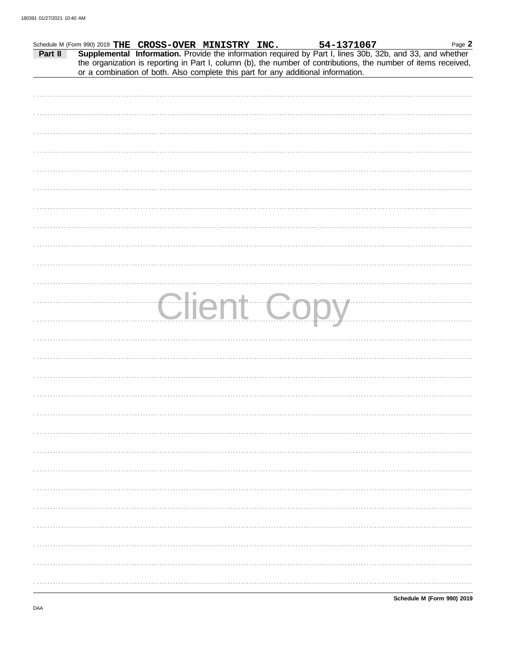|         |  | Schedule M (Form 990) 2019 THE CROSS-OVER MINISTRY INC.                           | 54-1371067  | Page 2                                                                                                                                                                                                                       |
|---------|--|-----------------------------------------------------------------------------------|-------------|------------------------------------------------------------------------------------------------------------------------------------------------------------------------------------------------------------------------------|
| Part II |  | or a combination of both. Also complete this part for any additional information. |             | Supplemental Information. Provide the information required by Part I, lines 30b, 32b, and 33, and whether<br>the organization is reporting in Part I, column (b), the number of contributions, the number of items received, |
|         |  |                                                                                   |             |                                                                                                                                                                                                                              |
|         |  |                                                                                   |             |                                                                                                                                                                                                                              |
|         |  |                                                                                   |             |                                                                                                                                                                                                                              |
|         |  |                                                                                   |             |                                                                                                                                                                                                                              |
|         |  |                                                                                   |             |                                                                                                                                                                                                                              |
|         |  |                                                                                   |             |                                                                                                                                                                                                                              |
|         |  |                                                                                   |             |                                                                                                                                                                                                                              |
|         |  |                                                                                   |             |                                                                                                                                                                                                                              |
|         |  |                                                                                   |             |                                                                                                                                                                                                                              |
|         |  |                                                                                   |             |                                                                                                                                                                                                                              |
|         |  |                                                                                   |             |                                                                                                                                                                                                                              |
|         |  |                                                                                   |             |                                                                                                                                                                                                                              |
|         |  |                                                                                   | Client Copy |                                                                                                                                                                                                                              |
|         |  |                                                                                   |             |                                                                                                                                                                                                                              |
|         |  |                                                                                   |             |                                                                                                                                                                                                                              |
|         |  |                                                                                   |             |                                                                                                                                                                                                                              |
|         |  |                                                                                   |             |                                                                                                                                                                                                                              |
|         |  |                                                                                   |             |                                                                                                                                                                                                                              |
|         |  |                                                                                   |             |                                                                                                                                                                                                                              |
|         |  |                                                                                   |             |                                                                                                                                                                                                                              |
|         |  |                                                                                   |             |                                                                                                                                                                                                                              |
|         |  |                                                                                   |             |                                                                                                                                                                                                                              |
|         |  |                                                                                   |             |                                                                                                                                                                                                                              |
|         |  |                                                                                   |             |                                                                                                                                                                                                                              |
|         |  |                                                                                   |             |                                                                                                                                                                                                                              |
|         |  |                                                                                   |             |                                                                                                                                                                                                                              |
|         |  |                                                                                   |             |                                                                                                                                                                                                                              |
|         |  |                                                                                   |             |                                                                                                                                                                                                                              |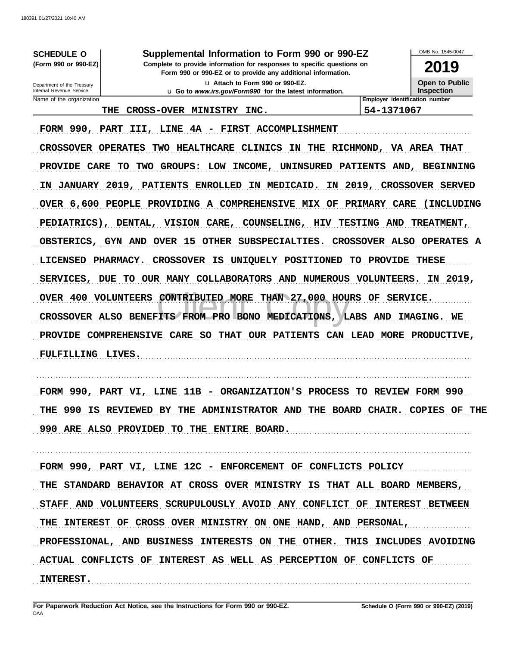| <b>SCHEDULE O</b>                                                          | Supplemental Information to Form 990 or 990-EZ                                                                                                                                                                           | OMB No. 1545-0047                                                                             |
|----------------------------------------------------------------------------|--------------------------------------------------------------------------------------------------------------------------------------------------------------------------------------------------------------------------|-----------------------------------------------------------------------------------------------|
| (Form 990 or 990-EZ)                                                       | Complete to provide information for responses to specific questions on<br>2019                                                                                                                                           |                                                                                               |
| Department of the Treasury<br>Internal Revenue Service                     | Open to Public<br><b>Inspection</b>                                                                                                                                                                                      |                                                                                               |
| Name of the organization                                                   |                                                                                                                                                                                                                          | Employer identification number                                                                |
|                                                                            | <b>CROSS-OVER MINISTRY</b><br>THE<br>INC.                                                                                                                                                                                | 54-1371067                                                                                    |
| <b>CROSSOVER</b><br><b>PROVIDE</b><br><b>CARE</b><br><b>JANUARY</b><br>TN. | FORM 990, PART III, LINE 4A - FIRST ACCOMPLISHMENT<br>HEALTHCARE CLINICS IN<br><b>OPERATES</b><br><b>TWO</b><br>GROUPS:<br>LOW INCOME,<br>UNINSURED PATIENTS<br><b>TWO</b><br>TO<br>2019, PATIENTS ENROLLED IN MEDICAID. | THE RICHMOND, VA AREA THAT<br>AND,<br><b>BEGINNING</b><br>IN 2019, CROSSOVER<br><b>SERVED</b> |
| 6,600<br><b>OVER</b>                                                       | PEOPLE PROVIDING A<br><b>COMPREHENSIVE MIX</b><br>OF                                                                                                                                                                     | INCLUDING<br><b>PRIMARY</b><br><b>CARE</b>                                                    |
| <b>PEDIATRICS),</b>                                                        | CARE,<br><b>COUNSELING,</b><br><b>HIV</b><br><b>VISION</b><br><b>TESTING</b><br>DENTAL,                                                                                                                                  | <b>TREATME</b><br><b>AND</b>                                                                  |

OBSTERICS, GYN AND OVER 15 OTHER SUBSPECIALTIES. CROSSOVER ALSO OPERATES A LICENSED PHARMACY. CROSSOVER IS UNIQUELY POSITIONED TO PROVIDE THESE

SERVICES, DUE TO OUR MANY COLLABORATORS AND NUMEROUS VOLUNTEERS. IN 2019,

OVER 400 VOLUNTEERS CONTRIBUTED MORE THAN 27,000 HOURS OF SERVICE.

CROSSOVER ALSO BENEFITS FROM PRO BONO MEDICATIONS, LABS AND IMAGING. WE

PROVIDE COMPREHENSIVE CARE SO THAT OUR PATIENTS CAN LEAD MORE PRODUCTIVE,

FULFILLING LIVES.

FORM 990, PART VI, LINE 11B - ORGANIZATION'S PROCESS TO REVIEW FORM 990 THE 990 IS REVIEWED BY THE ADMINISTRATOR AND THE BOARD CHAIR. COPIES OF THE 990 ARE ALSO PROVIDED TO THE ENTIRE BOARD.

FORM 990, PART VI, LINE 12C - ENFORCEMENT OF CONFLICTS POLICY THE STANDARD BEHAVIOR AT CROSS OVER MINISTRY IS THAT ALL BOARD MEMBERS, STAFF AND VOLUNTEERS SCRUPULOUSLY AVOID ANY CONFLICT OF INTEREST BETWEEN THE INTEREST OF CROSS OVER MINISTRY ON ONE HAND, AND PERSONAL, PROFESSIONAL, AND BUSINESS INTERESTS ON THE OTHER. THIS INCLUDES AVOIDING ACTUAL CONFLICTS OF INTEREST AS WELL AS PERCEPTION OF CONFLICTS OF **INTEREST.**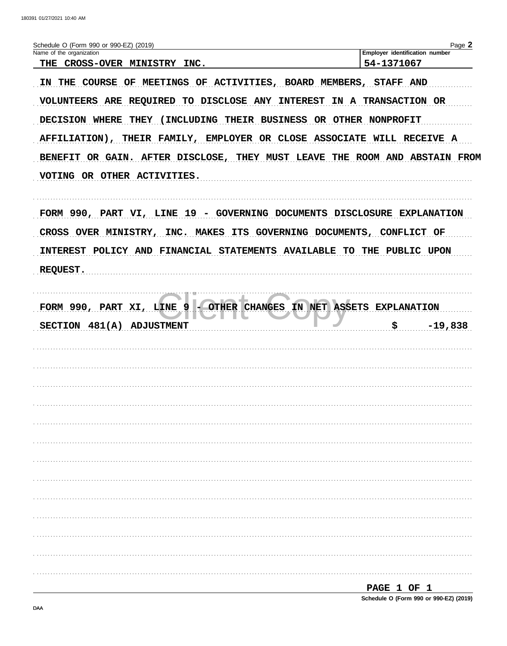| Schedule O (Form 990 or 990-EZ) (2019)<br>Name of the organization                   | Page 2<br>Employer identification number |
|--------------------------------------------------------------------------------------|------------------------------------------|
| CROSS-OVER MINISTRY INC.<br>THE                                                      | 54-1371067                               |
| THE COURSE OF MEETINGS OF ACTIVITIES, BOARD MEMBERS, STAFF AND<br>ΙN                 |                                          |
| VOLUNTEERS ARE REQUIRED TO DISCLOSE ANY INTEREST                                     | IN A TRANSACTION OR                      |
| THEY (INCLUDING THEIR BUSINESS OR OTHER NONPROFIT<br>DECISION WHERE                  |                                          |
| AFFILIATION), THEIR FAMILY, EMPLOYER OR CLOSE ASSOCIATE WILL RECEIVE A               |                                          |
| BENEFIT OR GAIN. AFTER DISCLOSE, THEY MUST LEAVE THE ROOM AND ABSTAIN FROM           |                                          |
| VOTING OR OTHER ACTIVITIES.                                                          |                                          |
|                                                                                      |                                          |
| FORM 990, PART VI, LINE 19 - GOVERNING DOCUMENTS DISCLOSURE EXPLANATION              |                                          |
| INC. MAKES ITS GOVERNING DOCUMENTS, CONFLICT OF<br>CROSS OVER MINISTRY,              |                                          |
| INTEREST POLICY AND FINANCIAL STATEMENTS AVAILABLE<br>TO                             | PUBLIC UPON<br>THE                       |
| REQUEST.                                                                             |                                          |
|                                                                                      |                                          |
| 1.1.1.1.1.1.1<br>FORM 990, PART XI, LINE 9 - OTHER CHANGES IN NET ASSETS EXPLANATION |                                          |
| SECTION 481(A) ADJUSTMENT                                                            | \$<br>$-19,838$                          |
|                                                                                      |                                          |
|                                                                                      |                                          |
|                                                                                      |                                          |
|                                                                                      |                                          |
|                                                                                      |                                          |
|                                                                                      |                                          |
|                                                                                      |                                          |
|                                                                                      |                                          |
|                                                                                      |                                          |
|                                                                                      |                                          |
|                                                                                      |                                          |
|                                                                                      |                                          |
|                                                                                      |                                          |
|                                                                                      |                                          |
|                                                                                      | PAGE 1 OF 1                              |

Schedule O (Form 990 or 990-EZ) (2019)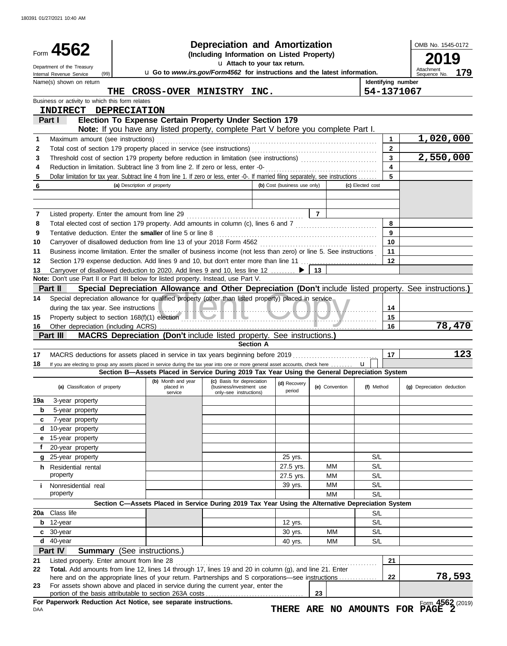|          | Form 4562<br>Department of the Treasury                                                                                                               |                             |                                                        |                                                                                  | <b>Depreciation and Amortization</b><br>(Including Information on Listed Property)<br>u Attach to your tax return. | OMB No. 1545-0172<br>9 |                  |                |                                                                                                          |
|----------|-------------------------------------------------------------------------------------------------------------------------------------------------------|-----------------------------|--------------------------------------------------------|----------------------------------------------------------------------------------|--------------------------------------------------------------------------------------------------------------------|------------------------|------------------|----------------|----------------------------------------------------------------------------------------------------------|
|          | (99)<br>Internal Revenue Service                                                                                                                      |                             |                                                        |                                                                                  | u Go to www.irs.gov/Form4562 for instructions and the latest information.                                          |                        |                  |                | 179<br>Sequence No.                                                                                      |
|          | Name(s) shown on return                                                                                                                               |                             |                                                        |                                                                                  |                                                                                                                    |                        |                  |                | Identifying number                                                                                       |
|          |                                                                                                                                                       |                             | THE CROSS-OVER MINISTRY INC.                           |                                                                                  |                                                                                                                    |                        |                  |                | 54-1371067                                                                                               |
|          | Business or activity to which this form relates                                                                                                       |                             |                                                        |                                                                                  |                                                                                                                    |                        |                  |                |                                                                                                          |
|          | INDIRECT DEPRECIATION                                                                                                                                 |                             |                                                        |                                                                                  |                                                                                                                    |                        |                  |                |                                                                                                          |
|          | <b>Part I</b>                                                                                                                                         |                             | Election To Expense Certain Property Under Section 179 |                                                                                  |                                                                                                                    |                        |                  |                |                                                                                                          |
| 1        | Maximum amount (see instructions)                                                                                                                     |                             |                                                        |                                                                                  | <b>Note:</b> If you have any listed property, complete Part V before you complete Part I.                          |                        |                  | 1              | 1,020,000                                                                                                |
| 2        | Total cost of section 179 property placed in service (see instructions)                                                                               |                             |                                                        |                                                                                  |                                                                                                                    |                        |                  | $\overline{2}$ |                                                                                                          |
| 3        | Threshold cost of section 179 property before reduction in limitation (see instructions) [[[[[[[[[[[[[[[[[[[[[                                        |                             |                                                        |                                                                                  |                                                                                                                    |                        |                  | $\overline{3}$ | 2,550,000                                                                                                |
| 4        | Reduction in limitation. Subtract line 3 from line 2. If zero or less, enter -0-                                                                      |                             |                                                        |                                                                                  |                                                                                                                    |                        |                  | 4              |                                                                                                          |
| 5        | Dollar limitation for tax year. Subtract line 4 from line 1. If zero or less, enter -0-. If married filing separately, see instructions               |                             |                                                        |                                                                                  |                                                                                                                    |                        |                  | 5              |                                                                                                          |
| 6        |                                                                                                                                                       | (a) Description of property |                                                        |                                                                                  | (b) Cost (business use only)                                                                                       |                        | (c) Elected cost |                |                                                                                                          |
|          |                                                                                                                                                       |                             |                                                        |                                                                                  |                                                                                                                    |                        |                  |                |                                                                                                          |
|          |                                                                                                                                                       |                             |                                                        |                                                                                  |                                                                                                                    |                        |                  |                |                                                                                                          |
| 7        | Listed property. Enter the amount from line 29                                                                                                        |                             |                                                        |                                                                                  |                                                                                                                    | $\overline{7}$         |                  |                |                                                                                                          |
| 8        | Total elected cost of section 179 property. Add amounts in column (c), lines 6 and 7 [[[[[[[[[[[[[[[[[[[[[[[[                                         |                             |                                                        |                                                                                  |                                                                                                                    |                        |                  | 8              |                                                                                                          |
| 9        | Tentative deduction. Enter the smaller of line 5 or line 8                                                                                            |                             |                                                        |                                                                                  |                                                                                                                    |                        |                  | 9              |                                                                                                          |
| 10       | Carryover of disallowed deduction from line 13 of your 2018 Form 4562                                                                                 |                             |                                                        |                                                                                  |                                                                                                                    |                        |                  | 10             |                                                                                                          |
| 11       | Business income limitation. Enter the smaller of business income (not less than zero) or line 5. See instructions                                     |                             |                                                        |                                                                                  |                                                                                                                    |                        |                  | 11             |                                                                                                          |
| 12       | Section 179 expense deduction. Add lines 9 and 10, but don't enter more than line 11                                                                  |                             |                                                        |                                                                                  |                                                                                                                    |                        |                  | 12             |                                                                                                          |
| 13       | Carryover of disallowed deduction to 2020. Add lines 9 and 10, less line 12                                                                           |                             |                                                        |                                                                                  |                                                                                                                    | 13                     |                  |                |                                                                                                          |
|          | Note: Don't use Part II or Part III below for listed property. Instead, use Part V.                                                                   |                             |                                                        |                                                                                  |                                                                                                                    |                        |                  |                |                                                                                                          |
|          | Part II                                                                                                                                               |                             |                                                        |                                                                                  |                                                                                                                    |                        |                  |                | Special Depreciation Allowance and Other Depreciation (Don't include listed property. See instructions.) |
| 14       | Special depreciation allowance for qualified property (other than listed property) placed in service.                                                 |                             |                                                        |                                                                                  |                                                                                                                    |                        |                  |                |                                                                                                          |
| 15       | uuring the tax year. See instructions<br>Property subject to section 168(f)(1) election                                                               |                             |                                                        |                                                                                  |                                                                                                                    |                        |                  | 14<br>15       |                                                                                                          |
| 16       |                                                                                                                                                       |                             |                                                        |                                                                                  |                                                                                                                    |                        |                  | 16             | 78,470                                                                                                   |
|          |                                                                                                                                                       |                             |                                                        |                                                                                  |                                                                                                                    |                        | .                |                |                                                                                                          |
|          |                                                                                                                                                       |                             |                                                        |                                                                                  |                                                                                                                    |                        |                  |                |                                                                                                          |
|          | Part III                                                                                                                                              |                             |                                                        |                                                                                  | <b>MACRS Depreciation (Don't include listed property. See instructions.)</b><br><b>Section A</b>                   |                        |                  |                |                                                                                                          |
|          |                                                                                                                                                       |                             |                                                        |                                                                                  |                                                                                                                    |                        |                  |                |                                                                                                          |
| 17<br>18 | MACRS deductions for assets placed in service in tax years beginning before 2019                                                                      |                             |                                                        |                                                                                  |                                                                                                                    |                        | $\mathbf{u}$     | 17             | 123                                                                                                      |
|          | If you are electing to group any assets placed in service during the tax year into one or more general asset accounts, check here                     |                             |                                                        |                                                                                  | Section B—Assets Placed in Service During 2019 Tax Year Using the General Depreciation System                      |                        |                  |                |                                                                                                          |
|          | (a) Classification of property                                                                                                                        |                             | (b) Month and year<br>placed in<br>service             | (c) Basis for depreciation<br>(business/investment use<br>only-see instructions) | (d) Recovery<br>period                                                                                             | (e) Convention         | (f) Method       |                | (g) Depreciation deduction                                                                               |
| 19a      | 3-year property                                                                                                                                       |                             |                                                        |                                                                                  |                                                                                                                    |                        |                  |                |                                                                                                          |
| b        | 5-year property                                                                                                                                       |                             |                                                        |                                                                                  |                                                                                                                    |                        |                  |                |                                                                                                          |
| c        | 7-year property                                                                                                                                       |                             |                                                        |                                                                                  |                                                                                                                    |                        |                  |                |                                                                                                          |
| d        | 10-year property                                                                                                                                      |                             |                                                        |                                                                                  |                                                                                                                    |                        |                  |                |                                                                                                          |
| е        | 15-year property                                                                                                                                      |                             |                                                        |                                                                                  |                                                                                                                    |                        |                  |                |                                                                                                          |
|          | 20-year property                                                                                                                                      |                             |                                                        |                                                                                  |                                                                                                                    |                        |                  |                |                                                                                                          |
| g        | 25-year property                                                                                                                                      |                             |                                                        |                                                                                  | 25 yrs.                                                                                                            |                        | S/L              |                |                                                                                                          |
|          | h Residential rental                                                                                                                                  |                             |                                                        |                                                                                  | 27.5 yrs.                                                                                                          | ΜМ                     | S/L              |                |                                                                                                          |
|          | property                                                                                                                                              |                             |                                                        |                                                                                  | 27.5 yrs.                                                                                                          | ΜМ                     | S/L              |                |                                                                                                          |
| Ť.       | Nonresidential real                                                                                                                                   |                             |                                                        |                                                                                  | 39 yrs.                                                                                                            | ΜМ                     | S/L              |                |                                                                                                          |
|          | property                                                                                                                                              |                             |                                                        |                                                                                  |                                                                                                                    | MМ                     | S/L              |                |                                                                                                          |
|          |                                                                                                                                                       |                             |                                                        |                                                                                  | Section C-Assets Placed in Service During 2019 Tax Year Using the Alternative Depreciation System                  |                        |                  |                |                                                                                                          |
|          | 20a Class life                                                                                                                                        |                             |                                                        |                                                                                  |                                                                                                                    |                        | S/L              |                |                                                                                                          |
|          | $b$ 12-year                                                                                                                                           |                             |                                                        |                                                                                  | 12 yrs.                                                                                                            |                        | S/L              |                |                                                                                                          |
|          | $c30-year$                                                                                                                                            |                             |                                                        |                                                                                  | 30 yrs.                                                                                                            | MМ<br>MМ               | S/L              |                |                                                                                                          |
|          | d 40-year                                                                                                                                             |                             |                                                        |                                                                                  | 40 yrs.                                                                                                            |                        | S/L              |                |                                                                                                          |
| 21       | Part IV<br><b>Summary</b> (See instructions.)                                                                                                         |                             |                                                        |                                                                                  |                                                                                                                    |                        |                  | 21             |                                                                                                          |
| 22       | Listed property. Enter amount from line 28<br>Total. Add amounts from line 12, lines 14 through 17, lines 19 and 20 in column (g), and line 21. Enter |                             |                                                        |                                                                                  |                                                                                                                    |                        |                  |                |                                                                                                          |
|          | here and on the appropriate lines of your return. Partnerships and S corporations—see instructions                                                    |                             |                                                        |                                                                                  |                                                                                                                    |                        |                  | 22             | 78,593                                                                                                   |
| 23       | For assets shown above and placed in service during the current year, enter the                                                                       |                             |                                                        |                                                                                  |                                                                                                                    |                        |                  |                |                                                                                                          |
|          | For Paperwork Reduction Act Notice, see separate instructions.                                                                                        |                             |                                                        |                                                                                  |                                                                                                                    | 23                     |                  |                | Form 4562 (2019)                                                                                         |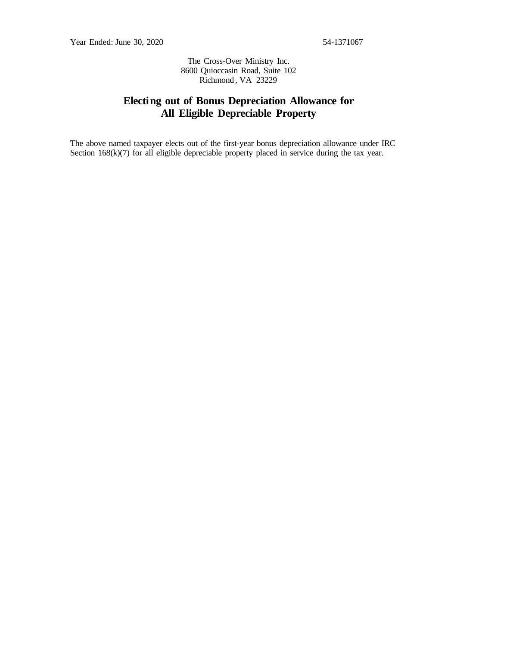The Cross-Over Ministry Inc. 8600 Quioccasin Road, Suite 102 Richmond, VA 23229

### **Electing out of Bonus Depreciation Allowance for All Eligible Depreciable Property**

The above named taxpayer elects out of the first-year bonus depreciation allowance under IRC Section 168(k)(7) for all eligible depreciable property placed in service during the tax year.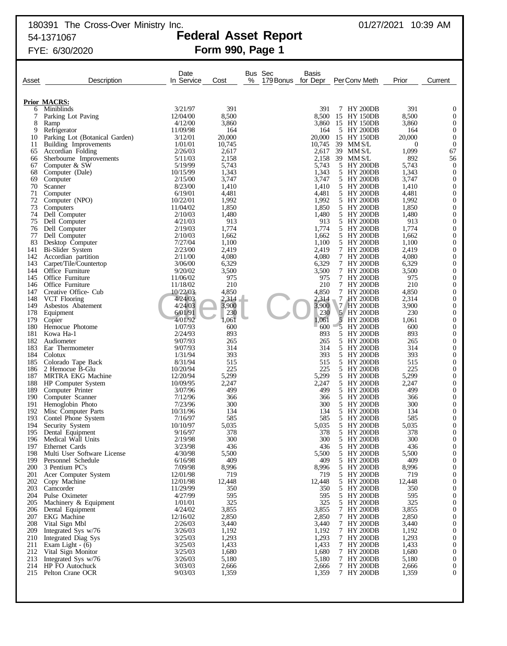#### 180391 The Cross-Over Ministry Inc. 01/27/2021 10:39 AM 54-1371067 **Federal Asset Report**

#### FYE: 6/30/2020 **Form 990, Page 1**

| Asset      | Description                                             | Date<br>In Service   | Cost             | ℅ | Bus Sec<br>179 Bonus | Basis<br>for Depr | Per Conv Meth                      | Prior          | Current                              |
|------------|---------------------------------------------------------|----------------------|------------------|---|----------------------|-------------------|------------------------------------|----------------|--------------------------------------|
|            | <b>Prior MACRS:</b>                                     |                      |                  |   |                      |                   |                                    |                |                                      |
| 6          | Miniblinds                                              | 3/21/97              | 391              |   |                      | 391               | 7 HY 200DB                         | 391            | 0                                    |
| 7          | Parking Lot Paving                                      | 12/04/00             | 8,500            |   |                      | 8,500             | 15 HY 150DB                        | 8,500          | 0                                    |
| 8          | Ramp                                                    | 4/12/00              | 3,860            |   |                      | 3.860             | 15 HY 150DB                        | 3,860          | 0                                    |
| 9          | Refrigerator                                            | 11/09/98             | 164              |   |                      | 164               | 5 HY 200DB                         | 164            | 0                                    |
| 10         | Parking Lot (Botanical Garden)<br>Building Improvements | 3/12/01<br>1/01/01   | 20,000<br>10,745 |   |                      | 20,000<br>10,745  | 15 HY 150DB<br>39<br>MM S/L        | 20,000<br>0    | 0<br>$\mathbf{0}$                    |
| 11<br>65   | Accordian Folding                                       | 2/26/03              | 2,617            |   |                      | 2,617             | 39<br>MM S/L                       | 1,099          | 67                                   |
| 66         | Sherbourne Improvements                                 | 5/11/03              | 2,158            |   |                      | 2,158             | 39 MM S/L                          | 892            | 56                                   |
| 67         | Computer $&$ SW                                         | 5/19/99              | 5,743            |   |                      | 5,743             | 5 HY 200DB                         | 5,743          | $\mathbf{0}$                         |
| 68         | Computer (Dale)                                         | 10/15/99             | 1,343            |   |                      | 1,343             | 5 HY 200DB                         | 1,343          | $\mathbf{0}$                         |
| 69         | Computer                                                | 2/15/00              | 3,747            |   |                      | 3,747             | 5 HY 200DB                         | 3,747          | 0                                    |
| 70<br>71   | Scanner<br>Computer                                     | 8/23/00<br>6/19/01   | 1,410<br>4,481   |   |                      | 1,410<br>4,481    | 5 HY 200DB<br>5 HY 200DB           | 1,410<br>4,481 | 0<br>$\boldsymbol{0}$                |
| 72         | Computer (NPO)                                          | 10/22/01             | 1,992            |   |                      | 1,992             | 5 HY 200DB                         | 1,992          | 0                                    |
| 73         | Computers                                               | 11/04/02             | 1,850            |   |                      | 1,850             | 5 HY 200DB                         | 1,850          | $\boldsymbol{0}$                     |
| 74         | Dell Computer                                           | 2/10/03              | 1,480            |   |                      | 1,480             | 5 HY 200DB                         | 1,480          | 0                                    |
| 75         | Dell Computer                                           | 4/21/03              | 913              |   |                      | 913               | 5 HY 200DB                         | 913            | $\boldsymbol{0}$                     |
| 76         | Dell Computer                                           | 2/19/03<br>2/10/03   | 1,774            |   |                      | 1,774             | 5 HY 200DB                         | 1,774          | $\boldsymbol{0}$                     |
| 77<br>83   | Dell Computer<br>Desktop Computer                       | 7/27/04              | 1,662<br>1,100   |   |                      | 1,662<br>1,100    | 5 HY 200DB<br>5 HY 200DB           | 1,662<br>1,100 | $\boldsymbol{0}$<br>$\boldsymbol{0}$ |
| 141        | Bi-Slider System                                        | 2/23/00              | 2,419            |   |                      | 2,419             | 7 HY 200DB                         | 2,419          | $\boldsymbol{0}$                     |
| 142        | Accordian partition                                     | 2/11/00              | 4,080            |   |                      | 4,080             | 7 HY 200DB                         | 4,080          | $\boldsymbol{0}$                     |
| 143        | Carpet/Tile/Countertop                                  | 3/06/00              | 6,329            |   |                      | 6,329             | 7 HY 200DB                         | 6,329          | $\boldsymbol{0}$                     |
| 144        | Office Furniture                                        | 9/20/02              | 3,500            |   |                      | 3,500             | 7 HY 200DB                         | 3,500          | $\boldsymbol{0}$                     |
| 145        | Office Furniture                                        | 11/06/02             | 975              |   |                      | 975               | 7 HY 200DB                         | 975            | $\boldsymbol{0}$                     |
| 146<br>147 | Office Furniture<br>Creative Office- Cub                | 11/18/02<br>10/22/03 | 210<br>4,850     |   |                      | 210<br>4,850      | 7 HY 200DB<br>7 HY 200DB           | 210<br>4,850   | $\boldsymbol{0}$<br>$\boldsymbol{0}$ |
| 148        | VCT Flooring                                            | 4/24/03              | 2,314            |   |                      | 2,314             | 7 HY 200DB                         | 2,314          | $\boldsymbol{0}$                     |
| 149        | Asbestos Abatement                                      | 4/24/03              | 3,900            |   |                      | 3,900             | 7 HY 200DB                         | 3,900          | $\boldsymbol{0}$                     |
| 178        | Equipment                                               | 6/01/91              | 230              |   |                      | 230               | 5 HY 200DB                         | 230            | $\boldsymbol{0}$                     |
| 179        | Copier                                                  | 4/01/92              | 1,061            |   |                      | 1,061             | 5<br><b>HY 200DB</b>               | 1,061          | $\boldsymbol{0}$                     |
| 180        | Hemocue Photome                                         | 1/07/93              | 600              |   |                      | 600               | $\overline{5}$<br><b>HY 200DB</b>  | 600            | 0                                    |
| 181<br>182 | Kowa Ha-1<br>Audiometer                                 | 2/24/93<br>9/07/93   | 893<br>265       |   |                      | 893<br>265        | 5<br><b>HY 200DB</b><br>5 HY 200DB | 893<br>265     | $\boldsymbol{0}$<br>0                |
| 183        | Ear Thermometer                                         | 9/07/93              | 314              |   |                      | 314               | 5<br><b>HY 200DB</b>               | 314            | $\boldsymbol{0}$                     |
| 184        | Colotux                                                 | 1/31/94              | 393              |   |                      | 393               | 5 HY 200DB                         | 393            | 0                                    |
| 185        | Colorado Tape Back                                      | 8/31/94              | 515              |   |                      | 515               | 5 HY 200DB                         | 515            | $\boldsymbol{0}$                     |
| 186        | 2 Hemocue B-Glu                                         | 10/20/94             | 225              |   |                      | 225               | 5 HY 200DB                         | 225            | 0                                    |
| 187<br>188 | MRTRA EKG Machine                                       | 12/20/94<br>10/09/95 | 5,299<br>2,247   |   |                      | 5,299<br>2,247    | 5 HY 200DB<br>5 HY 200DB           | 5,299          | $\boldsymbol{0}$<br>0                |
| 189        | <b>HP</b> Computer System<br>Computer Printer           | 3/07/96              | 499              |   |                      | 499               | 5 HY 200DB                         | 2,247<br>499   | $\boldsymbol{0}$                     |
| 190        | Computer Scanner                                        | 7/12/96              | 366              |   |                      | 366               | 5 HY 200DB                         | 366            | 0                                    |
| 191        | Hemoglobin Photo                                        | 7/23/96              | 300              |   |                      | 300               | 5<br><b>HY 200DB</b>               | 300            | 0                                    |
| 192        | Misc Computer Parts                                     | 10/31/96             | 134              |   |                      | 134               | 5 HY 200DB                         | 134            | $\overline{0}$                       |
|            | 193 Contel Phone System                                 | 7/16/97              | 585              |   |                      | 585               | 5 HY 200DB                         | 585            | 0                                    |
| 194<br>195 | Security System                                         | 10/10/97<br>9/16/97  | 5,035<br>378     |   |                      | 5,035<br>378      | 5 HY 200DB<br>5<br><b>HY 200DB</b> | 5,035          | $\boldsymbol{0}$<br>0                |
| 196        | Dental Equipment<br>Medical Wall Units                  | 2/19/98              | 300              |   |                      | 300               | 5 HY 200DB                         | 378<br>300     | 0                                    |
| 197        | Ethernet Cards                                          | 3/23/98              | 436              |   |                      | 436               | 5 HY 200DB                         | 436            | 0                                    |
| 198        | Multi User Software License                             | 4/30/98              | 5,500            |   |                      | 5,500             | 5 HY 200DB                         | 5,500          | $\overline{0}$                       |
| 199        | Personnel Schedule                                      | 6/16/98              | 409              |   |                      | 409               | 5 HY 200DB                         | 409            | 0                                    |
| 200        | 3 Pentium PC's                                          | 7/09/98              | 8,996            |   |                      | 8,996             | 5 HY 200DB                         | 8,996          | 0                                    |
| 201<br>202 | Acer Computer System<br>Copy Machine                    | 12/01/98<br>12/01/98 | 719<br>12,448    |   |                      | 719<br>12,448     | 5 HY 200DB<br>5 HY 200DB           | 719<br>12,448  | 0<br>0                               |
| 203        | Camcorder                                               | 11/29/99             | 350              |   |                      | 350               | 5 HY 200DB                         | 350            | 0                                    |
| 204        | Pulse Oximeter                                          | 4/27/99              | 595              |   |                      | 595               | 5 HY 200DB                         | 595            | 0                                    |
| 205        | Machinery & Equipment                                   | 1/01/01              | 325              |   |                      | 325               | 5<br><b>HY 200DB</b>               | 325            | 0                                    |
| 206        | Dental Equipment                                        | 4/24/02              | 3,855            |   |                      | 3,855             | 7 HY 200DB                         | 3,855          | 0                                    |
| 207        | <b>EKG</b> Machine                                      | 12/16/02             | 2,850            |   |                      | 2,850             | 7 HY 200DB                         | 2,850          | 0                                    |
| 208        | Vital Sign Mbl                                          | 2/26/03              | 3,440            |   |                      | 3,440             | 7 HY 200DB                         | 3,440          | 0<br>0                               |
| 209<br>210 | Integrated Sys w/76<br>Integrated Diag Sys              | 3/26/03<br>3/25/03   | 1,192<br>1,293   |   |                      | 1,192<br>1,293    | 7 HY 200DB<br>7 HY 200DB           | 1,192<br>1,293 | 0                                    |
| 211        | Exam Light $-$ (6)                                      | 3/25/03              | 1,433            |   |                      | 1,433             | 7 HY 200DB                         | 1,433          | 0                                    |
|            | 212 Vital Sign Monitor                                  | 3/25/03              | 1,680            |   |                      | 1,680             | 7 HY 200DB                         | 1,680          | 0                                    |
| 213        | Integrated Sys w/76                                     | 3/26/03              | 5,180            |   |                      | 5,180             | 7 HY 200DB                         | 5,180          | 0                                    |
| 214        | <b>HP FO Autochuck</b>                                  | 3/03/03              | 2,666            |   |                      | 2,666             | 7 HY 200DB                         | 2,666          | 0                                    |
| 215        | Pelton Crane OCR                                        | 9/03/03              | 1,359            |   |                      | 1,359             | 7 HY 200DB                         | 1,359          | $\theta$                             |
|            |                                                         |                      |                  |   |                      |                   |                                    |                |                                      |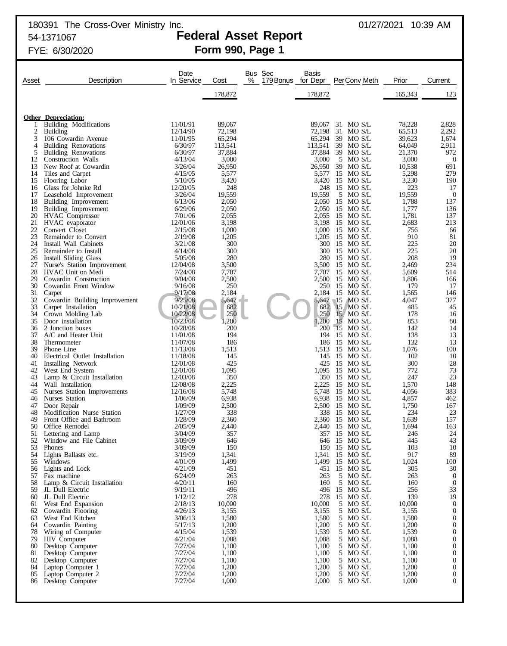### 180391 The Cross-Over Ministry Inc. 01/27/2021 10:39 AM 54-1371067 **Federal Asset Report**

FYE: 6/30/2020 **Form 990, Page 1**

| Asset    | Description                                             | Date<br>In Service   | Cost             | % | Bus Sec<br>179 Bonus | Basis<br>for Depr | PerConv Meth                | Prior            | Current                              |
|----------|---------------------------------------------------------|----------------------|------------------|---|----------------------|-------------------|-----------------------------|------------------|--------------------------------------|
|          |                                                         |                      | 178,872          |   |                      | 178,872           |                             | 165,343          | 123                                  |
|          |                                                         |                      |                  |   |                      |                   |                             |                  |                                      |
|          | <b>Other Depreciation:</b>                              |                      |                  |   |                      |                   |                             |                  |                                      |
| 2        | Building Modifications<br><b>Building</b>               | 11/01/91<br>12/14/90 | 89,067<br>72,198 |   |                      | 89,067<br>72,198  | 31 MO S/L<br>31<br>MO S/L   | 78,228<br>65,513 | 2,828<br>2,292                       |
| 3        | 106 Cowardin Avenue                                     | 11/01/95             | 65,294           |   |                      | 65,294            | 39<br>MO S/L                | 39,623           | 1,674                                |
| 4        | <b>Building Renovations</b>                             | 6/30/97              | 113,541          |   |                      | 113,541           | 39<br>MO S/L                | 64,049           | 2,911                                |
| 5<br>12  | Building Renovations<br>Construction Walls              | 6/30/97<br>4/13/04   | 37,884<br>3,000  |   |                      | 37,884<br>3,000   | 39 MO S/L<br>5 MO S/L       | 21,370<br>3,000  | 972<br>$\overline{0}$                |
| 13       | New Roof at Cowardin                                    | 3/26/04              | 26,950           |   |                      | 26,950            | 39 MO S/L                   | 10,538           | 691                                  |
| 14       | Tiles and Carpet                                        | 4/15/05              | 5,577            |   |                      | 5,577             | 15 MO S/L                   | 5,298            | 279                                  |
| 15<br>16 | Flooring Labor<br>Glass for Johnke Rd                   | 5/10/05<br>12/20/05  | 3,420<br>248     |   |                      | 3,420<br>248      | 15 MO S/L<br>15 MO S/L      | 3,230<br>223     | 190<br>17                            |
| 17       | Leasehold Improvement                                   | 3/26/04              | 19,559           |   |                      | 19,559            | 5 MO S/L                    | 19,559           | $\overline{0}$                       |
| 18       | Building Improvement                                    | 6/13/06              | 2,050            |   |                      | 2,050             | 15 MO S/L                   | 1,788            | 137                                  |
| 19<br>20 | Building Improvement<br><b>HVAC</b> Compressor          | 6/29/06<br>7/01/06   | 2,050<br>2,055   |   |                      | 2,050<br>2,055    | 15 MO S/L<br>15 MO S/L      | 1,777<br>1,781   | 136<br>137                           |
| 21       | HVAC evaporator                                         | 12/01/06             | 3,198            |   |                      | 3.198             | 15 MO S/L                   | 2,683            | 213                                  |
| 22       | Convert Closet                                          | 2/15/08              | 1,000            |   |                      | 1,000             | 15 MO S/L                   | 756              | 66                                   |
| 23<br>24 | Remainder to Convert<br>Install Wall Cabinets           | 2/19/08<br>3/21/08   | 1,205<br>300     |   |                      | 1,205<br>300      | 15 MO S/L<br>15<br>MO S/L   | 910<br>225       | 81<br>20                             |
| 25       | Remainder to Install                                    | 4/14/08              | 300              |   |                      | 300               | 15 MO S/L                   | 225              | 20                                   |
| 26       | Install Sliding Glass                                   | 5/05/08              | 280              |   |                      | 280               | 15<br>MO S/L                | 208              | 19                                   |
| 27<br>28 | Nurse's Station Improvement<br><b>HVAC</b> Unit on Medi | 12/04/08<br>7/24/08  | 3,500<br>7,707   |   |                      | 3,500<br>7,707    | 15 MO S/L<br>15<br>MO S/L   | 2,469<br>5,609   | 234<br>514                           |
| 29       | Cowardin Construction                                   | 9/04/08              | 2,500            |   |                      | 2,500             | 15 MO S/L                   | 1,806            | 166                                  |
| 30       | Cowardin Front Window                                   | 9/16/08              | 250              |   |                      | 250               | 15<br>MO S/L                | 179              | 17                                   |
| 31<br>32 | Carpet<br>Cowardin Building Improvement                 | 9/17/08<br>9/25/08   | 2,184<br>5,647   |   |                      | 2,184<br>5,647    | 15 MO S/L<br>$-15$ MO S/L   | 1,565<br>4,047   | 146<br>377                           |
| 33       | Carpet Installation                                     | 10/21/08             | 682              |   |                      | 682               | 15 MO S/L                   | 485              | 45                                   |
| 34       | Crown Molding Lab                                       | 10/22/08             | 250              |   |                      | 250               | 15 MO S/L                   | 178              | 16                                   |
| 35<br>36 | Door installation<br>2 Junction boxes                   | 10/23/08<br>10/28/08 | ,200<br>200      |   |                      | ,200<br>200       | $15$ MO S/L<br>15<br>MO S/L | 853<br>142       | 80<br>14                             |
| 37       | A/C and Heater Unit                                     | 11/01/08             | 194              |   |                      | 194               | 15 MO S/L                   | 138              | 13                                   |
| 38       | Thermometer                                             | 11/07/08             | 186              |   |                      | 186               | 15 MO S/L                   | 132              | 13                                   |
| 39<br>40 | Phone Line<br>Electrical Outlet Installation            | 11/13/08<br>11/18/08 | 1,513<br>145     |   |                      | 1,513<br>145      | 15 MO S/L<br>15 MO S/L      | 1,076<br>102     | 100<br>10                            |
| 41       | Installing Network                                      | 12/01/08             | 425              |   |                      | 425               | 15 MO S/L                   | 300              | 28                                   |
| 42       | West End System                                         | 12/01/08             | 1,095<br>350     |   |                      | 1,095             | 15 MO S/L                   | 772<br>247       | 73<br>23                             |
| 43<br>44 | Lamp & Circuit Installation<br>Wall Installation        | 12/03/08<br>12/08/08 | 2,225            |   |                      | 350<br>2,225      | 15 MO S/L<br>15 MO S/L      | 1,570            | 148                                  |
| 45       | Nurses Station Improvements                             | 12/16/08             | 5,748            |   |                      | 5.748             | 15 MO S/L                   | 4,056            | 383                                  |
| 46       | Nurses Station                                          | 1/06/09<br>1/09/09   | 6,938<br>2,500   |   |                      | 6.938             | 15 MO S/L<br>15 MO S/L      | 4,857<br>1,750   | 462<br>167                           |
| 47<br>48 | Door Repair<br>Modification Nurse Station               | 1/27/09              | 338              |   |                      | 2,500<br>338      | 15 MO S/L                   | 234              | 23                                   |
| 49       | Front Office and Bathroom                               | 1/28/09              | 2,360            |   |                      |                   | 2,360 15 MO S/L             | 1,639            | 157                                  |
| 50<br>51 | Office Remodel                                          | 2/05/09<br>3/04/09   | 2,440<br>357     |   |                      | 2,440             | 15 MO S/L<br>357 15 MO S/L  | 1,694<br>246     | 163<br>24                            |
| 52       | Lettering and Lamp<br>Window and File Cabinet           | 3/09/09              | 646              |   |                      |                   | 646 15 MO S/L               | 445              | 43                                   |
| 53       | Phones                                                  | 3/09/09              | 150              |   |                      |                   | 150 15 MO S/L               | 103              | 10                                   |
| 54<br>55 | Lights Ballasts etc.<br>Windows                         | 3/19/09<br>4/01/09   | 1,341<br>1,499   |   |                      | 1,341<br>1,499    | 15 MO S/L<br>15 MO S/L      | 917<br>1,024     | 89<br>100                            |
| 56       | Lights and Lock                                         | 4/21/09              | 451              |   |                      | 451               | 15 MO S/L                   | 305              | 30                                   |
| 57       | Fax machine                                             | 6/24/09              | 263              |   |                      | 263               | 5 MO S/L                    | 263              | $\mathbf{0}$                         |
| 58<br>59 | Lamp & Circuit Installation<br>JL Dull Electric         | 4/20/11<br>9/19/11   | 160<br>496       |   |                      | 160<br>496        | 5 MO S/L<br>15 MO S/L       | 160<br>256       | $\boldsymbol{0}$<br>33               |
| 60       | JL Dull Electric                                        | 1/12/12              | 278              |   |                      | 278               | 15 MO S/L                   | 139              | 19                                   |
| 61       | West End Expansion                                      | 2/18/13              | 10,000           |   |                      | 10,000            | 5 MO S/L                    | 10,000           | $\boldsymbol{0}$                     |
| 62<br>63 | Cowardin Flooring<br>West End Kitchen                   | 4/26/13<br>3/06/13   | 3,155<br>1,580   |   |                      | 3,155<br>1,580    | 5 MO S/L<br>5 MO S/L        | 3,155<br>1,580   | $\boldsymbol{0}$<br>$\boldsymbol{0}$ |
| 64       | Cowardin Painting                                       | 5/17/13              | 1,200            |   |                      | 1,200             | 5 MO S/L                    | 1,200            | $\boldsymbol{0}$                     |
| 78       | Wiring of Computer                                      | 4/15/04              | 1,539            |   |                      | 1,539             | 5 MO S/L                    | 1,539            | $\boldsymbol{0}$                     |
| 79<br>80 | <b>HIV</b> Computer<br>Desktop Computer                 | 4/21/04<br>7/27/04   | 1,088<br>1,100   |   |                      | 1,088<br>1,100    | 5 MO S/L<br>5 MO S/L        | 1,088<br>1,100   | $\boldsymbol{0}$<br>$\boldsymbol{0}$ |
| 81       | Desktop Computer                                        | 7/27/04              | 1,100            |   |                      | 1,100             | 5 MO S/L                    | 1,100            | $\boldsymbol{0}$                     |
| 82       | Desktop Computer                                        | 7/27/04              | 1,100            |   |                      | 1,100             | 5 MO S/L                    | 1,100            | $\boldsymbol{0}$                     |
| 84<br>85 | Laptop Computer 1<br>Laptop Computer 2                  | 7/27/04<br>7/27/04   | 1,200<br>1,200   |   |                      | 1,200<br>1,200    | 5 MO S/L<br>5 MO S/L        | 1,200<br>1,200   | $\boldsymbol{0}$<br>$\boldsymbol{0}$ |
| 86       | Desktop Computer                                        | 7/27/04              | 1,000            |   |                      | 1,000             | 5 MO S/L                    | 1,000            | $\theta$                             |
|          |                                                         |                      |                  |   |                      |                   |                             |                  |                                      |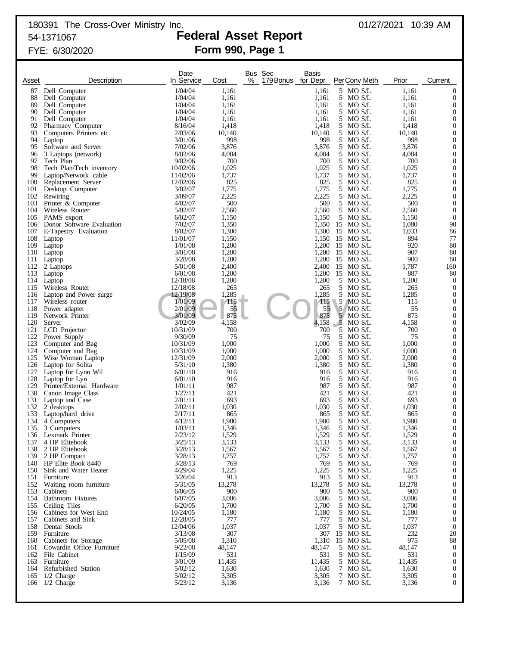| Asset      | Description                              | Date<br>In Service  | Cost           | <b>Bus</b><br>% | Sec<br>179 Bonus | <b>Basis</b><br>for Depr | PerConv Meth                | Prior          | Current                              |
|------------|------------------------------------------|---------------------|----------------|-----------------|------------------|--------------------------|-----------------------------|----------------|--------------------------------------|
|            |                                          |                     |                |                 |                  |                          |                             |                |                                      |
| 87<br>88   | Dell Computer<br>Dell Computer           | 1/04/04<br>1/04/04  | 1,161<br>1,161 |                 |                  | 1,161<br>1,161           | 5 MO S/L<br>5 MO S/L        | 1,161<br>1,161 | $\bf{0}$<br>0                        |
| 89         | Dell Computer                            | 1/04/04             | 1,161          |                 |                  | 1,161                    | 5 MO S/L                    | 1,161          | 0                                    |
| 90         | Dell Computer                            | 1/04/04             | 1,161          |                 |                  | 1,161                    | 5 MO S/L                    | 1,161          | 0                                    |
| 91         | Dell Computer                            | 1/04/04             | 1,161          |                 |                  | 1,161                    | 5 MO S/L                    | 1,161          | 0                                    |
| 92         | Pharmacy Computer                        | 8/16/04             | 1,418          |                 |                  | 1,418                    | 5 MO S/L                    | 1,418          | 0                                    |
| 93         | Computers Printers etc.                  | 2/03/06             | 10,140         |                 |                  | 10,140                   | 5 MO S/L                    | 10,140         | 0                                    |
| 94         | Laptop                                   | 3/01/06             | 998            |                 |                  | 998                      | 5 MO S/L                    | 998            | 0                                    |
| 95         | Software and Server                      | 7/02/06             | 3,876          |                 |                  | 3,876                    | 5 MO S/L                    | 3,876          | 0                                    |
| 96         | 3 Laptops (network)                      | 8/02/06             | 4,084          |                 |                  | 4,084                    | 5 MO S/L                    | 4,084          | $\boldsymbol{0}$                     |
| 97         | Tech Plan                                | 9/02/06             | 700            |                 |                  | 700                      | 5 MO S/L                    | 700            | 0                                    |
| 98         | Tech Plan/Tech inventory                 | 10/02/06            | 1,025          |                 |                  | 1,025                    | 5 MO S/L                    | 1,025          | $\boldsymbol{0}$                     |
| 99         | Laptop/Network cable                     | 11/02/06            | 1,737          |                 |                  | 1,737                    | 5 MO S/L                    | 1,737          | 0                                    |
| 100        | Replacement Server                       | 12/02/06            | 825            |                 |                  | 825                      | 5 MO S/L                    | 825            | $\boldsymbol{0}$                     |
| 101        | Desktop Computer                         | 3/02/07             | 1,775          |                 |                  | 1,775                    | 5 MO S/L                    | 1,775          | 0                                    |
| 102        | Rewiring                                 | 3/09/07             | 2,225          |                 |                  | 2,225                    | 5 MO S/L                    | 2,225          | $\boldsymbol{0}$                     |
| 103        | Printer & Computer                       | 4/02/07             | 500            |                 |                  | 500                      | 5 MO S/L                    | 500            | 0                                    |
| 104        | Wireless Router                          | 5/02/07             | 2,560          |                 |                  | 2,560                    | 5 MO S/L                    | 2,560          | $\mathbf{0}$<br>$\overline{0}$       |
| 105<br>106 | PAMS export<br>Donor Software Evaluation | 6/02/07<br>7/02/07  | 1,150<br>1,350 |                 |                  | 1,150                    | 5 MO S/L<br>1,350 15 MO S/L | 1,150<br>1,080 | 90                                   |
| 107        | E-Tapestry Evaluation                    | 8/02/07             | 1,300          |                 |                  |                          | 1,300 15 MO S/L             | 1,033          | 86                                   |
| 108        | Laptop                                   | 11/01/07            | 1,150          |                 |                  | 1,150                    | 15 MO S/L                   | 894            | 77                                   |
| 109        | Laptop                                   | 1/01/08             | 1,200          |                 |                  |                          | 1,200 15 MO S/L             | 920            | 80                                   |
| 110        | Laptop                                   | 3/01/08             | 1,200          |                 |                  | 1,200                    | 15 MO S/L                   | 907            | 80                                   |
| 111        | Laptop                                   | 3/28/08             | 1,200          |                 |                  | 1,200                    | 15 MO S/L                   | 900            | 80                                   |
| 112        | 2 Laptops                                | 5/01/08             | 2,400          |                 |                  | 2,400                    | 15 MO S/L                   | 1,787          | 160                                  |
| 113        | Laptop                                   | 6/01/08             | 1,200          |                 |                  | 1,200                    | 15 MO S/L                   | 887            | 80                                   |
| 114        | Laptop                                   | 12/18/08            | 1,200          |                 |                  | 1,200                    | 5 MO S/L                    | 1,200          | $\boldsymbol{0}$                     |
| 115        | Wireless Router                          | 12/18/08            | 265            |                 |                  | 265                      | 5 MO S/L                    | 265            | $\boldsymbol{0}$                     |
| 116        | Laptop and Power surge                   | 12/19/08            | 1,285          |                 |                  | 1,285                    | 5 MO S/L                    | 1,285          | $\boldsymbol{0}$                     |
| 117        | Wireless router                          | 1/01/09             | $-415 = -$     |                 |                  | 415                      | $5$ MO S/L                  | 115            | 0                                    |
| 118        | Power adapter                            | 2/01/09             | 55             |                 |                  | 55                       | 5 MO S/L                    | 55             | $\boldsymbol{0}$                     |
| 119        | Network Printer                          | 3/01/09             | 875            |                 |                  | 875                      | 5 MO S/L                    | 875            | 0                                    |
| 120        | Server                                   | 3/02/09             | 4,158          |                 |                  | 4,158                    | -5<br>MO S/L                | 4,158          | $\boldsymbol{0}$                     |
| 121<br>122 | LCD Projector<br>Power Supply            | 10/31/09<br>9/30/09 | 700<br>75      |                 |                  | 700<br>75                | 5 MO S/L<br>5<br>MO S/L     | 700<br>75      | 0<br>$\boldsymbol{0}$                |
| 123        | Computer and Bag                         | 10/31/09            | 1,000          |                 |                  | 1,000                    | 5 MO S/L                    | 1,000          | 0                                    |
| 124        | Computer and Bag                         | 10/31/09            | 1,000          |                 |                  | 1,000                    | 5 MO S/L                    | 1,000          | $\boldsymbol{0}$                     |
| 125        | Wise Woman Laptop                        | 12/31/09            | 2,000          |                 |                  | 2,000                    | 5 MO S/L                    | 2,000          | 0                                    |
| 126        | Laptop for Solita                        | 5/31/10             | 1,380          |                 |                  | 1,380                    | 5 MO S/L                    | 1,380          | $\boldsymbol{0}$                     |
| 127        | Laptop for Lynn Wil                      | 6/01/10             | 916            |                 |                  | 916                      | 5 MO S/L                    | 916            | 0                                    |
| 128        | Laptop for Lyn                           | 6/01/10             | 916            |                 |                  | 916                      | 5 MO S/L                    | 916            | $\boldsymbol{0}$                     |
| 129        | Printer/External Hardware                | 1/01/11             | 987            |                 |                  | 987                      | 5 MO S/L                    | 987            | 0                                    |
| 130        | Canon Image Class                        | 1/27/11             | 421            |                 |                  | 421                      | 5 MO S/L                    | 421            | $\boldsymbol{0}$                     |
| 131        | Laptop and Case                          | 2/01/11             | 693            |                 |                  | 693                      | 5 MO S/L                    | 693            | 0                                    |
| 132        | 2 desktops                               | 2/02/11             | 1,030          |                 |                  | 1,030                    | 5 MO S/L                    | 1,030          | 0                                    |
| 133        | Laptop/hard drive                        | 2/17/11             | 865            |                 |                  | 865                      | 5 MO S/L                    | 865            | $\overline{0}$                       |
|            | 134 4 Computers                          | 4/12/11             | 1,980          |                 |                  | 1,980                    | 5 MO S/L                    | 1,980          | $\boldsymbol{0}$                     |
| 135<br>136 | 3 Computers<br>Lexmark Printer           | 1/03/11<br>2/23/12  | 1,346<br>1,529 |                 |                  | 1,346<br>1,529           | 5 MO S/L<br>5 MO S/L        | 1,346<br>1,529 | $\boldsymbol{0}$<br>$\boldsymbol{0}$ |
| 137        | 4 HP Elitebook                           | 3/25/13             | 3,133          |                 |                  | 3,133                    | 5 MO S/L                    | 3,133          | $\mathbf{0}$                         |
| 138        | 2 HP Elitebook                           | 3/28/13             | 1,567          |                 |                  | 1,567                    | 5 MO S/L                    | 1,567          | $\boldsymbol{0}$                     |
| 139        | 2 HP Compact                             | 3/28/13             | 1,757          |                 |                  | 1,757                    | 5 MO S/L                    | 1,757          | $\boldsymbol{0}$                     |
| 140        | HP Elite Book 8440                       | 3/28/13             | 769            |                 |                  | 769                      | 5 MO S/L                    | 769            | $\boldsymbol{0}$                     |
| 150        | Sink and Water Heater                    | 4/29/04             | 1,225          |                 |                  | 1,225                    | 5 MO S/L                    | 1,225          | 0                                    |
| 151        | Furniture                                | 3/26/04             | 913            |                 |                  | 913                      | 5 MO S/L                    | 913            | $\boldsymbol{0}$                     |
| 152        | Waiting room furniture                   | 5/31/05             | 13,278         |                 |                  | 13,278                   | 5 MO S/L                    | 13,278         | 0                                    |
| 153        | Cabinets                                 | 6/06/05             | 900            |                 |                  | 900                      | 5 MO S/L                    | 900            | $\boldsymbol{0}$                     |
| 154        | Bathroom Fixtures                        | 6/07/05             | 3,006          |                 |                  | 3,006                    | 5 MO S/L                    | 3,006          | 0                                    |
| 155        | Ceiling Tiles                            | 6/20/05             | 1,700          |                 |                  | 1,700                    | 5 MO S/L                    | 1,700          | $\boldsymbol{0}$                     |
| 156        | Cabinets for West End                    | 10/24/05            | 1,180          |                 |                  | 1,180                    | 5 MO S/L                    | 1,180          | 0                                    |
| 157        | Cabinets and Sink                        | 12/28/05            | 777            |                 |                  | 777                      | 5 MO S/L                    | 777            | $\mathbf{0}$                         |
| 158<br>159 | Dental Stools                            | 12/04/06            | 1,037          |                 |                  | 1,037<br>307             | 5 MO S/L<br>15 MO S/L       | 1,037          | $\boldsymbol{0}$                     |
| 160        | Furniture<br>Cabinets for Storage        | 3/13/08<br>5/05/08  | 307<br>1,310   |                 |                  | 1,310                    | 15 MO S/L                   | 232<br>975     | 20<br>$88\,$                         |
| 161        | Cowardin Office Furniture                | 9/22/08             | 48,147         |                 |                  | 48,147                   | 5 MO S/L                    | 48,147         | $\boldsymbol{0}$                     |
| 162        | File Cabinet                             | 1/15/09             | 531            |                 |                  | 531                      | 5 MO S/L                    | 531            | $\boldsymbol{0}$                     |
| 163        | Furniture                                | 3/01/09             | 11,435         |                 |                  | 11,435                   | 5 MO S/L                    | 11,435         | 0                                    |
| 164        | Refurbished Station                      | 5/02/12             | 1,630          |                 |                  | 1,630                    | 7 MO S/L                    | 1,630          | $\mathbf{0}$                         |
| 165        | 1/2 Charge                               | 5/02/12             | 3,305          |                 |                  | 3,305                    | 7 MO S/L                    | 3,305          | 0                                    |
| 166        | 1/2 Charge                               | 5/23/12             | 3,136          |                 |                  | 3,136                    | 7 MO S/L                    | 3,136          | $\Omega$                             |
|            |                                          |                     |                |                 |                  |                          |                             |                |                                      |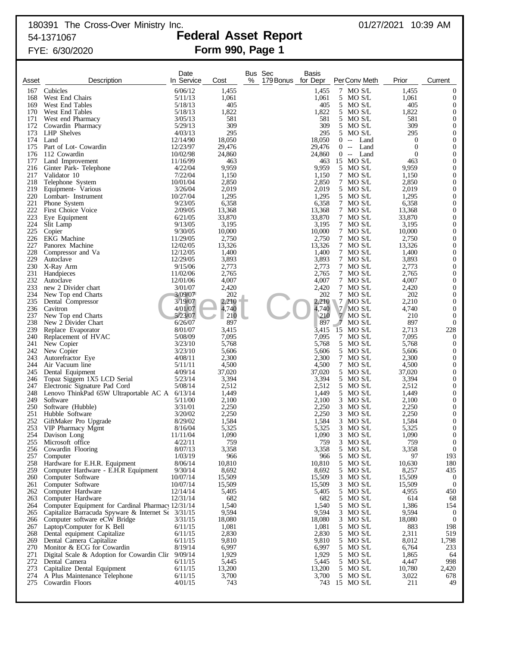| Asset      | Description                                             | Date<br>In Service   | Cost               | Bus<br>% | Sec<br>179 Bonus | Basis<br>for Depr | PerConv Meth                                                            | Prior                              | Current                              |
|------------|---------------------------------------------------------|----------------------|--------------------|----------|------------------|-------------------|-------------------------------------------------------------------------|------------------------------------|--------------------------------------|
| 167        | Cubicles                                                | 6/06/12              | 1,455              |          |                  | 1,455             | 7 MO S/L                                                                | 1,455                              | $\bf{0}$                             |
| 168        | West End Chairs                                         | 5/11/13              | 1,061              |          |                  | 1,061             | 5 MO S/L                                                                | 1,061                              | 0                                    |
| 169        | West End Tables                                         | 5/18/13              | 405                |          |                  | 405               | 5 MO S/L                                                                | 405                                | 0                                    |
| 170        | West End Tables                                         | 5/18/13              | 1,822              |          |                  | 1,822             | 5 MO S/L                                                                | 1,822                              | 0                                    |
| 171        | West end Pharmacy                                       | 3/05/13              | 581                |          |                  | 581               | 5 MO S/L                                                                | 581                                | $\overline{0}$                       |
| 172        | Cowardin Pharmacy                                       | 5/29/13              | 309                |          |                  | 309               | 5 MO S/L                                                                | 309                                | 0                                    |
| 173<br>174 | <b>LHP</b> Shelves                                      | 4/03/13              | 295                |          |                  | 295               | 5 MO S/L<br>$\overline{0}$                                              | 295                                | 0                                    |
| 175        | Land<br>Part of Lot- Cowardin                           | 12/14/90<br>12/23/97 | 18,050<br>29,476   |          |                  | 18,050<br>29,476  | Land<br>$\hspace{0.1mm}-\hspace{0.1mm}-\hspace{0.1mm}$<br>$0 -$<br>Land | $\boldsymbol{0}$<br>$\overline{0}$ | $\boldsymbol{0}$<br>$\boldsymbol{0}$ |
| 176        | 112 Cowardin                                            | 10/02/98             | 24,860             |          |                  | 24,860            | $\overline{0}$<br>Land<br>$\sim$                                        | $\overline{0}$                     | $\boldsymbol{0}$                     |
| 177        | Land Improvement                                        | 11/16/99             | 463                |          |                  | 463               | 15 MO S/L                                                               | 463                                | $\boldsymbol{0}$                     |
| 216        | Ginter Park- Telephone                                  | 4/22/04              | 9,959              |          |                  | 9,959             | 5 MO S/L                                                                | 9,959                              | $\boldsymbol{0}$                     |
| 217        | Validator 10                                            | 7/22/04              | 1,150              |          |                  | 1,150             | 7 MO S/L                                                                | 1,150                              | $\boldsymbol{0}$                     |
| 218        | Telephone System                                        | 10/01/04             | 2,850              |          |                  | 2,850             | 7 MO S/L                                                                | 2,850                              | $\boldsymbol{0}$                     |
| 219        | Equipment- Various                                      | 3/26/04              | 2,019              |          |                  | 2,019             | 5 MO S/L                                                                | 2,019                              | $\boldsymbol{0}$                     |
| 220        | Lombart- Instrument                                     | 10/27/04             | 1,295              |          |                  | 1,295             | 5 MO S/L                                                                | 1,295                              | $\boldsymbol{0}$                     |
| 221        | Phone System                                            | 9/23/05              | 6,358              |          |                  | 6,358             | 7 MO S/L                                                                | 6,358                              | $\boldsymbol{0}$                     |
| 222<br>223 | First Choice Voice<br>Eye Equipment                     | 2/09/05<br>6/21/05   | 13,368<br>33,870   |          |                  | 13,368<br>33,870  | 7 MO S/L<br>7 MO S/L                                                    | 13,368<br>33,870                   | $\boldsymbol{0}$<br>$\boldsymbol{0}$ |
| 224        | Slit Lamp                                               | 9/13/05              | 3,195              |          |                  | 3,195             | 7 MO S/L                                                                | 3,195                              | $\boldsymbol{0}$                     |
| 225        | Copier                                                  | 9/30/05              | 10,000             |          |                  | 10,000            | 7 MO S/L                                                                | 10,000                             | $\boldsymbol{0}$                     |
| 226        | <b>EKG</b> Machine                                      | 11/29/05             | 2,750              |          |                  | 2,750             | 7 MO S/L                                                                | 2,750                              | $\boldsymbol{0}$                     |
| 227        | Panorex Machine                                         | 12/02/05             | 13,326             |          |                  | 13,326            | 7 MO S/L                                                                | 13,326                             | $\boldsymbol{0}$                     |
| 228        | Compressor and Va                                       | 12/12/05             | 1,400              |          |                  | 1,400             | 7 MO S/L                                                                | 1,400                              | $\boldsymbol{0}$                     |
| 229        | Autoclave                                               | 12/29/05             | 3,893              |          |                  | 3,893             | 7 MO S/L                                                                | 3,893                              | $\boldsymbol{0}$                     |
| 230        | X-Ray Arm                                               | 9/15/06              | 2,773              |          |                  | 2,773             | 7 MO S/L                                                                | 2,773                              | $\boldsymbol{0}$                     |
| 231        | Handpieces                                              | 11/02/06             | 2,765              |          |                  | 2,765             | 7 MO S/L                                                                | 2,765                              | $\boldsymbol{0}$                     |
| 232        | Autoclave                                               | 12/01/06             | 4,007              |          |                  | 4,007             | 7 MO S/L                                                                | 4,007                              | $\boldsymbol{0}$                     |
| 233        | new 2 Divider chart                                     | 3/01/07              | 2,420              |          |                  | 2,420             | 7 MO S/L                                                                | 2,420                              | $\boldsymbol{0}$                     |
| 234        | New Top end Charts                                      | 3/09/07              | 202                |          |                  | 202               | 7 MO S/L                                                                | 202                                | $\boldsymbol{0}$<br>$\boldsymbol{0}$ |
| 235<br>236 | Dental Compressor<br>Cavitron                           | 3/19/07<br>4/01/07   | $2,210 =$<br>4,740 |          |                  | 2,210<br>4,740    | 7 MO S/L<br>7 MO S/L                                                    | 2,210<br>4,740                     | 0                                    |
| 237        | New Top end Charts                                      | 5/23/07              | 210                |          |                  | 210               | 7/<br>MO S/L                                                            | 210                                | $\overline{0}$                       |
| 238        | New 2 Divider Chart                                     | 6/26/07              | 897                |          |                  | 897               | -7<br>MO S/L                                                            | 897                                | $\overline{0}$                       |
| 239        | Replace Evaporator                                      | 8/01/07              | 3,415              |          |                  | 3,415             | 15 MO S/L                                                               | 2,713                              | 228                                  |
| 240        | Replacement of HVAC                                     | 5/08/09              | 7,095              |          |                  | 7,095             | 7<br>MO S/L                                                             | 7,095                              | $\theta$                             |
| 241        | New Copier                                              | 3/23/10              | 5,768              |          |                  | 5,768             | 5 MO S/L                                                                | 5,768                              | $\mathbf{0}$                         |
| 242        | New Copier                                              | 3/23/10              | 5,606              |          |                  | 5,606             | 5 MO S/L                                                                | 5,606                              | 0                                    |
| 243        | Autorefractor Eye                                       | 4/08/11              | 2,300              |          |                  | 2,300             | 7 MO S/L                                                                | 2,300                              | 0                                    |
| 244        | Air Vacuum line                                         | 5/11/11              | 4,500              |          |                  | 4,500             | 7 MO S/L                                                                | 4,500                              | $\boldsymbol{0}$<br>$\boldsymbol{0}$ |
| 245<br>246 | Dental Equipment<br>Topaz Siggem 1X5 LCD Serial         | 4/09/14<br>5/23/14   | 37,020<br>3,394    |          |                  | 37,020<br>3,394   | 5 MO S/L<br>5 MO S/L                                                    | 37,020<br>3,394                    | $\boldsymbol{0}$                     |
| 247        | Electronic Signature Pad Cord                           | 5/08/14              | 2,512              |          |                  | 2,512             | 5 MO S/L                                                                | 2,512                              | $\boldsymbol{0}$                     |
| 248        | Lenovo ThinkPad 65W Ultraportable AC A 6/13/14          |                      | 1,449              |          |                  | 1,449             | 5 MO S/L                                                                | 1,449                              | 0                                    |
| 249        | Software                                                | 5/11/00              | 2,100              |          |                  | 2,100             | MO S/L<br>3                                                             | 2,100                              | 0                                    |
| 250        | Software (Hubble)                                       | 3/31/01              | 2,250              |          |                  | 2,250             | 3<br>MO S/L                                                             | 2,250                              | 0                                    |
| 251        | Hubble Software                                         | 3/20/02              | 2,250              |          |                  | 2,250             | 3<br>MO S/L                                                             | 2,250                              | $\theta$                             |
| 252        | GiftMaker Pro Upgrade                                   | 8/29/02              | 1,584              |          |                  | 1,584             | 3 MO S/L                                                                | 1,584                              | $\mathbf{0}$                         |
| 253        | <b>VIP Pharmacy Mgmt</b>                                | 8/16/04              | 5,325              |          |                  | 5,325             | $3$ MO S/L                                                              | 5,325                              | $\mathbf{0}$                         |
| 254        | Davison Long                                            | 11/11/04             | 1,090              |          |                  | 1,090             | $3$ MO S/L                                                              | 1,090                              | $\boldsymbol{0}$                     |
| 255<br>256 | Microsoft office<br>Cowardin Flooring                   | 4/22/11<br>8/07/13   | 759<br>3,358       |          |                  | 759<br>3,358      | $3$ MO S/L<br>5 MO S/L                                                  | 759<br>3,358                       | $\boldsymbol{0}$<br>$\boldsymbol{0}$ |
| 257        | Computer                                                | 1/03/19              | 966                |          |                  | 966               | 5 MO S/L                                                                | 97                                 | 193                                  |
| 258        | Hardware for E.H.R. Equipment                           | 8/06/14              | 10,810             |          |                  | 10,810            | 5 MO S/L                                                                | 10,630                             | 180                                  |
| 259        | Computer Hardware - E.H.R Equipment                     | 9/30/14              | 8,692              |          |                  | 8,692             | 5 MO S/L                                                                | 8,257                              | 435                                  |
| 260        | Computer Software                                       | 10/07/14             | 15,509             |          |                  | 15,509            | $3$ MO S/L                                                              | 15,509                             | $\overline{0}$                       |
| 261        | Computer Software                                       | 10/07/14             | 15,509             |          |                  | 15,509            | $3$ MO S/L                                                              | 15,509                             | $\mathbf{0}$                         |
| 262        | Computer Hardware                                       | 12/14/14             | 5,405              |          |                  | 5,405             | 5 MO S/L                                                                | 4,955                              | 450                                  |
| 263        | Computer Hardware                                       | 12/31/14             | 682                |          |                  | 682               | 5 MO S/L                                                                | 614                                | 68                                   |
| 264        | Computer Equipment for Cardinal Pharmacy 12/31/14       |                      | 1,540              |          |                  | 1,540             | 5 MO S/L                                                                | 1,386                              | 154                                  |
| 265        | Capitalize Barracuda Spyware & Internet Se $3/31/15$    |                      | 9,594              |          |                  | 9,594             | $3$ MO S/L                                                              | 9,594                              | $\overline{0}$                       |
| 266        | Computer software eCW Bridge                            | 3/31/15              | 18,080             |          |                  | 18,080            | $3$ MO S/L                                                              | 18,080                             | $\mathbf{0}$                         |
| 267<br>268 | Laptop/Computer for K Bell                              | 6/11/15<br>6/11/15   | 1,081<br>2,830     |          |                  | 1,081<br>2,830    | 5 MO S/L<br>5 MO S/L                                                    | 883<br>2,311                       | 198<br>519                           |
| 269        | Dental equipment Capitalize<br>Dental Camera Capitalize | 6/11/15              | 9,810              |          |                  | 9,810             | 5 MO S/L                                                                | 8,012                              | 1,798                                |
| 270        | Monitor & ECG for Cowardin                              | 8/19/14              | 6,997              |          |                  | 6,997             | 5 MO S/L                                                                | 6,764                              | 233                                  |
| 271        | Digital Scale & Adoption for Cowardin Clir 9/09/14      |                      | 1,929              |          |                  | 1,929             | 5 MO S/L                                                                | 1,865                              | 64                                   |
| 272        | Dental Camera                                           | 6/11/15              | 5,445              |          |                  | 5,445             | 5 MO S/L                                                                | 4,447                              | 998                                  |
| 273        | Capitalize Dental Equipment                             | 6/11/15              | 13,200             |          |                  | 13,200            | 5 MO S/L                                                                | 10,780                             | 2,420                                |
| 274        | A Plus Maintenance Telephone                            | 6/11/15              | 3,700              |          |                  | 3,700             | 5 MO S/L                                                                | 3,022                              | 678                                  |
| 275        | Cowardin Floors                                         | 4/01/15              | 743                |          |                  | 743               | 15 MO S/L                                                               | 211                                | 49                                   |
|            |                                                         |                      |                    |          |                  |                   |                                                                         |                                    |                                      |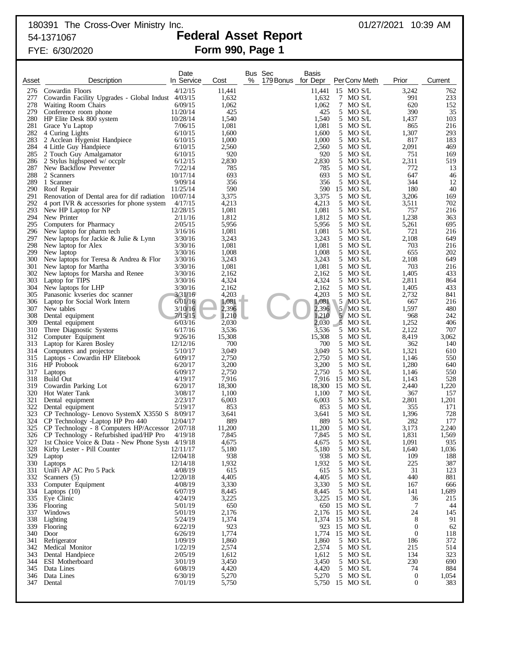| Asset      | Description                                                                      | Date<br>In Service  | Cost           | Bus<br>℅    | Sec<br>179 Bonus | Basis<br>for Depr | PerConv Meth                     | Prior          | Current      |
|------------|----------------------------------------------------------------------------------|---------------------|----------------|-------------|------------------|-------------------|----------------------------------|----------------|--------------|
| 276        | Cowardin Floors                                                                  | 4/12/15             | 11,441         |             |                  | 11,441            | 15 MO S/L                        | 3,242          | 762          |
| 277        | Cowardin Facility Upgrades - Global Indust 4/03/15                               |                     | 1,632          |             |                  | 1,632             | 7 MO S/L                         | 991            | 233          |
| 278        | Waiting Room Chairs                                                              | 6/09/15             | 1,062          |             |                  | 1,062             | 7<br>MO S/L                      | 620            | 152          |
| 279        | Conference room phone                                                            | 11/20/14            | 425            |             |                  | 425               | 5 MO S/L                         | 390            | 35           |
| 280<br>281 | HP Elite Desk 800 system<br>Grace Yu Laptop                                      | 10/28/14<br>7/06/15 | 1,540<br>1,081 |             |                  | 1,540<br>1,081    | 5 MO S/L<br>5 MO S/L             | 1,437<br>865   | 103<br>216   |
| 282        | 4 Curing Lights                                                                  | 6/10/15             | 1,600          |             |                  | 1,600             | 5 MO S/L                         | 1,307          | 293          |
| 283        | 2 Acclean Hygenist Handpiece                                                     | 6/10/15             | 1,000          |             |                  | 1,000             | 5 MO S/L                         | 817            | 183          |
| 284        | 4 Little Guy Handpiece                                                           | 6/10/15             | 2,560          |             |                  | 2,560             | 5 MO S/L                         | 2,091          | 469          |
| 285        | 2 Touch Guy Amalgamator                                                          | 6/10/15             | 920            |             |                  | 920               | 5 MO S/L                         | 751            | 169          |
| 286        | 2 Stylus highspeed w/occplr                                                      | 6/12/15             | 2,830          |             |                  | 2,830             | 5 MO S/L                         | 2,311          | 519          |
| 287        | New Backflow Preventer                                                           | 7/22/14             | 785            |             |                  | 785               | 5 MO S/L                         | 772            | 13           |
| 288<br>289 | 2 Scanners<br>1 Scanner                                                          | 10/17/14<br>9/09/14 | 693<br>356     |             |                  | 693<br>356        | 5 MO S/L<br>5 MO S/L             | 647<br>344     | 46<br>12     |
| 290        | Roof Repair                                                                      | 11/25/14            | 590            |             |                  | 590               | 15 MO S/L                        | 180            | 40           |
| 291        | Renovation of Dental area for dif radiation 10/07/14                             |                     | 3,375          |             |                  | 3,375             | 5 MO S/L                         | 3,206          | 169          |
| 292        | 4 port IVR & accessories for phone system                                        | 4/17/15             | 4,213          |             |                  | 4,213             | 5 MO S/L                         | 3,511          | 702          |
| 293        | New HP Laptop for NP                                                             | 12/28/15            | 1,081          |             |                  | 1,081             | 5 MO S/L                         | 757            | 216          |
| 294        | New Printer                                                                      | 2/11/16             | 1,812          |             |                  | 1,812             | 5 MO S/L                         | 1,238          | 363          |
| 295        | Computers for Pharmacy                                                           | 2/05/15             | 5,956          |             |                  | 5,956             | 5 MO S/L                         | 5,261          | 695          |
| 296<br>297 | New laptop for pharm tech<br>New laptops for Jackie & Julie & Lynn               | 3/16/16<br>3/30/16  | 1,081<br>3,243 |             |                  | 1,081<br>3,243    | 5 MO S/L<br>5 MO S/L             | 721<br>2,108   | 216<br>649   |
| 298        | New laptop for Alex                                                              | 3/30/16             | 1,081          |             |                  | 1,081             | 5 MO S/L                         | 703            | 216          |
| 299        | New laptop                                                                       | 3/30/16             | 1,008          |             |                  | 1,008             | 5 MO S/L                         | 655            | 202          |
| 300        | New laptops for Teresa & Andrea & Flor                                           | 3/30/16             | 3,243          |             |                  | 3,243             | 5 MO S/L                         | 2,108          | 649          |
| 301        | New laptop for Martha                                                            | 3/30/16             | 1,081          |             |                  | 1,081             | 5 MO S/L                         | 703            | 216          |
| 302        | New laptops for Marsha and Renee                                                 | 3/30/16             | 2,162          |             |                  | 2,162             | 5 MO S/L                         | 1,405          | 433          |
| 303        | Laptop for TIPS                                                                  | 3/30/16             | 4,324          |             |                  | 4,324             | 5 MO S/L                         | 2,811          | 864          |
| 304<br>305 | New laptops for LHP                                                              | 3/30/16<br>3/31/16  | 2,162<br>4,203 |             |                  | 2,162<br>4,203    | 5 MO S/L<br>5 MO S/L             | 1,405<br>2,732 | 433<br>841   |
| 306        | Panasonic kvseries doc scanner<br>Laptop for Social Work Intern                  | 6/01/16             | 1,081          | <b>STAR</b> |                  | 1,081             | $5$ MO S/L                       | 667            | 216          |
|            | 307 New tables                                                                   | 3/10/16             | 2,396          |             |                  | 2,396             | $5/MO$ S/L                       | 1,597          | 480          |
| 308        | Dental equipment                                                                 | 7/15/15             | 1,210          |             |                  | 1,210             | $5/MO$ S/L                       | 968            | 242          |
| 309        | Dental equipment                                                                 | 6/03/16             | 2,030          |             |                  | 2,030             | 5 MO S/L                         | 1,252          | 406          |
| 310        | Three Diagnostic Systems                                                         | 6/17/16             | 3,536          |             |                  | 3,536             | 5 MO S/L                         | 2,122          | 707          |
| 312<br>313 | Computer Equipment                                                               | 9/26/16<br>12/12/16 | 15,308<br>700  |             |                  | 15,308<br>700     | 5 MO S/L<br>5 MO S/L             | 8,419<br>362   | 3,062<br>140 |
| 314        | Laptop for Karen Bosley<br>Computers and projector                               | 5/10/17             | 3,049          |             |                  | 3,049             | 5 MO S/L                         | 1,321          | 610          |
| 315        | Laptops - Cowardin HP Elitebook                                                  | 6/09/17             | 2,750          |             |                  | 2,750             | 5 MO S/L                         | 1,146          | 550          |
|            | 316 HP Probook                                                                   | 6/20/17             | 3,200          |             |                  | 3,200             | 5 MO S/L                         | 1,280          | 640          |
| 317        | Laptops                                                                          | 6/09/17             | 2,750          |             |                  | 2,750             | 5 MO S/L                         | 1,146          | 550          |
| 318        | Build Out                                                                        | 4/19/17             | 7,916          |             |                  | 7.916             | 15 MO S/L                        | 1,143          | 528          |
| 319        | Cowardin Parking Lot                                                             | 6/20/17             | 18,300         |             |                  | 18,300            | 15 MO S/L                        | 2,440          | 1,220        |
| 320<br>321 | Hot Water Tank<br>Dental equipment                                               | 3/08/17<br>2/23/17  | 1,100<br>6,003 |             |                  | 1,100<br>6,003    | 7 MO S/L<br>5 MO S/L             | 367<br>2,801   | 157<br>1,201 |
| 322        | Dental equipment                                                                 | 5/19/17             | 853            |             |                  | 853               | 5 MO S/L                         | 355            | 171          |
| 323        | CP Technology- Lenovo SystemX X3550 S 8/09/17                                    |                     | 3,641          |             |                  | 3,641             | 5 MO S/L                         | 1,396          | 728          |
| 324        | CP Technology -Laptop HP Pro 440                                                 | 12/04/17            | 889            |             |                  | 889               | 5 MO S/L                         | 282            | 177          |
| 325        | CP Technology - 8 Computers HP/Accessor                                          | 2/07/18             | 11,200         |             |                  | 11,200            | 5 MO S/L                         | 3,173          | 2,240        |
| 326        | CP Technology - Refurbished ipad/HP Pro                                          | 4/19/18             | 7,845          |             |                  | 7,845             | 5 MO S/L                         | 1,831          | 1,569        |
| 327<br>328 | 1st Choice Voice & Data - New Phone Syste 4/19/18<br>Kirby Lester - Pill Counter | 12/11/17            | 4,675          |             |                  | 4,675             | 5 MO S/L<br>5 MO S/L             | 1,091<br>1,640 | 935<br>1,036 |
| 329        | Laptop                                                                           | 12/04/18            | 5,180<br>938   |             |                  | 5,180<br>938      | 5 MO S/L                         | 109            | 188          |
|            | 330 Laptops                                                                      | 12/14/18            | 1,932          |             |                  | 1,932             | 5 MO S/L                         | 225            | 387          |
| 331        | UniFi AP AC Pro 5 Pack                                                           | 4/08/19             | 615            |             |                  | 615               | 5 MO S/L                         | 31             | 123          |
| 332        | Scanners (5)                                                                     | 12/20/18            | 4,405          |             |                  | 4,405             | 5 MO S/L                         | 440            | 881          |
| 333        | Computer Equipment                                                               | 4/08/19             | 3,330          |             |                  | 3,330             | 5 MO S/L                         | 167            | 666          |
| 334        | Laptops $(10)$                                                                   | 6/07/19             | 8,445          |             |                  | 8,445             | 5 MO S/L                         | 141            | 1,689        |
|            | 335 Eye Clinic<br>336 Flooring                                                   | 4/24/19<br>5/01/19  | 3,225<br>650   |             |                  |                   | 3,225 15 MO S/L<br>650 15 MO S/L | 36<br>7        | 215<br>44    |
| 337        | Windows                                                                          | 5/01/19             | 2,176          |             |                  |                   | 2,176 15 MO S/L                  | 24             | 145          |
| 338        | Lighting                                                                         | 5/24/19             | 1,374          |             |                  |                   | 1,374 15 MO S/L                  | 8              | 91           |
| 339        | Flooring                                                                         | 6/22/19             | 923            |             |                  |                   | 923 15 MO S/L                    | $\overline{0}$ | 62           |
|            | 340 Door                                                                         | 6/26/19             | 1,774          |             |                  | 1,774             | 15 MO S/L                        | 0              | 118          |
| 341        | Refrigerator                                                                     | 1/09/19             | 1,860          |             |                  | 1,860             | 5 MO S/L                         | 186            | 372          |
| 342        | Medical Monitor                                                                  | 1/22/19             | 2,574          |             |                  | 2,574             | 5 MO S/L                         | 215            | 514          |
| 343<br>344 | Dental Handpiece<br><b>ESI</b> Motherboard                                       | 2/05/19<br>3/01/19  | 1,612<br>3,450 |             |                  | 1,612<br>3,450    | 5 MO S/L<br>5 MO S/L             | 134<br>230     | 323<br>690   |
| 345        | Data Lines                                                                       | 6/08/19             | 4,420          |             |                  | 4,420             | 5 MO S/L                         | 74             | 884          |
| 346        | Data Lines                                                                       | 6/30/19             | 5,270          |             |                  | 5,270             | 5 MO S/L                         | $\bf{0}$       | 1,054        |
| 347        | Dental                                                                           | 7/01/19             | 5,750          |             |                  | 5,750             | 15 MO S/L                        | $\theta$       | 383          |
|            |                                                                                  |                     |                |             |                  |                   |                                  |                |              |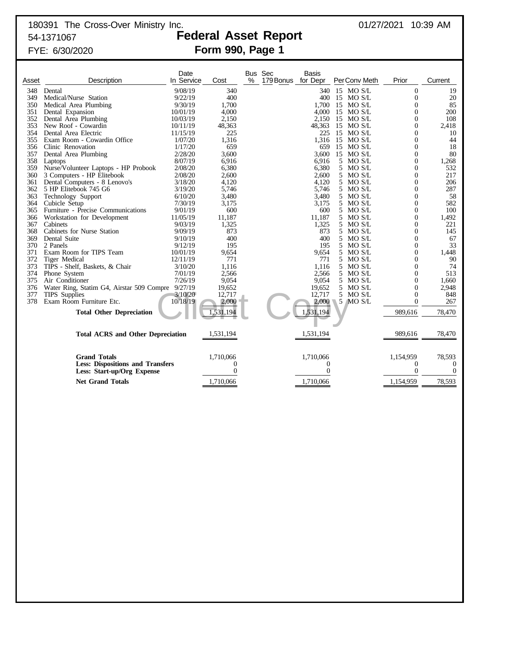$\begin{array}{|c|c|c|c|c|}\n\hline\n & 3/10/20 & 12,717 & 5 & 12,717 & 5 & 10/18/19 \\
\hline\n & 10/18/19 & 2,000 & 2,000 & 5 & 1,531,194 \\
\hline\n & 1,531,194 & 5 & 1,531,194 & 5 & 1,531,194 \\
\hline\n & 1,531,194 & 5 & 1,531,194 & 5 & 1,531,194 \\
\hline\n & 1,531,194 & 5 & 1,531$ Date Bus Sec Basis<br>In Service Cost % 179 Bonus for Dep Asset **Description** In Service Cost % 179Bonus for Depr PerConv Meth Prior Current 348 Dental 9/08/19 340 340 15 MO S/L 0 19 349 Medical/Nurse Station 9/22/19 400 400 15 MO S/L 0 20 350 Medical Area Plumbing  $\begin{array}{cccc} 9/30/19 & 1,700 & 1,700 & 15 \text{ MO S/L} & 0 & 85 \\ 351 & \text{Dental Expansion} & 10/01/19 & 4,000 & 4,000 & 15 \text{ MO S/L} & 0 & 200 \end{array}$ 351 Dental Expansion 10/01/19 4,000 4,000 15 MO S/L 0 200 10/03/19 2,150 2,150 15 MO S/L 0 108<br>
3.158 New Roof - Cowardin 10/11/19 48,363 15 MO S/L 0 2,418 353 New Roof - Cowardin 10/11/19 48,363 48,363 15 MO S/L 0 2,418<br>354 Dental Area Electric 11/15/19 225 225 225 15 MO S/L 0 10 354 Dental Area Electric 11/15/19 225 225 15 MO S/L 0 10<br>355 Exam Room - Cowardin Office 1/07/20 1,316 15 MO S/L 0 44 Exam Room - Cowardin Office 1/07/20 1,316 1,316 15 MO S/L 0 44<br>Clinic Renovation 1/17/20 659 15 MO S/L 0 18 356 Clinic Renovation 1/17/20 659 659 15 MO S/L 0 18<br>357 Dental Area Plumbing 2/28/20 3,600 659 3,600 15 MO S/L 0 80 357 Dental Area Plumbing 2/28/20 3,600 3,600 3,600 3,600 3,600 3 80<br>358 Laptops 8/07/19 6,916 5 MO S/L 0 1,268 358 Laptops 8/07/19 6,916 6,916 5 MO S/L 0 1,268 359 Nurse/Volunteer Laptops - HP Probook 2/08/20 6,380 6,380 5 MO S/L 0 532 360 3 Computers - HP Elitebook 2/08/20 2,600 2,600 5 MO S/L 0 217 361 Dental Computers - 8 Lenovo's 3/18/20 4,120 4,120 4,120 5 MO S/L 0 206<br>362 5 HP Elitebook 745 G6 3/19/20 5,746 5 MO S/L 0 287 362 5 HP Elitebook 745 G6 3/19/20 5,746 5 MO S/L 0 287<br>363 Technology Support 6 6/10/20 3.480 3.480 5 MO S/L 0 58 363 Technology Support 6/10/20 3,480 3,480 5 MO S/L 0 58<br>364 Cubicle Setup 3,175 7/30/19 3,175 3,175 3,175 5 MO S/L 0 582 364 Cubicle Setup 7/30/19 3,175 3,175 5 MO S/L 0 582 365 Furniture - Precise Communications  $\frac{9}{01/19}$   $\frac{600}{11,187}$   $\frac{600}{11,187}$   $\frac{5}{11,187}$   $\frac{5}{100}$   $\frac{5}{100}$   $\frac{100}{1,492}$   $\frac{1492}{1,492}$ 366 Workstation for Development 11/05/19 11,187 11,187 5 MO S/L 0 1,492<br>367 Cabinets 9/03/19 1,325 1,325 5 MO S/L 0 221 367 Cabinets **9/03/19** 1,325 1,325 5 MO S/L 0 221 368 Cabinets for Nurse Station 9/09/19 873 873 5 MO S/L 0 145<br>369 Dental Suite 9/10/19 400 400 5 MO S/L 0 67 369 Dental Suite 67 0 67 9/10/19 400 400 400 5 MO S/L 0 67 370 2 Panels 9/12/19 195 195 5 MO S/L 0 33 371 Exam Room for TIPS Team 10/01/19 9,654 9,654 5 MO S/L 0 1,448<br>372 Tiger Medical 12/11/19 771 771 5 MO S/L 0 90 372 Tiger Medical 12/11/19 771 771 5 MO S/L 0 90 373 TIPS - Shelf, Baskets, & Chair 3/10/20 1,116 1,116 5 MO S/L 0 74<br>374 Phone System 3 7/01/19 2,566 2,566 5 MO S/L 0 513 374 Phone System 2,566 2,566 2,566 5 MO S/L 0 513 375 Air Conditioner 7/26/19 9,054 9,054 5 MO S/L 0 1,660 376 Water Ring, Statim G4, Airstar 509 Compre  $\frac{9}{27/19}$  19,652 19,652 5 MO S/L 0 2,948<br>377 TIPS Supplies 3/10/20 12,717 12,717 5 MO S/L 0 848 377 TIPS Supplies 3/10/20 12,717 12,717 5 MO S/L 0 848 378 Exam Room Furniture Etc. 10/18/19 2,000 267 2,000 5 MO S/L 0 267 **Total Other Depreciation 1,531,194 1,531,194 989,616 78,470 Total ACRS and Other Depreciation** 1,531,194 1,531,194 989,616 78,470 **Grand Totals** 1,710,066 1,710,066 1,154,959 78,593 **Less: Dispositions and Transfers**  $\begin{array}{ccc} 0 & 0 & 0 \\ \textbf{Less: } \textbf{Start-up} / \textbf{Org} & \textbf{Express: } \\ \end{array}$ **Less: Start-up/Org Expense** 0 0 0 0

**Net Grand Totals** 1,710,066 1,710,066 1,710,066 1,154,959 78,593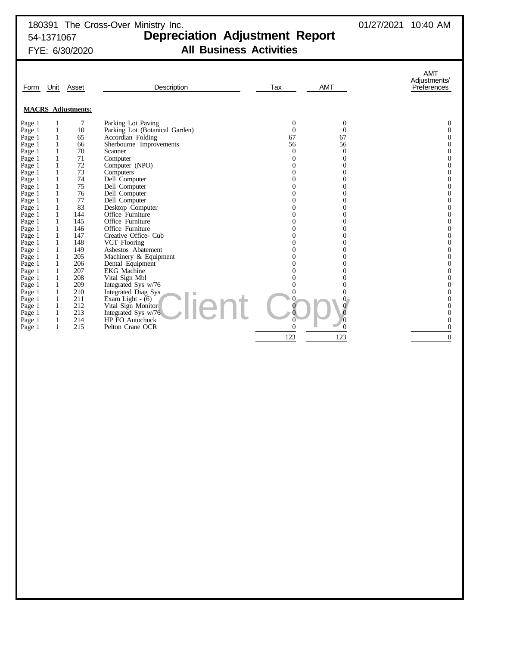### 180391 The Cross-Over Ministry Inc. 01/27/2021 10:40 AM 54-1371067 **Depreciation Adjustment Report** FYE: 6/30/2020 **All Business Activities**

| Form   | Unit         | Asset                     | Description                    | Tax            | <b>AMT</b>       | <b>AMT</b><br>Adjustments/<br>Preferences |
|--------|--------------|---------------------------|--------------------------------|----------------|------------------|-------------------------------------------|
|        |              | <b>MACRS</b> Adjustments: |                                |                |                  |                                           |
| Page 1 |              | 7                         | Parking Lot Paving             | $\theta$       | $\mathbf{0}$     | 0                                         |
| Page 1 |              | 10                        | Parking Lot (Botanical Garden) | $\overline{0}$ | $\mathbf{0}$     | 0                                         |
| Page 1 |              | 65                        | Accordian Folding              | 67             | 67               | 0                                         |
| Page 1 |              | 66                        | Sherbourne Improvements        | 56             | 56               | $\boldsymbol{0}$                          |
| Page 1 |              | 70                        | Scanner                        | $\Omega$       | $\mathbf{0}$     | $\theta$                                  |
| Page 1 |              | 71                        | Computer                       | 0              | $\mathbf{0}$     | $\theta$                                  |
| Page 1 |              | 72                        | Computer (NPO)                 | 0              | $\theta$         | $\overline{0}$                            |
| Page 1 |              | 73                        | Computers                      | 0              | $\theta$         | 0                                         |
| Page 1 |              | 74                        | Dell Computer                  |                | $\boldsymbol{0}$ | $\boldsymbol{0}$                          |
| Page 1 | $\mathbf{1}$ | 75                        | Dell Computer                  | 0              | $\mathbf{0}$     | $\boldsymbol{0}$                          |
| Page 1 | $\mathbf{1}$ | 76                        | Dell Computer                  |                | $\mathbf{0}$     | $\overline{0}$                            |
| Page 1 | 1            | 77                        | Dell Computer                  |                | $\overline{0}$   | $\overline{0}$                            |
| Page 1 | $\mathbf{1}$ | 83                        | Desktop Computer               |                | $\overline{0}$   | $\overline{0}$                            |
| Page 1 | $\mathbf{1}$ | 144                       | Office Furniture               |                | $\overline{0}$   | $\overline{0}$                            |
| Page 1 | 1            | 145                       | Office Furniture               |                | $\overline{0}$   | $\boldsymbol{0}$                          |
| Page 1 |              | 146                       | Office Furniture               |                | $\overline{0}$   | $\overline{0}$                            |
| Page 1 |              | 147                       | Creative Office- Cub           |                | $\overline{0}$   | $\theta$                                  |
| Page 1 | 1            | 148                       | <b>VCT</b> Flooring            |                | $\theta$         | $\theta$                                  |
| Page 1 | 1            | 149                       | Asbestos Abatement             |                | $\theta$         | $\theta$                                  |
| Page 1 | 1            | 205                       | Machinery & Equipment          |                | $\overline{0}$   | 0                                         |
| Page 1 | 1            | 206                       | Dental Equipment               |                | $\overline{0}$   | 0                                         |
| Page 1 | $\mathbf{1}$ | 207                       | <b>EKG</b> Machine             |                |                  |                                           |
| Page 1 | $\mathbf{1}$ | 208                       | Vital Sign Mbl                 |                |                  |                                           |
| Page 1 | $\mathbf{1}$ | 209                       | Integrated Sys w/76            |                |                  |                                           |
| Page 1 | 1            | 210                       | Integrated Diag Sys            |                |                  | $\theta$                                  |
| Page 1 | $\mathbf{1}$ | 211                       | Exam Light $-$ (6)             |                |                  | $\theta$                                  |
| Page 1 | $\mathbf{1}$ | 212                       | Vital Sign Monitor             |                |                  | $\theta$                                  |
| Page 1 |              | 213                       | Integrated Sys w/76            |                |                  | $\theta$                                  |
| Page 1 |              | 214                       | HP FO Autochuck                |                | $\theta$         | $\theta$                                  |
| Page 1 |              | 215                       | Pelton Crane OCR               |                | $\Omega$         | $\theta$                                  |
|        |              |                           |                                |                |                  |                                           |
|        |              |                           |                                | 123            | 123              | $\overline{0}$                            |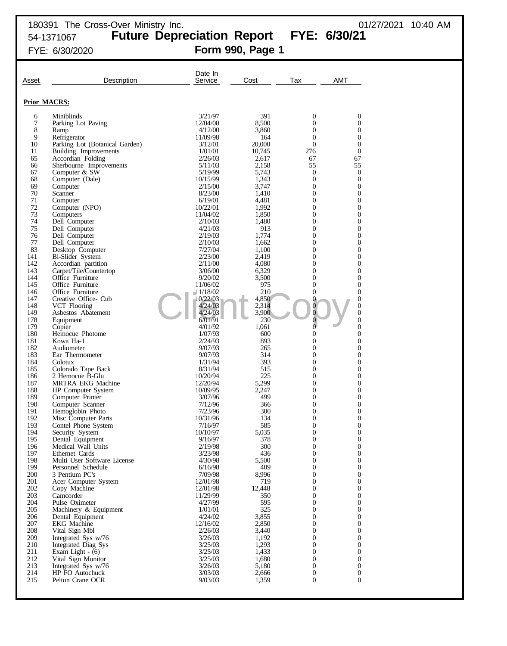| Asset               | Description                                       | Date In<br>Service  | Cost           | Tax                                  | <b>AMT</b>                           |
|---------------------|---------------------------------------------------|---------------------|----------------|--------------------------------------|--------------------------------------|
|                     |                                                   |                     |                |                                      |                                      |
| <b>Prior MACRS:</b> |                                                   |                     |                |                                      |                                      |
| 6                   | Miniblinds                                        | 3/21/97             | 391            | $\boldsymbol{0}$                     | 0                                    |
| 7                   | Parking Lot Paving                                | 12/04/00            | 8,500          | $\overline{0}$                       | $\boldsymbol{0}$                     |
| 8<br>9              | Ramp<br>Refrigerator                              | 4/12/00<br>11/09/98 | 3,860<br>164   | $\overline{0}$<br>$\overline{0}$     | $\boldsymbol{0}$<br>$\boldsymbol{0}$ |
| 10                  | Parking Lot (Botanical Garden)                    | 3/12/01             | 20,000         | $\mathbf{0}$                         | $\boldsymbol{0}$                     |
| 11                  | Building Improvements                             | 1/01/01             | 10,745         | 276                                  | $\boldsymbol{0}$                     |
| 65<br>66            | Accordian Folding<br>Sherbourne Improvements      | 2/26/03<br>5/11/03  | 2.617<br>2,158 | 67<br>55                             | 67<br>55                             |
| 67                  | Computer & SW                                     | 5/19/99             | 5,743          | $\boldsymbol{0}$                     | $\boldsymbol{0}$                     |
| 68                  | Computer (Dale)                                   | 10/15/99            | 1,343          | $\overline{0}$                       | $\boldsymbol{0}$                     |
| 69                  | Computer                                          | 2/15/00             | 3,747          | $\overline{0}$                       | $\boldsymbol{0}$                     |
| 70<br>71            | Scanner<br>Computer                               | 8/23/00<br>6/19/01  | 1,410<br>4,481 | 0<br>$\overline{0}$                  | $\boldsymbol{0}$<br>$\boldsymbol{0}$ |
| 72                  | Computer (NPO)                                    | 10/22/01            | 1,992          | 0                                    | $\boldsymbol{0}$                     |
| 73                  | Computers                                         | 11/04/02            | 1,850          | $\overline{0}$                       | $\boldsymbol{0}$                     |
| 74                  | Dell Computer                                     | 2/10/03             | 1,480          | 0                                    | $\boldsymbol{0}$                     |
| 75<br>76            | Dell Computer<br>Dell Computer                    | 4/21/03<br>2/19/03  | 913<br>1,774   | $\overline{0}$<br>0                  | $\boldsymbol{0}$<br>$\boldsymbol{0}$ |
| 77                  | Dell Computer                                     | 2/10/03             | 1,662          | 0                                    | $\boldsymbol{0}$                     |
| 83                  | Desktop Computer                                  | 7/27/04             | 1,100          | 0                                    | $\boldsymbol{0}$                     |
| 141                 | Bi-Slider System                                  | 2/23/00             | 2,419          | $\overline{0}$                       | $\boldsymbol{0}$                     |
| 142<br>143          | Accordian partition<br>Carpet/Tile/Countertop     | 2/11/00<br>3/06/00  | 4,080<br>6,329 | 0<br>$\boldsymbol{0}$                | $\boldsymbol{0}$<br>$\boldsymbol{0}$ |
| 144                 | Office Furniture                                  | 9/20/02             | 3,500          | $\overline{0}$                       | $\mathbf{0}$                         |
| 145                 | Office Furniture                                  | 11/06/02            | 975            | $\boldsymbol{0}$                     | $\boldsymbol{0}$                     |
| 146                 | Office Furniture                                  | 11/18/02            | 210            | $\overline{0}$                       | $\mathbf{0}$                         |
| 147<br>148          | Creative Office- Cub<br>VCT Flooring              | 10/22/03<br>4/24/03 | 4,850<br>2,314 | 0<br>0                               | $\boldsymbol{0}$<br>$\boldsymbol{0}$ |
| 149                 | Asbestos Abatement                                | 4/24/03             | 3,900          | Ō                                    | $\boldsymbol{0}$                     |
| 178                 | Equipment                                         | 6/01/91             | 230            | Ō                                    | $\mathbf{0}$                         |
| 179<br>180          | Copier<br>Hemocue Photome                         | 4/01/92             | 1,061          | $\overline{0}$<br>$\overline{0}$     | $\mathbf{0}$<br>$\mathbf{0}$         |
| 181                 | Kowa Ha-1                                         | 1/07/93<br>2/24/93  | 600<br>893     | $\boldsymbol{0}$                     | $\boldsymbol{0}$                     |
| 182                 | Audiometer                                        | 9/07/93             | 265            | 0                                    | $\boldsymbol{0}$                     |
| 183                 | Ear Thermometer                                   | 9/07/93             | 314            | $\overline{0}$                       | $\boldsymbol{0}$                     |
| 184<br>185          | Colotux<br>Colorado Tape Back                     | 1/31/94<br>8/31/94  | 393<br>515     | 0<br>$\boldsymbol{0}$                | $\boldsymbol{0}$<br>$\boldsymbol{0}$ |
| 186                 | 2 Hemocue B-Glu                                   | 10/20/94            | 225            | 0                                    | $\boldsymbol{0}$                     |
| 187                 | <b>MRTRA EKG Machine</b>                          | 12/20/94            | 5,299          | 0                                    | $\boldsymbol{0}$                     |
| 188                 | <b>HP</b> Computer System                         | 10/09/95            | 2,247          | 0                                    | $\boldsymbol{0}$                     |
| 189<br>190          | Computer Printer<br>Computer Scanner              | 3/07/96<br>7/12/96  | 499<br>366     | 0<br>$\overline{0}$                  | $\boldsymbol{0}$<br>$\overline{0}$   |
| 191                 | Hemoglobin Photo                                  | 7/23/96             | 300            | $\boldsymbol{0}$                     | $\boldsymbol{0}$                     |
| 192                 | Misc Computer Parts                               | 10/31/96            | 134            | $\boldsymbol{0}$                     | $\boldsymbol{0}$                     |
| 193                 | Contel Phone System                               | 7/16/97             | 585            | $\boldsymbol{0}$                     | $\boldsymbol{0}$                     |
| 194<br>195          | Security System<br>Dental Equipment               | 10/10/97<br>9/16/97 | 5,035<br>378   | $\boldsymbol{0}$<br>$\boldsymbol{0}$ | $\boldsymbol{0}$<br>$\boldsymbol{0}$ |
| 196                 | Medical Wall Units                                | 2/19/98             | 300            | $\boldsymbol{0}$                     | $\boldsymbol{0}$                     |
| 197                 | Ethernet Cards                                    | 3/23/98             | 436            | $\boldsymbol{0}$                     | $\boldsymbol{0}$                     |
| 198<br>199          | Multi User Software License<br>Personnel Schedule | 4/30/98             | 5,500          | 0                                    | $\boldsymbol{0}$                     |
| 200                 | 3 Pentium PC's                                    | 6/16/98<br>7/09/98  | 409<br>8,996   | $\boldsymbol{0}$<br>$\boldsymbol{0}$ | $\boldsymbol{0}$<br>$\boldsymbol{0}$ |
| 201                 | Acer Computer System                              | 12/01/98            | 719            | $\boldsymbol{0}$                     | $\boldsymbol{0}$                     |
| 202                 | Copy Machine                                      | 12/01/98            | 12,448         | $\overline{0}$                       | $\boldsymbol{0}$                     |
| 203<br>204          | Camcorder<br>Pulse Oximeter                       | 11/29/99<br>4/27/99 | 350<br>595     | $\boldsymbol{0}$<br>0                | $\boldsymbol{0}$<br>$\boldsymbol{0}$ |
| 205                 | Machinery & Equipment                             | 1/01/01             | 325            | $\boldsymbol{0}$                     | $\boldsymbol{0}$                     |
| 206                 | Dental Equipment                                  | 4/24/02             | 3,855          | 0                                    | $\boldsymbol{0}$                     |
| 207                 | <b>EKG</b> Machine                                | 12/16/02            | 2,850          | $\boldsymbol{0}$                     | $\boldsymbol{0}$                     |
| 208<br>209          | Vital Sign Mbl                                    | 2/26/03<br>3/26/03  | 3,440<br>1,192 | 0<br>$\boldsymbol{0}$                | $\boldsymbol{0}$<br>$\boldsymbol{0}$ |
| 210                 | Integrated Sys w/76<br>Integrated Diag Sys        | 3/25/03             | 1,293          | 0                                    | $\boldsymbol{0}$                     |
| 211                 | Exam Light $-$ (6)                                | 3/25/03             | 1,433          | $\boldsymbol{0}$                     | $\boldsymbol{0}$                     |
| 212                 | Vital Sign Monitor                                | 3/25/03             | 1,680          | $\overline{0}$                       | $\boldsymbol{0}$                     |
| 213<br>214          | Integrated Sys w/76<br>HP FO Autochuck            | 3/26/03<br>3/03/03  | 5,180<br>2,666 | $\boldsymbol{0}$<br>$\boldsymbol{0}$ | $\boldsymbol{0}$<br>$\boldsymbol{0}$ |
| 215                 | Pelton Crane OCR                                  | 9/03/03             | 1,359          | $\boldsymbol{0}$                     | $\mathbf{0}$                         |
|                     |                                                   |                     |                |                                      |                                      |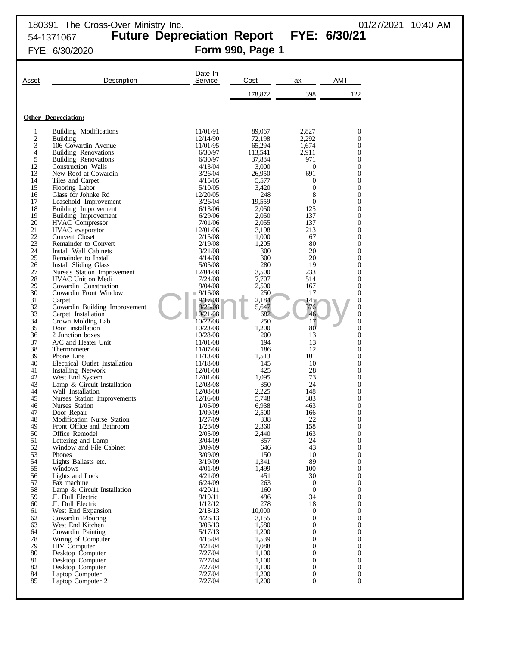### 180391 The Cross-Over Ministry Inc.<br>54-1371067 **Future Depreciation Report FYE: 6/30/21** 54-1371067 **Future Depreciation Report FYE: 6/30/21** FYE: 6/30/2020 **Form 990, Page 1**

# Date In<br>Service Asset Description **Service** Cost Tax AMT 178,872 398 122 **Other Depreciation:** 11/01/91 89,067 2,827 0 11/01/91 99,067 2,827 0 2 Building 12/14/90 72,198 2,292 0 106 Cowardin Avenue 11/01/95 65,294 1,674 0 Building Renovations 6/30/97 113,541 2,911 0 Building Renovations 6/30/97 37,884 971 0

| 12 | Construction Walls             | 4/13/04  | 3,000  | $\boldsymbol{0}$ | 0                |
|----|--------------------------------|----------|--------|------------------|------------------|
| 13 | New Roof at Cowardin           | 3/26/04  | 26,950 | 691              | $\boldsymbol{0}$ |
| 14 | Tiles and Carpet               | 4/15/05  | 5,577  | 0                | 0                |
| 15 | Flooring Labor                 | 5/10/05  | 3,420  | $\boldsymbol{0}$ | 0                |
| 16 | Glass for Johnke Rd            | 12/20/05 | 248    | 8                | 0                |
| 17 | Leasehold Improvement          | 3/26/04  | 19,559 | $\overline{0}$   | 0                |
| 18 | Building Improvement           | 6/13/06  | 2,050  | 125              | 0                |
| 19 | Building Improvement           | 6/29/06  | 2,050  | 137              | 0                |
| 20 | <b>HVAC</b> Compressor         | 7/01/06  | 2,055  | 137              | 0                |
| 21 | HVAC evaporator                | 12/01/06 | 3,198  | 213              | 0                |
| 22 | Convert Closet                 | 2/15/08  | 1,000  | 67               | 0                |
| 23 | Remainder to Convert           | 2/19/08  | 1,205  | 80               | 0                |
| 24 | Install Wall Cabinets          | 3/21/08  | 300    | 20               | 0                |
| 25 | Remainder to Install           | 4/14/08  | 300    | 20               | 0                |
| 26 | <b>Install Sliding Glass</b>   | 5/05/08  | 280    | 19               | 0                |
| 27 | Nurse's Station Improvement    | 12/04/08 | 3,500  | 233              | 0                |
| 28 | <b>HVAC</b> Unit on Medi       | 7/24/08  | 7,707  | 514              | $\boldsymbol{0}$ |
| 29 | Cowardin Construction          | 9/04/08  | 2,500  | 167              | $\boldsymbol{0}$ |
| 30 |                                | 9/16/08  | 250    | 17               | $\boldsymbol{0}$ |
| 31 | Cowardin Front Window          | 9/17/08  | 2,184  | 145              |                  |
| 32 | Carpet                         |          |        |                  | $\boldsymbol{0}$ |
|    | Cowardin Building Improvement  | 9/25/08  | 5,647  | 376<br>46        | $\boldsymbol{0}$ |
| 33 | Carpet Installation            | 10/21/08 | 682    |                  | $\boldsymbol{0}$ |
| 34 | Crown Molding Lab              | 10/22/08 | 250    | 17               | $\boldsymbol{0}$ |
| 35 | Door installation              | 10/23/08 | 1,200  | 80               | $\boldsymbol{0}$ |
| 36 | 2 Junction boxes               | 10/28/08 | 200    | 13               | $\boldsymbol{0}$ |
| 37 | A/C and Heater Unit            | 11/01/08 | 194    | 13               | 0                |
| 38 | Thermometer                    | 11/07/08 | 186    | 12               | $\boldsymbol{0}$ |
| 39 | Phone Line                     | 11/13/08 | 1,513  | 101              | 0                |
| 40 | Electrical Outlet Installation | 11/18/08 | 145    | 10               | 0                |
| 41 | Installing Network             | 12/01/08 | 425    | 28               | 0                |
| 42 | West End System                | 12/01/08 | 1,095  | 73               | 0                |
| 43 | Lamp & Circuit Installation    | 12/03/08 | 350    | 24               | 0                |
| 44 | Wall Installation              | 12/08/08 | 2,225  | 148              | $\boldsymbol{0}$ |
| 45 | Nurses Station Improvements    | 12/16/08 | 5,748  | 383              | 0                |
| 46 | Nurses Station                 | 1/06/09  | 6,938  | 463              | $\boldsymbol{0}$ |
| 47 | Door Repair                    | 1/09/09  | 2,500  | 166              | 0                |
| 48 | Modification Nurse Station     | 1/27/09  | 338    | 22               | $\boldsymbol{0}$ |
| 49 | Front Office and Bathroom      | 1/28/09  | 2,360  | 158              | 0                |
| 50 | Office Remodel                 | 2/05/09  | 2,440  | 163              | $\boldsymbol{0}$ |
| 51 | Lettering and Lamp             | 3/04/09  | 357    | 24               | 0                |
| 52 | Window and File Cabinet        | 3/09/09  | 646    | 43               | 0                |
| 53 | <b>Phones</b>                  | 3/09/09  | 150    | 10               | 0                |
| 54 | Lights Ballasts etc.           | 3/19/09  | 1,341  | 89               | 0                |
| 55 | Windows                        | 4/01/09  | 1,499  | 100              | 0                |
| 56 | Lights and Lock                | 4/21/09  | 451    | 30               | 0                |
| 57 | Fax machine                    | 6/24/09  | 263    | 0                | 0                |
| 58 | Lamp & Circuit Installation    | 4/20/11  | 160    | $\mathbf{0}$     | 0                |
| 59 | JL Dull Electric               | 9/19/11  | 496    | 34               | 0                |
| 60 | JL Dull Electric               | 1/12/12  | 278    | 18               | $\boldsymbol{0}$ |
| 61 | West End Expansion             | 2/18/13  | 10,000 | $\mathbf{0}$     | $\mathbf{0}$     |
| 62 | Cowardin Flooring              | 4/26/13  | 3,155  | $\mathbf{0}$     | 0                |
| 63 | West End Kitchen               | 3/06/13  | 1,580  | $\boldsymbol{0}$ | $\boldsymbol{0}$ |
| 64 | Cowardin Painting              | 5/17/13  | 1,200  | 0                | 0                |
| 78 | Wiring of Computer             | 4/15/04  | 1,539  | $\boldsymbol{0}$ | 0                |
| 79 | <b>HIV</b> Computer            | 4/21/04  | 1,088  | 0                | 0                |
| 80 | Desktop Computer               | 7/27/04  | 1,100  | 0                | $\boldsymbol{0}$ |
| 81 | Desktop Computer               | 7/27/04  | 1,100  | 0                | 0                |
| 82 | Desktop Computer               | 7/27/04  | 1,100  | 0                | $\boldsymbol{0}$ |
| 84 | Laptop Computer 1              | 7/27/04  | 1,200  | 0                | $\boldsymbol{0}$ |
| 85 |                                | 7/27/04  | 1,200  | $\boldsymbol{0}$ | $\boldsymbol{0}$ |
|    | Laptop Computer 2              |          |        |                  |                  |
|    |                                |          |        |                  |                  |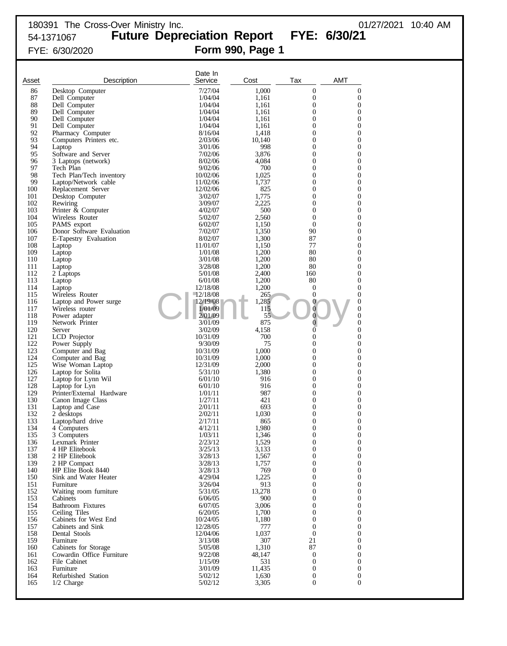| Asset      | Description                       | Date In<br>Service | Cost           | Tax                          | <b>AMT</b>                         |
|------------|-----------------------------------|--------------------|----------------|------------------------------|------------------------------------|
|            |                                   | 7/27/04            |                | $\boldsymbol{0}$             | $\boldsymbol{0}$                   |
| 86<br>87   | Desktop Computer<br>Dell Computer | 1/04/04            | 1,000<br>1,161 | $\boldsymbol{0}$             | $\boldsymbol{0}$                   |
| 88         | Dell Computer                     | 1/04/04            | 1,161          | $\mathbf{0}$                 | $\overline{0}$                     |
| 89         | Dell Computer                     | 1/04/04            | 1,161          | $\boldsymbol{0}$             | $\boldsymbol{0}$                   |
| 90         | Dell Computer                     | 1/04/04            | 1,161          | $\overline{0}$               | $\overline{0}$                     |
| 91         | Dell Computer                     | 1/04/04            | 1,161          | $\overline{0}$               | $\boldsymbol{0}$                   |
| 92         | Pharmacy Computer                 | 8/16/04            | 1,418          | $\overline{0}$               | $\overline{0}$                     |
| 93         | Computers Printers etc.           | 2/03/06            | 10,140         | $\overline{0}$               | $\boldsymbol{0}$                   |
| 94         | Laptop                            | 3/01/06            | 998            | $\overline{0}$               | $\overline{0}$                     |
| 95         | Software and Server               | 7/02/06            | 3,876          | $\boldsymbol{0}$             | $\boldsymbol{0}$                   |
| 96         | 3 Laptops (network)               | 8/02/06            | 4,084          | $\overline{0}$               | 0                                  |
| 97         | Tech Plan                         | 9/02/06            | 700            | $\boldsymbol{0}$             | $\boldsymbol{0}$                   |
| 98         | Tech Plan/Tech inventory          | 10/02/06           | 1,025          | $\overline{0}$               | 0                                  |
| 99         | Laptop/Network cable              | 11/02/06           | 1,737          | $\boldsymbol{0}$             | 0                                  |
| 100        | Replacement Server                | 12/02/06           | 825            | $\overline{0}$               | 0                                  |
| 101        | Desktop Computer                  | 3/02/07            | 1,775          | $\boldsymbol{0}$             | $\boldsymbol{0}$                   |
| 102        | Rewiring                          | 3/09/07            | 2,225          | $\overline{0}$               | 0                                  |
| 103        | Printer & Computer                | 4/02/07            | 500            | $\boldsymbol{0}$             | 0                                  |
| 104        | Wireless Router                   | 5/02/07            | 2,560          | $\mathbf{0}$                 | 0                                  |
| 105        | PAMS export                       | 6/02/07            | 1,150          | $\mathbf{0}$                 | $\boldsymbol{0}$                   |
| 106        | Donor Software Evaluation         | 7/02/07            | 1,350          | 90                           | $\overline{0}$                     |
| 107        |                                   | 8/02/07            | 1,300          | 87                           | $\boldsymbol{0}$                   |
| 108        | E-Tapestry Evaluation             | 11/01/07           | 1,150          | 77                           | 0                                  |
| 109        | Laptop                            | 1/01/08            |                | 80                           | $\boldsymbol{0}$                   |
|            | Laptop                            |                    | 1,200          | 80                           | $\overline{0}$                     |
| 110        | Laptop                            | 3/01/08            | 1,200          |                              |                                    |
| 111        | Laptop                            | 3/28/08            | 1,200          | 80                           | 0                                  |
| 112        | 2 Laptops                         | 5/01/08            | 2,400          | 160                          | 0                                  |
| 113        | Laptop                            | 6/01/08            | 1,200          | 80                           | $\mathbf{0}$                       |
| 114        | Laptop                            | 12/18/08           | 1,200          | $\boldsymbol{0}$             | $\mathbf{0}$                       |
| 115        | Wireless Router                   | 12/18/08           | 265            | $\boldsymbol{0}$             | $\mathbf{0}$                       |
| 116        | Laptop and Power surge            | 12/19/08           | 1,285          |                              | $\boldsymbol{0}$                   |
| 117        | Wireless router                   | 1/01/09            | 115            | 0                            | $\boldsymbol{0}$                   |
| 118        | Power adapter                     | 2/01/09            | 55             |                              | $\overline{0}$                     |
| 119        | Network Printer                   | 3/01/09            | 875            | 0                            | $\boldsymbol{0}$                   |
| 120        | Server                            | 3/02/09            | 4,158          | $\overline{0}$               | $\mathbf{0}$                       |
| 121        | LCD Projector                     | 10/31/09           | 700            | $\boldsymbol{0}$             | $\mathbf{0}$                       |
| 122        | Power Supply                      | 9/30/09            | 75             | 0                            | $\overline{0}$                     |
| 123        | Computer and Bag                  | 10/31/09           | 1,000          | $\boldsymbol{0}$             | 0                                  |
| 124        | Computer and Bag                  | 10/31/09           | 1,000          | $\overline{0}$               | 0                                  |
| 125        | Wise Woman Laptop                 | 12/31/09           | 2,000          | $\boldsymbol{0}$             | 0                                  |
| 126        | Laptop for Solita                 | 5/31/10            | 1,380          | $\overline{0}$               | $\overline{0}$                     |
| 127        | Laptop for Lynn Wil               | 6/01/10            | 916            | $\boldsymbol{0}$             | 0                                  |
| 128        | Laptop for Lyn                    | 6/01/10            | 916            | $\overline{0}$               | $\boldsymbol{0}$                   |
| 129        | Printer/External Hardware         | 1/01/11            | 987            | $\boldsymbol{0}$             | $\boldsymbol{0}$                   |
| 130        | Canon Image Class                 | 1/27/11            | 421            | 0                            | $\boldsymbol{0}$                   |
| 131        | Laptop and Case                   | 2/01/11            | 693            | 0                            | $\boldsymbol{0}$                   |
| 132        | 2 desktops                        | 2/02/11            | 1,030          | $\overline{0}$               | 0                                  |
| 133        | Laptop/hard drive                 | 2/17/11            | 865            | 0                            | 0                                  |
| 134        | 4 Computers                       | 4/12/11            | 1,980          | $\boldsymbol{0}$             | $\boldsymbol{0}$                   |
| 135        | 3 Computers                       | 1/03/11            | 1,346          | $\boldsymbol{0}$             | $\boldsymbol{0}$                   |
| 136        | Lexmark Printer                   | 2/23/12            | 1,529          | 0                            | $\overline{0}$                     |
| 137        | 4 HP Elitebook                    | 3/25/13            | 3,133          | 0                            | $\boldsymbol{0}$                   |
| 138        | 2 HP Elitebook                    | 3/28/13            | 1,567          | 0                            | $\boldsymbol{0}$                   |
| 139        | 2 HP Compact                      | 3/28/13            | 1,757          | 0                            | $\boldsymbol{0}$                   |
| 140        | HP Elite Book 8440                | 3/28/13            | 769            | 0                            | $\overline{0}$                     |
| 150        | Sink and Water Heater             | 4/29/04            | 1,225          | 0                            | 0                                  |
| 151        | Furniture                         | 3/26/04            | 913            | 0                            | $\boldsymbol{0}$                   |
| 152        | Waiting room furniture            | 5/31/05            | 13,278         | 0                            | $\boldsymbol{0}$                   |
| 153        | Cabinets                          | 6/06/05            | 900            | 0                            | $\overline{0}$                     |
| 154        | Bathroom Fixtures                 | 6/07/05            | 3,006          | 0                            | 0                                  |
| 155        | Ceiling Tiles                     | 6/20/05            | 1,700          | 0                            | $\overline{0}$                     |
| 156        | Cabinets for West End             | 10/24/05           | 1,180          | 0                            | $\boldsymbol{0}$                   |
| 157        | Cabinets and Sink                 | 12/28/05           | 777            | 0                            | $\overline{0}$                     |
| 158        | Dental Stools                     | 12/04/06           | 1,037          | $\boldsymbol{0}$             | $\boldsymbol{0}$                   |
| 159        | Furniture                         | 3/13/08            | 307            | 21                           | $\overline{0}$                     |
| 160        | Cabinets for Storage              | 5/05/08            | 1,310          | 87                           | $\boldsymbol{0}$                   |
| 161        | Cowardin Office Furniture         | 9/22/08            | 48,147         | $\mathbf{0}$                 | $\overline{0}$                     |
| 162        | File Cabinet                      | 1/15/09            | 531            | $\mathbf{0}$                 | $\overline{0}$                     |
| 163        | Furniture                         | 3/01/09            | 11,435         | $\mathbf{0}$                 | $\overline{0}$                     |
|            |                                   |                    |                |                              |                                    |
|            |                                   |                    |                |                              |                                    |
| 164<br>165 | Refurbished Station<br>1/2 Charge | 5/02/12<br>5/02/12 | 1,630<br>3,305 | $\boldsymbol{0}$<br>$\Omega$ | $\boldsymbol{0}$<br>$\overline{0}$ |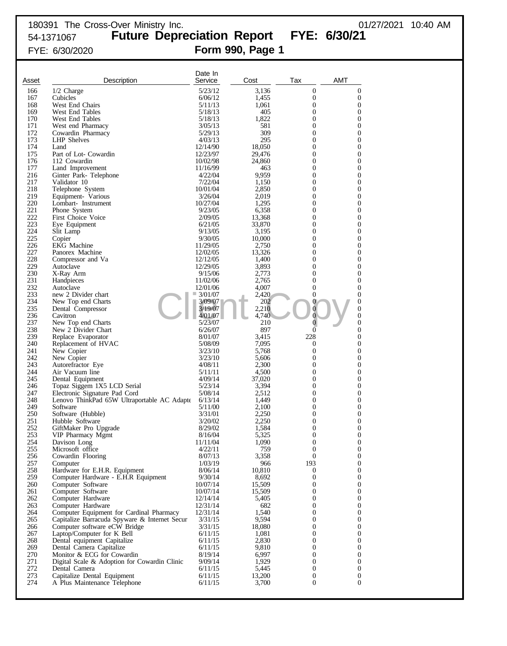| 5/23/12<br>3,136<br>$\boldsymbol{0}$<br>$\boldsymbol{0}$<br>166<br>1/2 Charge<br>$\boldsymbol{0}$<br>167<br>Cubicles<br>6/06/12<br>1,455<br>$\boldsymbol{0}$<br>$\overline{0}$<br>168<br>West End Chairs<br>5/11/13<br>0<br>1,061<br>169<br>$\overline{0}$<br>West End Tables<br>5/18/13<br>405<br>0<br>170<br>1,822<br>$\overline{0}$<br>5/18/13<br>0<br>West End Tables<br>$\overline{0}$<br>$\overline{0}$<br>171<br>3/05/13<br>581<br>West end Pharmacy<br>172<br>309<br>$\overline{0}$<br>5/29/13<br>0<br>Cowardin Pharmacy<br>173<br>$\overline{0}$<br>$\overline{0}$<br><b>LHP</b> Shelves<br>4/03/13<br>295<br>174<br>$\overline{0}$<br>Land<br>12/14/90<br>18,050<br>0<br>175<br>$\boldsymbol{0}$<br>$\overline{0}$<br>Part of Lot- Cowardin<br>12/23/97<br>29,476<br>$\overline{0}$<br>176<br>10/02/98<br>24,860<br>0<br>112 Cowardin<br>177<br>$\boldsymbol{0}$<br>$\overline{0}$<br>11/16/99<br>Land Improvement<br>463<br>216<br>9,959<br>$\boldsymbol{0}$<br>$\overline{0}$<br>4/22/04<br>Ginter Park-Telephone<br>217<br>$\boldsymbol{0}$<br>$\overline{0}$<br>Validator 10<br>7/22/04<br>1,150<br>218<br>$\boldsymbol{0}$<br>$\overline{0}$<br>10/01/04<br>Telephone System<br>2,850<br>219<br>$\boldsymbol{0}$<br>$\boldsymbol{0}$<br>Equipment- Various<br>2,019<br>3/26/04<br>220<br>1,295<br>$\boldsymbol{0}$<br>0<br>10/27/04<br>Lombart- Instrument<br>221<br>$\boldsymbol{0}$<br>$\overline{0}$<br>6,358<br>Phone System<br>9/23/05<br>222<br>0<br>2/09/05<br>0<br>First Choice Voice<br>13,368<br>223<br>$\boldsymbol{0}$<br>$\boldsymbol{0}$<br>6/21/05<br>33,870<br>Eye Equipment<br>224<br>0<br>9/13/05<br>3,195<br>0<br>Slit Lamp<br>225<br>$\overline{0}$<br>$\overline{0}$<br>9/30/05<br>10,000<br>Copier<br>226<br>$\overline{0}$<br><b>EKG</b> Machine<br>11/29/05<br>2,750<br>0<br>227<br>$\overline{0}$<br>$\overline{0}$<br>Panorex Machine<br>12/02/05<br>13,326<br>228<br>$\overline{0}$<br>12/12/05<br>1,400<br>0<br>Compressor and Va<br>229<br>$\boldsymbol{0}$<br>$\overline{0}$<br>12/29/05<br>3,893<br>Autoclave<br>230<br>$\boldsymbol{0}$<br>$\overline{0}$<br>9/15/06<br>2,773<br>X-Ray Arm<br>231<br>$\boldsymbol{0}$<br>$\overline{0}$<br>11/02/06<br>Handpieces<br>2,765<br>232<br>$\boldsymbol{0}$<br>0<br>12/01/06<br>4,007<br>Autoclave<br>$\boldsymbol{0}$<br>233<br>$\boldsymbol{0}$<br>new 2 Divider chart<br>3/01/07<br>2,420<br>234<br>0<br>202<br>New Top end Charts<br>3/09/07<br>0<br>$\boldsymbol{0}$<br>235<br>2,210<br>3/19/07<br>Dental Compressor<br>$\overline{0}$<br>236<br>4/01/07<br>Cavitron<br>4,740<br>$\boldsymbol{0}$<br>237<br>210<br>0<br>5/23/07<br>New Top end Charts<br>$\overline{0}$<br>$\mathbf{0}$<br>238<br>897<br>New 2 Divider Chart<br>6/26/07<br>228<br>$\overline{0}$<br>239<br>3,415<br>Replace Evaporator<br>8/01/07<br>240<br>0<br>5/08/09<br>7,095<br>Replacement of HVAC<br>0<br>241<br>0<br>3/23/10<br>5,768<br>0<br>New Copier<br>242<br>0<br>New Copier<br>3/23/10<br>5,606<br>0<br>243<br>4/08/11<br>$\boldsymbol{0}$<br>Autorefractor Eye<br>2,300<br>0<br>244<br>0<br>4,500<br>0<br>Air Vacuum line<br>5/11/11<br>245<br>37,020<br>$\boldsymbol{0}$<br>4/09/14<br>0<br>Dental Equipment<br>3,394<br>0<br>246<br>5/23/14<br>0<br>Topaz Siggem 1X5 LCD Serial<br>247<br>$\boldsymbol{0}$<br>5/08/14<br>2,512<br>0<br>Electronic Signature Pad Cord<br>248<br>$\boldsymbol{0}$<br>6/13/14<br>1,449<br>0<br>Lenovo ThinkPad 65W Ultraportable AC Adapte<br>249<br>$\boldsymbol{0}$<br>2,100<br>0<br>Software<br>5/11/00<br>250<br>$\boldsymbol{0}$<br>0<br>Software (Hubble)<br>3/31/01<br>2,250<br>0<br>251<br>Hubble Software<br>3/20/02<br>2,250<br>0<br>252<br>8/29/02<br>1,584<br>0<br>$\boldsymbol{0}$<br>GiftMaker Pro Upgrade<br>253<br>8/16/04<br>5,325<br>$\boldsymbol{0}$<br>$\boldsymbol{0}$<br>VIP Pharmacy Mgmt<br>254<br>1,090<br>$\boldsymbol{0}$<br>Davison Long<br>11/11/04<br>0<br>255<br>759<br>4/22/11<br>$\boldsymbol{0}$<br>$\boldsymbol{0}$<br>Microsoft office<br>256<br>8/07/13<br>3,358<br>$\boldsymbol{0}$<br>Cowardin Flooring<br>$\boldsymbol{0}$<br>257<br>966<br>193<br>$\boldsymbol{0}$<br>1/03/19<br>Computer<br>258<br>10,810<br>$\boldsymbol{0}$<br>Hardware for E.H.R. Equipment<br>8/06/14<br>0<br>259<br>$\boldsymbol{0}$<br>Computer Hardware - E.H.R Equipment<br>9/30/14<br>8,692<br>$\boldsymbol{0}$<br>260<br>15,509<br>$\boldsymbol{0}$<br>Computer Software<br>10/07/14<br>0<br>261<br>$\boldsymbol{0}$<br>Computer Software<br>10/07/14<br>15,509<br>$\boldsymbol{0}$<br>262<br>$\boldsymbol{0}$<br>Computer Hardware<br>12/14/14<br>5,405<br>0<br>263<br>12/31/14<br>682<br>$\boldsymbol{0}$<br>$\boldsymbol{0}$<br>Computer Hardware<br>264<br>12/31/14<br>1,540<br>$\boldsymbol{0}$<br>Computer Equipment for Cardinal Pharmacy<br>0<br>265<br>9,594<br>$\boldsymbol{0}$<br>$\boldsymbol{0}$<br>Capitalize Barracuda Spyware & Internet Secur<br>3/31/15<br>266<br>18,080<br>$\boldsymbol{0}$<br>Computer software eCW Bridge<br>3/31/15<br>0<br>267<br>1,081<br>$\boldsymbol{0}$<br>$\boldsymbol{0}$<br>Laptop/Computer for K Bell<br>6/11/15<br>268<br>2,830<br>$\boldsymbol{0}$<br>Dental equipment Capitalize<br>6/11/15<br>0<br>269<br>9,810<br>$\mathbf{0}$<br>$\boldsymbol{0}$<br>Dental Camera Capitalize<br>6/11/15<br>270<br>8/19/14<br>6,997<br>$\boldsymbol{0}$<br>$\boldsymbol{0}$<br>Monitor & ECG for Cowardin<br>271<br>Digital Scale & Adoption for Cowardin Clinic<br>9/09/14<br>1,929<br>$\mathbf{0}$<br>$\boldsymbol{0}$<br>272<br>$\boldsymbol{0}$<br>$\boldsymbol{0}$<br>6/11/15<br>5,445<br>Dental Camera<br>273<br>Capitalize Dental Equipment<br>13,200<br>$\mathbf{0}$<br>$\boldsymbol{0}$<br>6/11/15<br>274<br>6/11/15<br>$\theta$<br>$\boldsymbol{0}$<br>A Plus Maintenance Telephone<br>3,700 | Asset | Description | Date In<br>Service | Cost | Tax | AMT |
|------------------------------------------------------------------------------------------------------------------------------------------------------------------------------------------------------------------------------------------------------------------------------------------------------------------------------------------------------------------------------------------------------------------------------------------------------------------------------------------------------------------------------------------------------------------------------------------------------------------------------------------------------------------------------------------------------------------------------------------------------------------------------------------------------------------------------------------------------------------------------------------------------------------------------------------------------------------------------------------------------------------------------------------------------------------------------------------------------------------------------------------------------------------------------------------------------------------------------------------------------------------------------------------------------------------------------------------------------------------------------------------------------------------------------------------------------------------------------------------------------------------------------------------------------------------------------------------------------------------------------------------------------------------------------------------------------------------------------------------------------------------------------------------------------------------------------------------------------------------------------------------------------------------------------------------------------------------------------------------------------------------------------------------------------------------------------------------------------------------------------------------------------------------------------------------------------------------------------------------------------------------------------------------------------------------------------------------------------------------------------------------------------------------------------------------------------------------------------------------------------------------------------------------------------------------------------------------------------------------------------------------------------------------------------------------------------------------------------------------------------------------------------------------------------------------------------------------------------------------------------------------------------------------------------------------------------------------------------------------------------------------------------------------------------------------------------------------------------------------------------------------------------------------------------------------------------------------------------------------------------------------------------------------------------------------------------------------------------------------------------------------------------------------------------------------------------------------------------------------------------------------------------------------------------------------------------------------------------------------------------------------------------------------------------------------------------------------------------------------------------------------------------------------------------------------------------------------------------------------------------------------------------------------------------------------------------------------------------------------------------------------------------------------------------------------------------------------------------------------------------------------------------------------------------------------------------------------------------------------------------------------------------------------------------------------------------------------------------------------------------------------------------------------------------------------------------------------------------------------------------------------------------------------------------------------------------------------------------------------------------------------------------------------------------------------------------------------------------------------------------------------------------------------------------------------------------------------------------------------------------------------------------------------------------------------------------------------------------------------------------------------------------------------------------------------------------------------------------------------------------------------------------------------------------------------------------------------------------------------------------------------------------------------------------------------------------------------------------------------------------------------------------------------------------------------------------------------------------------------------------------------------------------------------------------------------------------------------------------------------------------------------------------------------------------------------------------------------------------------------------------------------------|-------|-------------|--------------------|------|-----|-----|
|                                                                                                                                                                                                                                                                                                                                                                                                                                                                                                                                                                                                                                                                                                                                                                                                                                                                                                                                                                                                                                                                                                                                                                                                                                                                                                                                                                                                                                                                                                                                                                                                                                                                                                                                                                                                                                                                                                                                                                                                                                                                                                                                                                                                                                                                                                                                                                                                                                                                                                                                                                                                                                                                                                                                                                                                                                                                                                                                                                                                                                                                                                                                                                                                                                                                                                                                                                                                                                                                                                                                                                                                                                                                                                                                                                                                                                                                                                                                                                                                                                                                                                                                                                                                                                                                                                                                                                                                                                                                                                                                                                                                                                                                                                                                                                                                                                                                                                                                                                                                                                                                                                                                                                                                                                                                                                                                                                                                                                                                                                                                                                                                                                                                                                                                                                              |       |             |                    |      |     |     |
|                                                                                                                                                                                                                                                                                                                                                                                                                                                                                                                                                                                                                                                                                                                                                                                                                                                                                                                                                                                                                                                                                                                                                                                                                                                                                                                                                                                                                                                                                                                                                                                                                                                                                                                                                                                                                                                                                                                                                                                                                                                                                                                                                                                                                                                                                                                                                                                                                                                                                                                                                                                                                                                                                                                                                                                                                                                                                                                                                                                                                                                                                                                                                                                                                                                                                                                                                                                                                                                                                                                                                                                                                                                                                                                                                                                                                                                                                                                                                                                                                                                                                                                                                                                                                                                                                                                                                                                                                                                                                                                                                                                                                                                                                                                                                                                                                                                                                                                                                                                                                                                                                                                                                                                                                                                                                                                                                                                                                                                                                                                                                                                                                                                                                                                                                                              |       |             |                    |      |     |     |
|                                                                                                                                                                                                                                                                                                                                                                                                                                                                                                                                                                                                                                                                                                                                                                                                                                                                                                                                                                                                                                                                                                                                                                                                                                                                                                                                                                                                                                                                                                                                                                                                                                                                                                                                                                                                                                                                                                                                                                                                                                                                                                                                                                                                                                                                                                                                                                                                                                                                                                                                                                                                                                                                                                                                                                                                                                                                                                                                                                                                                                                                                                                                                                                                                                                                                                                                                                                                                                                                                                                                                                                                                                                                                                                                                                                                                                                                                                                                                                                                                                                                                                                                                                                                                                                                                                                                                                                                                                                                                                                                                                                                                                                                                                                                                                                                                                                                                                                                                                                                                                                                                                                                                                                                                                                                                                                                                                                                                                                                                                                                                                                                                                                                                                                                                                              |       |             |                    |      |     |     |
|                                                                                                                                                                                                                                                                                                                                                                                                                                                                                                                                                                                                                                                                                                                                                                                                                                                                                                                                                                                                                                                                                                                                                                                                                                                                                                                                                                                                                                                                                                                                                                                                                                                                                                                                                                                                                                                                                                                                                                                                                                                                                                                                                                                                                                                                                                                                                                                                                                                                                                                                                                                                                                                                                                                                                                                                                                                                                                                                                                                                                                                                                                                                                                                                                                                                                                                                                                                                                                                                                                                                                                                                                                                                                                                                                                                                                                                                                                                                                                                                                                                                                                                                                                                                                                                                                                                                                                                                                                                                                                                                                                                                                                                                                                                                                                                                                                                                                                                                                                                                                                                                                                                                                                                                                                                                                                                                                                                                                                                                                                                                                                                                                                                                                                                                                                              |       |             |                    |      |     |     |
|                                                                                                                                                                                                                                                                                                                                                                                                                                                                                                                                                                                                                                                                                                                                                                                                                                                                                                                                                                                                                                                                                                                                                                                                                                                                                                                                                                                                                                                                                                                                                                                                                                                                                                                                                                                                                                                                                                                                                                                                                                                                                                                                                                                                                                                                                                                                                                                                                                                                                                                                                                                                                                                                                                                                                                                                                                                                                                                                                                                                                                                                                                                                                                                                                                                                                                                                                                                                                                                                                                                                                                                                                                                                                                                                                                                                                                                                                                                                                                                                                                                                                                                                                                                                                                                                                                                                                                                                                                                                                                                                                                                                                                                                                                                                                                                                                                                                                                                                                                                                                                                                                                                                                                                                                                                                                                                                                                                                                                                                                                                                                                                                                                                                                                                                                                              |       |             |                    |      |     |     |
|                                                                                                                                                                                                                                                                                                                                                                                                                                                                                                                                                                                                                                                                                                                                                                                                                                                                                                                                                                                                                                                                                                                                                                                                                                                                                                                                                                                                                                                                                                                                                                                                                                                                                                                                                                                                                                                                                                                                                                                                                                                                                                                                                                                                                                                                                                                                                                                                                                                                                                                                                                                                                                                                                                                                                                                                                                                                                                                                                                                                                                                                                                                                                                                                                                                                                                                                                                                                                                                                                                                                                                                                                                                                                                                                                                                                                                                                                                                                                                                                                                                                                                                                                                                                                                                                                                                                                                                                                                                                                                                                                                                                                                                                                                                                                                                                                                                                                                                                                                                                                                                                                                                                                                                                                                                                                                                                                                                                                                                                                                                                                                                                                                                                                                                                                                              |       |             |                    |      |     |     |
|                                                                                                                                                                                                                                                                                                                                                                                                                                                                                                                                                                                                                                                                                                                                                                                                                                                                                                                                                                                                                                                                                                                                                                                                                                                                                                                                                                                                                                                                                                                                                                                                                                                                                                                                                                                                                                                                                                                                                                                                                                                                                                                                                                                                                                                                                                                                                                                                                                                                                                                                                                                                                                                                                                                                                                                                                                                                                                                                                                                                                                                                                                                                                                                                                                                                                                                                                                                                                                                                                                                                                                                                                                                                                                                                                                                                                                                                                                                                                                                                                                                                                                                                                                                                                                                                                                                                                                                                                                                                                                                                                                                                                                                                                                                                                                                                                                                                                                                                                                                                                                                                                                                                                                                                                                                                                                                                                                                                                                                                                                                                                                                                                                                                                                                                                                              |       |             |                    |      |     |     |
|                                                                                                                                                                                                                                                                                                                                                                                                                                                                                                                                                                                                                                                                                                                                                                                                                                                                                                                                                                                                                                                                                                                                                                                                                                                                                                                                                                                                                                                                                                                                                                                                                                                                                                                                                                                                                                                                                                                                                                                                                                                                                                                                                                                                                                                                                                                                                                                                                                                                                                                                                                                                                                                                                                                                                                                                                                                                                                                                                                                                                                                                                                                                                                                                                                                                                                                                                                                                                                                                                                                                                                                                                                                                                                                                                                                                                                                                                                                                                                                                                                                                                                                                                                                                                                                                                                                                                                                                                                                                                                                                                                                                                                                                                                                                                                                                                                                                                                                                                                                                                                                                                                                                                                                                                                                                                                                                                                                                                                                                                                                                                                                                                                                                                                                                                                              |       |             |                    |      |     |     |
|                                                                                                                                                                                                                                                                                                                                                                                                                                                                                                                                                                                                                                                                                                                                                                                                                                                                                                                                                                                                                                                                                                                                                                                                                                                                                                                                                                                                                                                                                                                                                                                                                                                                                                                                                                                                                                                                                                                                                                                                                                                                                                                                                                                                                                                                                                                                                                                                                                                                                                                                                                                                                                                                                                                                                                                                                                                                                                                                                                                                                                                                                                                                                                                                                                                                                                                                                                                                                                                                                                                                                                                                                                                                                                                                                                                                                                                                                                                                                                                                                                                                                                                                                                                                                                                                                                                                                                                                                                                                                                                                                                                                                                                                                                                                                                                                                                                                                                                                                                                                                                                                                                                                                                                                                                                                                                                                                                                                                                                                                                                                                                                                                                                                                                                                                                              |       |             |                    |      |     |     |
|                                                                                                                                                                                                                                                                                                                                                                                                                                                                                                                                                                                                                                                                                                                                                                                                                                                                                                                                                                                                                                                                                                                                                                                                                                                                                                                                                                                                                                                                                                                                                                                                                                                                                                                                                                                                                                                                                                                                                                                                                                                                                                                                                                                                                                                                                                                                                                                                                                                                                                                                                                                                                                                                                                                                                                                                                                                                                                                                                                                                                                                                                                                                                                                                                                                                                                                                                                                                                                                                                                                                                                                                                                                                                                                                                                                                                                                                                                                                                                                                                                                                                                                                                                                                                                                                                                                                                                                                                                                                                                                                                                                                                                                                                                                                                                                                                                                                                                                                                                                                                                                                                                                                                                                                                                                                                                                                                                                                                                                                                                                                                                                                                                                                                                                                                                              |       |             |                    |      |     |     |
|                                                                                                                                                                                                                                                                                                                                                                                                                                                                                                                                                                                                                                                                                                                                                                                                                                                                                                                                                                                                                                                                                                                                                                                                                                                                                                                                                                                                                                                                                                                                                                                                                                                                                                                                                                                                                                                                                                                                                                                                                                                                                                                                                                                                                                                                                                                                                                                                                                                                                                                                                                                                                                                                                                                                                                                                                                                                                                                                                                                                                                                                                                                                                                                                                                                                                                                                                                                                                                                                                                                                                                                                                                                                                                                                                                                                                                                                                                                                                                                                                                                                                                                                                                                                                                                                                                                                                                                                                                                                                                                                                                                                                                                                                                                                                                                                                                                                                                                                                                                                                                                                                                                                                                                                                                                                                                                                                                                                                                                                                                                                                                                                                                                                                                                                                                              |       |             |                    |      |     |     |
|                                                                                                                                                                                                                                                                                                                                                                                                                                                                                                                                                                                                                                                                                                                                                                                                                                                                                                                                                                                                                                                                                                                                                                                                                                                                                                                                                                                                                                                                                                                                                                                                                                                                                                                                                                                                                                                                                                                                                                                                                                                                                                                                                                                                                                                                                                                                                                                                                                                                                                                                                                                                                                                                                                                                                                                                                                                                                                                                                                                                                                                                                                                                                                                                                                                                                                                                                                                                                                                                                                                                                                                                                                                                                                                                                                                                                                                                                                                                                                                                                                                                                                                                                                                                                                                                                                                                                                                                                                                                                                                                                                                                                                                                                                                                                                                                                                                                                                                                                                                                                                                                                                                                                                                                                                                                                                                                                                                                                                                                                                                                                                                                                                                                                                                                                                              |       |             |                    |      |     |     |
|                                                                                                                                                                                                                                                                                                                                                                                                                                                                                                                                                                                                                                                                                                                                                                                                                                                                                                                                                                                                                                                                                                                                                                                                                                                                                                                                                                                                                                                                                                                                                                                                                                                                                                                                                                                                                                                                                                                                                                                                                                                                                                                                                                                                                                                                                                                                                                                                                                                                                                                                                                                                                                                                                                                                                                                                                                                                                                                                                                                                                                                                                                                                                                                                                                                                                                                                                                                                                                                                                                                                                                                                                                                                                                                                                                                                                                                                                                                                                                                                                                                                                                                                                                                                                                                                                                                                                                                                                                                                                                                                                                                                                                                                                                                                                                                                                                                                                                                                                                                                                                                                                                                                                                                                                                                                                                                                                                                                                                                                                                                                                                                                                                                                                                                                                                              |       |             |                    |      |     |     |
|                                                                                                                                                                                                                                                                                                                                                                                                                                                                                                                                                                                                                                                                                                                                                                                                                                                                                                                                                                                                                                                                                                                                                                                                                                                                                                                                                                                                                                                                                                                                                                                                                                                                                                                                                                                                                                                                                                                                                                                                                                                                                                                                                                                                                                                                                                                                                                                                                                                                                                                                                                                                                                                                                                                                                                                                                                                                                                                                                                                                                                                                                                                                                                                                                                                                                                                                                                                                                                                                                                                                                                                                                                                                                                                                                                                                                                                                                                                                                                                                                                                                                                                                                                                                                                                                                                                                                                                                                                                                                                                                                                                                                                                                                                                                                                                                                                                                                                                                                                                                                                                                                                                                                                                                                                                                                                                                                                                                                                                                                                                                                                                                                                                                                                                                                                              |       |             |                    |      |     |     |
|                                                                                                                                                                                                                                                                                                                                                                                                                                                                                                                                                                                                                                                                                                                                                                                                                                                                                                                                                                                                                                                                                                                                                                                                                                                                                                                                                                                                                                                                                                                                                                                                                                                                                                                                                                                                                                                                                                                                                                                                                                                                                                                                                                                                                                                                                                                                                                                                                                                                                                                                                                                                                                                                                                                                                                                                                                                                                                                                                                                                                                                                                                                                                                                                                                                                                                                                                                                                                                                                                                                                                                                                                                                                                                                                                                                                                                                                                                                                                                                                                                                                                                                                                                                                                                                                                                                                                                                                                                                                                                                                                                                                                                                                                                                                                                                                                                                                                                                                                                                                                                                                                                                                                                                                                                                                                                                                                                                                                                                                                                                                                                                                                                                                                                                                                                              |       |             |                    |      |     |     |
|                                                                                                                                                                                                                                                                                                                                                                                                                                                                                                                                                                                                                                                                                                                                                                                                                                                                                                                                                                                                                                                                                                                                                                                                                                                                                                                                                                                                                                                                                                                                                                                                                                                                                                                                                                                                                                                                                                                                                                                                                                                                                                                                                                                                                                                                                                                                                                                                                                                                                                                                                                                                                                                                                                                                                                                                                                                                                                                                                                                                                                                                                                                                                                                                                                                                                                                                                                                                                                                                                                                                                                                                                                                                                                                                                                                                                                                                                                                                                                                                                                                                                                                                                                                                                                                                                                                                                                                                                                                                                                                                                                                                                                                                                                                                                                                                                                                                                                                                                                                                                                                                                                                                                                                                                                                                                                                                                                                                                                                                                                                                                                                                                                                                                                                                                                              |       |             |                    |      |     |     |
|                                                                                                                                                                                                                                                                                                                                                                                                                                                                                                                                                                                                                                                                                                                                                                                                                                                                                                                                                                                                                                                                                                                                                                                                                                                                                                                                                                                                                                                                                                                                                                                                                                                                                                                                                                                                                                                                                                                                                                                                                                                                                                                                                                                                                                                                                                                                                                                                                                                                                                                                                                                                                                                                                                                                                                                                                                                                                                                                                                                                                                                                                                                                                                                                                                                                                                                                                                                                                                                                                                                                                                                                                                                                                                                                                                                                                                                                                                                                                                                                                                                                                                                                                                                                                                                                                                                                                                                                                                                                                                                                                                                                                                                                                                                                                                                                                                                                                                                                                                                                                                                                                                                                                                                                                                                                                                                                                                                                                                                                                                                                                                                                                                                                                                                                                                              |       |             |                    |      |     |     |
|                                                                                                                                                                                                                                                                                                                                                                                                                                                                                                                                                                                                                                                                                                                                                                                                                                                                                                                                                                                                                                                                                                                                                                                                                                                                                                                                                                                                                                                                                                                                                                                                                                                                                                                                                                                                                                                                                                                                                                                                                                                                                                                                                                                                                                                                                                                                                                                                                                                                                                                                                                                                                                                                                                                                                                                                                                                                                                                                                                                                                                                                                                                                                                                                                                                                                                                                                                                                                                                                                                                                                                                                                                                                                                                                                                                                                                                                                                                                                                                                                                                                                                                                                                                                                                                                                                                                                                                                                                                                                                                                                                                                                                                                                                                                                                                                                                                                                                                                                                                                                                                                                                                                                                                                                                                                                                                                                                                                                                                                                                                                                                                                                                                                                                                                                                              |       |             |                    |      |     |     |
|                                                                                                                                                                                                                                                                                                                                                                                                                                                                                                                                                                                                                                                                                                                                                                                                                                                                                                                                                                                                                                                                                                                                                                                                                                                                                                                                                                                                                                                                                                                                                                                                                                                                                                                                                                                                                                                                                                                                                                                                                                                                                                                                                                                                                                                                                                                                                                                                                                                                                                                                                                                                                                                                                                                                                                                                                                                                                                                                                                                                                                                                                                                                                                                                                                                                                                                                                                                                                                                                                                                                                                                                                                                                                                                                                                                                                                                                                                                                                                                                                                                                                                                                                                                                                                                                                                                                                                                                                                                                                                                                                                                                                                                                                                                                                                                                                                                                                                                                                                                                                                                                                                                                                                                                                                                                                                                                                                                                                                                                                                                                                                                                                                                                                                                                                                              |       |             |                    |      |     |     |
|                                                                                                                                                                                                                                                                                                                                                                                                                                                                                                                                                                                                                                                                                                                                                                                                                                                                                                                                                                                                                                                                                                                                                                                                                                                                                                                                                                                                                                                                                                                                                                                                                                                                                                                                                                                                                                                                                                                                                                                                                                                                                                                                                                                                                                                                                                                                                                                                                                                                                                                                                                                                                                                                                                                                                                                                                                                                                                                                                                                                                                                                                                                                                                                                                                                                                                                                                                                                                                                                                                                                                                                                                                                                                                                                                                                                                                                                                                                                                                                                                                                                                                                                                                                                                                                                                                                                                                                                                                                                                                                                                                                                                                                                                                                                                                                                                                                                                                                                                                                                                                                                                                                                                                                                                                                                                                                                                                                                                                                                                                                                                                                                                                                                                                                                                                              |       |             |                    |      |     |     |
|                                                                                                                                                                                                                                                                                                                                                                                                                                                                                                                                                                                                                                                                                                                                                                                                                                                                                                                                                                                                                                                                                                                                                                                                                                                                                                                                                                                                                                                                                                                                                                                                                                                                                                                                                                                                                                                                                                                                                                                                                                                                                                                                                                                                                                                                                                                                                                                                                                                                                                                                                                                                                                                                                                                                                                                                                                                                                                                                                                                                                                                                                                                                                                                                                                                                                                                                                                                                                                                                                                                                                                                                                                                                                                                                                                                                                                                                                                                                                                                                                                                                                                                                                                                                                                                                                                                                                                                                                                                                                                                                                                                                                                                                                                                                                                                                                                                                                                                                                                                                                                                                                                                                                                                                                                                                                                                                                                                                                                                                                                                                                                                                                                                                                                                                                                              |       |             |                    |      |     |     |
|                                                                                                                                                                                                                                                                                                                                                                                                                                                                                                                                                                                                                                                                                                                                                                                                                                                                                                                                                                                                                                                                                                                                                                                                                                                                                                                                                                                                                                                                                                                                                                                                                                                                                                                                                                                                                                                                                                                                                                                                                                                                                                                                                                                                                                                                                                                                                                                                                                                                                                                                                                                                                                                                                                                                                                                                                                                                                                                                                                                                                                                                                                                                                                                                                                                                                                                                                                                                                                                                                                                                                                                                                                                                                                                                                                                                                                                                                                                                                                                                                                                                                                                                                                                                                                                                                                                                                                                                                                                                                                                                                                                                                                                                                                                                                                                                                                                                                                                                                                                                                                                                                                                                                                                                                                                                                                                                                                                                                                                                                                                                                                                                                                                                                                                                                                              |       |             |                    |      |     |     |
|                                                                                                                                                                                                                                                                                                                                                                                                                                                                                                                                                                                                                                                                                                                                                                                                                                                                                                                                                                                                                                                                                                                                                                                                                                                                                                                                                                                                                                                                                                                                                                                                                                                                                                                                                                                                                                                                                                                                                                                                                                                                                                                                                                                                                                                                                                                                                                                                                                                                                                                                                                                                                                                                                                                                                                                                                                                                                                                                                                                                                                                                                                                                                                                                                                                                                                                                                                                                                                                                                                                                                                                                                                                                                                                                                                                                                                                                                                                                                                                                                                                                                                                                                                                                                                                                                                                                                                                                                                                                                                                                                                                                                                                                                                                                                                                                                                                                                                                                                                                                                                                                                                                                                                                                                                                                                                                                                                                                                                                                                                                                                                                                                                                                                                                                                                              |       |             |                    |      |     |     |
|                                                                                                                                                                                                                                                                                                                                                                                                                                                                                                                                                                                                                                                                                                                                                                                                                                                                                                                                                                                                                                                                                                                                                                                                                                                                                                                                                                                                                                                                                                                                                                                                                                                                                                                                                                                                                                                                                                                                                                                                                                                                                                                                                                                                                                                                                                                                                                                                                                                                                                                                                                                                                                                                                                                                                                                                                                                                                                                                                                                                                                                                                                                                                                                                                                                                                                                                                                                                                                                                                                                                                                                                                                                                                                                                                                                                                                                                                                                                                                                                                                                                                                                                                                                                                                                                                                                                                                                                                                                                                                                                                                                                                                                                                                                                                                                                                                                                                                                                                                                                                                                                                                                                                                                                                                                                                                                                                                                                                                                                                                                                                                                                                                                                                                                                                                              |       |             |                    |      |     |     |
|                                                                                                                                                                                                                                                                                                                                                                                                                                                                                                                                                                                                                                                                                                                                                                                                                                                                                                                                                                                                                                                                                                                                                                                                                                                                                                                                                                                                                                                                                                                                                                                                                                                                                                                                                                                                                                                                                                                                                                                                                                                                                                                                                                                                                                                                                                                                                                                                                                                                                                                                                                                                                                                                                                                                                                                                                                                                                                                                                                                                                                                                                                                                                                                                                                                                                                                                                                                                                                                                                                                                                                                                                                                                                                                                                                                                                                                                                                                                                                                                                                                                                                                                                                                                                                                                                                                                                                                                                                                                                                                                                                                                                                                                                                                                                                                                                                                                                                                                                                                                                                                                                                                                                                                                                                                                                                                                                                                                                                                                                                                                                                                                                                                                                                                                                                              |       |             |                    |      |     |     |
|                                                                                                                                                                                                                                                                                                                                                                                                                                                                                                                                                                                                                                                                                                                                                                                                                                                                                                                                                                                                                                                                                                                                                                                                                                                                                                                                                                                                                                                                                                                                                                                                                                                                                                                                                                                                                                                                                                                                                                                                                                                                                                                                                                                                                                                                                                                                                                                                                                                                                                                                                                                                                                                                                                                                                                                                                                                                                                                                                                                                                                                                                                                                                                                                                                                                                                                                                                                                                                                                                                                                                                                                                                                                                                                                                                                                                                                                                                                                                                                                                                                                                                                                                                                                                                                                                                                                                                                                                                                                                                                                                                                                                                                                                                                                                                                                                                                                                                                                                                                                                                                                                                                                                                                                                                                                                                                                                                                                                                                                                                                                                                                                                                                                                                                                                                              |       |             |                    |      |     |     |
|                                                                                                                                                                                                                                                                                                                                                                                                                                                                                                                                                                                                                                                                                                                                                                                                                                                                                                                                                                                                                                                                                                                                                                                                                                                                                                                                                                                                                                                                                                                                                                                                                                                                                                                                                                                                                                                                                                                                                                                                                                                                                                                                                                                                                                                                                                                                                                                                                                                                                                                                                                                                                                                                                                                                                                                                                                                                                                                                                                                                                                                                                                                                                                                                                                                                                                                                                                                                                                                                                                                                                                                                                                                                                                                                                                                                                                                                                                                                                                                                                                                                                                                                                                                                                                                                                                                                                                                                                                                                                                                                                                                                                                                                                                                                                                                                                                                                                                                                                                                                                                                                                                                                                                                                                                                                                                                                                                                                                                                                                                                                                                                                                                                                                                                                                                              |       |             |                    |      |     |     |
|                                                                                                                                                                                                                                                                                                                                                                                                                                                                                                                                                                                                                                                                                                                                                                                                                                                                                                                                                                                                                                                                                                                                                                                                                                                                                                                                                                                                                                                                                                                                                                                                                                                                                                                                                                                                                                                                                                                                                                                                                                                                                                                                                                                                                                                                                                                                                                                                                                                                                                                                                                                                                                                                                                                                                                                                                                                                                                                                                                                                                                                                                                                                                                                                                                                                                                                                                                                                                                                                                                                                                                                                                                                                                                                                                                                                                                                                                                                                                                                                                                                                                                                                                                                                                                                                                                                                                                                                                                                                                                                                                                                                                                                                                                                                                                                                                                                                                                                                                                                                                                                                                                                                                                                                                                                                                                                                                                                                                                                                                                                                                                                                                                                                                                                                                                              |       |             |                    |      |     |     |
|                                                                                                                                                                                                                                                                                                                                                                                                                                                                                                                                                                                                                                                                                                                                                                                                                                                                                                                                                                                                                                                                                                                                                                                                                                                                                                                                                                                                                                                                                                                                                                                                                                                                                                                                                                                                                                                                                                                                                                                                                                                                                                                                                                                                                                                                                                                                                                                                                                                                                                                                                                                                                                                                                                                                                                                                                                                                                                                                                                                                                                                                                                                                                                                                                                                                                                                                                                                                                                                                                                                                                                                                                                                                                                                                                                                                                                                                                                                                                                                                                                                                                                                                                                                                                                                                                                                                                                                                                                                                                                                                                                                                                                                                                                                                                                                                                                                                                                                                                                                                                                                                                                                                                                                                                                                                                                                                                                                                                                                                                                                                                                                                                                                                                                                                                                              |       |             |                    |      |     |     |
|                                                                                                                                                                                                                                                                                                                                                                                                                                                                                                                                                                                                                                                                                                                                                                                                                                                                                                                                                                                                                                                                                                                                                                                                                                                                                                                                                                                                                                                                                                                                                                                                                                                                                                                                                                                                                                                                                                                                                                                                                                                                                                                                                                                                                                                                                                                                                                                                                                                                                                                                                                                                                                                                                                                                                                                                                                                                                                                                                                                                                                                                                                                                                                                                                                                                                                                                                                                                                                                                                                                                                                                                                                                                                                                                                                                                                                                                                                                                                                                                                                                                                                                                                                                                                                                                                                                                                                                                                                                                                                                                                                                                                                                                                                                                                                                                                                                                                                                                                                                                                                                                                                                                                                                                                                                                                                                                                                                                                                                                                                                                                                                                                                                                                                                                                                              |       |             |                    |      |     |     |
|                                                                                                                                                                                                                                                                                                                                                                                                                                                                                                                                                                                                                                                                                                                                                                                                                                                                                                                                                                                                                                                                                                                                                                                                                                                                                                                                                                                                                                                                                                                                                                                                                                                                                                                                                                                                                                                                                                                                                                                                                                                                                                                                                                                                                                                                                                                                                                                                                                                                                                                                                                                                                                                                                                                                                                                                                                                                                                                                                                                                                                                                                                                                                                                                                                                                                                                                                                                                                                                                                                                                                                                                                                                                                                                                                                                                                                                                                                                                                                                                                                                                                                                                                                                                                                                                                                                                                                                                                                                                                                                                                                                                                                                                                                                                                                                                                                                                                                                                                                                                                                                                                                                                                                                                                                                                                                                                                                                                                                                                                                                                                                                                                                                                                                                                                                              |       |             |                    |      |     |     |
|                                                                                                                                                                                                                                                                                                                                                                                                                                                                                                                                                                                                                                                                                                                                                                                                                                                                                                                                                                                                                                                                                                                                                                                                                                                                                                                                                                                                                                                                                                                                                                                                                                                                                                                                                                                                                                                                                                                                                                                                                                                                                                                                                                                                                                                                                                                                                                                                                                                                                                                                                                                                                                                                                                                                                                                                                                                                                                                                                                                                                                                                                                                                                                                                                                                                                                                                                                                                                                                                                                                                                                                                                                                                                                                                                                                                                                                                                                                                                                                                                                                                                                                                                                                                                                                                                                                                                                                                                                                                                                                                                                                                                                                                                                                                                                                                                                                                                                                                                                                                                                                                                                                                                                                                                                                                                                                                                                                                                                                                                                                                                                                                                                                                                                                                                                              |       |             |                    |      |     |     |
|                                                                                                                                                                                                                                                                                                                                                                                                                                                                                                                                                                                                                                                                                                                                                                                                                                                                                                                                                                                                                                                                                                                                                                                                                                                                                                                                                                                                                                                                                                                                                                                                                                                                                                                                                                                                                                                                                                                                                                                                                                                                                                                                                                                                                                                                                                                                                                                                                                                                                                                                                                                                                                                                                                                                                                                                                                                                                                                                                                                                                                                                                                                                                                                                                                                                                                                                                                                                                                                                                                                                                                                                                                                                                                                                                                                                                                                                                                                                                                                                                                                                                                                                                                                                                                                                                                                                                                                                                                                                                                                                                                                                                                                                                                                                                                                                                                                                                                                                                                                                                                                                                                                                                                                                                                                                                                                                                                                                                                                                                                                                                                                                                                                                                                                                                                              |       |             |                    |      |     |     |
|                                                                                                                                                                                                                                                                                                                                                                                                                                                                                                                                                                                                                                                                                                                                                                                                                                                                                                                                                                                                                                                                                                                                                                                                                                                                                                                                                                                                                                                                                                                                                                                                                                                                                                                                                                                                                                                                                                                                                                                                                                                                                                                                                                                                                                                                                                                                                                                                                                                                                                                                                                                                                                                                                                                                                                                                                                                                                                                                                                                                                                                                                                                                                                                                                                                                                                                                                                                                                                                                                                                                                                                                                                                                                                                                                                                                                                                                                                                                                                                                                                                                                                                                                                                                                                                                                                                                                                                                                                                                                                                                                                                                                                                                                                                                                                                                                                                                                                                                                                                                                                                                                                                                                                                                                                                                                                                                                                                                                                                                                                                                                                                                                                                                                                                                                                              |       |             |                    |      |     |     |
|                                                                                                                                                                                                                                                                                                                                                                                                                                                                                                                                                                                                                                                                                                                                                                                                                                                                                                                                                                                                                                                                                                                                                                                                                                                                                                                                                                                                                                                                                                                                                                                                                                                                                                                                                                                                                                                                                                                                                                                                                                                                                                                                                                                                                                                                                                                                                                                                                                                                                                                                                                                                                                                                                                                                                                                                                                                                                                                                                                                                                                                                                                                                                                                                                                                                                                                                                                                                                                                                                                                                                                                                                                                                                                                                                                                                                                                                                                                                                                                                                                                                                                                                                                                                                                                                                                                                                                                                                                                                                                                                                                                                                                                                                                                                                                                                                                                                                                                                                                                                                                                                                                                                                                                                                                                                                                                                                                                                                                                                                                                                                                                                                                                                                                                                                                              |       |             |                    |      |     |     |
|                                                                                                                                                                                                                                                                                                                                                                                                                                                                                                                                                                                                                                                                                                                                                                                                                                                                                                                                                                                                                                                                                                                                                                                                                                                                                                                                                                                                                                                                                                                                                                                                                                                                                                                                                                                                                                                                                                                                                                                                                                                                                                                                                                                                                                                                                                                                                                                                                                                                                                                                                                                                                                                                                                                                                                                                                                                                                                                                                                                                                                                                                                                                                                                                                                                                                                                                                                                                                                                                                                                                                                                                                                                                                                                                                                                                                                                                                                                                                                                                                                                                                                                                                                                                                                                                                                                                                                                                                                                                                                                                                                                                                                                                                                                                                                                                                                                                                                                                                                                                                                                                                                                                                                                                                                                                                                                                                                                                                                                                                                                                                                                                                                                                                                                                                                              |       |             |                    |      |     |     |
|                                                                                                                                                                                                                                                                                                                                                                                                                                                                                                                                                                                                                                                                                                                                                                                                                                                                                                                                                                                                                                                                                                                                                                                                                                                                                                                                                                                                                                                                                                                                                                                                                                                                                                                                                                                                                                                                                                                                                                                                                                                                                                                                                                                                                                                                                                                                                                                                                                                                                                                                                                                                                                                                                                                                                                                                                                                                                                                                                                                                                                                                                                                                                                                                                                                                                                                                                                                                                                                                                                                                                                                                                                                                                                                                                                                                                                                                                                                                                                                                                                                                                                                                                                                                                                                                                                                                                                                                                                                                                                                                                                                                                                                                                                                                                                                                                                                                                                                                                                                                                                                                                                                                                                                                                                                                                                                                                                                                                                                                                                                                                                                                                                                                                                                                                                              |       |             |                    |      |     |     |
|                                                                                                                                                                                                                                                                                                                                                                                                                                                                                                                                                                                                                                                                                                                                                                                                                                                                                                                                                                                                                                                                                                                                                                                                                                                                                                                                                                                                                                                                                                                                                                                                                                                                                                                                                                                                                                                                                                                                                                                                                                                                                                                                                                                                                                                                                                                                                                                                                                                                                                                                                                                                                                                                                                                                                                                                                                                                                                                                                                                                                                                                                                                                                                                                                                                                                                                                                                                                                                                                                                                                                                                                                                                                                                                                                                                                                                                                                                                                                                                                                                                                                                                                                                                                                                                                                                                                                                                                                                                                                                                                                                                                                                                                                                                                                                                                                                                                                                                                                                                                                                                                                                                                                                                                                                                                                                                                                                                                                                                                                                                                                                                                                                                                                                                                                                              |       |             |                    |      |     |     |
|                                                                                                                                                                                                                                                                                                                                                                                                                                                                                                                                                                                                                                                                                                                                                                                                                                                                                                                                                                                                                                                                                                                                                                                                                                                                                                                                                                                                                                                                                                                                                                                                                                                                                                                                                                                                                                                                                                                                                                                                                                                                                                                                                                                                                                                                                                                                                                                                                                                                                                                                                                                                                                                                                                                                                                                                                                                                                                                                                                                                                                                                                                                                                                                                                                                                                                                                                                                                                                                                                                                                                                                                                                                                                                                                                                                                                                                                                                                                                                                                                                                                                                                                                                                                                                                                                                                                                                                                                                                                                                                                                                                                                                                                                                                                                                                                                                                                                                                                                                                                                                                                                                                                                                                                                                                                                                                                                                                                                                                                                                                                                                                                                                                                                                                                                                              |       |             |                    |      |     |     |
|                                                                                                                                                                                                                                                                                                                                                                                                                                                                                                                                                                                                                                                                                                                                                                                                                                                                                                                                                                                                                                                                                                                                                                                                                                                                                                                                                                                                                                                                                                                                                                                                                                                                                                                                                                                                                                                                                                                                                                                                                                                                                                                                                                                                                                                                                                                                                                                                                                                                                                                                                                                                                                                                                                                                                                                                                                                                                                                                                                                                                                                                                                                                                                                                                                                                                                                                                                                                                                                                                                                                                                                                                                                                                                                                                                                                                                                                                                                                                                                                                                                                                                                                                                                                                                                                                                                                                                                                                                                                                                                                                                                                                                                                                                                                                                                                                                                                                                                                                                                                                                                                                                                                                                                                                                                                                                                                                                                                                                                                                                                                                                                                                                                                                                                                                                              |       |             |                    |      |     |     |
|                                                                                                                                                                                                                                                                                                                                                                                                                                                                                                                                                                                                                                                                                                                                                                                                                                                                                                                                                                                                                                                                                                                                                                                                                                                                                                                                                                                                                                                                                                                                                                                                                                                                                                                                                                                                                                                                                                                                                                                                                                                                                                                                                                                                                                                                                                                                                                                                                                                                                                                                                                                                                                                                                                                                                                                                                                                                                                                                                                                                                                                                                                                                                                                                                                                                                                                                                                                                                                                                                                                                                                                                                                                                                                                                                                                                                                                                                                                                                                                                                                                                                                                                                                                                                                                                                                                                                                                                                                                                                                                                                                                                                                                                                                                                                                                                                                                                                                                                                                                                                                                                                                                                                                                                                                                                                                                                                                                                                                                                                                                                                                                                                                                                                                                                                                              |       |             |                    |      |     |     |
|                                                                                                                                                                                                                                                                                                                                                                                                                                                                                                                                                                                                                                                                                                                                                                                                                                                                                                                                                                                                                                                                                                                                                                                                                                                                                                                                                                                                                                                                                                                                                                                                                                                                                                                                                                                                                                                                                                                                                                                                                                                                                                                                                                                                                                                                                                                                                                                                                                                                                                                                                                                                                                                                                                                                                                                                                                                                                                                                                                                                                                                                                                                                                                                                                                                                                                                                                                                                                                                                                                                                                                                                                                                                                                                                                                                                                                                                                                                                                                                                                                                                                                                                                                                                                                                                                                                                                                                                                                                                                                                                                                                                                                                                                                                                                                                                                                                                                                                                                                                                                                                                                                                                                                                                                                                                                                                                                                                                                                                                                                                                                                                                                                                                                                                                                                              |       |             |                    |      |     |     |
|                                                                                                                                                                                                                                                                                                                                                                                                                                                                                                                                                                                                                                                                                                                                                                                                                                                                                                                                                                                                                                                                                                                                                                                                                                                                                                                                                                                                                                                                                                                                                                                                                                                                                                                                                                                                                                                                                                                                                                                                                                                                                                                                                                                                                                                                                                                                                                                                                                                                                                                                                                                                                                                                                                                                                                                                                                                                                                                                                                                                                                                                                                                                                                                                                                                                                                                                                                                                                                                                                                                                                                                                                                                                                                                                                                                                                                                                                                                                                                                                                                                                                                                                                                                                                                                                                                                                                                                                                                                                                                                                                                                                                                                                                                                                                                                                                                                                                                                                                                                                                                                                                                                                                                                                                                                                                                                                                                                                                                                                                                                                                                                                                                                                                                                                                                              |       |             |                    |      |     |     |
|                                                                                                                                                                                                                                                                                                                                                                                                                                                                                                                                                                                                                                                                                                                                                                                                                                                                                                                                                                                                                                                                                                                                                                                                                                                                                                                                                                                                                                                                                                                                                                                                                                                                                                                                                                                                                                                                                                                                                                                                                                                                                                                                                                                                                                                                                                                                                                                                                                                                                                                                                                                                                                                                                                                                                                                                                                                                                                                                                                                                                                                                                                                                                                                                                                                                                                                                                                                                                                                                                                                                                                                                                                                                                                                                                                                                                                                                                                                                                                                                                                                                                                                                                                                                                                                                                                                                                                                                                                                                                                                                                                                                                                                                                                                                                                                                                                                                                                                                                                                                                                                                                                                                                                                                                                                                                                                                                                                                                                                                                                                                                                                                                                                                                                                                                                              |       |             |                    |      |     |     |
|                                                                                                                                                                                                                                                                                                                                                                                                                                                                                                                                                                                                                                                                                                                                                                                                                                                                                                                                                                                                                                                                                                                                                                                                                                                                                                                                                                                                                                                                                                                                                                                                                                                                                                                                                                                                                                                                                                                                                                                                                                                                                                                                                                                                                                                                                                                                                                                                                                                                                                                                                                                                                                                                                                                                                                                                                                                                                                                                                                                                                                                                                                                                                                                                                                                                                                                                                                                                                                                                                                                                                                                                                                                                                                                                                                                                                                                                                                                                                                                                                                                                                                                                                                                                                                                                                                                                                                                                                                                                                                                                                                                                                                                                                                                                                                                                                                                                                                                                                                                                                                                                                                                                                                                                                                                                                                                                                                                                                                                                                                                                                                                                                                                                                                                                                                              |       |             |                    |      |     |     |
|                                                                                                                                                                                                                                                                                                                                                                                                                                                                                                                                                                                                                                                                                                                                                                                                                                                                                                                                                                                                                                                                                                                                                                                                                                                                                                                                                                                                                                                                                                                                                                                                                                                                                                                                                                                                                                                                                                                                                                                                                                                                                                                                                                                                                                                                                                                                                                                                                                                                                                                                                                                                                                                                                                                                                                                                                                                                                                                                                                                                                                                                                                                                                                                                                                                                                                                                                                                                                                                                                                                                                                                                                                                                                                                                                                                                                                                                                                                                                                                                                                                                                                                                                                                                                                                                                                                                                                                                                                                                                                                                                                                                                                                                                                                                                                                                                                                                                                                                                                                                                                                                                                                                                                                                                                                                                                                                                                                                                                                                                                                                                                                                                                                                                                                                                                              |       |             |                    |      |     |     |
|                                                                                                                                                                                                                                                                                                                                                                                                                                                                                                                                                                                                                                                                                                                                                                                                                                                                                                                                                                                                                                                                                                                                                                                                                                                                                                                                                                                                                                                                                                                                                                                                                                                                                                                                                                                                                                                                                                                                                                                                                                                                                                                                                                                                                                                                                                                                                                                                                                                                                                                                                                                                                                                                                                                                                                                                                                                                                                                                                                                                                                                                                                                                                                                                                                                                                                                                                                                                                                                                                                                                                                                                                                                                                                                                                                                                                                                                                                                                                                                                                                                                                                                                                                                                                                                                                                                                                                                                                                                                                                                                                                                                                                                                                                                                                                                                                                                                                                                                                                                                                                                                                                                                                                                                                                                                                                                                                                                                                                                                                                                                                                                                                                                                                                                                                                              |       |             |                    |      |     |     |
|                                                                                                                                                                                                                                                                                                                                                                                                                                                                                                                                                                                                                                                                                                                                                                                                                                                                                                                                                                                                                                                                                                                                                                                                                                                                                                                                                                                                                                                                                                                                                                                                                                                                                                                                                                                                                                                                                                                                                                                                                                                                                                                                                                                                                                                                                                                                                                                                                                                                                                                                                                                                                                                                                                                                                                                                                                                                                                                                                                                                                                                                                                                                                                                                                                                                                                                                                                                                                                                                                                                                                                                                                                                                                                                                                                                                                                                                                                                                                                                                                                                                                                                                                                                                                                                                                                                                                                                                                                                                                                                                                                                                                                                                                                                                                                                                                                                                                                                                                                                                                                                                                                                                                                                                                                                                                                                                                                                                                                                                                                                                                                                                                                                                                                                                                                              |       |             |                    |      |     |     |
|                                                                                                                                                                                                                                                                                                                                                                                                                                                                                                                                                                                                                                                                                                                                                                                                                                                                                                                                                                                                                                                                                                                                                                                                                                                                                                                                                                                                                                                                                                                                                                                                                                                                                                                                                                                                                                                                                                                                                                                                                                                                                                                                                                                                                                                                                                                                                                                                                                                                                                                                                                                                                                                                                                                                                                                                                                                                                                                                                                                                                                                                                                                                                                                                                                                                                                                                                                                                                                                                                                                                                                                                                                                                                                                                                                                                                                                                                                                                                                                                                                                                                                                                                                                                                                                                                                                                                                                                                                                                                                                                                                                                                                                                                                                                                                                                                                                                                                                                                                                                                                                                                                                                                                                                                                                                                                                                                                                                                                                                                                                                                                                                                                                                                                                                                                              |       |             |                    |      |     |     |
|                                                                                                                                                                                                                                                                                                                                                                                                                                                                                                                                                                                                                                                                                                                                                                                                                                                                                                                                                                                                                                                                                                                                                                                                                                                                                                                                                                                                                                                                                                                                                                                                                                                                                                                                                                                                                                                                                                                                                                                                                                                                                                                                                                                                                                                                                                                                                                                                                                                                                                                                                                                                                                                                                                                                                                                                                                                                                                                                                                                                                                                                                                                                                                                                                                                                                                                                                                                                                                                                                                                                                                                                                                                                                                                                                                                                                                                                                                                                                                                                                                                                                                                                                                                                                                                                                                                                                                                                                                                                                                                                                                                                                                                                                                                                                                                                                                                                                                                                                                                                                                                                                                                                                                                                                                                                                                                                                                                                                                                                                                                                                                                                                                                                                                                                                                              |       |             |                    |      |     |     |
|                                                                                                                                                                                                                                                                                                                                                                                                                                                                                                                                                                                                                                                                                                                                                                                                                                                                                                                                                                                                                                                                                                                                                                                                                                                                                                                                                                                                                                                                                                                                                                                                                                                                                                                                                                                                                                                                                                                                                                                                                                                                                                                                                                                                                                                                                                                                                                                                                                                                                                                                                                                                                                                                                                                                                                                                                                                                                                                                                                                                                                                                                                                                                                                                                                                                                                                                                                                                                                                                                                                                                                                                                                                                                                                                                                                                                                                                                                                                                                                                                                                                                                                                                                                                                                                                                                                                                                                                                                                                                                                                                                                                                                                                                                                                                                                                                                                                                                                                                                                                                                                                                                                                                                                                                                                                                                                                                                                                                                                                                                                                                                                                                                                                                                                                                                              |       |             |                    |      |     |     |
|                                                                                                                                                                                                                                                                                                                                                                                                                                                                                                                                                                                                                                                                                                                                                                                                                                                                                                                                                                                                                                                                                                                                                                                                                                                                                                                                                                                                                                                                                                                                                                                                                                                                                                                                                                                                                                                                                                                                                                                                                                                                                                                                                                                                                                                                                                                                                                                                                                                                                                                                                                                                                                                                                                                                                                                                                                                                                                                                                                                                                                                                                                                                                                                                                                                                                                                                                                                                                                                                                                                                                                                                                                                                                                                                                                                                                                                                                                                                                                                                                                                                                                                                                                                                                                                                                                                                                                                                                                                                                                                                                                                                                                                                                                                                                                                                                                                                                                                                                                                                                                                                                                                                                                                                                                                                                                                                                                                                                                                                                                                                                                                                                                                                                                                                                                              |       |             |                    |      |     |     |
|                                                                                                                                                                                                                                                                                                                                                                                                                                                                                                                                                                                                                                                                                                                                                                                                                                                                                                                                                                                                                                                                                                                                                                                                                                                                                                                                                                                                                                                                                                                                                                                                                                                                                                                                                                                                                                                                                                                                                                                                                                                                                                                                                                                                                                                                                                                                                                                                                                                                                                                                                                                                                                                                                                                                                                                                                                                                                                                                                                                                                                                                                                                                                                                                                                                                                                                                                                                                                                                                                                                                                                                                                                                                                                                                                                                                                                                                                                                                                                                                                                                                                                                                                                                                                                                                                                                                                                                                                                                                                                                                                                                                                                                                                                                                                                                                                                                                                                                                                                                                                                                                                                                                                                                                                                                                                                                                                                                                                                                                                                                                                                                                                                                                                                                                                                              |       |             |                    |      |     |     |
|                                                                                                                                                                                                                                                                                                                                                                                                                                                                                                                                                                                                                                                                                                                                                                                                                                                                                                                                                                                                                                                                                                                                                                                                                                                                                                                                                                                                                                                                                                                                                                                                                                                                                                                                                                                                                                                                                                                                                                                                                                                                                                                                                                                                                                                                                                                                                                                                                                                                                                                                                                                                                                                                                                                                                                                                                                                                                                                                                                                                                                                                                                                                                                                                                                                                                                                                                                                                                                                                                                                                                                                                                                                                                                                                                                                                                                                                                                                                                                                                                                                                                                                                                                                                                                                                                                                                                                                                                                                                                                                                                                                                                                                                                                                                                                                                                                                                                                                                                                                                                                                                                                                                                                                                                                                                                                                                                                                                                                                                                                                                                                                                                                                                                                                                                                              |       |             |                    |      |     |     |
|                                                                                                                                                                                                                                                                                                                                                                                                                                                                                                                                                                                                                                                                                                                                                                                                                                                                                                                                                                                                                                                                                                                                                                                                                                                                                                                                                                                                                                                                                                                                                                                                                                                                                                                                                                                                                                                                                                                                                                                                                                                                                                                                                                                                                                                                                                                                                                                                                                                                                                                                                                                                                                                                                                                                                                                                                                                                                                                                                                                                                                                                                                                                                                                                                                                                                                                                                                                                                                                                                                                                                                                                                                                                                                                                                                                                                                                                                                                                                                                                                                                                                                                                                                                                                                                                                                                                                                                                                                                                                                                                                                                                                                                                                                                                                                                                                                                                                                                                                                                                                                                                                                                                                                                                                                                                                                                                                                                                                                                                                                                                                                                                                                                                                                                                                                              |       |             |                    |      |     |     |
|                                                                                                                                                                                                                                                                                                                                                                                                                                                                                                                                                                                                                                                                                                                                                                                                                                                                                                                                                                                                                                                                                                                                                                                                                                                                                                                                                                                                                                                                                                                                                                                                                                                                                                                                                                                                                                                                                                                                                                                                                                                                                                                                                                                                                                                                                                                                                                                                                                                                                                                                                                                                                                                                                                                                                                                                                                                                                                                                                                                                                                                                                                                                                                                                                                                                                                                                                                                                                                                                                                                                                                                                                                                                                                                                                                                                                                                                                                                                                                                                                                                                                                                                                                                                                                                                                                                                                                                                                                                                                                                                                                                                                                                                                                                                                                                                                                                                                                                                                                                                                                                                                                                                                                                                                                                                                                                                                                                                                                                                                                                                                                                                                                                                                                                                                                              |       |             |                    |      |     |     |
|                                                                                                                                                                                                                                                                                                                                                                                                                                                                                                                                                                                                                                                                                                                                                                                                                                                                                                                                                                                                                                                                                                                                                                                                                                                                                                                                                                                                                                                                                                                                                                                                                                                                                                                                                                                                                                                                                                                                                                                                                                                                                                                                                                                                                                                                                                                                                                                                                                                                                                                                                                                                                                                                                                                                                                                                                                                                                                                                                                                                                                                                                                                                                                                                                                                                                                                                                                                                                                                                                                                                                                                                                                                                                                                                                                                                                                                                                                                                                                                                                                                                                                                                                                                                                                                                                                                                                                                                                                                                                                                                                                                                                                                                                                                                                                                                                                                                                                                                                                                                                                                                                                                                                                                                                                                                                                                                                                                                                                                                                                                                                                                                                                                                                                                                                                              |       |             |                    |      |     |     |
|                                                                                                                                                                                                                                                                                                                                                                                                                                                                                                                                                                                                                                                                                                                                                                                                                                                                                                                                                                                                                                                                                                                                                                                                                                                                                                                                                                                                                                                                                                                                                                                                                                                                                                                                                                                                                                                                                                                                                                                                                                                                                                                                                                                                                                                                                                                                                                                                                                                                                                                                                                                                                                                                                                                                                                                                                                                                                                                                                                                                                                                                                                                                                                                                                                                                                                                                                                                                                                                                                                                                                                                                                                                                                                                                                                                                                                                                                                                                                                                                                                                                                                                                                                                                                                                                                                                                                                                                                                                                                                                                                                                                                                                                                                                                                                                                                                                                                                                                                                                                                                                                                                                                                                                                                                                                                                                                                                                                                                                                                                                                                                                                                                                                                                                                                                              |       |             |                    |      |     |     |
|                                                                                                                                                                                                                                                                                                                                                                                                                                                                                                                                                                                                                                                                                                                                                                                                                                                                                                                                                                                                                                                                                                                                                                                                                                                                                                                                                                                                                                                                                                                                                                                                                                                                                                                                                                                                                                                                                                                                                                                                                                                                                                                                                                                                                                                                                                                                                                                                                                                                                                                                                                                                                                                                                                                                                                                                                                                                                                                                                                                                                                                                                                                                                                                                                                                                                                                                                                                                                                                                                                                                                                                                                                                                                                                                                                                                                                                                                                                                                                                                                                                                                                                                                                                                                                                                                                                                                                                                                                                                                                                                                                                                                                                                                                                                                                                                                                                                                                                                                                                                                                                                                                                                                                                                                                                                                                                                                                                                                                                                                                                                                                                                                                                                                                                                                                              |       |             |                    |      |     |     |
|                                                                                                                                                                                                                                                                                                                                                                                                                                                                                                                                                                                                                                                                                                                                                                                                                                                                                                                                                                                                                                                                                                                                                                                                                                                                                                                                                                                                                                                                                                                                                                                                                                                                                                                                                                                                                                                                                                                                                                                                                                                                                                                                                                                                                                                                                                                                                                                                                                                                                                                                                                                                                                                                                                                                                                                                                                                                                                                                                                                                                                                                                                                                                                                                                                                                                                                                                                                                                                                                                                                                                                                                                                                                                                                                                                                                                                                                                                                                                                                                                                                                                                                                                                                                                                                                                                                                                                                                                                                                                                                                                                                                                                                                                                                                                                                                                                                                                                                                                                                                                                                                                                                                                                                                                                                                                                                                                                                                                                                                                                                                                                                                                                                                                                                                                                              |       |             |                    |      |     |     |
|                                                                                                                                                                                                                                                                                                                                                                                                                                                                                                                                                                                                                                                                                                                                                                                                                                                                                                                                                                                                                                                                                                                                                                                                                                                                                                                                                                                                                                                                                                                                                                                                                                                                                                                                                                                                                                                                                                                                                                                                                                                                                                                                                                                                                                                                                                                                                                                                                                                                                                                                                                                                                                                                                                                                                                                                                                                                                                                                                                                                                                                                                                                                                                                                                                                                                                                                                                                                                                                                                                                                                                                                                                                                                                                                                                                                                                                                                                                                                                                                                                                                                                                                                                                                                                                                                                                                                                                                                                                                                                                                                                                                                                                                                                                                                                                                                                                                                                                                                                                                                                                                                                                                                                                                                                                                                                                                                                                                                                                                                                                                                                                                                                                                                                                                                                              |       |             |                    |      |     |     |
|                                                                                                                                                                                                                                                                                                                                                                                                                                                                                                                                                                                                                                                                                                                                                                                                                                                                                                                                                                                                                                                                                                                                                                                                                                                                                                                                                                                                                                                                                                                                                                                                                                                                                                                                                                                                                                                                                                                                                                                                                                                                                                                                                                                                                                                                                                                                                                                                                                                                                                                                                                                                                                                                                                                                                                                                                                                                                                                                                                                                                                                                                                                                                                                                                                                                                                                                                                                                                                                                                                                                                                                                                                                                                                                                                                                                                                                                                                                                                                                                                                                                                                                                                                                                                                                                                                                                                                                                                                                                                                                                                                                                                                                                                                                                                                                                                                                                                                                                                                                                                                                                                                                                                                                                                                                                                                                                                                                                                                                                                                                                                                                                                                                                                                                                                                              |       |             |                    |      |     |     |
|                                                                                                                                                                                                                                                                                                                                                                                                                                                                                                                                                                                                                                                                                                                                                                                                                                                                                                                                                                                                                                                                                                                                                                                                                                                                                                                                                                                                                                                                                                                                                                                                                                                                                                                                                                                                                                                                                                                                                                                                                                                                                                                                                                                                                                                                                                                                                                                                                                                                                                                                                                                                                                                                                                                                                                                                                                                                                                                                                                                                                                                                                                                                                                                                                                                                                                                                                                                                                                                                                                                                                                                                                                                                                                                                                                                                                                                                                                                                                                                                                                                                                                                                                                                                                                                                                                                                                                                                                                                                                                                                                                                                                                                                                                                                                                                                                                                                                                                                                                                                                                                                                                                                                                                                                                                                                                                                                                                                                                                                                                                                                                                                                                                                                                                                                                              |       |             |                    |      |     |     |
|                                                                                                                                                                                                                                                                                                                                                                                                                                                                                                                                                                                                                                                                                                                                                                                                                                                                                                                                                                                                                                                                                                                                                                                                                                                                                                                                                                                                                                                                                                                                                                                                                                                                                                                                                                                                                                                                                                                                                                                                                                                                                                                                                                                                                                                                                                                                                                                                                                                                                                                                                                                                                                                                                                                                                                                                                                                                                                                                                                                                                                                                                                                                                                                                                                                                                                                                                                                                                                                                                                                                                                                                                                                                                                                                                                                                                                                                                                                                                                                                                                                                                                                                                                                                                                                                                                                                                                                                                                                                                                                                                                                                                                                                                                                                                                                                                                                                                                                                                                                                                                                                                                                                                                                                                                                                                                                                                                                                                                                                                                                                                                                                                                                                                                                                                                              |       |             |                    |      |     |     |
|                                                                                                                                                                                                                                                                                                                                                                                                                                                                                                                                                                                                                                                                                                                                                                                                                                                                                                                                                                                                                                                                                                                                                                                                                                                                                                                                                                                                                                                                                                                                                                                                                                                                                                                                                                                                                                                                                                                                                                                                                                                                                                                                                                                                                                                                                                                                                                                                                                                                                                                                                                                                                                                                                                                                                                                                                                                                                                                                                                                                                                                                                                                                                                                                                                                                                                                                                                                                                                                                                                                                                                                                                                                                                                                                                                                                                                                                                                                                                                                                                                                                                                                                                                                                                                                                                                                                                                                                                                                                                                                                                                                                                                                                                                                                                                                                                                                                                                                                                                                                                                                                                                                                                                                                                                                                                                                                                                                                                                                                                                                                                                                                                                                                                                                                                                              |       |             |                    |      |     |     |
|                                                                                                                                                                                                                                                                                                                                                                                                                                                                                                                                                                                                                                                                                                                                                                                                                                                                                                                                                                                                                                                                                                                                                                                                                                                                                                                                                                                                                                                                                                                                                                                                                                                                                                                                                                                                                                                                                                                                                                                                                                                                                                                                                                                                                                                                                                                                                                                                                                                                                                                                                                                                                                                                                                                                                                                                                                                                                                                                                                                                                                                                                                                                                                                                                                                                                                                                                                                                                                                                                                                                                                                                                                                                                                                                                                                                                                                                                                                                                                                                                                                                                                                                                                                                                                                                                                                                                                                                                                                                                                                                                                                                                                                                                                                                                                                                                                                                                                                                                                                                                                                                                                                                                                                                                                                                                                                                                                                                                                                                                                                                                                                                                                                                                                                                                                              |       |             |                    |      |     |     |
|                                                                                                                                                                                                                                                                                                                                                                                                                                                                                                                                                                                                                                                                                                                                                                                                                                                                                                                                                                                                                                                                                                                                                                                                                                                                                                                                                                                                                                                                                                                                                                                                                                                                                                                                                                                                                                                                                                                                                                                                                                                                                                                                                                                                                                                                                                                                                                                                                                                                                                                                                                                                                                                                                                                                                                                                                                                                                                                                                                                                                                                                                                                                                                                                                                                                                                                                                                                                                                                                                                                                                                                                                                                                                                                                                                                                                                                                                                                                                                                                                                                                                                                                                                                                                                                                                                                                                                                                                                                                                                                                                                                                                                                                                                                                                                                                                                                                                                                                                                                                                                                                                                                                                                                                                                                                                                                                                                                                                                                                                                                                                                                                                                                                                                                                                                              |       |             |                    |      |     |     |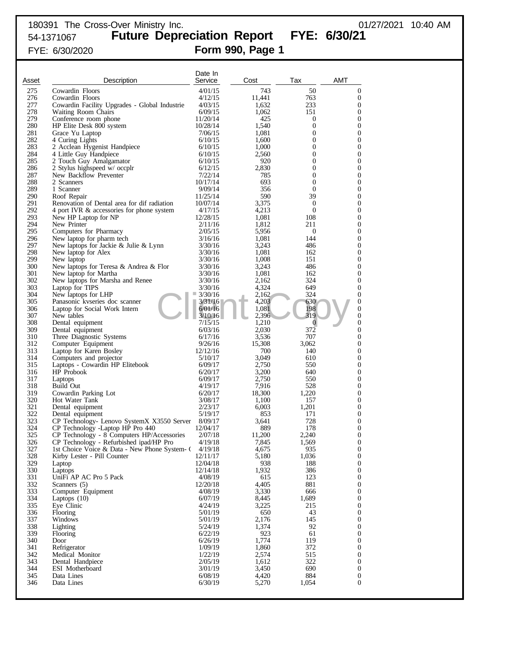| Asset      | Description                                                                              | Date In<br>Service | Cost            | Tax                                | <b>AMT</b>                           |
|------------|------------------------------------------------------------------------------------------|--------------------|-----------------|------------------------------------|--------------------------------------|
| 275        | Cowardin Floors                                                                          | 4/01/15            | 743             | 50                                 | 0                                    |
| 276        | Cowardin Floors                                                                          | 4/12/15            | 11,441          | 763                                | $\mathbf{0}$                         |
| 277        | Cowardin Facility Upgrades - Global Industrie                                            | 4/03/15            | 1,632           | 233                                | $\mathbf{0}$                         |
| 278        | Waiting Room Chairs                                                                      | 6/09/15            | 1,062           | 151                                | $\boldsymbol{0}$                     |
| 279        | Conference room phone                                                                    | 11/20/14           | 425             | 0                                  | $\boldsymbol{0}$                     |
| 280        | HP Elite Desk 800 system                                                                 | 10/28/14           | 1,540           | 0                                  | 0                                    |
| 281        | Grace Yu Laptop                                                                          | 7/06/15            | 1,081           | 0                                  | $\boldsymbol{0}$                     |
| 282<br>283 | 4 Curing Lights                                                                          | 6/10/15<br>6/10/15 | 1,600<br>1,000  | $\boldsymbol{0}$<br>$\overline{0}$ | $\boldsymbol{0}$<br>$\boldsymbol{0}$ |
| 284        | 2 Acclean Hygenist Handpiece<br>4 Little Guy Handpiece                                   | 6/10/15            | 2,560           | 0                                  | $\mathbf{0}$                         |
| 285        | 2 Touch Guy Amalgamator                                                                  | 6/10/15            | 920             | $\overline{0}$                     | $\mathbf{0}$                         |
| 286        | 2 Stylus highspeed w/ occplr                                                             | 6/12/15            | 2,830           | 0                                  | $\boldsymbol{0}$                     |
| 287        | New Backflow Preventer                                                                   | 7/22/14            | 785             | $\overline{0}$                     | $\mathbf{0}$                         |
| 288        | 2 Scanners                                                                               | 10/17/14           | 693             | 0                                  | $\boldsymbol{0}$                     |
| 289        | 1 Scanner                                                                                | 9/09/14            | 356             | $\Omega$                           | $\mathbf{0}$                         |
| 290        | Roof Repair                                                                              | 11/25/14           | 590             | 39                                 | $\mathbf{0}$                         |
| 291        | Renovation of Dental area for dif radiation                                              | 10/07/14           | 3,375           | $\overline{0}$                     | $\mathbf{0}$                         |
| 292        | 4 port IVR & accessories for phone system                                                | 4/17/15            | 4,213           | $\overline{0}$                     | $\boldsymbol{0}$                     |
| 293        | New HP Laptop for NP                                                                     | 12/28/15           | 1,081           | 108                                | $\mathbf{0}$                         |
| 294<br>295 | New Printer                                                                              | 2/11/16<br>2/05/15 | 1,812           | 211                                | $\boldsymbol{0}$<br>$\boldsymbol{0}$ |
| 296        | Computers for Pharmacy                                                                   | 3/16/16            | 5,956<br>1,081  | $\overline{0}$<br>144              | $\boldsymbol{0}$                     |
| 297        | New laptop for pharm tech<br>New laptops for Jackie & Julie & Lynn                       | 3/30/16            | 3,243           | 486                                | $\mathbf{0}$                         |
| 298        | New laptop for Alex                                                                      | 3/30/16            | 1,081           | 162                                | $\boldsymbol{0}$                     |
| 299        | New laptop                                                                               | 3/30/16            | 1,008           | 151                                | $\boldsymbol{0}$                     |
| 300        | New laptops for Teresa & Andrea & Flor                                                   | 3/30/16            | 3,243           | 486                                | $\boldsymbol{0}$                     |
| 301        | New laptop for Martha                                                                    | 3/30/16            | 1,081           | 162                                | $\mathbf{0}$                         |
| 302        | New laptops for Marsha and Renee                                                         | 3/30/16            | 2,162           | 324                                | $\boldsymbol{0}$                     |
| 303        | Laptop for TIPS                                                                          | 3/30/16            | 4,324           | 649                                | $\overline{0}$                       |
| 304        | New laptops for LHP                                                                      | 3/30/16            | 2,162           | 324                                | $\boldsymbol{0}$                     |
| 305        | Panasonic kyseries doc scanner                                                           | 3/31/16            | 4,203           | 630                                | 0                                    |
| 306        | Laptop for Social Work Intern                                                            | 6/01/16            | 1,081           | 198                                | 0                                    |
| 307        | New tables                                                                               | 3/10/16            | 2,396           | 319                                | $\overline{0}$                       |
| 308        | Dental equipment                                                                         | 7/15/15            | 1,210           | $\overline{0}$                     | 0                                    |
| 309        | Dental equipment                                                                         | 6/03/16            | 2,030           | 372                                | $\overline{0}$                       |
| 310<br>312 | Three Diagnostic Systems<br>Computer Equipment                                           | 6/17/16<br>9/26/16 | 3,536<br>15,308 | 707<br>3,062                       | $\boldsymbol{0}$<br>0                |
| 313        | Laptop for Karen Bosley                                                                  | 12/12/16           | 700             | 140                                | 0                                    |
| 314        | Computers and projector                                                                  | 5/10/17            | 3,049           | 610                                | 0                                    |
| 315        | Laptops - Cowardin HP Elitebook                                                          | 6/09/17            | 2,750           | 550                                | 0                                    |
| 316        | HP Probook                                                                               | 6/20/17            | 3,200           | 640                                | 0                                    |
| 317        | Laptops                                                                                  | 6/09/17            | 2,750           | 550                                | 0                                    |
| 318        | <b>Build Out</b>                                                                         | 4/19/17            | 7,916           | 528                                | $\mathbf{0}$                         |
| 319        | Cowardin Parking Lot                                                                     | 6/20/17            | 18,300          | 1,220                              | 0                                    |
| 320        | Hot Water Tank                                                                           | 3/08/17            | 1,100           | 157                                | 0                                    |
| 321        | Dental equipment                                                                         | 2/23/17            | 6,003           | 1,201                              | $\overline{0}$                       |
| 322        | Dental equipment                                                                         | 5/19/17            | 853             | 171                                | $\overline{0}$                       |
| 323        | CP Technology- Lenovo SystemX X3550 Server 8/09/17                                       |                    | 3,641           | 728                                | 0                                    |
| 324        | CP Technology -Laptop HP Pro 440                                                         | 12/04/17           | 889             | 178                                | $\boldsymbol{0}$                     |
| 325        | CP Technology - 8 Computers HP/Accessories                                               | 2/07/18            | 11,200          | 2,240                              | $\mathbf{0}$<br>$\overline{0}$       |
| 326<br>327 | CP Technology - Refurbished ipad/HP Pro<br>1st Choice Voice & Data - New Phone System- ( | 4/19/18<br>4/19/18 | 7,845<br>4,675  | 1,569<br>935                       | 0                                    |
| 328        | Kirby Lester - Pill Counter                                                              | 12/11/17           | 5,180           | 1,036                              | $\mathbf{0}$                         |
| 329        | Laptop                                                                                   | 12/04/18           | 938             | 188                                | 0                                    |
| 330        | Laptops                                                                                  | 12/14/18           | 1,932           | 386                                | $\overline{0}$                       |
| 331        | UniFi AP AC Pro 5 Pack                                                                   | 4/08/19            | 615             | 123                                | 0                                    |
| 332        | Scanners (5)                                                                             | 12/20/18           | 4,405           | 881                                | $\overline{0}$                       |
| 333        | Computer Equipment                                                                       | 4/08/19            | 3,330           | 666                                | 0                                    |
| 334        | Laptops $(10)$                                                                           | 6/07/19            | 8,445           | 1,689                              | $\overline{0}$                       |
| 335        | Eye Clinic                                                                               | 4/24/19            | 3,225           | 215                                | 0                                    |
| 336        | Flooring                                                                                 | 5/01/19            | 650             | 43                                 | $\overline{0}$                       |
| 337        | Windows                                                                                  | 5/01/19            | 2,176           | 145                                | $\mathbf{0}$                         |
| 338        | Lighting                                                                                 | 5/24/19            | 1,374           | 92                                 | $\overline{0}$                       |
| 339        | Flooring                                                                                 | 6/22/19            | 923             | 61                                 | 0                                    |
| 340        | Door                                                                                     | 6/26/19            | 1,774           | 119                                | 0                                    |
| 341<br>342 | Refrigerator<br>Medical Monitor                                                          | 1/09/19<br>1/22/19 | 1,860<br>2,574  | 372<br>515                         | 0<br>0                               |
| 343        | Dental Handpiece                                                                         | 2/05/19            | 1,612           | 322                                | 0                                    |
| 344        | <b>ESI</b> Motherboard                                                                   | 3/01/19            | 3,450           | 690                                | 0                                    |
| 345        | Data Lines                                                                               | 6/08/19            | 4,420           | 884                                | 0                                    |
| 346        | Data Lines                                                                               | 6/30/19            | 5,270           | 1,054                              | $\mathbf{0}$                         |
|            |                                                                                          |                    |                 |                                    |                                      |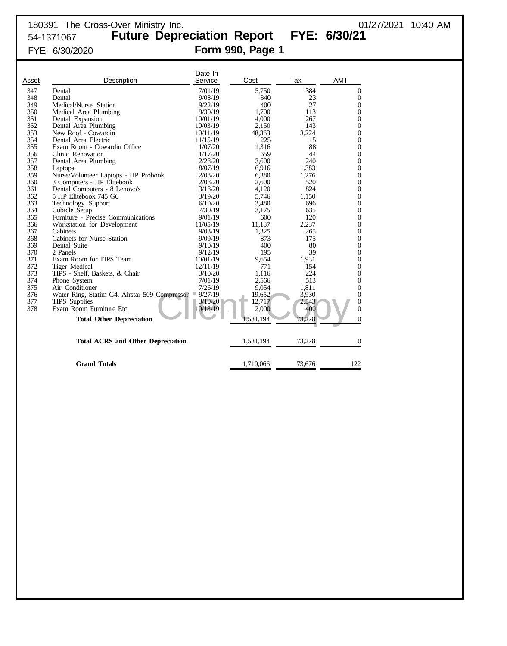| Asset | Description                                   | Date In<br>Service | Cost      | Tax    | <b>AMT</b>       |
|-------|-----------------------------------------------|--------------------|-----------|--------|------------------|
| 347   | Dental                                        | 7/01/19            | 5,750     | 384    | $\mathbf{0}$     |
| 348   | Dental                                        | 9/08/19            | 340       | 23     | $\mathbf{0}$     |
| 349   | Medical/Nurse Station                         | 9/22/19            | 400       | 27     | $\overline{0}$   |
| 350   | Medical Area Plumbing                         | 9/30/19            | 1,700     | 113    | $\mathbf{0}$     |
| 351   | Dental Expansion                              | 10/01/19           | 4,000     | 267    | $\mathbf{0}$     |
| 352   | Dental Area Plumbing                          | 10/03/19           | 2,150     | 143    | $\mathbf{0}$     |
| 353   | New Roof - Cowardin                           | 10/11/19           | 48,363    | 3,224  | $\overline{0}$   |
| 354   | Dental Area Electric                          | 11/15/19           | 225       | 15     | $\mathbf{0}$     |
| 355   | Exam Room - Cowardin Office                   | 1/07/20            | 1,316     | 88     | $\overline{0}$   |
| 356   | Clinic Renovation                             | 1/17/20            | 659       | 44     | $\mathbf{0}$     |
| 357   | Dental Area Plumbing                          | 2/28/20            | 3,600     | 240    | $\boldsymbol{0}$ |
| 358   | Laptops                                       | 8/07/19            | 6,916     | 1,383  | $\theta$         |
| 359   | Nurse/Volunteer Laptops - HP Probook          | 2/08/20            | 6,380     | 1,276  | $\mathbf{0}$     |
| 360   | 3 Computers - HP Elitebook                    | 2/08/20            | 2,600     | 520    | $\mathbf{0}$     |
| 361   | Dental Computers - 8 Lenovo's                 | 3/18/20            | 4,120     | 824    | $\boldsymbol{0}$ |
| 362   | 5 HP Elitebook 745 G6                         | 3/19/20            | 5,746     | 1,150  | $\boldsymbol{0}$ |
| 363   | Technology Support                            | 6/10/20            | 3,480     | 696    | $\mathbf{0}$     |
| 364   | Cubicle Setup                                 | 7/30/19            | 3,175     | 635    | $\mathbf{0}$     |
| 365   | Furniture - Precise Communications            | 9/01/19            | 600       | 120    | $\boldsymbol{0}$ |
| 366   | Workstation for Development                   | 11/05/19           | 11,187    | 2,237  | $\overline{0}$   |
| 367   | Cabinets                                      | 9/03/19            | 1,325     | 265    | $\mathbf{0}$     |
| 368   | Cabinets for Nurse Station                    | 9/09/19            | 873       | 175    | $\mathbf{0}$     |
| 369   | Dental Suite                                  | 9/10/19            | 400       | 80     | $\mathbf{0}$     |
| 370   | 2 Panels                                      | 9/12/19            | 195       | 39     | $\boldsymbol{0}$ |
| 371   | Exam Room for TIPS Team                       | 10/01/19           | 9,654     | 1,931  | $\mathbf{0}$     |
| 372   | <b>Tiger Medical</b>                          | 12/11/19           | 771       | 154    | 0                |
| 373   | TIPS - Shelf, Baskets, & Chair                | 3/10/20            | 1,116     | 224    | 0                |
| 374   | Phone System                                  | 7/01/19            | 2,566     | 513    | $\boldsymbol{0}$ |
| 375   | Air Conditioner                               | 7/26/19            | 9,054     | 1,811  | 0                |
| 376   | Water Ring, Statim G4, Airstar 509 Compressor | 9/27/19            | 19,652    | 3,930  | 0                |
| 377   | <b>TIPS</b> Supplies                          | 3/10/20            | 12,717    | 2,543  | $\overline{0}$   |
| 378   | Exam Room Furniture Etc.                      | 10/18/19           | 2,000     | 400    | $\boldsymbol{0}$ |
|       | <b>Total Other Depreciation</b>               |                    | 1,531,194 | 73,278 | $\Omega$         |
|       | <b>Total ACRS and Other Depreciation</b>      |                    | 1,531,194 | 73,278 | 0                |
|       | <b>Grand Totals</b>                           |                    | 1,710,066 | 73.676 | 122              |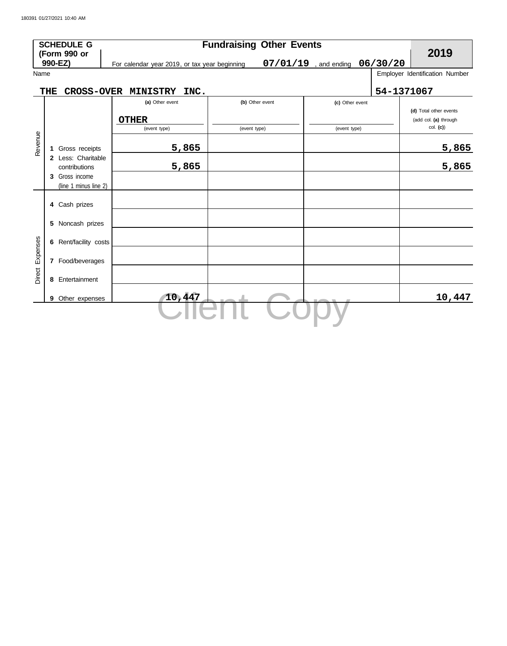|          | <b>SCHEDULE G</b><br>(Form 990 or       |                         | <b>Fundraising Other Events</b>                                                 |                 |            | 2019                                            |  |  |
|----------|-----------------------------------------|-------------------------|---------------------------------------------------------------------------------|-----------------|------------|-------------------------------------------------|--|--|
|          | 990-EZ)                                 |                         | 07/01/19 , and ending 06/30/20<br>For calendar year 2019, or tax year beginning |                 |            |                                                 |  |  |
| Name     |                                         |                         |                                                                                 |                 |            | Employer Identification Number                  |  |  |
|          | <b>THE</b><br><b>CROSS-OVER</b>         | INC.<br><b>MINISTRY</b> |                                                                                 |                 | 54-1371067 |                                                 |  |  |
|          |                                         | (a) Other event         | (b) Other event                                                                 | (c) Other event |            |                                                 |  |  |
|          |                                         | <b>OTHER</b>            |                                                                                 |                 |            | (d) Total other events<br>(add col. (a) through |  |  |
|          |                                         | (event type)            | (event type)                                                                    | (event type)    |            | col. (c)                                        |  |  |
| Revenue  | 1 Gross receipts                        | 5,865                   |                                                                                 |                 |            | 5,865                                           |  |  |
|          | 2 Less: Charitable<br>contributions     | 5,865                   |                                                                                 |                 |            | 5,865                                           |  |  |
|          | 3 Gross income<br>(line 1 minus line 2) |                         |                                                                                 |                 |            |                                                 |  |  |
|          | 4 Cash prizes                           |                         |                                                                                 |                 |            |                                                 |  |  |
|          | 5 Noncash prizes                        |                         |                                                                                 |                 |            |                                                 |  |  |
|          | 6 Rent/facility costs                   |                         |                                                                                 |                 |            |                                                 |  |  |
| Expenses | Food/beverages<br>7                     |                         |                                                                                 |                 |            |                                                 |  |  |
| Direct   | 8 Entertainment                         |                         |                                                                                 |                 |            |                                                 |  |  |
|          | 9 Other expenses                        | 10,447                  |                                                                                 |                 |            | 10,447                                          |  |  |
|          |                                         |                         |                                                                                 |                 |            |                                                 |  |  |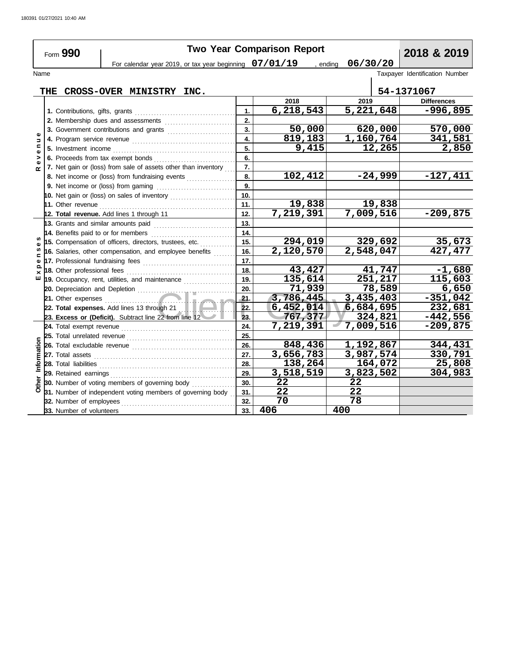|                | Form 990                                                                   |                                                                                    |            | <b>Two Year Comparison Report</b> |                        | 2018 & 2019                    |  |
|----------------|----------------------------------------------------------------------------|------------------------------------------------------------------------------------|------------|-----------------------------------|------------------------|--------------------------------|--|
|                |                                                                            | For calendar year 2019, or tax year beginning $07/01/19$                           |            |                                   | 06/30/20<br>, ending   |                                |  |
| Name           |                                                                            |                                                                                    |            |                                   |                        | Taxpayer Identification Number |  |
|                |                                                                            |                                                                                    |            |                                   |                        |                                |  |
|                | THE                                                                        | CROSS-OVER MINISTRY INC.                                                           |            |                                   |                        | 54-1371067                     |  |
|                |                                                                            |                                                                                    |            | 2018                              | 2019                   | <b>Differences</b>             |  |
|                |                                                                            |                                                                                    | 1.         | 6,218,543                         | 5,221,648              | $-996,895$                     |  |
|                |                                                                            |                                                                                    | 2.         |                                   |                        |                                |  |
| $\bullet$      |                                                                            | 3. Government contributions and grants                                             | 3.         | 50,000                            | 620,000                | 570,000                        |  |
| Ξ              |                                                                            |                                                                                    | 4.         | 819,183                           | 1,160,764              | 341,581                        |  |
| ء<br>ه         |                                                                            |                                                                                    | 5.         | 9,415                             | 12,265                 | 2,850                          |  |
| $\geq$         |                                                                            |                                                                                    | 6.         |                                   |                        |                                |  |
|                |                                                                            | 7. Net gain or (loss) from sale of assets other than inventory                     | 7.         |                                   |                        |                                |  |
|                |                                                                            | 8. Net income or (loss) from fundraising events                                    | 8.         | 102,412                           | $-24,999$              | $-127,411$                     |  |
|                |                                                                            |                                                                                    | 9.         |                                   |                        |                                |  |
|                |                                                                            |                                                                                    | 10.        | 19,838                            |                        |                                |  |
|                |                                                                            | 12. Total revenue. Add lines 1 through 11                                          | 11.<br>12. | 7,219,391                         | 19,838<br>7,009,516    | $-209,875$                     |  |
|                |                                                                            |                                                                                    | 13.        |                                   |                        |                                |  |
|                | 13. Grants and similar amounts paid<br>14. Benefits paid to or for members |                                                                                    | 14.        |                                   |                        |                                |  |
|                |                                                                            | 15. Compensation of officers, directors, trustees, etc.                            | 15.        | 294,019                           | 329,692                | 35,673                         |  |
| Φ<br>s,        |                                                                            | 16. Salaries, other compensation, and employee benefits                            | 16.        | 2,120,570                         | 2,548,047              | 427,477                        |  |
| c<br>$\bullet$ |                                                                            |                                                                                    | 17.        |                                   |                        |                                |  |
| $\Omega$       |                                                                            |                                                                                    | 18.        | 43,427                            | 41,747                 | $-1,680$                       |  |
| $\times$<br>ш  |                                                                            | 19. Occupancy, rent, utilities, and maintenance <i>[[[[[[[[[[[[[[[[[[[[[[]]]]]</i> | 19.        | 135,614                           | 251,217                | 115,603                        |  |
|                |                                                                            |                                                                                    | 20.        | 71,939                            | 78,589                 | 6,650                          |  |
|                |                                                                            |                                                                                    | 21.        | 3,786,445                         | $\overline{3,435,403}$ | $-351,042$                     |  |
|                |                                                                            | 22. Total expenses. Add lines 13 through 21                                        | 22.        | 6,452,014                         | 6,684,695              | 232,681                        |  |
|                |                                                                            | 23. Excess or (Deficit). Subtract line 22 from line 12                             | 23.        | 767,377                           | 324,821                | $-442,556$                     |  |
|                |                                                                            |                                                                                    | 24.        | 7,219,391                         | 7,009,516              | $-209,875$                     |  |
|                |                                                                            |                                                                                    | 25.        |                                   |                        |                                |  |
|                |                                                                            |                                                                                    | 26.        | 848,436                           | 1,192,867              | 344,431                        |  |
|                |                                                                            |                                                                                    | 27.        | 3,656,783                         | 3,987,574              | 330,791                        |  |
| Information    |                                                                            |                                                                                    | 28.        | 138,264                           | 164,072                | 25,808                         |  |
|                |                                                                            |                                                                                    | 29.        | 3,518,519                         | 3,823,502              | 304,983                        |  |
| Other          |                                                                            | 30. Number of voting members of governing body                                     | 30.        | 22                                | 22                     |                                |  |
|                |                                                                            | 31. Number of independent voting members of governing body                         | 31.        | 22                                | 22                     |                                |  |
|                | 32. Number of employees                                                    |                                                                                    | 32.        | 70                                | 78                     |                                |  |
|                | 33. Number of volunteers                                                   |                                                                                    | 33.        | 406                               | 400                    |                                |  |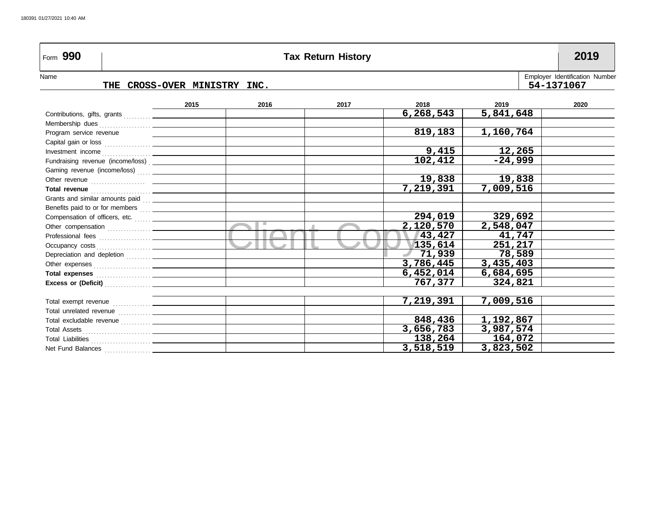| Form 990                                                                                                                                                                                                                             |                            |      | <b>Tax Return History</b> |           |                           | 2019                                         |
|--------------------------------------------------------------------------------------------------------------------------------------------------------------------------------------------------------------------------------------|----------------------------|------|---------------------------|-----------|---------------------------|----------------------------------------------|
| Name<br>THE                                                                                                                                                                                                                          | <b>CROSS-OVER MINISTRY</b> | INC. |                           |           |                           | Employer Identification Number<br>54-1371067 |
|                                                                                                                                                                                                                                      | 2015                       | 2016 | 2017                      | 2018      | 2019                      | 2020                                         |
|                                                                                                                                                                                                                                      |                            |      |                           | 6,268,543 | 5,841,648                 |                                              |
|                                                                                                                                                                                                                                      |                            |      |                           |           |                           |                                              |
| Program service revenue                                                                                                                                                                                                              |                            |      |                           | 819,183   | 1,160,764                 |                                              |
|                                                                                                                                                                                                                                      |                            |      |                           |           |                           |                                              |
|                                                                                                                                                                                                                                      |                            |      |                           | 9,415     | 12,265                    |                                              |
|                                                                                                                                                                                                                                      |                            |      |                           | 102,412   | $-24,999$                 |                                              |
| Gaming revenue (income/loss)  ____________                                                                                                                                                                                           |                            |      |                           |           |                           |                                              |
|                                                                                                                                                                                                                                      |                            |      |                           | 19,838    | 19,838                    |                                              |
|                                                                                                                                                                                                                                      |                            |      |                           | 7,219,391 | 7,009,516                 |                                              |
|                                                                                                                                                                                                                                      |                            |      |                           |           |                           |                                              |
| Benefits paid to or for members  _____________                                                                                                                                                                                       |                            |      |                           |           |                           |                                              |
| Compensation of officers, etc.  __________                                                                                                                                                                                           |                            |      |                           | 294,019   | 329,692                   |                                              |
|                                                                                                                                                                                                                                      |                            |      |                           | 2,120,570 | $\overline{2}$ , 548, 047 |                                              |
|                                                                                                                                                                                                                                      |                            |      |                           | 43,427    | 41,747                    |                                              |
|                                                                                                                                                                                                                                      |                            |      |                           | 135,614   | 251,217                   |                                              |
|                                                                                                                                                                                                                                      |                            |      |                           | 71,939    | 78,589                    |                                              |
|                                                                                                                                                                                                                                      |                            |      |                           | 3,786,445 | 3,435,403                 |                                              |
| Total expenses <b>contract the contract of the contract of the contract of the contract of the contract of the contract of the contract of the contract of the contract of the contract of the contract of the contract of the c</b> |                            |      |                           | 6,452,014 | 6,684,695                 |                                              |
| Excess or (Deficit) <b>Excess</b> or (Deficit)                                                                                                                                                                                       |                            |      |                           | 767,377   | 324,821                   |                                              |
|                                                                                                                                                                                                                                      |                            |      |                           |           |                           |                                              |
|                                                                                                                                                                                                                                      |                            |      |                           | 7,219,391 | 7,009,516                 |                                              |
|                                                                                                                                                                                                                                      |                            |      |                           |           |                           |                                              |
|                                                                                                                                                                                                                                      |                            |      |                           | 848,436   | 1,192,867                 |                                              |
|                                                                                                                                                                                                                                      |                            |      |                           | 3,656,783 | 3,987,574                 |                                              |
|                                                                                                                                                                                                                                      |                            |      |                           | 138,264   | 164,072                   |                                              |
|                                                                                                                                                                                                                                      |                            |      |                           | 3,518,519 | 3,823,502                 |                                              |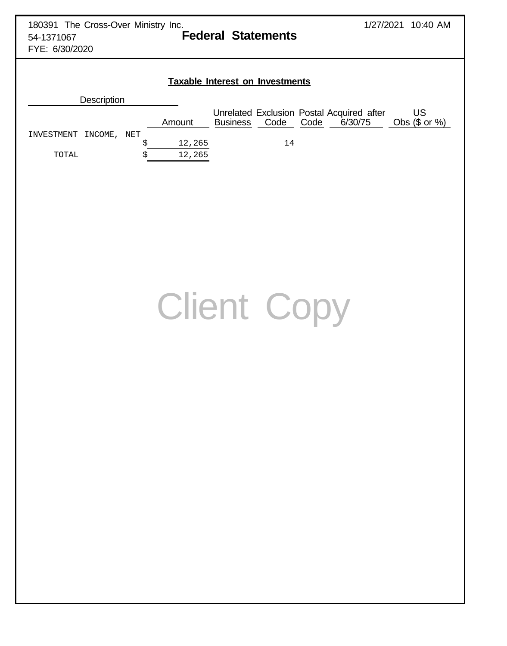| 180391 The Cross-Over Ministry Inc.<br>54-1371067<br>FYE: 6/30/2020 |             |          |                                        | <b>Federal Statements</b> |            |      |                                                      | 1/27/2021 10:40 AM           |
|---------------------------------------------------------------------|-------------|----------|----------------------------------------|---------------------------|------------|------|------------------------------------------------------|------------------------------|
|                                                                     | Description |          | <b>Taxable Interest on Investments</b> |                           |            |      |                                                      |                              |
| INVESTMENT INCOME, NET<br>TOTAL                                     |             | \$<br>\$ | Amount<br>12,265<br>12,265             | <b>Business</b>           | Code<br>14 | Code | Unrelated Exclusion Postal Acquired after<br>6/30/75 | <b>US</b><br>Obs $($ or  %)$ |
|                                                                     |             |          | <b>Client Copy</b>                     |                           |            |      |                                                      |                              |
|                                                                     |             |          |                                        |                           |            |      |                                                      |                              |
|                                                                     |             |          |                                        |                           |            |      |                                                      |                              |
|                                                                     |             |          |                                        |                           |            |      |                                                      |                              |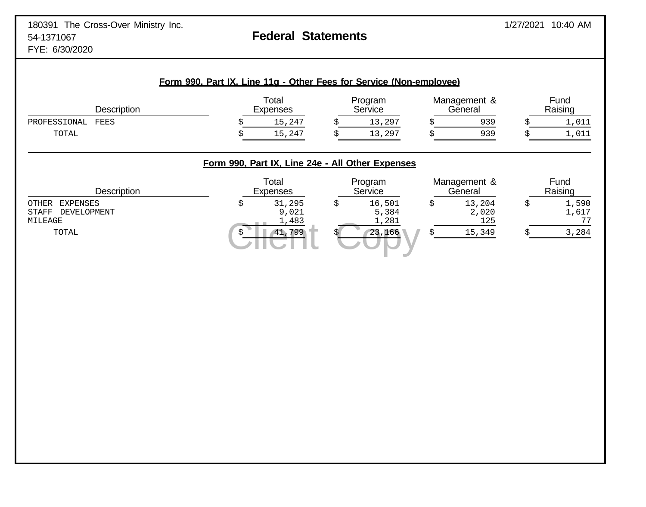| Description                         | Total<br><b>Expenses</b> |                                                  | Program<br>Service    | Management &<br>General |                       | Fund<br>Raising |
|-------------------------------------|--------------------------|--------------------------------------------------|-----------------------|-------------------------|-----------------------|-----------------|
| PROFESSIONAL<br>FEES                | \$                       | 15,247<br>\$                                     | 13,297<br>\$          |                         | 939<br>\$             | 1,011           |
| TOTAL                               | \$                       | 15,247<br>\$                                     | \$<br>13,297          |                         | 939<br>\$             | $1\,,011$       |
|                                     |                          | Form 990, Part IX, Line 24e - All Other Expenses |                       |                         |                       |                 |
| Description                         | Total<br>Expenses        |                                                  | Program<br>Service    | Management &<br>General |                       | Fund<br>Raising |
| OTHER EXPENSES<br>STAFF DEVELOPMENT | \$                       | 31,295<br>\$<br>9,021                            | 16,501<br>\$<br>5,384 |                         | 13,204<br>\$<br>2,020 | 1,590<br>1,617  |
| MILEAGE                             |                          | 1,483                                            | 1,281                 |                         | 125                   | 77              |
| TOTAL                               |                          | 41,799                                           | 23,166<br>\$          |                         | 15,349<br>Ś           | 3,284           |
|                                     |                          |                                                  |                       |                         |                       |                 |
|                                     |                          |                                                  |                       |                         |                       |                 |
|                                     |                          |                                                  |                       |                         |                       |                 |
|                                     |                          |                                                  |                       |                         |                       |                 |
|                                     |                          |                                                  |                       |                         |                       |                 |
|                                     |                          |                                                  |                       |                         |                       |                 |
|                                     |                          |                                                  |                       |                         |                       |                 |
|                                     |                          |                                                  |                       |                         |                       |                 |
|                                     |                          |                                                  |                       |                         |                       |                 |
|                                     |                          |                                                  |                       |                         |                       |                 |
|                                     |                          |                                                  |                       |                         |                       |                 |
|                                     |                          |                                                  |                       |                         |                       |                 |
|                                     |                          |                                                  |                       |                         |                       |                 |
|                                     |                          |                                                  |                       |                         |                       |                 |
|                                     |                          |                                                  |                       |                         |                       |                 |
|                                     |                          |                                                  |                       |                         |                       |                 |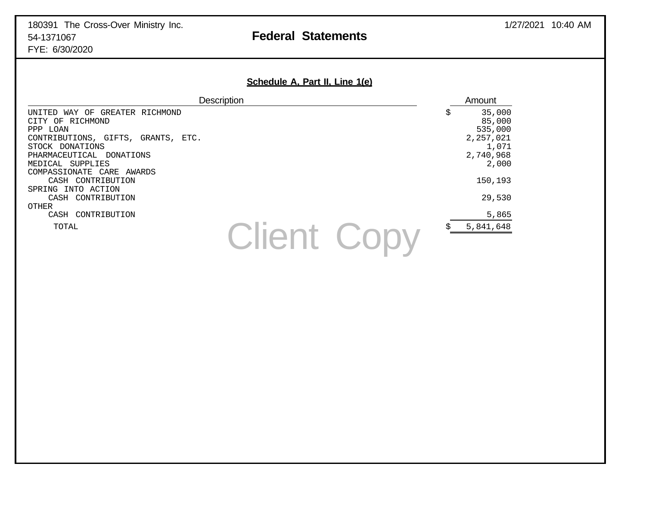#### 180391 The Cross-Over Ministry Inc. **180391 The Cross-Over Ministry Inc.** 10:40 AM 54-1371067 **Federal Statements** FYE: 6/30/2020

### TOTAL Client Copy<sup>\$ 5,841,648</sup> **Schedule A, Part II, Line 1(e)** Description **Amount** UNITED WAY OF GREATER RICHMOND \$ 35,000 CITY OF RICHMOND 85,000 PPP LOAN 535,000 CONTRIBUTIONS, GIFTS, GRANTS, ETC.<br>STOCK DONATIONS 1,071 STOCK DONATIONS 1,071 PHARMACEUTICAL DONATIONS MEDICAL SUPPLIES 2,000 COMPASSIONATE CARE AWARDS CASH CONTRIBUTION 150,193 SPRING INTO ACTION CASH CONTRIBUTION 29,530 OTHER CASH CONTRIBUTION 5,865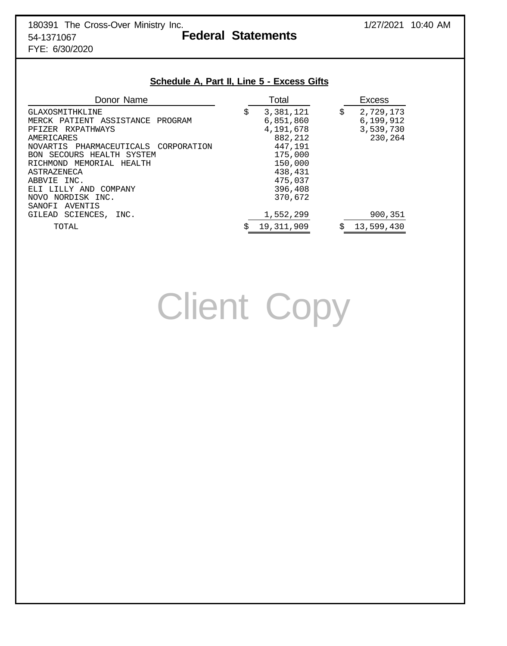#### **Schedule A, Part II, Line 5 - Excess Gifts**

| Donor Name                           |    | Total      | <b>Excess</b>    |
|--------------------------------------|----|------------|------------------|
| GLAXOSMITHKLINE                      | \$ | 3,381,121  | \$<br>2,729,173  |
| MERCK PATIENT ASSISTANCE PROGRAM     |    | 6,851,860  | 6,199,912        |
| PFIZER RXPATHWAYS                    |    | 4,191,678  | 3,539,730        |
| AMERICARES                           |    | 882,212    | 230,264          |
| NOVARTIS PHARMACEUTICALS CORPORATION |    | 447,191    |                  |
| BON SECOURS HEALTH SYSTEM            |    | 175,000    |                  |
| RICHMOND MEMORIAL HEALTH             |    | 150,000    |                  |
| ASTRAZENECA                          |    | 438,431    |                  |
| ABBVIE INC.                          |    | 475,037    |                  |
| ELI LILLY AND COMPANY                |    | 396,408    |                  |
| NOVO NORDISK INC.                    |    | 370,672    |                  |
| SANOFI AVENTIS                       |    |            |                  |
| SCIENCES, INC.<br>GILEAD             |    | 1,552,299  | 900,351          |
| TOTAL                                | S  | 19,311,909 | \$<br>13,599,430 |

Client Copy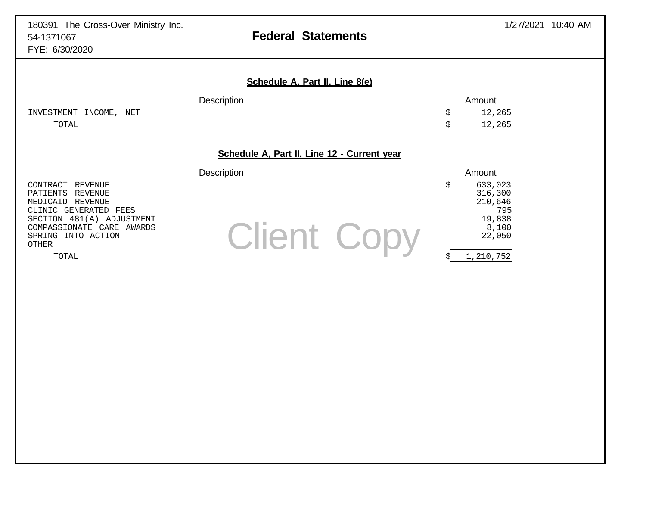| Description            | Amount |
|------------------------|--------|
| INVESTMENT INCOME, NET | 12,265 |
| TOTAL                  | 12,265 |

|                                                                                                                                                                            | <b>Description</b> |   | Amount                                                            |
|----------------------------------------------------------------------------------------------------------------------------------------------------------------------------|--------------------|---|-------------------------------------------------------------------|
| CONTRACT<br>REVENUE<br>PATIENTS<br>REVENUE<br>MEDICAID<br>REVENUE<br>CLINIC GENERATED FEES<br>SECTION 481(A) ADJUSTMENT<br>COMPASSIONATE CARE AWARDS<br>SPRING INTO ACTION |                    | S | 633,023<br>316,300<br>210,646<br>795<br>19,838<br>8,100<br>22,050 |
| OTHER<br>TOTAL                                                                                                                                                             |                    |   | 1,210,752                                                         |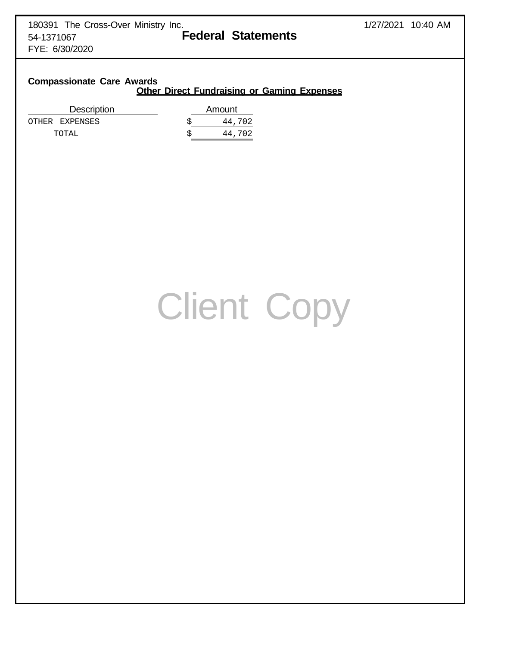| Description                     | Amount       |
|---------------------------------|--------------|
| <b>EXPENSES</b><br><b>OTHER</b> | 44,702<br>\$ |
| TOTAL                           | 44,702<br>S  |

# Client Copy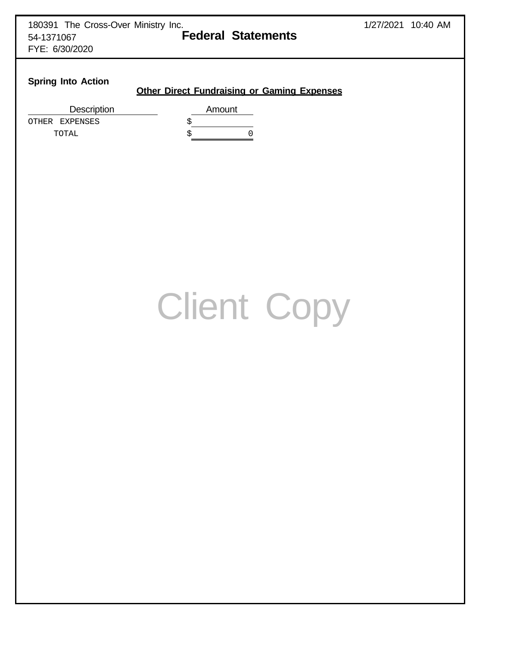| 180391 The Cross-Over Ministry Inc.<br>54-1371067<br>FYE: 6/30/2020 | <b>Federal Statements</b>                          | 1/27/2021 10:40 AM |
|---------------------------------------------------------------------|----------------------------------------------------|--------------------|
| <b>Spring Into Action</b>                                           | <b>Other Direct Fundraising or Gaming Expenses</b> |                    |
| Description<br>OTHER EXPENSES<br>TOTAL                              | Amount<br>\$<br>\$<br>$\mathbf 0$                  |                    |
|                                                                     | <b>Client Copy</b>                                 |                    |
|                                                                     |                                                    |                    |